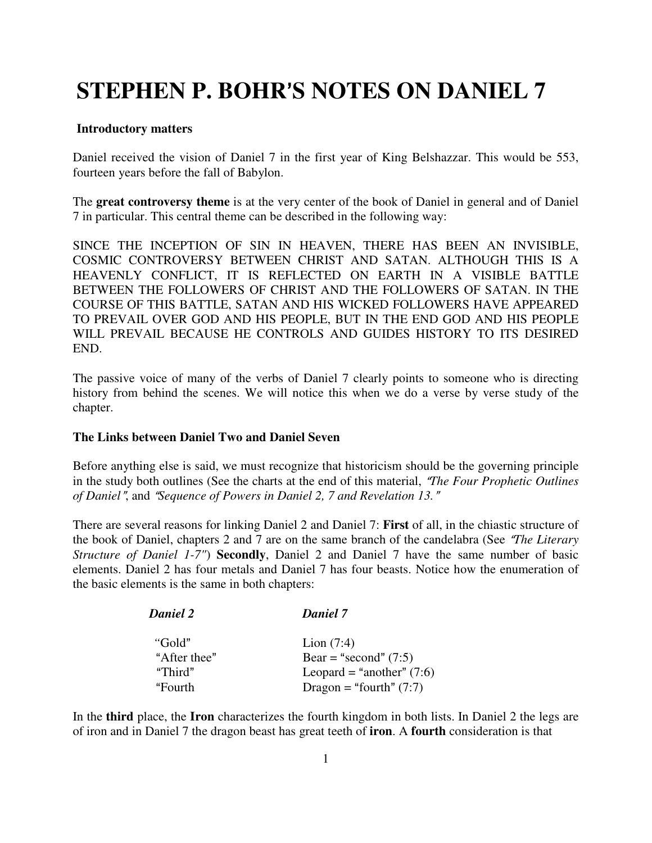# **STEPHEN P. BOHR'S NOTES ON DANIEL 7**

#### **Introductory matters**

Daniel received the vision of Daniel 7 in the first year of King Belshazzar. This would be 553, fourteen years before the fall of Babylon.

The **great controversy theme** is at the very center of the book of Daniel in general and of Daniel 7 in particular. This central theme can be described in the following way:

SINCE THE INCEPTION OF SIN IN HEAVEN, THERE HAS BEEN AN INVISIBLE, COSMIC CONTROVERSY BETWEEN CHRIST AND SATAN. ALTHOUGH THIS IS A HEAVENLY CONFLICT, IT IS REFLECTED ON EARTH IN A VISIBLE BATTLE BETWEEN THE FOLLOWERS OF CHRIST AND THE FOLLOWERS OF SATAN. IN THE COURSE OF THIS BATTLE, SATAN AND HIS WICKED FOLLOWERS HAVE APPEARED TO PREVAIL OVER GOD AND HIS PEOPLE, BUT IN THE END GOD AND HIS PEOPLE WILL PREVAIL BECAUSE HE CONTROLS AND GUIDES HISTORY TO ITS DESIRED END.

The passive voice of many of the verbs of Daniel 7 clearly points to someone who is directing history from behind the scenes. We will notice this when we do a verse by verse study of the chapter.

## **The Links between Daniel Two and Daniel Seven**

Before anything else is said, we must recognize that historicism should be the governing principle in the study both outlines (See the charts at the end of this material, *'The Four Prophetic Outlines of Daniel*@, and A*Sequence of Powers in Daniel 2, 7 and Revelation 13.*@

There are several reasons for linking Daniel 2 and Daniel 7: **First** of all, in the chiastic structure of the book of Daniel, chapters 2 and 7 are on the same branch of the candelabra (See *'The Literary Structure of Daniel 1-7"*) **Secondly**, Daniel 2 and Daniel 7 have the same number of basic elements. Daniel 2 has four metals and Daniel 7 has four beasts. Notice how the enumeration of the basic elements is the same in both chapters:

| <b>Daniel 2</b> | <b>Daniel 7</b>             |
|-----------------|-----------------------------|
| "Gold"          | Lion $(7:4)$                |
| "After thee"    | Bear = "second" $(7:5)$     |
| "Third"         | Leopard = "another" $(7:6)$ |
| "Fourth         | Dragon = "fourth" $(7:7)$   |

In the **third** place, the **Iron** characterizes the fourth kingdom in both lists. In Daniel 2 the legs are of iron and in Daniel 7 the dragon beast has great teeth of **iron**. A **fourth** consideration is that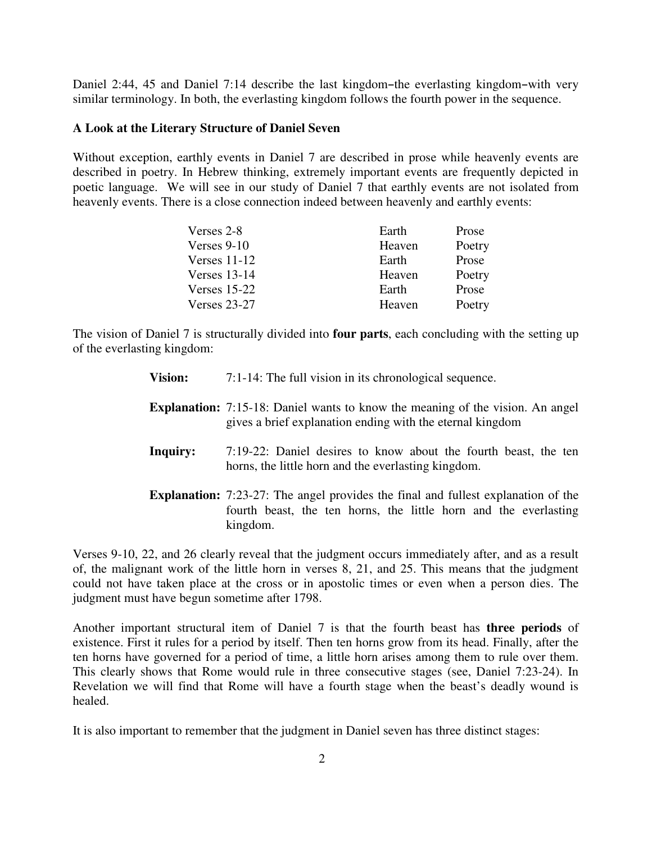Daniel 2:44, 45 and Daniel 7:14 describe the last kingdom-the everlasting kingdom-with very similar terminology. In both, the everlasting kingdom follows the fourth power in the sequence.

#### **A Look at the Literary Structure of Daniel Seven**

Without exception, earthly events in Daniel 7 are described in prose while heavenly events are described in poetry. In Hebrew thinking, extremely important events are frequently depicted in poetic language. We will see in our study of Daniel 7 that earthly events are not isolated from heavenly events. There is a close connection indeed between heavenly and earthly events:

| Verses 2-8          | Earth  | Prose  |
|---------------------|--------|--------|
| Verses 9-10         | Heaven | Poetry |
| Verses $11-12$      | Earth  | Prose  |
| Verses $13-14$      | Heaven | Poetry |
| Verses $15-22$      | Earth  | Prose  |
| <b>Verses 23-27</b> | Heaven | Poetry |

The vision of Daniel 7 is structurally divided into **four parts**, each concluding with the setting up of the everlasting kingdom:

| Vision:         | 7:1-14: The full vision in its chronological sequence.                                                                                                                   |
|-----------------|--------------------------------------------------------------------------------------------------------------------------------------------------------------------------|
|                 | <b>Explanation:</b> 7:15-18: Daniel wants to know the meaning of the vision. An angel<br>gives a brief explanation ending with the eternal kingdom                       |
| <b>Inquiry:</b> | 7:19-22: Daniel desires to know about the fourth beast, the ten<br>horns, the little horn and the everlasting kingdom.                                                   |
|                 | <b>Explanation:</b> 7:23-27: The angel provides the final and fullest explanation of the<br>fourth beast, the ten horns, the little horn and the everlasting<br>kingdom. |

Verses 9-10, 22, and 26 clearly reveal that the judgment occurs immediately after, and as a result of, the malignant work of the little horn in verses 8, 21, and 25. This means that the judgment could not have taken place at the cross or in apostolic times or even when a person dies. The judgment must have begun sometime after 1798.

Another important structural item of Daniel 7 is that the fourth beast has **three periods** of existence. First it rules for a period by itself. Then ten horns grow from its head. Finally, after the ten horns have governed for a period of time, a little horn arises among them to rule over them. This clearly shows that Rome would rule in three consecutive stages (see, Daniel 7:23-24). In Revelation we will find that Rome will have a fourth stage when the beast's deadly wound is healed.

It is also important to remember that the judgment in Daniel seven has three distinct stages: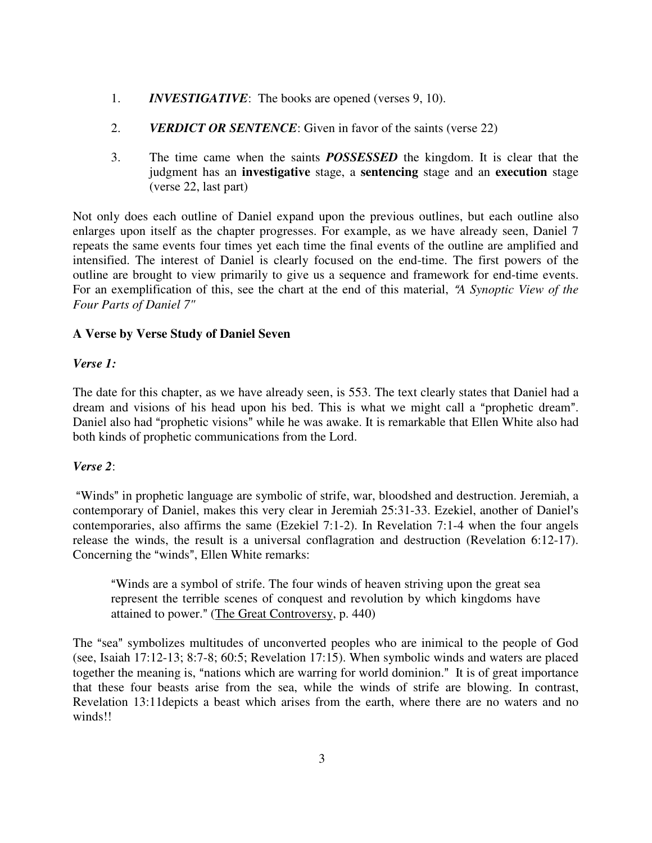- 1. *INVESTIGATIVE*: The books are opened (verses 9, 10).
- 2. *VERDICT OR SENTENCE*: Given in favor of the saints (verse 22)
- 3. The time came when the saints *POSSESSED* the kingdom. It is clear that the judgment has an **investigative** stage, a **sentencing** stage and an **execution** stage (verse 22, last part)

Not only does each outline of Daniel expand upon the previous outlines, but each outline also enlarges upon itself as the chapter progresses. For example, as we have already seen, Daniel 7 repeats the same events four times yet each time the final events of the outline are amplified and intensified. The interest of Daniel is clearly focused on the end-time. The first powers of the outline are brought to view primarily to give us a sequence and framework for end-time events. For an exemplification of this, see the chart at the end of this material, "A Synoptic View of the *Four Parts of Daniel 7"*

# **A Verse by Verse Study of Daniel Seven**

## *Verse 1:*

The date for this chapter, as we have already seen, is 553. The text clearly states that Daniel had a dream and visions of his head upon his bed. This is what we might call a "prophetic dream". Daniel also had "prophetic visions" while he was awake. It is remarkable that Ellen White also had both kinds of prophetic communications from the Lord.

# *Verse 2*:

"Winds" in prophetic language are symbolic of strife, war, bloodshed and destruction. Jeremiah, a contemporary of Daniel, makes this very clear in Jeremiah 25:31-33. Ezekiel, another of Daniel's contemporaries, also affirms the same (Ezekiel 7:1-2). In Revelation 7:1-4 when the four angels release the winds, the result is a universal conflagration and destruction (Revelation 6:12-17). Concerning the "winds", Ellen White remarks:

"Winds are a symbol of strife. The four winds of heaven striving upon the great sea represent the terrible scenes of conquest and revolution by which kingdoms have attained to power." (The Great Controversy, p. 440)

The "sea" symbolizes multitudes of unconverted peoples who are inimical to the people of God (see, Isaiah 17:12-13; 8:7-8; 60:5; Revelation 17:15). When symbolic winds and waters are placed together the meaning is, "nations which are warring for world dominion." It is of great importance that these four beasts arise from the sea, while the winds of strife are blowing. In contrast, Revelation 13:11depicts a beast which arises from the earth, where there are no waters and no winds!!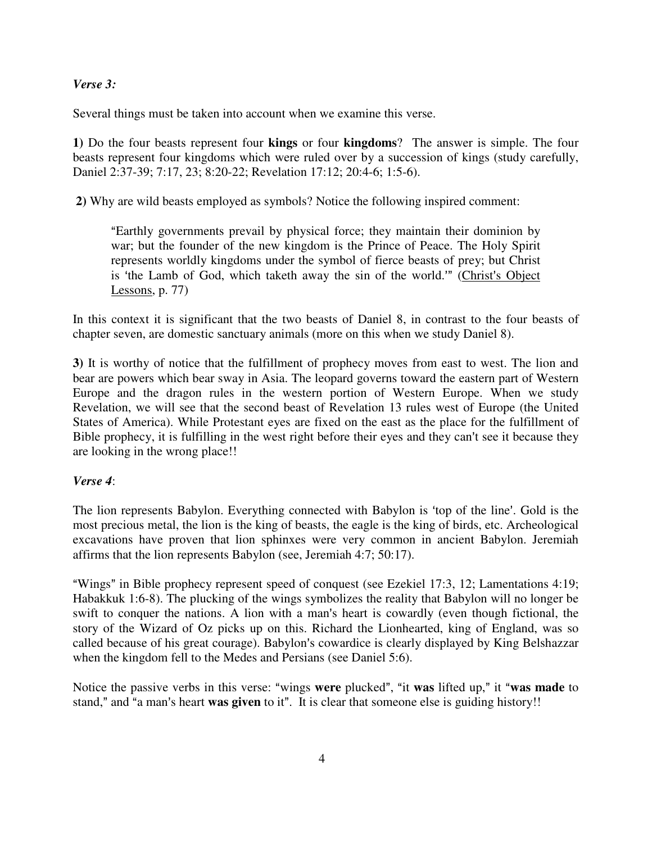## *Verse 3:*

Several things must be taken into account when we examine this verse.

**1)** Do the four beasts represent four **kings** or four **kingdoms**? The answer is simple. The four beasts represent four kingdoms which were ruled over by a succession of kings (study carefully, Daniel 2:37-39; 7:17, 23; 8:20-22; Revelation 17:12; 20:4-6; 1:5-6).

 **2)** Why are wild beasts employed as symbols? Notice the following inspired comment:

AEarthly governments prevail by physical force; they maintain their dominion by war; but the founder of the new kingdom is the Prince of Peace. The Holy Spirit represents worldly kingdoms under the symbol of fierce beasts of prey; but Christ is 'the Lamb of God, which taketh away the sin of the world." (Christ's Object Lessons, p. 77)

In this context it is significant that the two beasts of Daniel 8, in contrast to the four beasts of chapter seven, are domestic sanctuary animals (more on this when we study Daniel 8).

**3)** It is worthy of notice that the fulfillment of prophecy moves from east to west. The lion and bear are powers which bear sway in Asia. The leopard governs toward the eastern part of Western Europe and the dragon rules in the western portion of Western Europe. When we study Revelation, we will see that the second beast of Revelation 13 rules west of Europe (the United States of America). While Protestant eyes are fixed on the east as the place for the fulfillment of Bible prophecy, it is fulfilling in the west right before their eyes and they can't see it because they are looking in the wrong place!!

#### *Verse 4*:

The lion represents Babylon. Everything connected with Babylon is 'top of the line'. Gold is the most precious metal, the lion is the king of beasts, the eagle is the king of birds, etc. Archeological excavations have proven that lion sphinxes were very common in ancient Babylon. Jeremiah affirms that the lion represents Babylon (see, Jeremiah 4:7; 50:17).

"Wings" in Bible prophecy represent speed of conquest (see Ezekiel 17:3, 12; Lamentations 4:19; Habakkuk 1:6-8). The plucking of the wings symbolizes the reality that Babylon will no longer be swift to conquer the nations. A lion with a man's heart is cowardly (even though fictional, the story of the Wizard of Oz picks up on this. Richard the Lionhearted, king of England, was so called because of his great courage). Babylon's cowardice is clearly displayed by King Belshazzar when the kingdom fell to the Medes and Persians (see Daniel 5:6).

Notice the passive verbs in this verse: "wings **were** plucked", "it **was** lifted up," it "**was made** to stand," and "a man's heart **was given** to it". It is clear that someone else is guiding history!!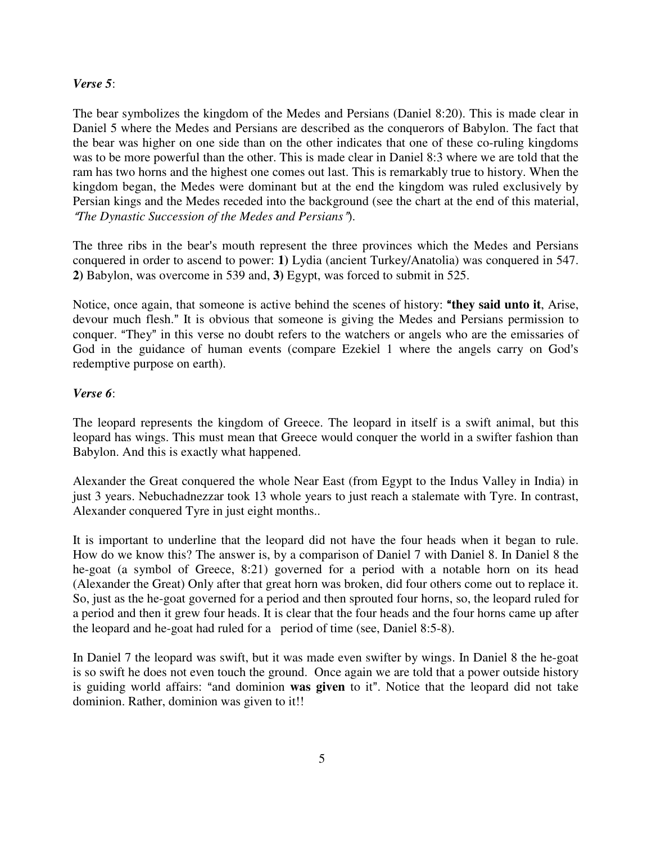#### *Verse 5*:

The bear symbolizes the kingdom of the Medes and Persians (Daniel 8:20). This is made clear in Daniel 5 where the Medes and Persians are described as the conquerors of Babylon. The fact that the bear was higher on one side than on the other indicates that one of these co-ruling kingdoms was to be more powerful than the other. This is made clear in Daniel 8:3 where we are told that the ram has two horns and the highest one comes out last. This is remarkably true to history. When the kingdom began, the Medes were dominant but at the end the kingdom was ruled exclusively by Persian kings and the Medes receded into the background (see the chart at the end of this material, *'The Dynastic Succession of the Medes and Persians''*).

The three ribs in the bear's mouth represent the three provinces which the Medes and Persians conquered in order to ascend to power: **1)** Lydia (ancient Turkey/Anatolia) was conquered in 547. **2)** Babylon, was overcome in 539 and, **3)** Egypt, was forced to submit in 525.

Notice, once again, that someone is active behind the scenes of history: "they said unto it, Arise, devour much flesh." It is obvious that someone is giving the Medes and Persians permission to conquer. "They" in this verse no doubt refers to the watchers or angels who are the emissaries of God in the guidance of human events (compare Ezekiel 1 where the angels carry on God's redemptive purpose on earth).

## *Verse 6*:

The leopard represents the kingdom of Greece. The leopard in itself is a swift animal, but this leopard has wings. This must mean that Greece would conquer the world in a swifter fashion than Babylon. And this is exactly what happened.

Alexander the Great conquered the whole Near East (from Egypt to the Indus Valley in India) in just 3 years. Nebuchadnezzar took 13 whole years to just reach a stalemate with Tyre. In contrast, Alexander conquered Tyre in just eight months..

It is important to underline that the leopard did not have the four heads when it began to rule. How do we know this? The answer is, by a comparison of Daniel 7 with Daniel 8. In Daniel 8 the he-goat (a symbol of Greece, 8:21) governed for a period with a notable horn on its head (Alexander the Great) Only after that great horn was broken, did four others come out to replace it. So, just as the he-goat governed for a period and then sprouted four horns, so, the leopard ruled for a period and then it grew four heads. It is clear that the four heads and the four horns came up after the leopard and he-goat had ruled for a period of time (see, Daniel 8:5-8).

In Daniel 7 the leopard was swift, but it was made even swifter by wings. In Daniel 8 the he-goat is so swift he does not even touch the ground. Once again we are told that a power outside history is guiding world affairs: "and dominion **was given** to it". Notice that the leopard did not take dominion. Rather, dominion was given to it!!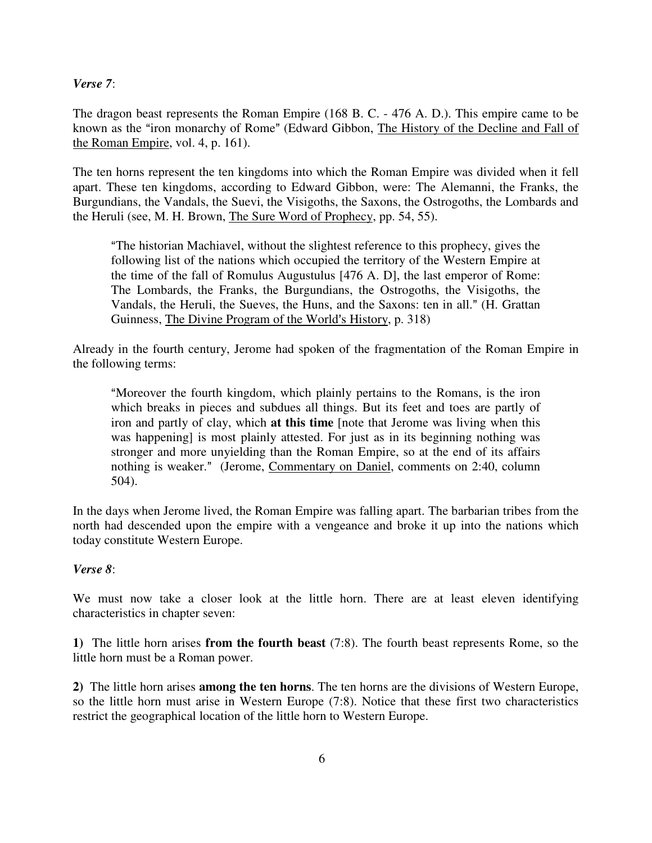*Verse 7*:

The dragon beast represents the Roman Empire (168 B. C. - 476 A. D.). This empire came to be known as the "iron monarchy of Rome" (Edward Gibbon, The History of the Decline and Fall of the Roman Empire, vol. 4, p. 161).

The ten horns represent the ten kingdoms into which the Roman Empire was divided when it fell apart. These ten kingdoms, according to Edward Gibbon, were: The Alemanni, the Franks, the Burgundians, the Vandals, the Suevi, the Visigoths, the Saxons, the Ostrogoths, the Lombards and the Heruli (see, M. H. Brown, The Sure Word of Prophecy, pp. 54, 55).

"The historian Machiavel, without the slightest reference to this prophecy, gives the following list of the nations which occupied the territory of the Western Empire at the time of the fall of Romulus Augustulus [476 A. D], the last emperor of Rome: The Lombards, the Franks, the Burgundians, the Ostrogoths, the Visigoths, the Vandals, the Heruli, the Sueves, the Huns, and the Saxons: ten in all." (H. Grattan Guinness, The Divine Program of the World's History, p. 318)

Already in the fourth century, Jerome had spoken of the fragmentation of the Roman Empire in the following terms:

"Moreover the fourth kingdom, which plainly pertains to the Romans, is the iron which breaks in pieces and subdues all things. But its feet and toes are partly of iron and partly of clay, which **at this time** [note that Jerome was living when this was happening] is most plainly attested. For just as in its beginning nothing was stronger and more unyielding than the Roman Empire, so at the end of its affairs nothing is weaker." (Jerome, Commentary on Daniel, comments on 2:40, column 504).

In the days when Jerome lived, the Roman Empire was falling apart. The barbarian tribes from the north had descended upon the empire with a vengeance and broke it up into the nations which today constitute Western Europe.

## *Verse 8*:

We must now take a closer look at the little horn. There are at least eleven identifying characteristics in chapter seven:

**1)** The little horn arises **from the fourth beast** (7:8). The fourth beast represents Rome, so the little horn must be a Roman power.

**2)** The little horn arises **among the ten horns**. The ten horns are the divisions of Western Europe, so the little horn must arise in Western Europe (7:8). Notice that these first two characteristics restrict the geographical location of the little horn to Western Europe.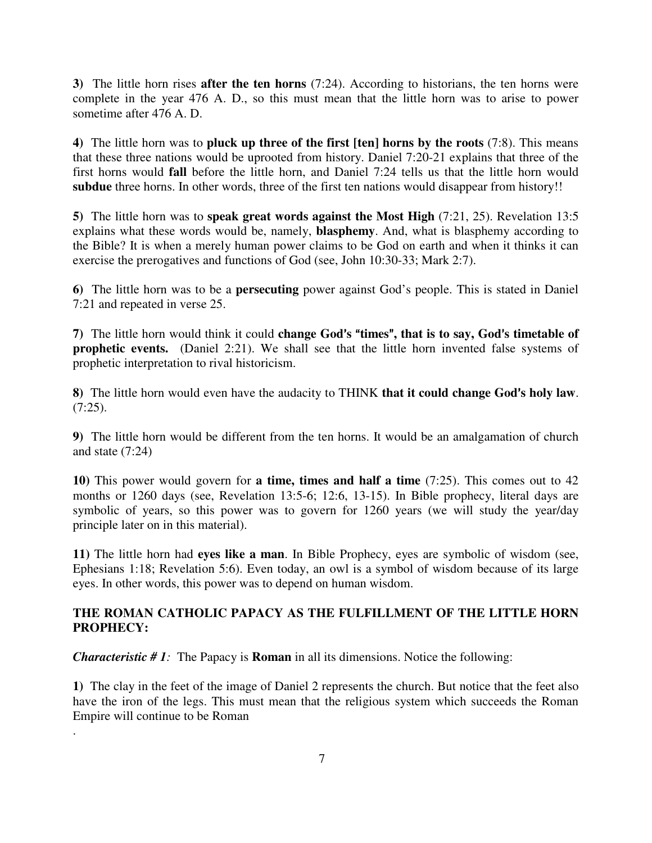**3)** The little horn rises **after the ten horns** (7:24). According to historians, the ten horns were complete in the year 476 A. D., so this must mean that the little horn was to arise to power sometime after 476 A. D.

**4)** The little horn was to **pluck up three of the first [ten] horns by the roots** (7:8). This means that these three nations would be uprooted from history. Daniel 7:20-21 explains that three of the first horns would **fall** before the little horn, and Daniel 7:24 tells us that the little horn would **subdue** three horns. In other words, three of the first ten nations would disappear from history!!

**5)** The little horn was to **speak great words against the Most High** (7:21, 25). Revelation 13:5 explains what these words would be, namely, **blasphemy**. And, what is blasphemy according to the Bible? It is when a merely human power claims to be God on earth and when it thinks it can exercise the prerogatives and functions of God (see, John 10:30-33; Mark 2:7).

**6)** The little horn was to be a **persecuting** power against God's people. This is stated in Daniel 7:21 and repeated in verse 25.

**7)** The little horn would think it could **change God's "times", that is to say, God's timetable of prophetic events.** (Daniel 2:21). We shall see that the little horn invented false systems of prophetic interpretation to rival historicism.

**8)** The little horn would even have the audacity to THINK **that it could change God's holy law**.  $(7:25)$ .

**9)** The little horn would be different from the ten horns. It would be an amalgamation of church and state (7:24)

**10)** This power would govern for **a time, times and half a time** (7:25). This comes out to 42 months or 1260 days (see, Revelation 13:5-6; 12:6, 13-15). In Bible prophecy, literal days are symbolic of years, so this power was to govern for 1260 years (we will study the year/day principle later on in this material).

**11)** The little horn had **eyes like a man**. In Bible Prophecy, eyes are symbolic of wisdom (see, Ephesians 1:18; Revelation 5:6). Even today, an owl is a symbol of wisdom because of its large eyes. In other words, this power was to depend on human wisdom.

## **THE ROMAN CATHOLIC PAPACY AS THE FULFILLMENT OF THE LITTLE HORN PROPHECY:**

*Characteristic # 1:* The Papacy is **Roman** in all its dimensions. Notice the following:

.

**1)** The clay in the feet of the image of Daniel 2 represents the church. But notice that the feet also have the iron of the legs. This must mean that the religious system which succeeds the Roman Empire will continue to be Roman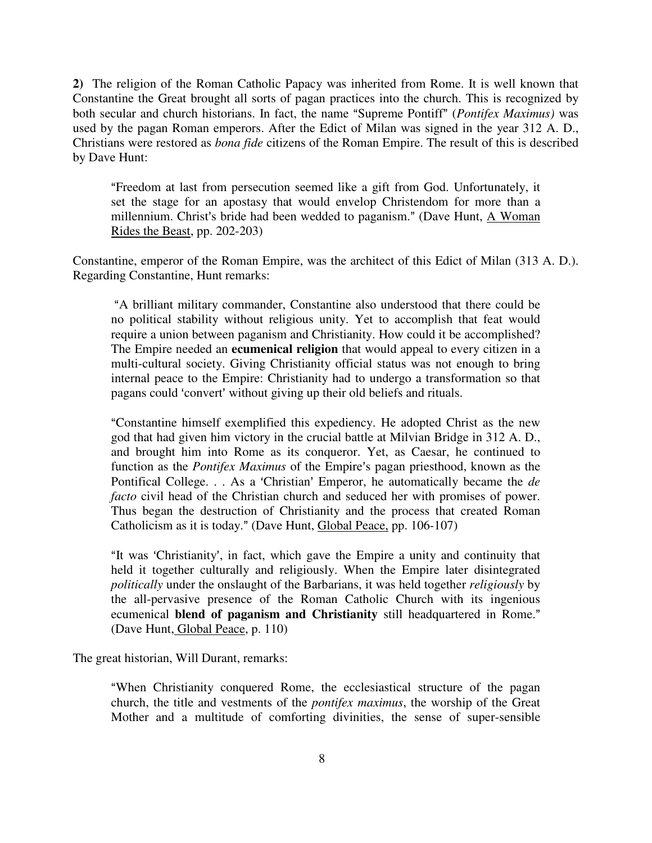**2)** The religion of the Roman Catholic Papacy was inherited from Rome. It is well known that Constantine the Great brought all sorts of pagan practices into the church. This is recognized by both secular and church historians. In fact, the name "Supreme Pontiff" (*Pontifex Maximus*) was used by the pagan Roman emperors. After the Edict of Milan was signed in the year 312 A. D., Christians were restored as *bona fide* citizens of the Roman Empire. The result of this is described by Dave Hunt:

"Freedom at last from persecution seemed like a gift from God. Unfortunately, it set the stage for an apostasy that would envelop Christendom for more than a millennium. Christ's bride had been wedded to paganism." (Dave Hunt, A Woman Rides the Beast, pp. 202-203)

Constantine, emperor of the Roman Empire, was the architect of this Edict of Milan (313 A. D.). Regarding Constantine, Hunt remarks:

"A brilliant military commander, Constantine also understood that there could be no political stability without religious unity. Yet to accomplish that feat would require a union between paganism and Christianity. How could it be accomplished? The Empire needed an **ecumenical religion** that would appeal to every citizen in a multi-cultural society. Giving Christianity official status was not enough to bring internal peace to the Empire: Christianity had to undergo a transformation so that pagans could 'convert' without giving up their old beliefs and rituals.

"Constantine himself exemplified this expediency. He adopted Christ as the new god that had given him victory in the crucial battle at Milvian Bridge in 312 A. D., and brought him into Rome as its conqueror. Yet, as Caesar, he continued to function as the *Pontifex Maximus* of the Empire's pagan priesthood, known as the Pontifical College. . . As a 'Christian' Emperor, he automatically became the *de facto* civil head of the Christian church and seduced her with promises of power. Thus began the destruction of Christianity and the process that created Roman Catholicism as it is today." (Dave Hunt, Global Peace, pp. 106-107)

"It was 'Christianity', in fact, which gave the Empire a unity and continuity that held it together culturally and religiously. When the Empire later disintegrated *politically* under the onslaught of the Barbarians, it was held together *religiously* by the all-pervasive presence of the Roman Catholic Church with its ingenious ecumenical **blend of paganism and Christianity** still headquartered in Rome." (Dave Hunt, Global Peace, p. 110)

The great historian, Will Durant, remarks:

"When Christianity conquered Rome, the ecclesiastical structure of the pagan church, the title and vestments of the *pontifex maximus*, the worship of the Great Mother and a multitude of comforting divinities, the sense of super-sensible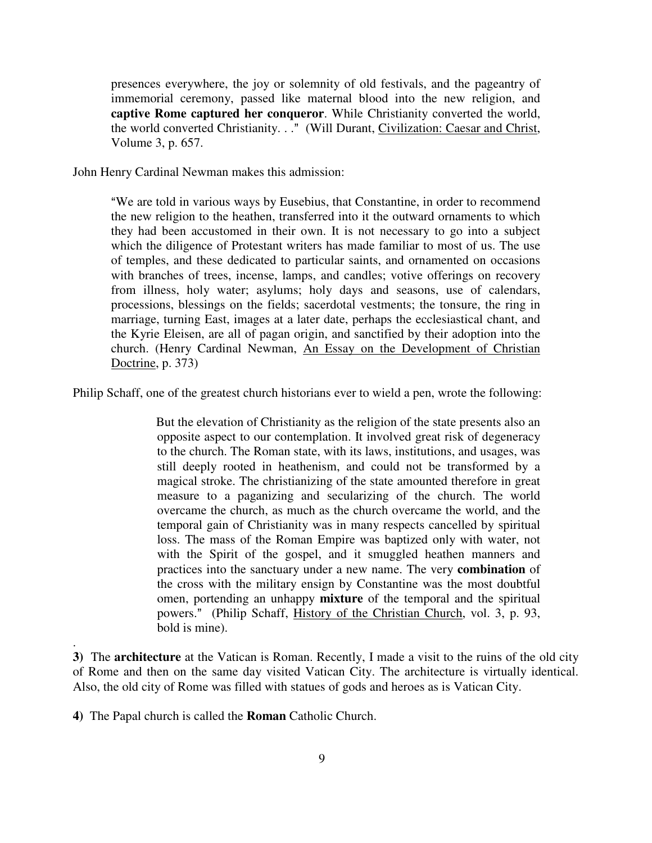presences everywhere, the joy or solemnity of old festivals, and the pageantry of immemorial ceremony, passed like maternal blood into the new religion, and **captive Rome captured her conqueror**. While Christianity converted the world, the world converted Christianity. . ." (Will Durant, Civilization: Caesar and Christ, Volume 3, p. 657.

John Henry Cardinal Newman makes this admission:

"We are told in various ways by Eusebius, that Constantine, in order to recommend the new religion to the heathen, transferred into it the outward ornaments to which they had been accustomed in their own. It is not necessary to go into a subject which the diligence of Protestant writers has made familiar to most of us. The use of temples, and these dedicated to particular saints, and ornamented on occasions with branches of trees, incense, lamps, and candles; votive offerings on recovery from illness, holy water; asylums; holy days and seasons, use of calendars, processions, blessings on the fields; sacerdotal vestments; the tonsure, the ring in marriage, turning East, images at a later date, perhaps the ecclesiastical chant, and the Kyrie Eleisen, are all of pagan origin, and sanctified by their adoption into the church. (Henry Cardinal Newman, An Essay on the Development of Christian Doctrine, p. 373)

Philip Schaff, one of the greatest church historians ever to wield a pen, wrote the following:

But the elevation of Christianity as the religion of the state presents also an opposite aspect to our contemplation. It involved great risk of degeneracy to the church. The Roman state, with its laws, institutions, and usages, was still deeply rooted in heathenism, and could not be transformed by a magical stroke. The christianizing of the state amounted therefore in great measure to a paganizing and secularizing of the church. The world overcame the church, as much as the church overcame the world, and the temporal gain of Christianity was in many respects cancelled by spiritual loss. The mass of the Roman Empire was baptized only with water, not with the Spirit of the gospel, and it smuggled heathen manners and practices into the sanctuary under a new name. The very **combination** of the cross with the military ensign by Constantine was the most doubtful omen, portending an unhappy **mixture** of the temporal and the spiritual powers." (Philip Schaff, History of the Christian Church, vol. 3, p. 93, bold is mine).

**3)** The **architecture** at the Vatican is Roman. Recently, I made a visit to the ruins of the old city of Rome and then on the same day visited Vatican City. The architecture is virtually identical. Also, the old city of Rome was filled with statues of gods and heroes as is Vatican City.

**4)** The Papal church is called the **Roman** Catholic Church.

.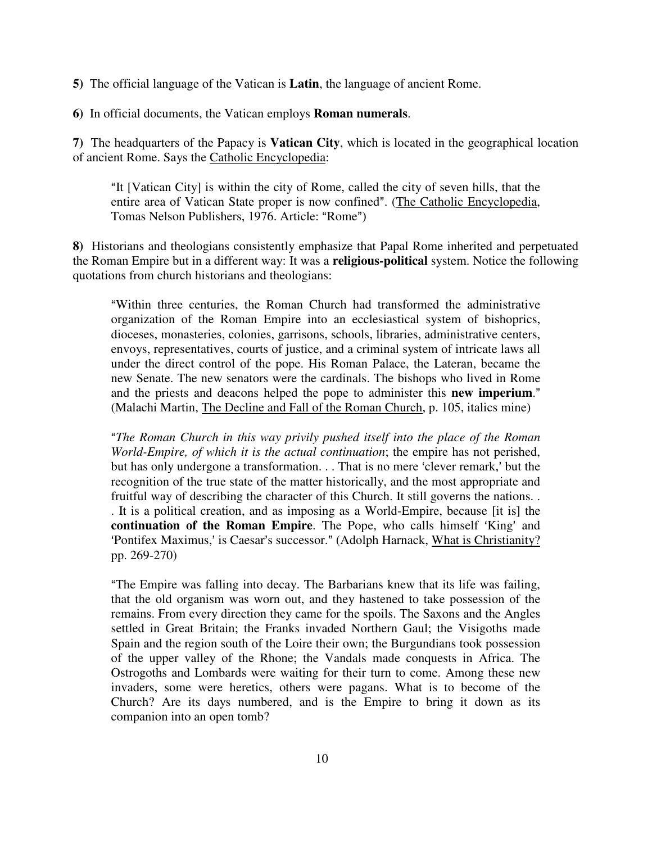**5)** The official language of the Vatican is **Latin**, the language of ancient Rome.

**6)** In official documents, the Vatican employs **Roman numerals**.

**7)** The headquarters of the Papacy is **Vatican City**, which is located in the geographical location of ancient Rome. Says the Catholic Encyclopedia:

"It [Vatican City] is within the city of Rome, called the city of seven hills, that the entire area of Vatican State proper is now confined". (The Catholic Encyclopedia, Tomas Nelson Publishers, 1976. Article: "Rome")

**8)** Historians and theologians consistently emphasize that Papal Rome inherited and perpetuated the Roman Empire but in a different way: It was a **religious-political** system. Notice the following quotations from church historians and theologians:

"Within three centuries, the Roman Church had transformed the administrative organization of the Roman Empire into an ecclesiastical system of bishoprics, dioceses, monasteries, colonies, garrisons, schools, libraries, administrative centers, envoys, representatives, courts of justice, and a criminal system of intricate laws all under the direct control of the pope. His Roman Palace, the Lateran, became the new Senate. The new senators were the cardinals. The bishops who lived in Rome and the priests and deacons helped the pope to administer this **new imperium**." (Malachi Martin, The Decline and Fall of the Roman Church, p. 105, italics mine)

<sup>a</sup>The Roman Church in this way privily pushed itself into the place of the Roman *World-Empire, of which it is the actual continuation*; the empire has not perished, but has only undergone a transformation. . . That is no mere 'clever remark,' but the recognition of the true state of the matter historically, and the most appropriate and fruitful way of describing the character of this Church. It still governs the nations. . . It is a political creation, and as imposing as a World-Empire, because [it is] the continuation of the Roman Empire. The Pope, who calls himself 'King' and 'Pontifex Maximus,' is Caesar's successor." (Adolph Harnack, What is Christianity? pp. 269-270)

"The Empire was falling into decay. The Barbarians knew that its life was failing, that the old organism was worn out, and they hastened to take possession of the remains. From every direction they came for the spoils. The Saxons and the Angles settled in Great Britain; the Franks invaded Northern Gaul; the Visigoths made Spain and the region south of the Loire their own; the Burgundians took possession of the upper valley of the Rhone; the Vandals made conquests in Africa. The Ostrogoths and Lombards were waiting for their turn to come. Among these new invaders, some were heretics, others were pagans. What is to become of the Church? Are its days numbered, and is the Empire to bring it down as its companion into an open tomb?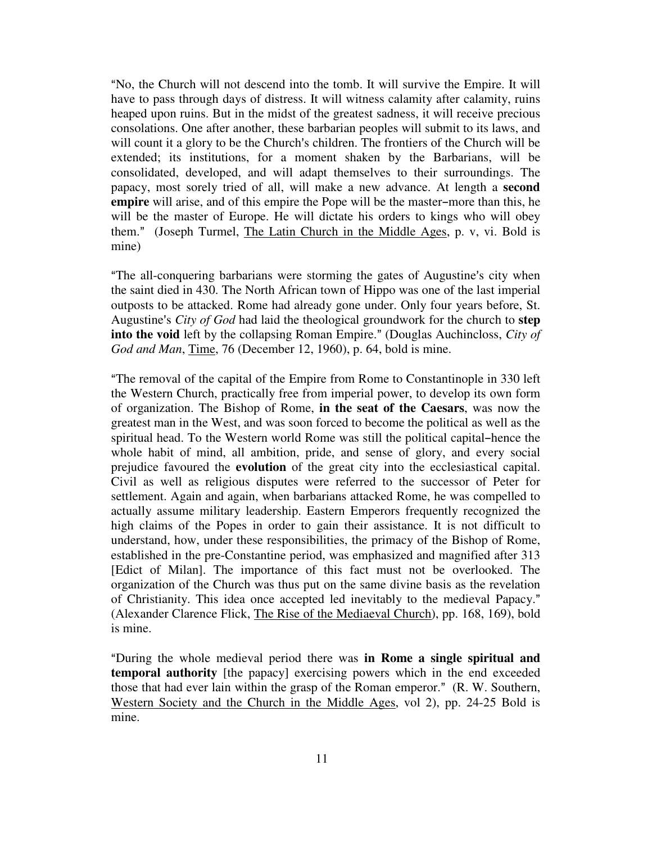"No, the Church will not descend into the tomb. It will survive the Empire. It will have to pass through days of distress. It will witness calamity after calamity, ruins heaped upon ruins. But in the midst of the greatest sadness, it will receive precious consolations. One after another, these barbarian peoples will submit to its laws, and will count it a glory to be the Church's children. The frontiers of the Church will be extended; its institutions, for a moment shaken by the Barbarians, will be consolidated, developed, and will adapt themselves to their surroundings. The papacy, most sorely tried of all, will make a new advance. At length a **second empire** will arise, and of this empire the Pope will be the master-more than this, he will be the master of Europe. He will dictate his orders to kings who will obey them." (Joseph Turmel, The Latin Church in the Middle Ages, p. v, vi. Bold is mine)

"The all-conquering barbarians were storming the gates of Augustine's city when the saint died in 430. The North African town of Hippo was one of the last imperial outposts to be attacked. Rome had already gone under. Only four years before, St. Augustine's *City of God* had laid the theological groundwork for the church to **step into the void** left by the collapsing Roman Empire." (Douglas Auchincloss, *City of God and Man*, Time, 76 (December 12, 1960), p. 64, bold is mine.

AThe removal of the capital of the Empire from Rome to Constantinople in 330 left the Western Church, practically free from imperial power, to develop its own form of organization. The Bishop of Rome, **in the seat of the Caesars**, was now the greatest man in the West, and was soon forced to become the political as well as the spiritual head. To the Western world Rome was still the political capital-hence the whole habit of mind, all ambition, pride, and sense of glory, and every social prejudice favoured the **evolution** of the great city into the ecclesiastical capital. Civil as well as religious disputes were referred to the successor of Peter for settlement. Again and again, when barbarians attacked Rome, he was compelled to actually assume military leadership. Eastern Emperors frequently recognized the high claims of the Popes in order to gain their assistance. It is not difficult to understand, how, under these responsibilities, the primacy of the Bishop of Rome, established in the pre-Constantine period, was emphasized and magnified after 313 [Edict of Milan]. The importance of this fact must not be overlooked. The organization of the Church was thus put on the same divine basis as the revelation of Christianity. This idea once accepted led inevitably to the medieval Papacy." (Alexander Clarence Flick, The Rise of the Mediaeval Church), pp. 168, 169), bold is mine.

ADuring the whole medieval period there was **in Rome a single spiritual and temporal authority** [the papacy] exercising powers which in the end exceeded those that had ever lain within the grasp of the Roman emperor." (R. W. Southern, Western Society and the Church in the Middle Ages, vol 2), pp. 24-25 Bold is mine.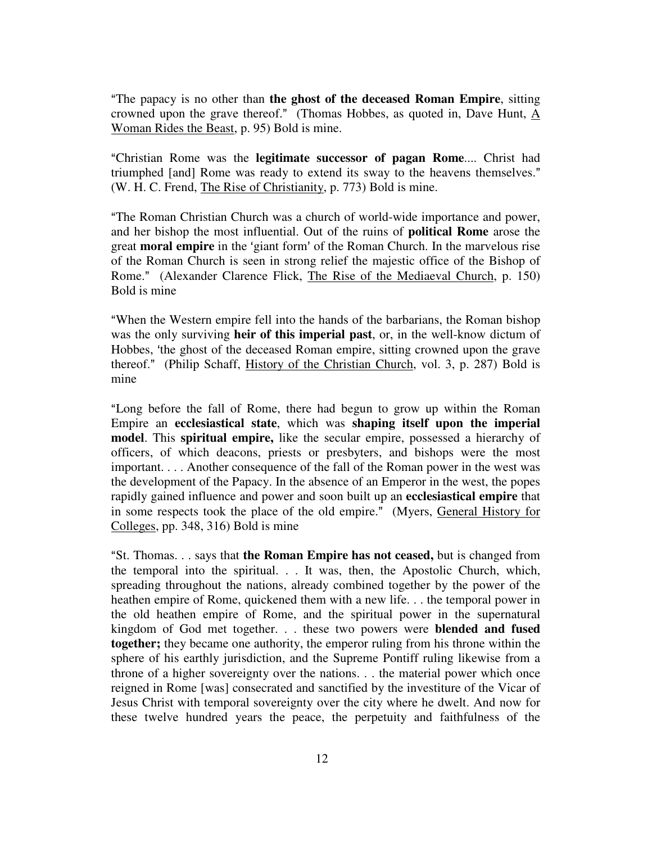AThe papacy is no other than **the ghost of the deceased Roman Empire**, sitting crowned upon the grave thereof." (Thomas Hobbes, as quoted in, Dave Hunt, A Woman Rides the Beast, p. 95) Bold is mine.

"Christian Rome was the **legitimate successor of pagan Rome....** Christ had triumphed [and] Rome was ready to extend its sway to the heavens themselves." (W. H. C. Frend, The Rise of Christianity, p. 773) Bold is mine.

"The Roman Christian Church was a church of world-wide importance and power, and her bishop the most influential. Out of the ruins of **political Rome** arose the great **moral empire** in the 'giant form' of the Roman Church. In the marvelous rise of the Roman Church is seen in strong relief the majestic office of the Bishop of Rome." (Alexander Clarence Flick, The Rise of the Mediaeval Church, p. 150) Bold is mine

"When the Western empire fell into the hands of the barbarians, the Roman bishop was the only surviving **heir of this imperial past**, or, in the well-know dictum of Hobbes, 'the ghost of the deceased Roman empire, sitting crowned upon the grave thereof." (Philip Schaff, History of the Christian Church, vol. 3, p. 287) Bold is mine

"Long before the fall of Rome, there had begun to grow up within the Roman Empire an **ecclesiastical state**, which was **shaping itself upon the imperial model**. This **spiritual empire,** like the secular empire, possessed a hierarchy of officers, of which deacons, priests or presbyters, and bishops were the most important. . . . Another consequence of the fall of the Roman power in the west was the development of the Papacy. In the absence of an Emperor in the west, the popes rapidly gained influence and power and soon built up an **ecclesiastical empire** that in some respects took the place of the old empire." (Myers, General History for Colleges, pp. 348, 316) Bold is mine

"St. Thomas. . . says that **the Roman Empire has not ceased,** but is changed from the temporal into the spiritual. . . It was, then, the Apostolic Church, which, spreading throughout the nations, already combined together by the power of the heathen empire of Rome, quickened them with a new life. . . the temporal power in the old heathen empire of Rome, and the spiritual power in the supernatural kingdom of God met together. . . these two powers were **blended and fused together;** they became one authority, the emperor ruling from his throne within the sphere of his earthly jurisdiction, and the Supreme Pontiff ruling likewise from a throne of a higher sovereignty over the nations. . . the material power which once reigned in Rome [was] consecrated and sanctified by the investiture of the Vicar of Jesus Christ with temporal sovereignty over the city where he dwelt. And now for these twelve hundred years the peace, the perpetuity and faithfulness of the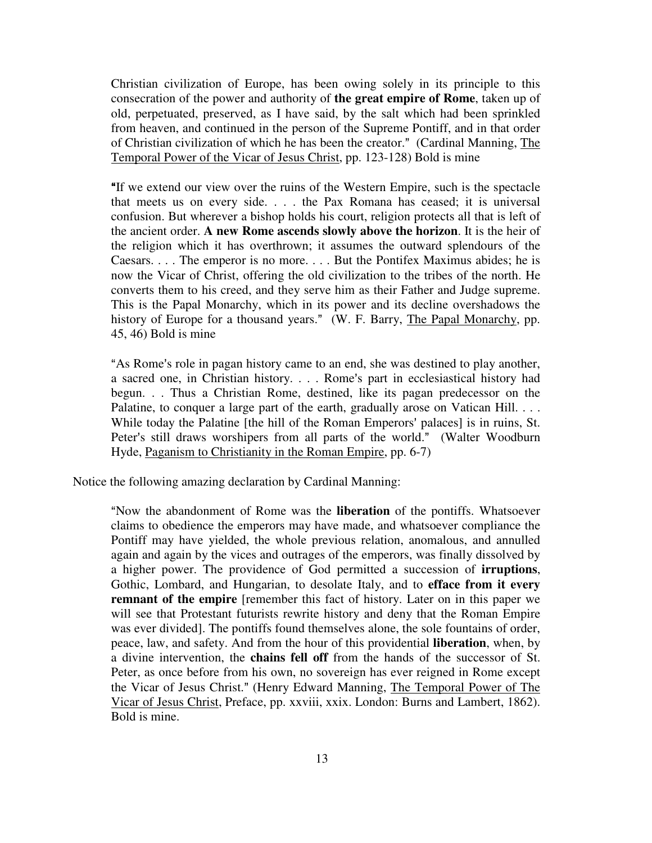Christian civilization of Europe, has been owing solely in its principle to this consecration of the power and authority of **the great empire of Rome**, taken up of old, perpetuated, preserved, as I have said, by the salt which had been sprinkled from heaven, and continued in the person of the Supreme Pontiff, and in that order of Christian civilization of which he has been the creator." (Cardinal Manning, The Temporal Power of the Vicar of Jesus Christ, pp. 123-128) Bold is mine

**If we extend our view over the ruins of the Western Empire, such is the spectacle** that meets us on every side. . . . the Pax Romana has ceased; it is universal confusion. But wherever a bishop holds his court, religion protects all that is left of the ancient order. **A new Rome ascends slowly above the horizon**. It is the heir of the religion which it has overthrown; it assumes the outward splendours of the Caesars. . . . The emperor is no more. . . . But the Pontifex Maximus abides; he is now the Vicar of Christ, offering the old civilization to the tribes of the north. He converts them to his creed, and they serve him as their Father and Judge supreme. This is the Papal Monarchy, which in its power and its decline overshadows the history of Europe for a thousand years." (W. F. Barry, The Papal Monarchy, pp. 45, 46) Bold is mine

"As Rome's role in pagan history came to an end, she was destined to play another, a sacred one, in Christian history. . . . Rome's part in ecclesiastical history had begun. . . Thus a Christian Rome, destined, like its pagan predecessor on the Palatine, to conquer a large part of the earth, gradually arose on Vatican Hill. . . . While today the Palatine [the hill of the Roman Emperors' palaces] is in ruins, St. Peter's still draws worshipers from all parts of the world." (Walter Woodburn Hyde, Paganism to Christianity in the Roman Empire, pp. 6-7)

Notice the following amazing declaration by Cardinal Manning:

ANow the abandonment of Rome was the **liberation** of the pontiffs. Whatsoever claims to obedience the emperors may have made, and whatsoever compliance the Pontiff may have yielded, the whole previous relation, anomalous, and annulled again and again by the vices and outrages of the emperors, was finally dissolved by a higher power. The providence of God permitted a succession of **irruptions**, Gothic, Lombard, and Hungarian, to desolate Italy, and to **efface from it every remnant of the empire** [remember this fact of history. Later on in this paper we will see that Protestant futurists rewrite history and deny that the Roman Empire was ever divided]. The pontiffs found themselves alone, the sole fountains of order, peace, law, and safety. And from the hour of this providential **liberation**, when, by a divine intervention, the **chains fell off** from the hands of the successor of St. Peter, as once before from his own, no sovereign has ever reigned in Rome except the Vicar of Jesus Christ." (Henry Edward Manning, The Temporal Power of The Vicar of Jesus Christ, Preface, pp. xxviii, xxix. London: Burns and Lambert, 1862). Bold is mine.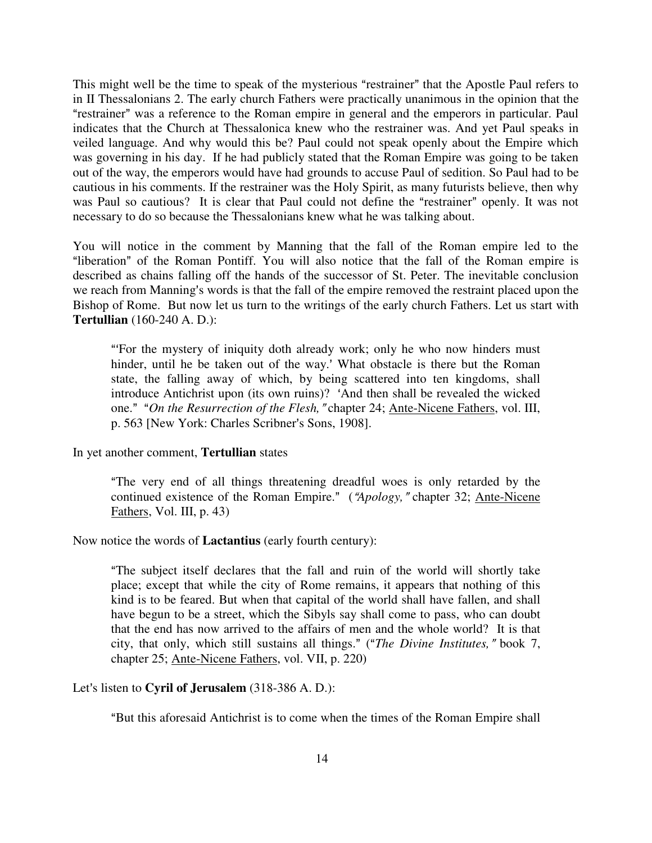This might well be the time to speak of the mysterious "restrainer" that the Apostle Paul refers to in II Thessalonians 2. The early church Fathers were practically unanimous in the opinion that the "restrainer" was a reference to the Roman empire in general and the emperors in particular. Paul indicates that the Church at Thessalonica knew who the restrainer was. And yet Paul speaks in veiled language. And why would this be? Paul could not speak openly about the Empire which was governing in his day. If he had publicly stated that the Roman Empire was going to be taken out of the way, the emperors would have had grounds to accuse Paul of sedition. So Paul had to be cautious in his comments. If the restrainer was the Holy Spirit, as many futurists believe, then why was Paul so cautious? It is clear that Paul could not define the "restrainer" openly. It was not necessary to do so because the Thessalonians knew what he was talking about.

You will notice in the comment by Manning that the fall of the Roman empire led to the "liberation" of the Roman Pontiff. You will also notice that the fall of the Roman empire is described as chains falling off the hands of the successor of St. Peter. The inevitable conclusion we reach from Manning's words is that the fall of the empire removed the restraint placed upon the Bishop of Rome. But now let us turn to the writings of the early church Fathers. Let us start with **Tertullian** (160-240 A. D.):

"For the mystery of iniquity doth already work; only he who now hinders must hinder, until he be taken out of the way.' What obstacle is there but the Roman state, the falling away of which, by being scattered into ten kingdoms, shall introduce Antichrist upon (its own ruins)? 'And then shall be revealed the wicked one." "On the Resurrection of the Flesh, "chapter 24; Ante-Nicene Fathers, vol. III, p. 563 [New York: Charles Scribner's Sons, 1908].

In yet another comment, **Tertullian** states

"The very end of all things threatening dreadful woes is only retarded by the continued existence of the Roman Empire." ("Apology," chapter 32; Ante-Nicene Fathers, Vol. III, p. 43)

Now notice the words of **Lactantius** (early fourth century):

 AThe subject itself declares that the fall and ruin of the world will shortly take place; except that while the city of Rome remains, it appears that nothing of this kind is to be feared. But when that capital of the world shall have fallen, and shall have begun to be a street, which the Sibyls say shall come to pass, who can doubt that the end has now arrived to the affairs of men and the whole world? It is that city, that only, which still sustains all things." ("The Divine Institutes," book 7, chapter 25; Ante-Nicene Fathers, vol. VII, p. 220)

#### Let's listen to **Cyril of Jerusalem** (318-386 A. D.):

"But this aforesaid Antichrist is to come when the times of the Roman Empire shall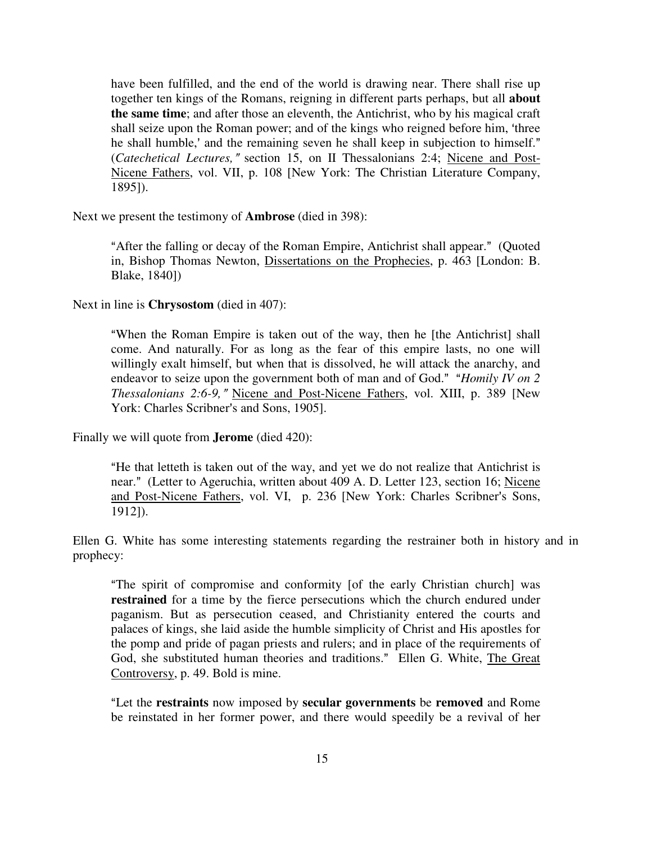have been fulfilled, and the end of the world is drawing near. There shall rise up together ten kings of the Romans, reigning in different parts perhaps, but all **about the same time**; and after those an eleventh, the Antichrist, who by his magical craft shall seize upon the Roman power; and of the kings who reigned before him, 'three he shall humble,' and the remaining seven he shall keep in subjection to himself." (Catechetical Lectures," section 15, on II Thessalonians 2:4; Nicene and Post-Nicene Fathers, vol. VII, p. 108 [New York: The Christian Literature Company, 1895]).

Next we present the testimony of **Ambrose** (died in 398):

"After the falling or decay of the Roman Empire, Antichrist shall appear." (Quoted in, Bishop Thomas Newton, Dissertations on the Prophecies, p. 463 [London: B. Blake, 1840])

Next in line is **Chrysostom** (died in 407):

"When the Roman Empire is taken out of the way, then he [the Antichrist] shall come. And naturally. For as long as the fear of this empire lasts, no one will willingly exalt himself, but when that is dissolved, he will attack the anarchy, and endeavor to seize upon the government both of man and of God." "*Homily IV on 2 Thessalonians 2:6-9,"* Nicene and Post-Nicene Fathers, vol. XIII, p. 389 [New York: Charles Scribner's and Sons, 1905].

Finally we will quote from **Jerome** (died 420):

"He that letteth is taken out of the way, and yet we do not realize that Antichrist is near." (Letter to Ageruchia, written about 409 A. D. Letter 123, section 16; Nicene and Post-Nicene Fathers, vol. VI, p. 236 [New York: Charles Scribner's Sons, 1912]).

Ellen G. White has some interesting statements regarding the restrainer both in history and in prophecy:

"The spirit of compromise and conformity [of the early Christian church] was **restrained** for a time by the fierce persecutions which the church endured under paganism. But as persecution ceased, and Christianity entered the courts and palaces of kings, she laid aside the humble simplicity of Christ and His apostles for the pomp and pride of pagan priests and rulers; and in place of the requirements of God, she substituted human theories and traditions." Ellen G. White, The Great Controversy, p. 49. Bold is mine.

ALet the **restraints** now imposed by **secular governments** be **removed** and Rome be reinstated in her former power, and there would speedily be a revival of her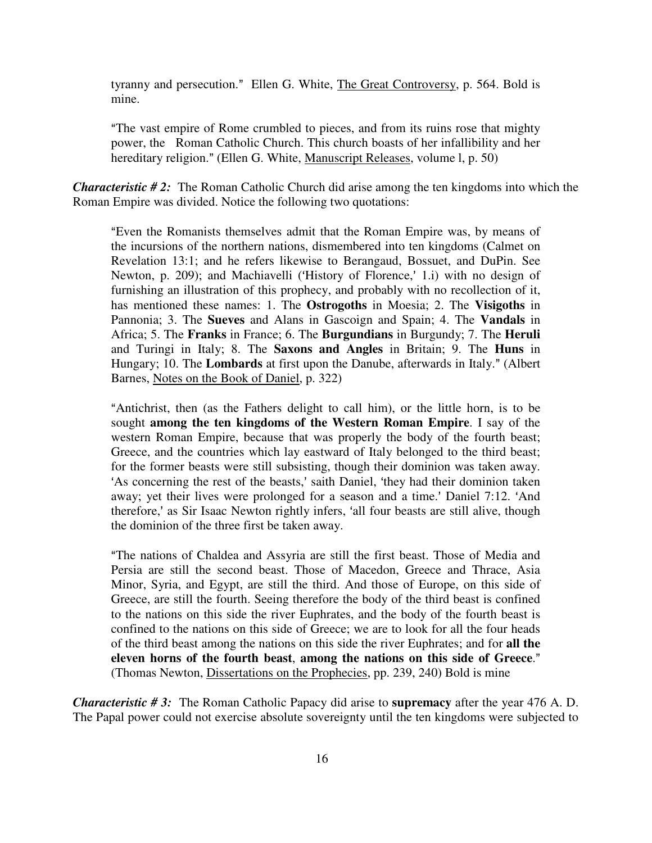tyranny and persecution." Ellen G. White, The Great Controversy, p. 564. Bold is mine.

"The vast empire of Rome crumbled to pieces, and from its ruins rose that mighty power, the Roman Catholic Church. This church boasts of her infallibility and her hereditary religion." (Ellen G. White, Manuscript Releases, volume l, p. 50)

*Characteristic # 2:* The Roman Catholic Church did arise among the ten kingdoms into which the Roman Empire was divided. Notice the following two quotations:

"Even the Romanists themselves admit that the Roman Empire was, by means of the incursions of the northern nations, dismembered into ten kingdoms (Calmet on Revelation 13:1; and he refers likewise to Berangaud, Bossuet, and DuPin. See Newton, p. 209); and Machiavelli ('History of Florence,' 1.i) with no design of furnishing an illustration of this prophecy, and probably with no recollection of it, has mentioned these names: 1. The **Ostrogoths** in Moesia; 2. The **Visigoths** in Pannonia; 3. The **Sueves** and Alans in Gascoign and Spain; 4. The **Vandals** in Africa; 5. The **Franks** in France; 6. The **Burgundians** in Burgundy; 7. The **Heruli** and Turingi in Italy; 8. The **Saxons and Angles** in Britain; 9. The **Huns** in Hungary; 10. The **Lombards** at first upon the Danube, afterwards in Italy." (Albert Barnes, Notes on the Book of Daniel, p. 322)

"Antichrist, then (as the Fathers delight to call him), or the little horn, is to be sought **among the ten kingdoms of the Western Roman Empire**. I say of the western Roman Empire, because that was properly the body of the fourth beast; Greece, and the countries which lay eastward of Italy belonged to the third beast; for the former beasts were still subsisting, though their dominion was taken away. As concerning the rest of the beasts,' saith Daniel, 'they had their dominion taken' away; yet their lives were prolonged for a season and a time.' Daniel 7:12. 'And therefore,' as Sir Isaac Newton rightly infers, 'all four beasts are still alive, though the dominion of the three first be taken away.

AThe nations of Chaldea and Assyria are still the first beast. Those of Media and Persia are still the second beast. Those of Macedon, Greece and Thrace, Asia Minor, Syria, and Egypt, are still the third. And those of Europe, on this side of Greece, are still the fourth. Seeing therefore the body of the third beast is confined to the nations on this side the river Euphrates, and the body of the fourth beast is confined to the nations on this side of Greece; we are to look for all the four heads of the third beast among the nations on this side the river Euphrates; and for **all the eleven horns of the fourth beast, among the nations on this side of Greece."** (Thomas Newton, Dissertations on the Prophecies, pp. 239, 240) Bold is mine

*Characteristic # 3:* The Roman Catholic Papacy did arise to **supremacy** after the year 476 A. D. The Papal power could not exercise absolute sovereignty until the ten kingdoms were subjected to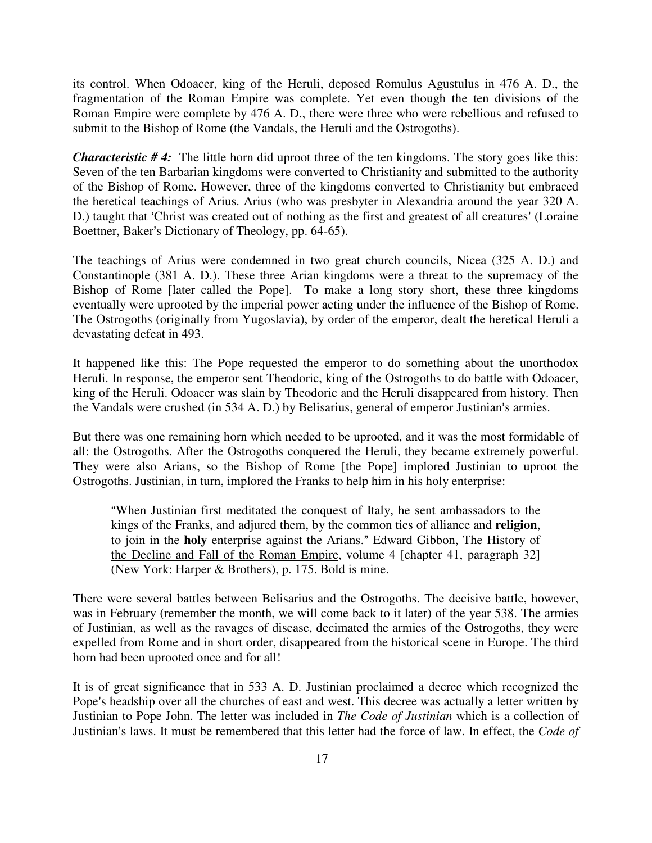its control. When Odoacer, king of the Heruli, deposed Romulus Agustulus in 476 A. D., the fragmentation of the Roman Empire was complete. Yet even though the ten divisions of the Roman Empire were complete by 476 A. D., there were three who were rebellious and refused to submit to the Bishop of Rome (the Vandals, the Heruli and the Ostrogoths).

*Characteristic # 4:* The little horn did uproot three of the ten kingdoms. The story goes like this: Seven of the ten Barbarian kingdoms were converted to Christianity and submitted to the authority of the Bishop of Rome. However, three of the kingdoms converted to Christianity but embraced the heretical teachings of Arius. Arius (who was presbyter in Alexandria around the year 320 A. D.) taught that 'Christ was created out of nothing as the first and greatest of all creatures' (Loraine Boettner, Baker's Dictionary of Theology, pp. 64-65).

The teachings of Arius were condemned in two great church councils, Nicea (325 A. D.) and Constantinople (381 A. D.). These three Arian kingdoms were a threat to the supremacy of the Bishop of Rome [later called the Pope]. To make a long story short, these three kingdoms eventually were uprooted by the imperial power acting under the influence of the Bishop of Rome. The Ostrogoths (originally from Yugoslavia), by order of the emperor, dealt the heretical Heruli a devastating defeat in 493.

It happened like this: The Pope requested the emperor to do something about the unorthodox Heruli. In response, the emperor sent Theodoric, king of the Ostrogoths to do battle with Odoacer, king of the Heruli. Odoacer was slain by Theodoric and the Heruli disappeared from history. Then the Vandals were crushed (in 534 A. D.) by Belisarius, general of emperor Justinian's armies.

But there was one remaining horn which needed to be uprooted, and it was the most formidable of all: the Ostrogoths. After the Ostrogoths conquered the Heruli, they became extremely powerful. They were also Arians, so the Bishop of Rome [the Pope] implored Justinian to uproot the Ostrogoths. Justinian, in turn, implored the Franks to help him in his holy enterprise:

"When Justinian first meditated the conquest of Italy, he sent ambassadors to the kings of the Franks, and adjured them, by the common ties of alliance and **religion**, to join in the holy enterprise against the Arians." Edward Gibbon, The History of the Decline and Fall of the Roman Empire, volume 4 [chapter 41, paragraph 32] (New York: Harper & Brothers), p. 175. Bold is mine.

There were several battles between Belisarius and the Ostrogoths. The decisive battle, however, was in February (remember the month, we will come back to it later) of the year 538. The armies of Justinian, as well as the ravages of disease, decimated the armies of the Ostrogoths, they were expelled from Rome and in short order, disappeared from the historical scene in Europe. The third horn had been uprooted once and for all!

It is of great significance that in 533 A. D. Justinian proclaimed a decree which recognized the Pope's headship over all the churches of east and west. This decree was actually a letter written by Justinian to Pope John. The letter was included in *The Code of Justinian* which is a collection of Justinian's laws. It must be remembered that this letter had the force of law. In effect, the Code of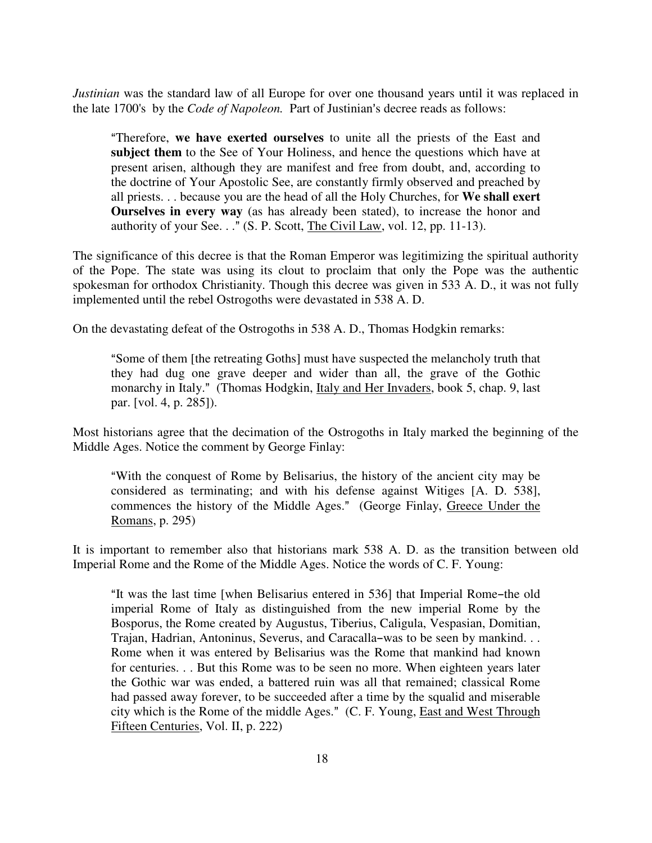*Justinian* was the standard law of all Europe for over one thousand years until it was replaced in the late 1700's by the *Code of Napoleon*. Part of Justinian's decree reads as follows:

ATherefore, **we have exerted ourselves** to unite all the priests of the East and **subject them** to the See of Your Holiness, and hence the questions which have at present arisen, although they are manifest and free from doubt, and, according to the doctrine of Your Apostolic See, are constantly firmly observed and preached by all priests. . . because you are the head of all the Holy Churches, for **We shall exert Ourselves in every way** (as has already been stated), to increase the honor and authority of your See..."  $(S. P. Scott, The Civil Law, vol. 12, pp. 11-13).$ 

The significance of this decree is that the Roman Emperor was legitimizing the spiritual authority of the Pope. The state was using its clout to proclaim that only the Pope was the authentic spokesman for orthodox Christianity. Though this decree was given in 533 A. D., it was not fully implemented until the rebel Ostrogoths were devastated in 538 A. D.

On the devastating defeat of the Ostrogoths in 538 A. D., Thomas Hodgkin remarks:

"Some of them [the retreating Goths] must have suspected the melancholy truth that they had dug one grave deeper and wider than all, the grave of the Gothic monarchy in Italy." (Thomas Hodgkin, Italy and Her Invaders, book 5, chap. 9, last par. [vol. 4, p. 285]).

Most historians agree that the decimation of the Ostrogoths in Italy marked the beginning of the Middle Ages. Notice the comment by George Finlay:

With the conquest of Rome by Belisarius, the history of the ancient city may be considered as terminating; and with his defense against Witiges [A. D. 538], commences the history of the Middle Ages." (George Finlay, Greece Under the Romans, p. 295)

It is important to remember also that historians mark 538 A. D. as the transition between old Imperial Rome and the Rome of the Middle Ages. Notice the words of C. F. Young:

"It was the last time [when Belisarius entered in 536] that Imperial Rome-the old imperial Rome of Italy as distinguished from the new imperial Rome by the Bosporus, the Rome created by Augustus, Tiberius, Caligula, Vespasian, Domitian, Trajan, Hadrian, Antoninus, Severus, and Caracalla-was to be seen by mankind. . . Rome when it was entered by Belisarius was the Rome that mankind had known for centuries. . . But this Rome was to be seen no more. When eighteen years later the Gothic war was ended, a battered ruin was all that remained; classical Rome had passed away forever, to be succeeded after a time by the squalid and miserable city which is the Rome of the middle Ages." (C. F. Young, East and West Through Fifteen Centuries, Vol. II, p. 222)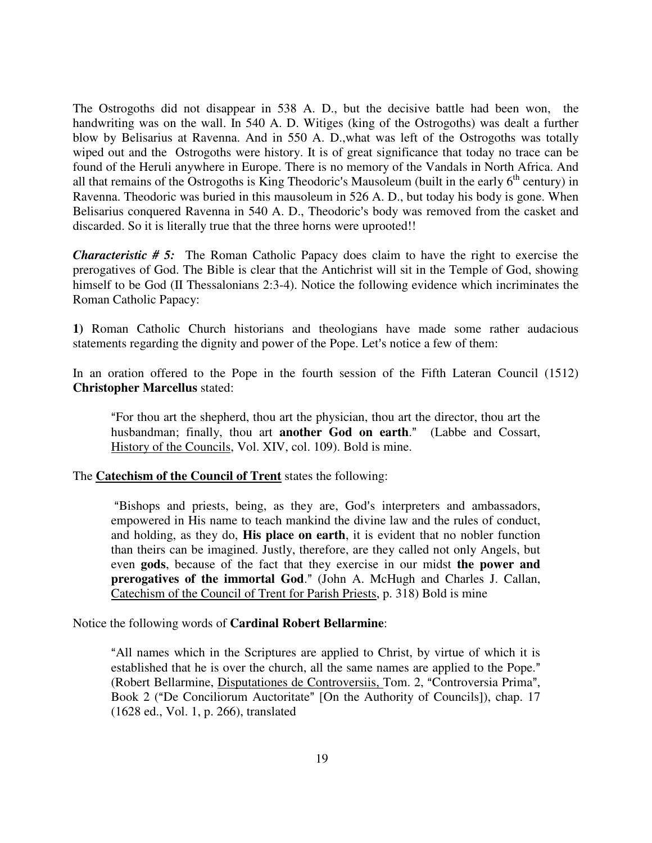The Ostrogoths did not disappear in 538 A. D., but the decisive battle had been won, the handwriting was on the wall. In 540 A. D. Witiges (king of the Ostrogoths) was dealt a further blow by Belisarius at Ravenna. And in 550 A. D.,what was left of the Ostrogoths was totally wiped out and the Ostrogoths were history. It is of great significance that today no trace can be found of the Heruli anywhere in Europe. There is no memory of the Vandals in North Africa. And all that remains of the Ostrogoths is King Theodoric's Mausoleum (built in the early  $6<sup>th</sup>$  century) in Ravenna. Theodoric was buried in this mausoleum in 526 A. D., but today his body is gone. When Belisarius conquered Ravenna in 540 A. D., Theodoric's body was removed from the casket and discarded. So it is literally true that the three horns were uprooted!!

*Characteristic # 5:* The Roman Catholic Papacy does claim to have the right to exercise the prerogatives of God. The Bible is clear that the Antichrist will sit in the Temple of God, showing himself to be God (II Thessalonians 2:3-4). Notice the following evidence which incriminates the Roman Catholic Papacy:

**1)** Roman Catholic Church historians and theologians have made some rather audacious statements regarding the dignity and power of the Pope. Let's notice a few of them:

In an oration offered to the Pope in the fourth session of the Fifth Lateran Council (1512) **Christopher Marcellus** stated:

AFor thou art the shepherd, thou art the physician, thou art the director, thou art the husbandman; finally, thou art **another God on earth**." (Labbe and Cossart, History of the Councils, Vol. XIV, col. 109). Bold is mine.

The **Catechism of the Council of Trent** states the following:

"Bishops and priests, being, as they are, God's interpreters and ambassadors, empowered in His name to teach mankind the divine law and the rules of conduct, and holding, as they do, **His place on earth**, it is evident that no nobler function than theirs can be imagined. Justly, therefore, are they called not only Angels, but even **gods**, because of the fact that they exercise in our midst **the power and prerogatives of the** *immortal God.*" (John A. McHugh and Charles J. Callan, Catechism of the Council of Trent for Parish Priests, p. 318) Bold is mine

Notice the following words of **Cardinal Robert Bellarmine**:

AAll names which in the Scriptures are applied to Christ, by virtue of which it is established that he is over the church, all the same names are applied to the Pope." (Robert Bellarmine, Disputationes de Controversiis, Tom. 2, "Controversia Prima", Book 2 ("De Conciliorum Auctoritate" [On the Authority of Councils]), chap. 17 (1628 ed., Vol. 1, p. 266), translated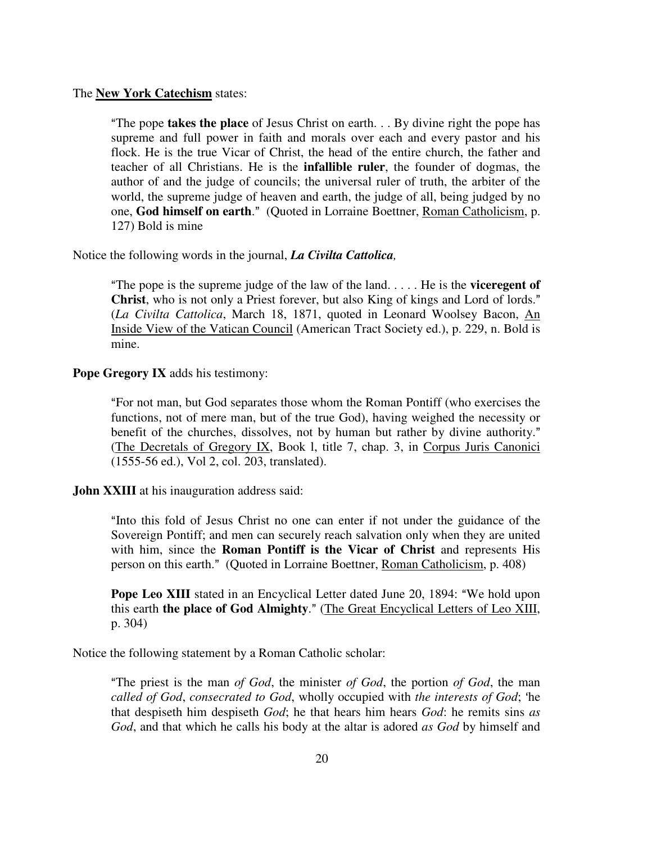#### The **New York Catechism** states:

"The pope **takes the place** of Jesus Christ on earth. . . By divine right the pope has supreme and full power in faith and morals over each and every pastor and his flock. He is the true Vicar of Christ, the head of the entire church, the father and teacher of all Christians. He is the **infallible ruler**, the founder of dogmas, the author of and the judge of councils; the universal ruler of truth, the arbiter of the world, the supreme judge of heaven and earth, the judge of all, being judged by no one, God himself on earth." (Quoted in Lorraine Boettner, Roman Catholicism, p. 127) Bold is mine

Notice the following words in the journal, *La Civilta Cattolica,*

"The pope is the supreme judge of the law of the land.  $\dots$ . He is the **viceregent of Christ**, who is not only a Priest forever, but also King of kings and Lord of lords." (*La Civilta Cattolica*, March 18, 1871, quoted in Leonard Woolsey Bacon, An Inside View of the Vatican Council (American Tract Society ed.), p. 229, n. Bold is mine.

**Pope Gregory IX** adds his testimony:

"For not man, but God separates those whom the Roman Pontiff (who exercises the functions, not of mere man, but of the true God), having weighed the necessity or benefit of the churches, dissolves, not by human but rather by divine authority." (The Decretals of Gregory IX, Book l, title 7, chap. 3, in Corpus Juris Canonici (1555-56 ed.), Vol 2, col. 203, translated).

**John XXIII** at his inauguration address said:

AInto this fold of Jesus Christ no one can enter if not under the guidance of the Sovereign Pontiff; and men can securely reach salvation only when they are united with him, since the **Roman Pontiff is the Vicar of Christ** and represents His person on this earth." (Quoted in Lorraine Boettner, Roman Catholicism, p. 408)

**Pope Leo XIII** stated in an Encyclical Letter dated June 20, 1894: "We hold upon this earth **the place of God Almighty**." (The Great Encyclical Letters of Leo XIII, p. 304)

Notice the following statement by a Roman Catholic scholar:

AThe priest is the man *of God*, the minister *of God*, the portion *of God*, the man *called of God, consecrated to God, wholly occupied with the interests of God; 'he* that despiseth him despiseth *God*; he that hears him hears *God*: he remits sins *as God*, and that which he calls his body at the altar is adored *as God* by himself and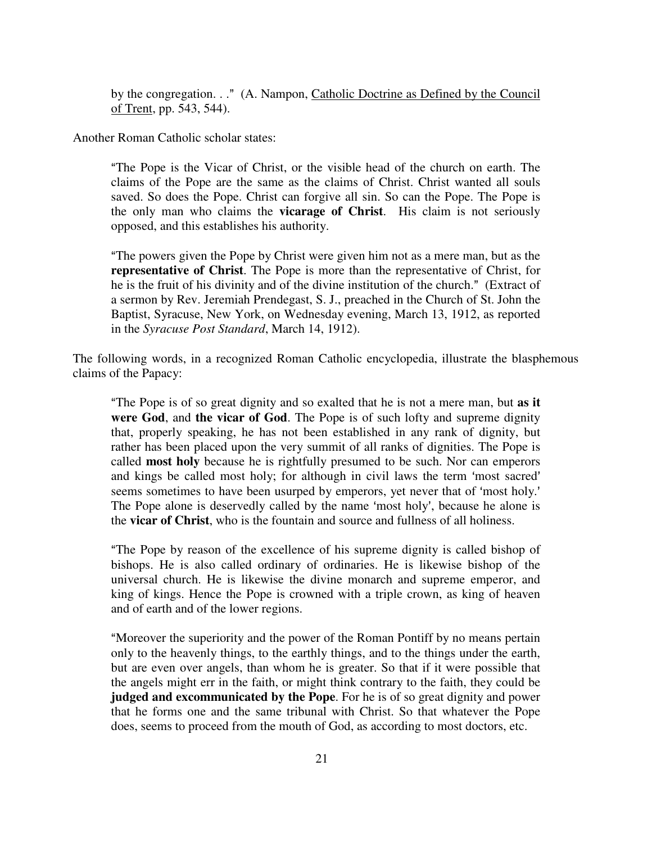by the congregation. . ." (A. Nampon, Catholic Doctrine as Defined by the Council of Trent, pp. 543, 544).

Another Roman Catholic scholar states:

AThe Pope is the Vicar of Christ, or the visible head of the church on earth. The claims of the Pope are the same as the claims of Christ. Christ wanted all souls saved. So does the Pope. Christ can forgive all sin. So can the Pope. The Pope is the only man who claims the **vicarage of Christ**. His claim is not seriously opposed, and this establishes his authority.

AThe powers given the Pope by Christ were given him not as a mere man, but as the **representative of Christ**. The Pope is more than the representative of Christ, for he is the fruit of his divinity and of the divine institution of the church." (Extract of a sermon by Rev. Jeremiah Prendegast, S. J., preached in the Church of St. John the Baptist, Syracuse, New York, on Wednesday evening, March 13, 1912, as reported in the *Syracuse Post Standard*, March 14, 1912).

The following words, in a recognized Roman Catholic encyclopedia, illustrate the blasphemous claims of the Papacy:

AThe Pope is of so great dignity and so exalted that he is not a mere man, but **as it were God**, and **the vicar of God**. The Pope is of such lofty and supreme dignity that, properly speaking, he has not been established in any rank of dignity, but rather has been placed upon the very summit of all ranks of dignities. The Pope is called **most holy** because he is rightfully presumed to be such. Nor can emperors and kings be called most holy; for although in civil laws the term 'most sacred' seems sometimes to have been usurped by emperors, yet never that of 'most holy.' The Pope alone is deservedly called by the name 'most holy', because he alone is the **vicar of Christ**, who is the fountain and source and fullness of all holiness.

"The Pope by reason of the excellence of his supreme dignity is called bishop of bishops. He is also called ordinary of ordinaries. He is likewise bishop of the universal church. He is likewise the divine monarch and supreme emperor, and king of kings. Hence the Pope is crowned with a triple crown, as king of heaven and of earth and of the lower regions.

AMoreover the superiority and the power of the Roman Pontiff by no means pertain only to the heavenly things, to the earthly things, and to the things under the earth, but are even over angels, than whom he is greater. So that if it were possible that the angels might err in the faith, or might think contrary to the faith, they could be **judged and excommunicated by the Pope**. For he is of so great dignity and power that he forms one and the same tribunal with Christ. So that whatever the Pope does, seems to proceed from the mouth of God, as according to most doctors, etc.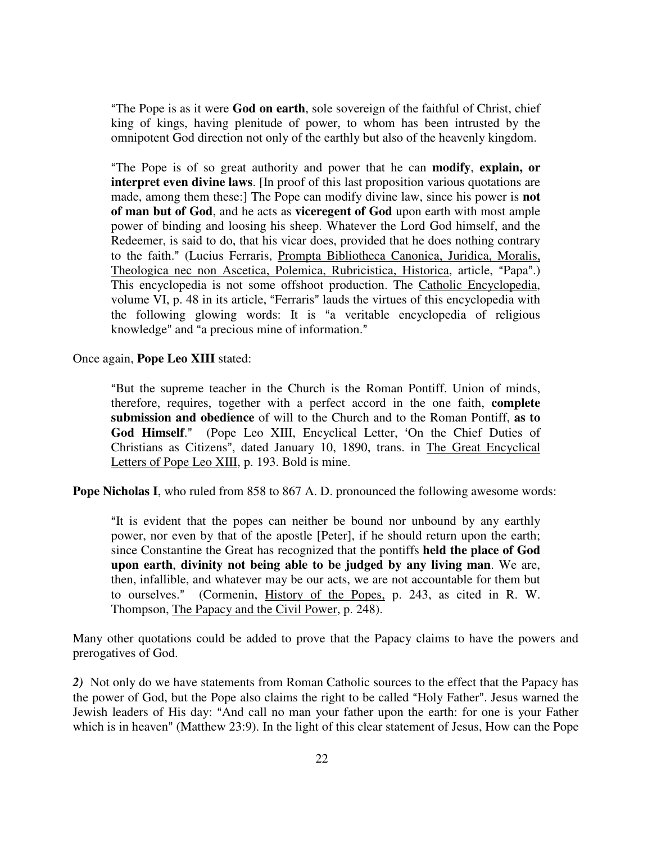AThe Pope is as it were **God on earth**, sole sovereign of the faithful of Christ, chief king of kings, having plenitude of power, to whom has been intrusted by the omnipotent God direction not only of the earthly but also of the heavenly kingdom.

AThe Pope is of so great authority and power that he can **modify**, **explain, or interpret even divine laws**. [In proof of this last proposition various quotations are made, among them these:] The Pope can modify divine law, since his power is **not of man but of God**, and he acts as **viceregent of God** upon earth with most ample power of binding and loosing his sheep. Whatever the Lord God himself, and the Redeemer, is said to do, that his vicar does, provided that he does nothing contrary to the faith." (Lucius Ferraris, Prompta Bibliotheca Canonica, Juridica, Moralis, Theologica nec non Ascetica, Polemica, Rubricistica, Historica, article, "Papa".) This encyclopedia is not some offshoot production. The Catholic Encyclopedia, volume VI, p. 48 in its article, "Ferraris" lauds the virtues of this encyclopedia with the following glowing words: It is "a veritable encyclopedia of religious knowledge" and "a precious mine of information."

Once again, **Pope Leo XIII** stated:

"But the supreme teacher in the Church is the Roman Pontiff. Union of minds, therefore, requires, together with a perfect accord in the one faith, **complete submission and obedience** of will to the Church and to the Roman Pontiff, **as to**  God Himself." (Pope Leo XIII, Encyclical Letter, 'On the Chief Duties of Christians as Citizens", dated January 10, 1890, trans. in The Great Encyclical Letters of Pope Leo XIII, p. 193. Bold is mine.

**Pope Nicholas I**, who ruled from 858 to 867 A. D. pronounced the following awesome words:

"It is evident that the popes can neither be bound nor unbound by any earthly power, nor even by that of the apostle [Peter], if he should return upon the earth; since Constantine the Great has recognized that the pontiffs **held the place of God upon earth**, **divinity not being able to be judged by any living man**. We are, then, infallible, and whatever may be our acts, we are not accountable for them but to ourselves." (Cormenin, History of the Popes, p. 243, as cited in R. W. Thompson, The Papacy and the Civil Power, p. 248).

Many other quotations could be added to prove that the Papacy claims to have the powers and prerogatives of God.

*2)* Not only do we have statements from Roman Catholic sources to the effect that the Papacy has the power of God, but the Pope also claims the right to be called "Holy Father". Jesus warned the Jewish leaders of His day: "And call no man your father upon the earth: for one is your Father which is in heaven" (Matthew 23:9). In the light of this clear statement of Jesus, How can the Pope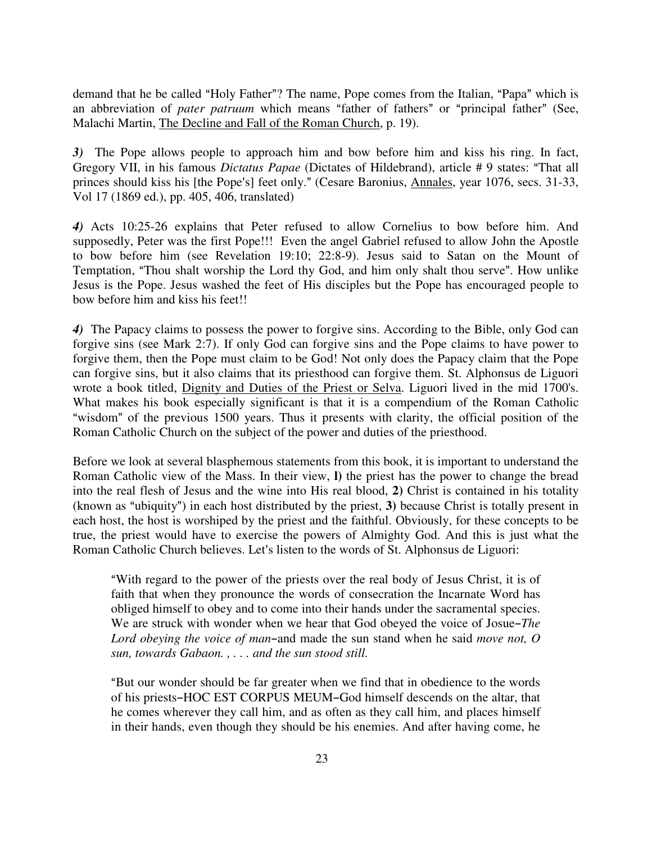demand that he be called "Holy Father"? The name, Pope comes from the Italian, "Papa" which is an abbreviation of *pater patruum* which means "father of fathers" or "principal father" (See, Malachi Martin, The Decline and Fall of the Roman Church, p. 19).

*3)* The Pope allows people to approach him and bow before him and kiss his ring. In fact, Gregory VII, in his famous *Dictatus Papae* (Dictates of Hildebrand), article #9 states: "That all princes should kiss his [the Pope's] feet only." (Cesare Baronius, Annales, year 1076, secs. 31-33, Vol 17 (1869 ed.), pp. 405, 406, translated)

*4)* Acts 10:25-26 explains that Peter refused to allow Cornelius to bow before him. And supposedly, Peter was the first Pope!!! Even the angel Gabriel refused to allow John the Apostle to bow before him (see Revelation 19:10; 22:8-9). Jesus said to Satan on the Mount of Temptation, "Thou shalt worship the Lord thy God, and him only shalt thou serve". How unlike Jesus is the Pope. Jesus washed the feet of His disciples but the Pope has encouraged people to bow before him and kiss his feet!!

*4)* The Papacy claims to possess the power to forgive sins. According to the Bible, only God can forgive sins (see Mark 2:7). If only God can forgive sins and the Pope claims to have power to forgive them, then the Pope must claim to be God! Not only does the Papacy claim that the Pope can forgive sins, but it also claims that its priesthood can forgive them. St. Alphonsus de Liguori wrote a book titled, Dignity and Duties of the Priest or Selva. Liguori lived in the mid 1700's. What makes his book especially significant is that it is a compendium of the Roman Catholic "wisdom" of the previous 1500 years. Thus it presents with clarity, the official position of the Roman Catholic Church on the subject of the power and duties of the priesthood.

Before we look at several blasphemous statements from this book, it is important to understand the Roman Catholic view of the Mass. In their view, **l)** the priest has the power to change the bread into the real flesh of Jesus and the wine into His real blood, **2)** Christ is contained in his totality (known as "ubiquity") in each host distributed by the priest, 3) because Christ is totally present in each host, the host is worshiped by the priest and the faithful. Obviously, for these concepts to be true, the priest would have to exercise the powers of Almighty God. And this is just what the Roman Catholic Church believes. Let's listen to the words of St. Alphonsus de Liguori:

"With regard to the power of the priests over the real body of Jesus Christ, it is of faith that when they pronounce the words of consecration the Incarnate Word has obliged himself to obey and to come into their hands under the sacramental species. We are struck with wonder when we hear that God obeyed the voice of Josue-The *Lord obeying the voice of man*-and made the sun stand when he said *move not, O sun, towards Gabaon. , . . . and the sun stood still.* 

"But our wonder should be far greater when we find that in obedience to the words of his priests-HOC EST CORPUS MEUM-God himself descends on the altar, that he comes wherever they call him, and as often as they call him, and places himself in their hands, even though they should be his enemies. And after having come, he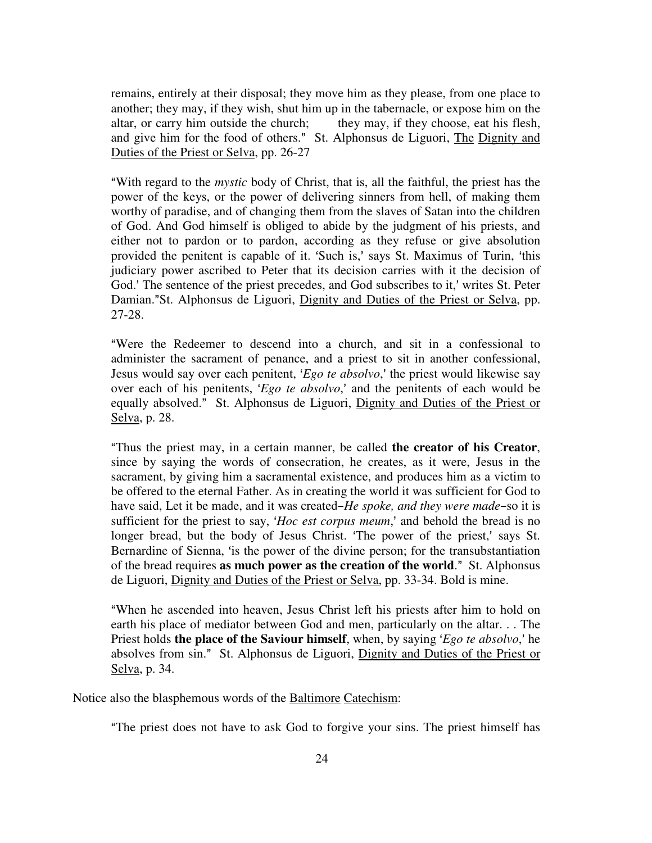remains, entirely at their disposal; they move him as they please, from one place to another; they may, if they wish, shut him up in the tabernacle, or expose him on the altar, or carry him outside the church; they may, if they choose, eat his flesh, and give him for the food of others." St. Alphonsus de Liguori, The Dignity and Duties of the Priest or Selva, pp. 26-27

AWith regard to the *mystic* body of Christ, that is, all the faithful, the priest has the power of the keys, or the power of delivering sinners from hell, of making them worthy of paradise, and of changing them from the slaves of Satan into the children of God. And God himself is obliged to abide by the judgment of his priests, and either not to pardon or to pardon, according as they refuse or give absolution provided the penitent is capable of it. 'Such is,' says St. Maximus of Turin, 'this judiciary power ascribed to Peter that its decision carries with it the decision of God.' The sentence of the priest precedes, and God subscribes to it,' writes St. Peter Damian."St. Alphonsus de Liguori, Dignity and Duties of the Priest or Selva, pp. 27-28.

"Were the Redeemer to descend into a church, and sit in a confessional to administer the sacrament of penance, and a priest to sit in another confessional, Jesus would say over each penitent, '*Ego te absolvo*,' the priest would likewise say over each of his penitents, *'Ego te absolvo*,' and the penitents of each would be equally absolved." St. Alphonsus de Liguori, Dignity and Duties of the Priest or Selva, p. 28.

AThus the priest may, in a certain manner, be called **the creator of his Creator**, since by saying the words of consecration, he creates, as it were, Jesus in the sacrament, by giving him a sacramental existence, and produces him as a victim to be offered to the eternal Father. As in creating the world it was sufficient for God to have said, Let it be made, and it was created-He spoke, and they were made-so it is sufficient for the priest to say, 'Hoc est corpus meum,' and behold the bread is no longer bread, but the body of Jesus Christ. The power of the priest,' says St. Bernardine of Sienna, 'is the power of the divine person; for the transubstantiation of the bread requires **as much power as the creation of the world**." St. Alphonsus de Liguori, Dignity and Duties of the Priest or Selva, pp. 33-34. Bold is mine.

"When he ascended into heaven, Jesus Christ left his priests after him to hold on earth his place of mediator between God and men, particularly on the altar. . . The Priest holds **the place of the Saviour himself**, when, by saying *'Ego te absolvo*,' he absolves from sin." St. Alphonsus de Liguori, Dignity and Duties of the Priest or Selva, p. 34.

Notice also the blasphemous words of the Baltimore Catechism:

AThe priest does not have to ask God to forgive your sins. The priest himself has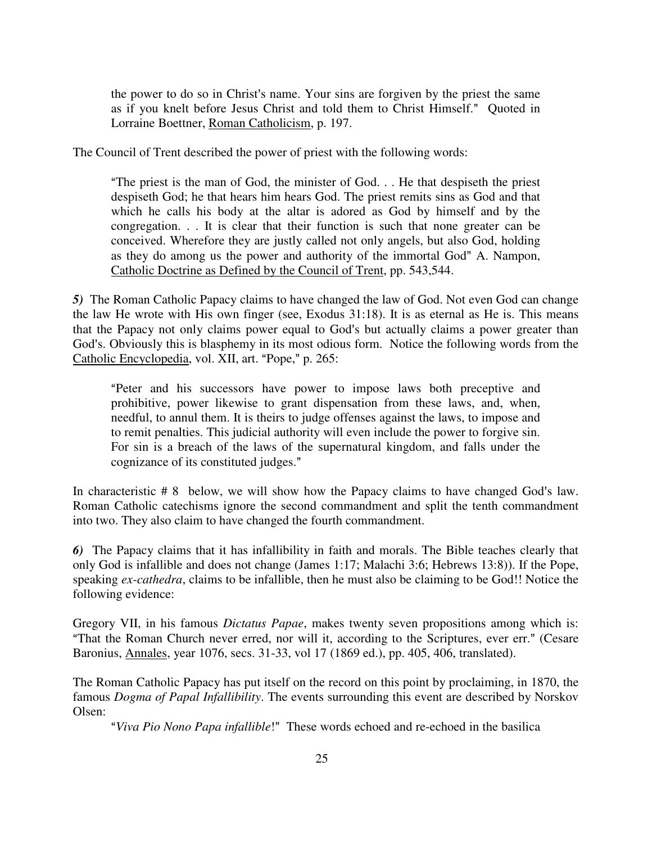the power to do so in Christ's name. Your sins are forgiven by the priest the same as if you knelt before Jesus Christ and told them to Christ Himself." Quoted in Lorraine Boettner, Roman Catholicism, p. 197.

The Council of Trent described the power of priest with the following words:

AThe priest is the man of God, the minister of God. . . He that despiseth the priest despiseth God; he that hears him hears God. The priest remits sins as God and that which he calls his body at the altar is adored as God by himself and by the congregation. . . It is clear that their function is such that none greater can be conceived. Wherefore they are justly called not only angels, but also God, holding as they do among us the power and authority of the immortal God" A. Nampon, Catholic Doctrine as Defined by the Council of Trent, pp. 543,544.

*5)* The Roman Catholic Papacy claims to have changed the law of God. Not even God can change the law He wrote with His own finger (see, Exodus 31:18). It is as eternal as He is. This means that the Papacy not only claims power equal to God's but actually claims a power greater than God's. Obviously this is blasphemy in its most odious form. Notice the following words from the Catholic Encyclopedia, vol. XII, art. "Pope," p. 265:

"Peter and his successors have power to impose laws both preceptive and prohibitive, power likewise to grant dispensation from these laws, and, when, needful, to annul them. It is theirs to judge offenses against the laws, to impose and to remit penalties. This judicial authority will even include the power to forgive sin. For sin is a breach of the laws of the supernatural kingdom, and falls under the cognizance of its constituted judges."

In characteristic  $# 8$  below, we will show how the Papacy claims to have changed God's law. Roman Catholic catechisms ignore the second commandment and split the tenth commandment into two. They also claim to have changed the fourth commandment.

*6)* The Papacy claims that it has infallibility in faith and morals. The Bible teaches clearly that only God is infallible and does not change (James 1:17; Malachi 3:6; Hebrews 13:8)). If the Pope, speaking *ex-cathedra*, claims to be infallible, then he must also be claiming to be God!! Notice the following evidence:

Gregory VII, in his famous *Dictatus Papae*, makes twenty seven propositions among which is: "That the Roman Church never erred, nor will it, according to the Scriptures, ever err." (Cesare Baronius, Annales, year 1076, secs. 31-33, vol 17 (1869 ed.), pp. 405, 406, translated).

The Roman Catholic Papacy has put itself on the record on this point by proclaiming, in 1870, the famous *Dogma of Papal Infallibility*. The events surrounding this event are described by Norskov Olsen:

<sup>"</sup>Viva Pio Nono Papa infallible!" These words echoed and re-echoed in the basilica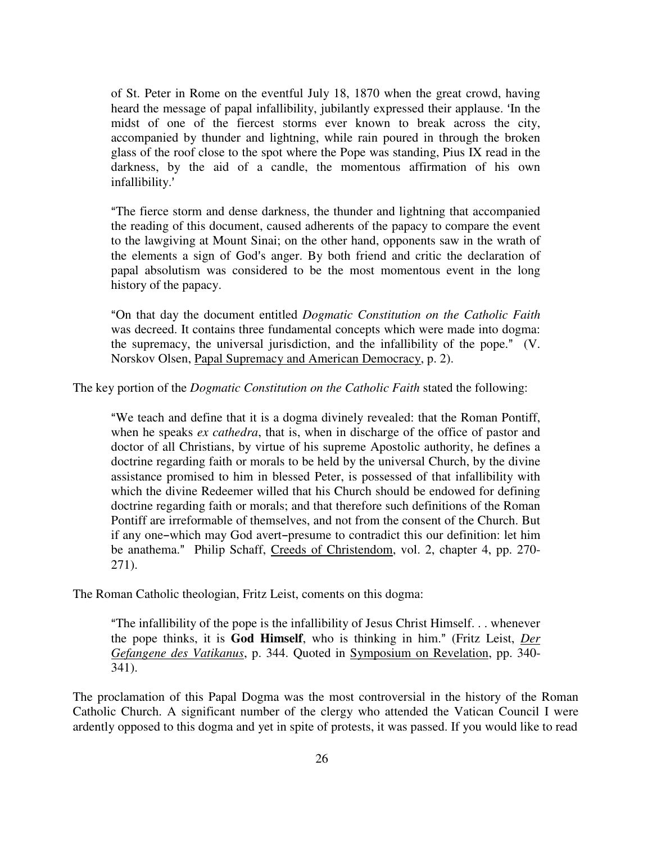of St. Peter in Rome on the eventful July 18, 1870 when the great crowd, having heard the message of papal infallibility, jubilantly expressed their applause. The the midst of one of the fiercest storms ever known to break across the city, accompanied by thunder and lightning, while rain poured in through the broken glass of the roof close to the spot where the Pope was standing, Pius IX read in the darkness, by the aid of a candle, the momentous affirmation of his own infallibility.'

AThe fierce storm and dense darkness, the thunder and lightning that accompanied the reading of this document, caused adherents of the papacy to compare the event to the lawgiving at Mount Sinai; on the other hand, opponents saw in the wrath of the elements a sign of God's anger. By both friend and critic the declaration of papal absolutism was considered to be the most momentous event in the long history of the papacy.

AOn that day the document entitled *Dogmatic Constitution on the Catholic Faith* was decreed. It contains three fundamental concepts which were made into dogma: the supremacy, the universal jurisdiction, and the infallibility of the pope."  $(V.$ Norskov Olsen, Papal Supremacy and American Democracy, p. 2).

The key portion of the *Dogmatic Constitution on the Catholic Faith* stated the following:

"We teach and define that it is a dogma divinely revealed: that the Roman Pontiff, when he speaks *ex cathedra*, that is, when in discharge of the office of pastor and doctor of all Christians, by virtue of his supreme Apostolic authority, he defines a doctrine regarding faith or morals to be held by the universal Church, by the divine assistance promised to him in blessed Peter, is possessed of that infallibility with which the divine Redeemer willed that his Church should be endowed for defining doctrine regarding faith or morals; and that therefore such definitions of the Roman Pontiff are irreformable of themselves, and not from the consent of the Church. But if any one-which may God avert-presume to contradict this our definition: let him be anathema." Philip Schaff, Creeds of Christendom, vol. 2, chapter 4, pp. 270-271).

The Roman Catholic theologian, Fritz Leist, coments on this dogma:

"The infallibility of the pope is the infallibility of Jesus Christ Himself.  $\ldots$  whenever the pope thinks, it is **God Himself**, who is thinking in him." (Fritz Leist, *Der Gefangene des Vatikanus*, p. 344. Quoted in Symposium on Revelation, pp. 340- 341).

The proclamation of this Papal Dogma was the most controversial in the history of the Roman Catholic Church. A significant number of the clergy who attended the Vatican Council I were ardently opposed to this dogma and yet in spite of protests, it was passed. If you would like to read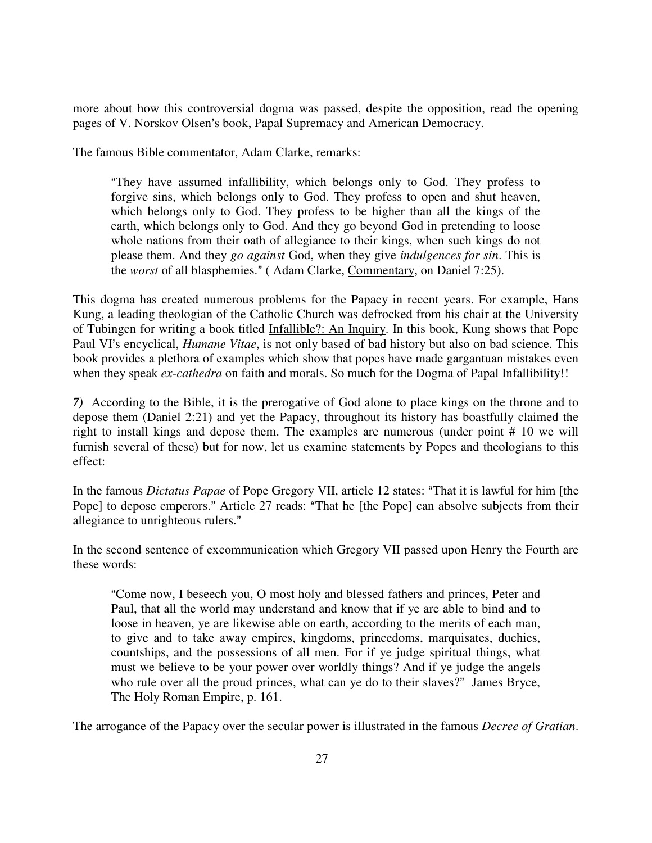more about how this controversial dogma was passed, despite the opposition, read the opening pages of V. Norskov Olsen's book, Papal Supremacy and American Democracy.

The famous Bible commentator, Adam Clarke, remarks:

AThey have assumed infallibility, which belongs only to God. They profess to forgive sins, which belongs only to God. They profess to open and shut heaven, which belongs only to God. They profess to be higher than all the kings of the earth, which belongs only to God. And they go beyond God in pretending to loose whole nations from their oath of allegiance to their kings, when such kings do not please them. And they *go against* God, when they give *indulgences for sin*. This is the *worst* of all blasphemies." (Adam Clarke, Commentary, on Daniel 7:25).

This dogma has created numerous problems for the Papacy in recent years. For example, Hans Kung, a leading theologian of the Catholic Church was defrocked from his chair at the University of Tubingen for writing a book titled Infallible?: An Inquiry. In this book, Kung shows that Pope Paul VI's encyclical, *Humane Vitae*, is not only based of bad history but also on bad science. This book provides a plethora of examples which show that popes have made gargantuan mistakes even when they speak *ex-cathedra* on faith and morals. So much for the Dogma of Papal Infallibility!!

*7)* According to the Bible, it is the prerogative of God alone to place kings on the throne and to depose them (Daniel 2:21) and yet the Papacy, throughout its history has boastfully claimed the right to install kings and depose them. The examples are numerous (under point # 10 we will furnish several of these) but for now, let us examine statements by Popes and theologians to this effect:

In the famous *Dictatus Papae* of Pope Gregory VII, article 12 states: "That it is lawful for him [the Pope] to depose emperors." Article 27 reads: "That he [the Pope] can absolve subjects from their allegiance to unrighteous rulers."

In the second sentence of excommunication which Gregory VII passed upon Henry the Fourth are these words:

"Come now, I beseech you, O most holy and blessed fathers and princes, Peter and Paul, that all the world may understand and know that if ye are able to bind and to loose in heaven, ye are likewise able on earth, according to the merits of each man, to give and to take away empires, kingdoms, princedoms, marquisates, duchies, countships, and the possessions of all men. For if ye judge spiritual things, what must we believe to be your power over worldly things? And if ye judge the angels who rule over all the proud princes, what can ye do to their slaves?" James Bryce, The Holy Roman Empire, p. 161.

The arrogance of the Papacy over the secular power is illustrated in the famous *Decree of Gratian*.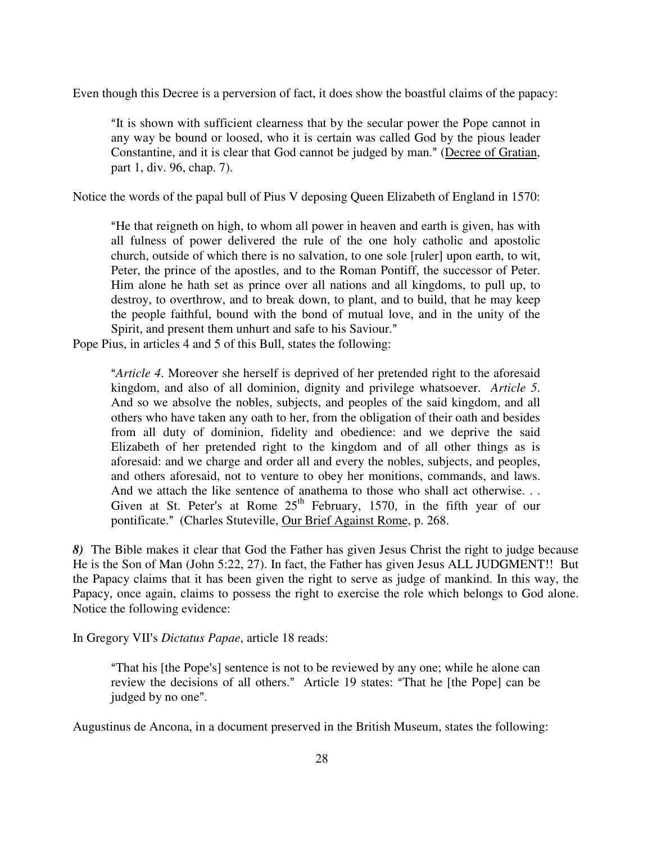Even though this Decree is a perversion of fact, it does show the boastful claims of the papacy:

"It is shown with sufficient clearness that by the secular power the Pope cannot in any way be bound or loosed, who it is certain was called God by the pious leader Constantine, and it is clear that God cannot be judged by man." (Decree of Gratian, part 1, div. 96, chap. 7).

Notice the words of the papal bull of Pius V deposing Queen Elizabeth of England in 1570:

"He that reigneth on high, to whom all power in heaven and earth is given, has with all fulness of power delivered the rule of the one holy catholic and apostolic church, outside of which there is no salvation, to one sole [ruler] upon earth, to wit, Peter, the prince of the apostles, and to the Roman Pontiff, the successor of Peter. Him alone he hath set as prince over all nations and all kingdoms, to pull up, to destroy, to overthrow, and to break down, to plant, and to build, that he may keep the people faithful, bound with the bond of mutual love, and in the unity of the Spirit, and present them unhurt and safe to his Saviour."

Pope Pius, in articles 4 and 5 of this Bull, states the following:

A*Article 4*. Moreover she herself is deprived of her pretended right to the aforesaid kingdom, and also of all dominion, dignity and privilege whatsoever. *Article 5*. And so we absolve the nobles, subjects, and peoples of the said kingdom, and all others who have taken any oath to her, from the obligation of their oath and besides from all duty of dominion, fidelity and obedience: and we deprive the said Elizabeth of her pretended right to the kingdom and of all other things as is aforesaid: and we charge and order all and every the nobles, subjects, and peoples, and others aforesaid, not to venture to obey her monitions, commands, and laws. And we attach the like sentence of anathema to those who shall act otherwise. . . Given at St. Peter's at Rome 25<sup>th</sup> February, 1570, in the fifth year of our pontificate." (Charles Stuteville, Our Brief Against Rome, p. 268.

*8)* The Bible makes it clear that God the Father has given Jesus Christ the right to judge because He is the Son of Man (John 5:22, 27). In fact, the Father has given Jesus ALL JUDGMENT!! But the Papacy claims that it has been given the right to serve as judge of mankind. In this way, the Papacy, once again, claims to possess the right to exercise the role which belongs to God alone. Notice the following evidence:

In Gregory VII's *Dictatus Papae*, article 18 reads:

"That his [the Pope's] sentence is not to be reviewed by any one; while he alone can review the decisions of all others." Article 19 states: "That he [the Pope] can be judged by no one".

Augustinus de Ancona, in a document preserved in the British Museum, states the following: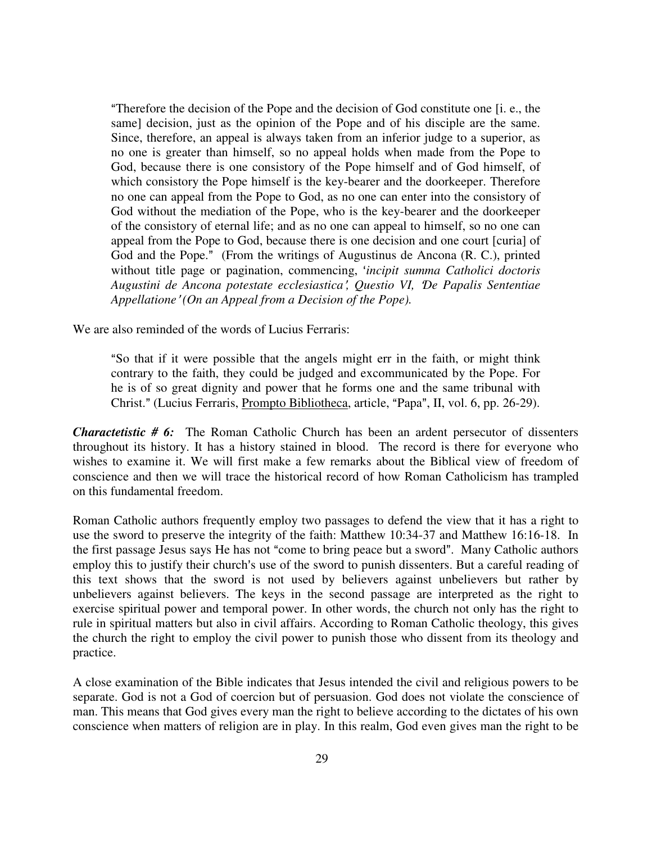ATherefore the decision of the Pope and the decision of God constitute one [i. e., the same] decision, just as the opinion of the Pope and of his disciple are the same. Since, therefore, an appeal is always taken from an inferior judge to a superior, as no one is greater than himself, so no appeal holds when made from the Pope to God, because there is one consistory of the Pope himself and of God himself, of which consistory the Pope himself is the key-bearer and the doorkeeper. Therefore no one can appeal from the Pope to God, as no one can enter into the consistory of God without the mediation of the Pope, who is the key-bearer and the doorkeeper of the consistory of eternal life; and as no one can appeal to himself, so no one can appeal from the Pope to God, because there is one decision and one court [curia] of God and the Pope." (From the writings of Augustinus de Ancona (R. C.), printed without title page or pagination, commencing, 'incipit summa Catholici doctoris *Augustini de Ancona potestate ecclesiastica*=*, Questio VI,* >*De Papalis Sententiae Appellatione*= *(On an Appeal from a Decision of the Pope).* 

We are also reminded of the words of Lucius Ferraris:

"So that if it were possible that the angels might err in the faith, or might think contrary to the faith, they could be judged and excommunicated by the Pope. For he is of so great dignity and power that he forms one and the same tribunal with Christ." (Lucius Ferraris, Prompto Bibliotheca, article, "Papa", II, vol. 6, pp. 26-29).

*Charactetistic # 6:* The Roman Catholic Church has been an ardent persecutor of dissenters throughout its history. It has a history stained in blood. The record is there for everyone who wishes to examine it. We will first make a few remarks about the Biblical view of freedom of conscience and then we will trace the historical record of how Roman Catholicism has trampled on this fundamental freedom.

Roman Catholic authors frequently employ two passages to defend the view that it has a right to use the sword to preserve the integrity of the faith: Matthew 10:34-37 and Matthew 16:16-18. In the first passage Jesus says He has not "come to bring peace but a sword". Many Catholic authors employ this to justify their church's use of the sword to punish dissenters. But a careful reading of this text shows that the sword is not used by believers against unbelievers but rather by unbelievers against believers. The keys in the second passage are interpreted as the right to exercise spiritual power and temporal power. In other words, the church not only has the right to rule in spiritual matters but also in civil affairs. According to Roman Catholic theology, this gives the church the right to employ the civil power to punish those who dissent from its theology and practice.

A close examination of the Bible indicates that Jesus intended the civil and religious powers to be separate. God is not a God of coercion but of persuasion. God does not violate the conscience of man. This means that God gives every man the right to believe according to the dictates of his own conscience when matters of religion are in play. In this realm, God even gives man the right to be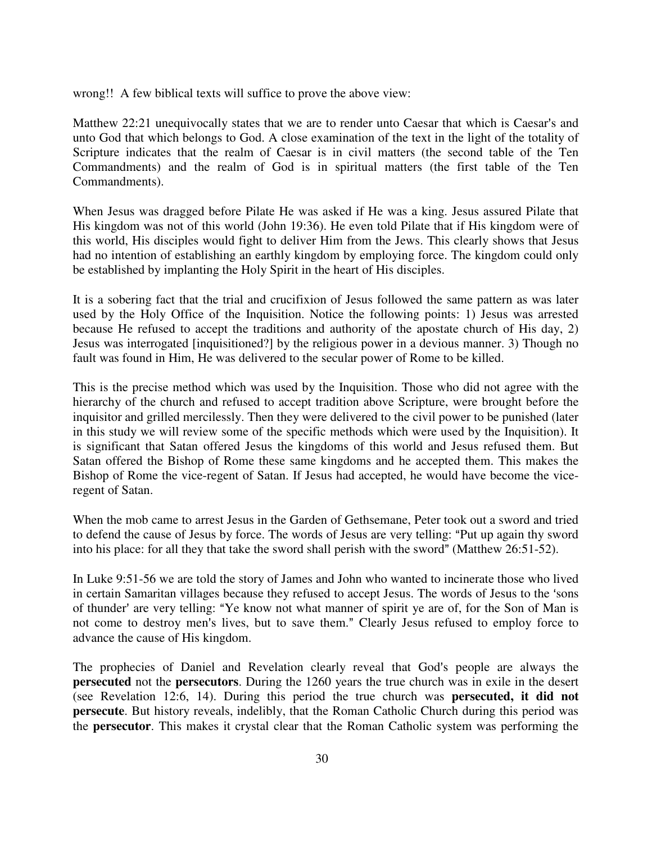wrong!! A few biblical texts will suffice to prove the above view:

Matthew 22:21 unequivocally states that we are to render unto Caesar that which is Caesar's and unto God that which belongs to God. A close examination of the text in the light of the totality of Scripture indicates that the realm of Caesar is in civil matters (the second table of the Ten Commandments) and the realm of God is in spiritual matters (the first table of the Ten Commandments).

When Jesus was dragged before Pilate He was asked if He was a king. Jesus assured Pilate that His kingdom was not of this world (John 19:36). He even told Pilate that if His kingdom were of this world, His disciples would fight to deliver Him from the Jews. This clearly shows that Jesus had no intention of establishing an earthly kingdom by employing force. The kingdom could only be established by implanting the Holy Spirit in the heart of His disciples.

It is a sobering fact that the trial and crucifixion of Jesus followed the same pattern as was later used by the Holy Office of the Inquisition. Notice the following points: 1) Jesus was arrested because He refused to accept the traditions and authority of the apostate church of His day, 2) Jesus was interrogated [inquisitioned?] by the religious power in a devious manner. 3) Though no fault was found in Him, He was delivered to the secular power of Rome to be killed.

This is the precise method which was used by the Inquisition. Those who did not agree with the hierarchy of the church and refused to accept tradition above Scripture, were brought before the inquisitor and grilled mercilessly. Then they were delivered to the civil power to be punished (later in this study we will review some of the specific methods which were used by the Inquisition). It is significant that Satan offered Jesus the kingdoms of this world and Jesus refused them. But Satan offered the Bishop of Rome these same kingdoms and he accepted them. This makes the Bishop of Rome the vice-regent of Satan. If Jesus had accepted, he would have become the viceregent of Satan.

When the mob came to arrest Jesus in the Garden of Gethsemane, Peter took out a sword and tried to defend the cause of Jesus by force. The words of Jesus are very telling: "Put up again thy sword into his place: for all they that take the sword shall perish with the sword" (Matthew 26:51-52).

In Luke 9:51-56 we are told the story of James and John who wanted to incinerate those who lived in certain Samaritan villages because they refused to accept Jesus. The words of Jesus to the 'sons of thunder' are very telling: "Ye know not what manner of spirit ye are of, for the Son of Man is not come to destroy men's lives, but to save them." Clearly Jesus refused to employ force to advance the cause of His kingdom.

The prophecies of Daniel and Revelation clearly reveal that God's people are always the **persecuted** not the **persecutors**. During the 1260 years the true church was in exile in the desert (see Revelation 12:6, 14). During this period the true church was **persecuted, it did not persecute**. But history reveals, indelibly, that the Roman Catholic Church during this period was the **persecutor**. This makes it crystal clear that the Roman Catholic system was performing the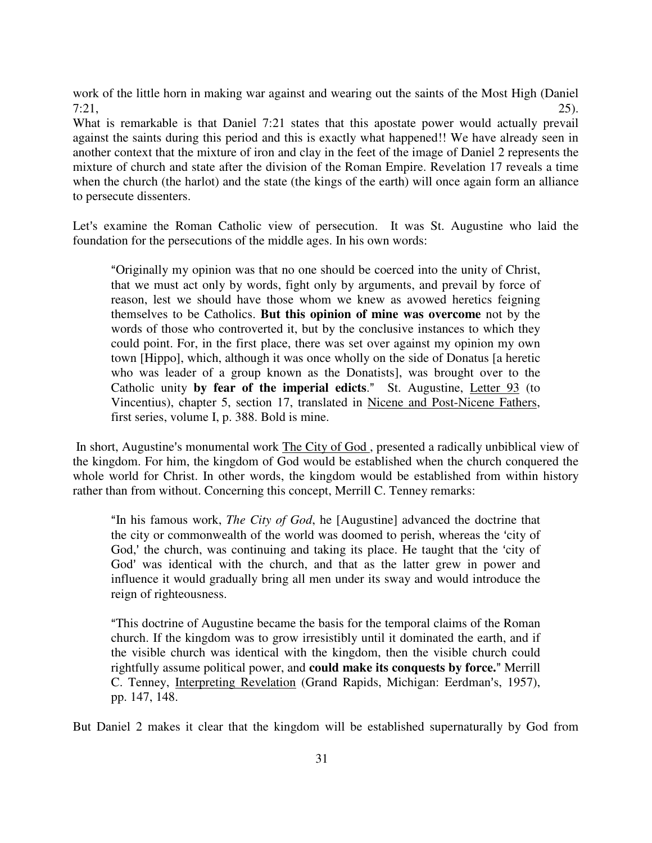work of the little horn in making war against and wearing out the saints of the Most High (Daniel  $7:21,$  25).

What is remarkable is that Daniel 7:21 states that this apostate power would actually prevail against the saints during this period and this is exactly what happened!! We have already seen in another context that the mixture of iron and clay in the feet of the image of Daniel 2 represents the mixture of church and state after the division of the Roman Empire. Revelation 17 reveals a time when the church (the harlot) and the state (the kings of the earth) will once again form an alliance to persecute dissenters.

Let's examine the Roman Catholic view of persecution. It was St. Augustine who laid the foundation for the persecutions of the middle ages. In his own words:

"Originally my opinion was that no one should be coerced into the unity of Christ, that we must act only by words, fight only by arguments, and prevail by force of reason, lest we should have those whom we knew as avowed heretics feigning themselves to be Catholics. **But this opinion of mine was overcome** not by the words of those who controverted it, but by the conclusive instances to which they could point. For, in the first place, there was set over against my opinion my own town [Hippo], which, although it was once wholly on the side of Donatus [a heretic who was leader of a group known as the Donatists], was brought over to the Catholic unity by fear of the *imperial edicts*." St. Augustine, Letter 93 (to Vincentius), chapter 5, section 17, translated in Nicene and Post-Nicene Fathers, first series, volume I, p. 388. Bold is mine.

In short, Augustine's monumental work The City of God, presented a radically unbiblical view of the kingdom. For him, the kingdom of God would be established when the church conquered the whole world for Christ. In other words, the kingdom would be established from within history rather than from without. Concerning this concept, Merrill C. Tenney remarks:

"In his famous work, *The City of God*, he [Augustine] advanced the doctrine that the city or commonwealth of the world was doomed to perish, whereas the 'city of God,' the church, was continuing and taking its place. He taught that the 'city of God' was identical with the church, and that as the latter grew in power and influence it would gradually bring all men under its sway and would introduce the reign of righteousness.

AThis doctrine of Augustine became the basis for the temporal claims of the Roman church. If the kingdom was to grow irresistibly until it dominated the earth, and if the visible church was identical with the kingdom, then the visible church could rightfully assume political power, and **could make its conquests by force.**" Merrill C. Tenney, Interpreting Revelation (Grand Rapids, Michigan: Eerdman's, 1957), pp. 147, 148.

But Daniel 2 makes it clear that the kingdom will be established supernaturally by God from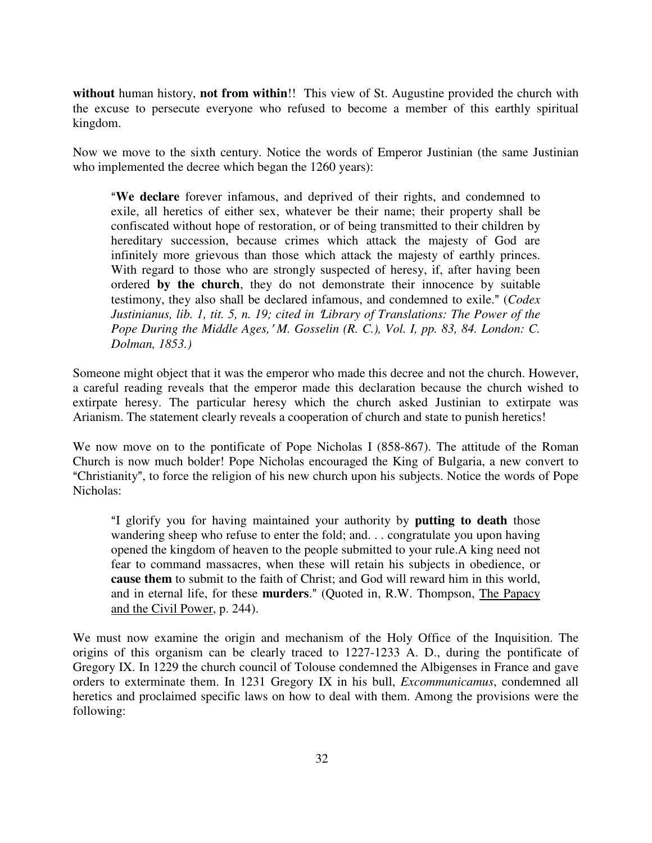**without** human history, **not from within**!! This view of St. Augustine provided the church with the excuse to persecute everyone who refused to become a member of this earthly spiritual kingdom.

Now we move to the sixth century. Notice the words of Emperor Justinian (the same Justinian who implemented the decree which began the 1260 years):

"We declare forever infamous, and deprived of their rights, and condemned to exile, all heretics of either sex, whatever be their name; their property shall be confiscated without hope of restoration, or of being transmitted to their children by hereditary succession, because crimes which attack the majesty of God are infinitely more grievous than those which attack the majesty of earthly princes. With regard to those who are strongly suspected of heresy, if, after having been ordered **by the church**, they do not demonstrate their innocence by suitable testimony, they also shall be declared infamous, and condemned to exile." (*Codex Justinianus, lib. 1, tit. 5, n. 19; cited in Library of Translations: The Power of the Pope During the Middle Ages, 'M. Gosselin (R. C.), Vol. I, pp. 83, 84. London: C. Dolman, 1853.)* 

Someone might object that it was the emperor who made this decree and not the church. However, a careful reading reveals that the emperor made this declaration because the church wished to extirpate heresy. The particular heresy which the church asked Justinian to extirpate was Arianism. The statement clearly reveals a cooperation of church and state to punish heretics!

We now move on to the pontificate of Pope Nicholas I (858-867). The attitude of the Roman Church is now much bolder! Pope Nicholas encouraged the King of Bulgaria, a new convert to "Christianity", to force the religion of his new church upon his subjects. Notice the words of Pope Nicholas:

AI glorify you for having maintained your authority by **putting to death** those wandering sheep who refuse to enter the fold; and. . . congratulate you upon having opened the kingdom of heaven to the people submitted to your rule.A king need not fear to command massacres, when these will retain his subjects in obedience, or **cause them** to submit to the faith of Christ; and God will reward him in this world, and in eternal life, for these **murders**." (Quoted in, R.W. Thompson, The Papacy and the Civil Power, p. 244).

We must now examine the origin and mechanism of the Holy Office of the Inquisition. The origins of this organism can be clearly traced to 1227-1233 A. D., during the pontificate of Gregory IX. In 1229 the church council of Tolouse condemned the Albigenses in France and gave orders to exterminate them. In 1231 Gregory IX in his bull, *Excommunicamus*, condemned all heretics and proclaimed specific laws on how to deal with them. Among the provisions were the following: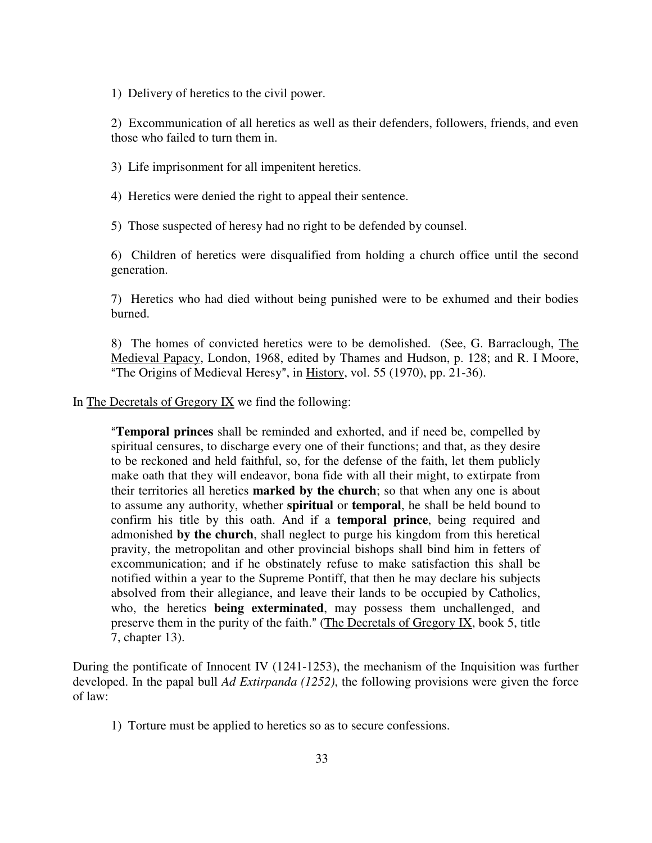1) Delivery of heretics to the civil power.

2) Excommunication of all heretics as well as their defenders, followers, friends, and even those who failed to turn them in.

3) Life imprisonment for all impenitent heretics.

4) Heretics were denied the right to appeal their sentence.

5) Those suspected of heresy had no right to be defended by counsel.

6) Children of heretics were disqualified from holding a church office until the second generation.

7) Heretics who had died without being punished were to be exhumed and their bodies burned.

8) The homes of convicted heretics were to be demolished. (See, G. Barraclough, The Medieval Papacy, London, 1968, edited by Thames and Hudson, p. 128; and R. I Moore, "The Origins of Medieval Heresy", in History, vol. 55 (1970), pp. 21-36).

In The Decretals of Gregory  $IX$  we find the following:

A**Temporal princes** shall be reminded and exhorted, and if need be, compelled by spiritual censures, to discharge every one of their functions; and that, as they desire to be reckoned and held faithful, so, for the defense of the faith, let them publicly make oath that they will endeavor, bona fide with all their might, to extirpate from their territories all heretics **marked by the church**; so that when any one is about to assume any authority, whether **spiritual** or **temporal**, he shall be held bound to confirm his title by this oath. And if a **temporal prince**, being required and admonished **by the church**, shall neglect to purge his kingdom from this heretical pravity, the metropolitan and other provincial bishops shall bind him in fetters of excommunication; and if he obstinately refuse to make satisfaction this shall be notified within a year to the Supreme Pontiff, that then he may declare his subjects absolved from their allegiance, and leave their lands to be occupied by Catholics, who, the heretics **being exterminated**, may possess them unchallenged, and preserve them in the purity of the faith." (The Decretals of Gregory IX, book 5, title 7, chapter 13).

During the pontificate of Innocent IV (1241-1253), the mechanism of the Inquisition was further developed. In the papal bull *Ad Extirpanda (1252)*, the following provisions were given the force of law:

1) Torture must be applied to heretics so as to secure confessions.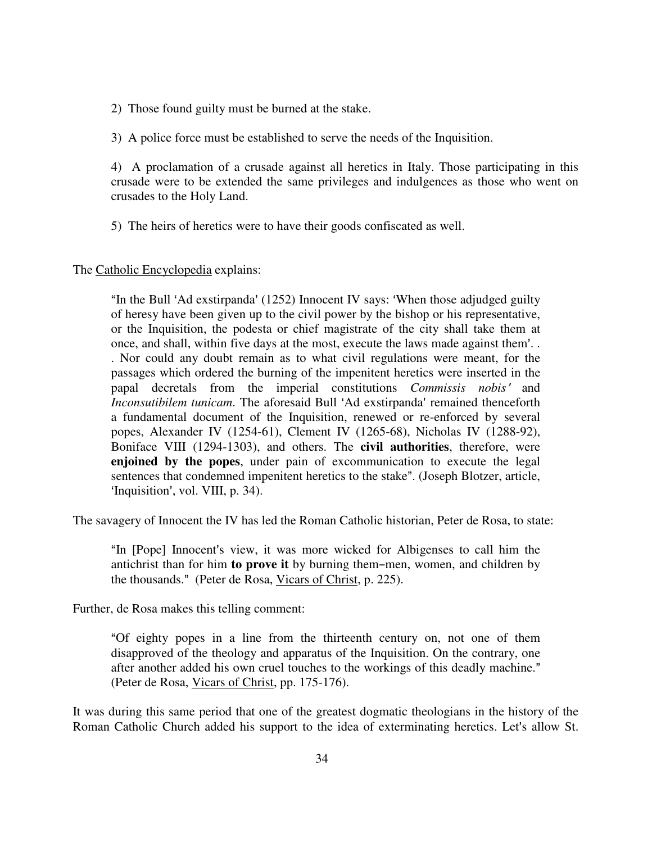2) Those found guilty must be burned at the stake.

3) A police force must be established to serve the needs of the Inquisition.

4) A proclamation of a crusade against all heretics in Italy. Those participating in this crusade were to be extended the same privileges and indulgences as those who went on crusades to the Holy Land.

5) The heirs of heretics were to have their goods confiscated as well.

The Catholic Encyclopedia explains:

"In the Bull 'Ad exstirpanda'  $(1252)$  Innocent IV says: 'When those adjudged guilty of heresy have been given up to the civil power by the bishop or his representative, or the Inquisition, the podesta or chief magistrate of the city shall take them at once, and shall, within five days at the most, execute the laws made against them'.. . Nor could any doubt remain as to what civil regulations were meant, for the passages which ordered the burning of the impenitent heretics were inserted in the papal decretals from the imperial constitutions *Commissis nobis'* and *Inconsutibilem tunicam*. The aforesaid Bull 'Ad exstirpanda' remained thenceforth a fundamental document of the Inquisition, renewed or re-enforced by several popes, Alexander IV (1254-61), Clement IV (1265-68), Nicholas IV (1288-92), Boniface VIII (1294-1303), and others. The **civil authorities**, therefore, were **enjoined by the popes**, under pain of excommunication to execute the legal sentences that condemned impenitent heretics to the stake". (Joseph Blotzer, article, 'Inquisition', vol. VIII, p. 34).

The savagery of Innocent the IV has led the Roman Catholic historian, Peter de Rosa, to state:

"In [Pope] Innocent's view, it was more wicked for Albigenses to call him the antichrist than for him **to prove it** by burning them-men, women, and children by the thousands." (Peter de Rosa, Vicars of Christ, p. 225).

Further, de Rosa makes this telling comment:

AOf eighty popes in a line from the thirteenth century on, not one of them disapproved of the theology and apparatus of the Inquisition. On the contrary, one after another added his own cruel touches to the workings of this deadly machine." (Peter de Rosa, Vicars of Christ, pp. 175-176).

It was during this same period that one of the greatest dogmatic theologians in the history of the Roman Catholic Church added his support to the idea of exterminating heretics. Let's allow St.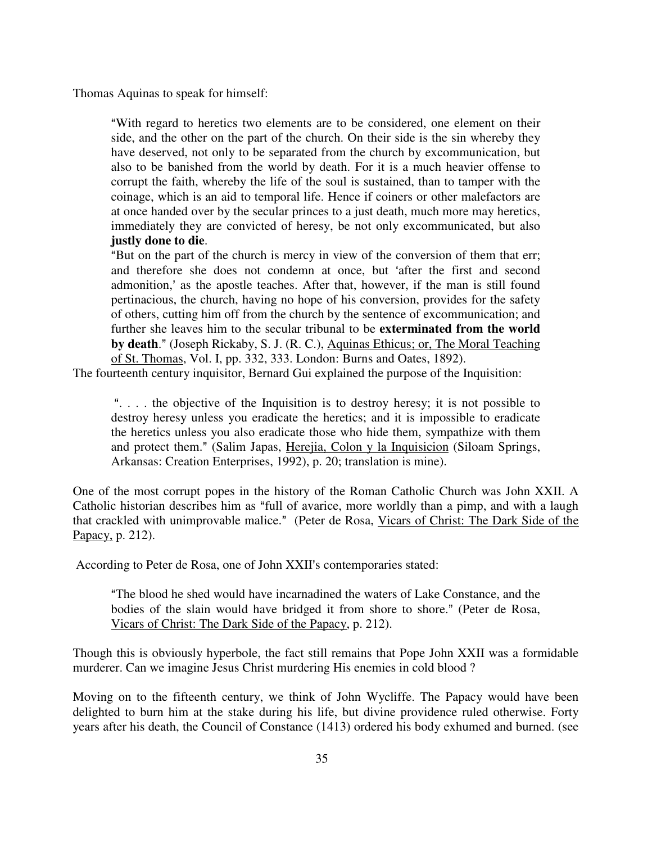Thomas Aquinas to speak for himself:

"With regard to heretics two elements are to be considered, one element on their side, and the other on the part of the church. On their side is the sin whereby they have deserved, not only to be separated from the church by excommunication, but also to be banished from the world by death. For it is a much heavier offense to corrupt the faith, whereby the life of the soul is sustained, than to tamper with the coinage, which is an aid to temporal life. Hence if coiners or other malefactors are at once handed over by the secular princes to a just death, much more may heretics, immediately they are convicted of heresy, be not only excommunicated, but also **justly done to die**.

"But on the part of the church is mercy in view of the conversion of them that err; and therefore she does not condemn at once, but 'after the first and second admonition,' as the apostle teaches. After that, however, if the man is still found pertinacious, the church, having no hope of his conversion, provides for the safety of others, cutting him off from the church by the sentence of excommunication; and further she leaves him to the secular tribunal to be **exterminated from the world by death.**" (Joseph Rickaby, S. J. (R. C.), Aquinas Ethicus; or, The Moral Teaching of St. Thomas, Vol. I, pp. 332, 333. London: Burns and Oates, 1892).

The fourteenth century inquisitor, Bernard Gui explained the purpose of the Inquisition:

" $\dots$  the objective of the Inquisition is to destroy heresy; it is not possible to destroy heresy unless you eradicate the heretics; and it is impossible to eradicate the heretics unless you also eradicate those who hide them, sympathize with them and protect them." (Salim Japas, Herejia, Colon y la Inquisicion (Siloam Springs, Arkansas: Creation Enterprises, 1992), p. 20; translation is mine).

One of the most corrupt popes in the history of the Roman Catholic Church was John XXII. A Catholic historian describes him as "full of avarice, more worldly than a pimp, and with a laugh that crackled with unimprovable malice." (Peter de Rosa, Vicars of Christ: The Dark Side of the Papacy, p. 212).

According to Peter de Rosa, one of John XXII's contemporaries stated:

 AThe blood he shed would have incarnadined the waters of Lake Constance, and the bodies of the slain would have bridged it from shore to shore." (Peter de Rosa, Vicars of Christ: The Dark Side of the Papacy, p. 212).

Though this is obviously hyperbole, the fact still remains that Pope John XXII was a formidable murderer. Can we imagine Jesus Christ murdering His enemies in cold blood ?

Moving on to the fifteenth century, we think of John Wycliffe. The Papacy would have been delighted to burn him at the stake during his life, but divine providence ruled otherwise. Forty years after his death, the Council of Constance (1413) ordered his body exhumed and burned. (see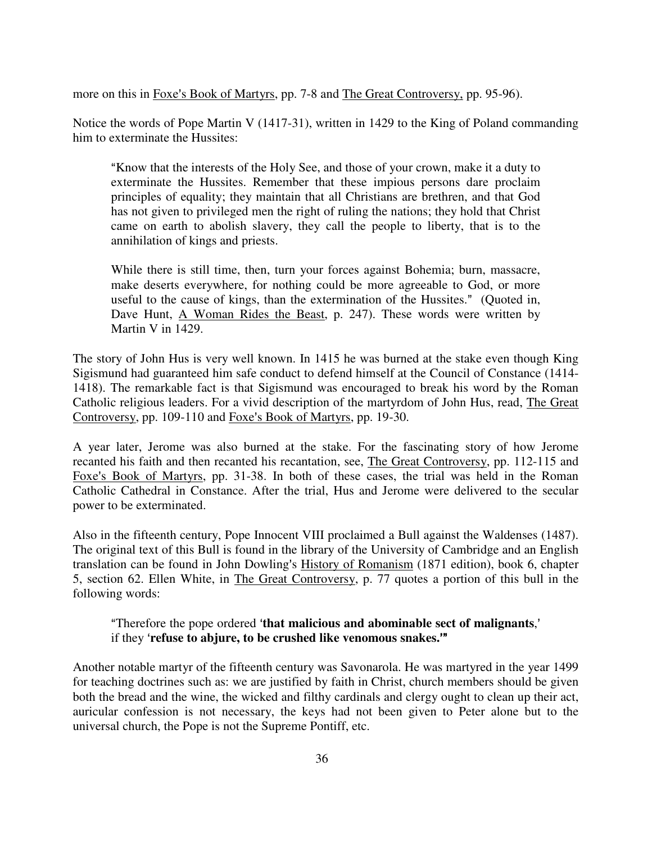more on this in Foxe's Book of Martyrs, pp. 7-8 and The Great Controversy, pp. 95-96).

Notice the words of Pope Martin V (1417-31), written in 1429 to the King of Poland commanding him to exterminate the Hussites:

"Know that the interests of the Holy See, and those of your crown, make it a duty to exterminate the Hussites. Remember that these impious persons dare proclaim principles of equality; they maintain that all Christians are brethren, and that God has not given to privileged men the right of ruling the nations; they hold that Christ came on earth to abolish slavery, they call the people to liberty, that is to the annihilation of kings and priests.

While there is still time, then, turn your forces against Bohemia; burn, massacre, make deserts everywhere, for nothing could be more agreeable to God, or more useful to the cause of kings, than the extermination of the Hussites." (Ouoted in, Dave Hunt, A Woman Rides the Beast, p. 247). These words were written by Martin V in 1429.

The story of John Hus is very well known. In 1415 he was burned at the stake even though King Sigismund had guaranteed him safe conduct to defend himself at the Council of Constance (1414- 1418). The remarkable fact is that Sigismund was encouraged to break his word by the Roman Catholic religious leaders. For a vivid description of the martyrdom of John Hus, read, The Great Controversy, pp. 109-110 and Foxe's Book of Martyrs, pp. 19-30.

A year later, Jerome was also burned at the stake. For the fascinating story of how Jerome recanted his faith and then recanted his recantation, see, The Great Controversy, pp. 112-115 and Foxe's Book of Martyrs, pp. 31-38. In both of these cases, the trial was held in the Roman Catholic Cathedral in Constance. After the trial, Hus and Jerome were delivered to the secular power to be exterminated.

Also in the fifteenth century, Pope Innocent VIII proclaimed a Bull against the Waldenses (1487). The original text of this Bull is found in the library of the University of Cambridge and an English translation can be found in John Dowling's History of Romanism (1871 edition), book 6, chapter 5, section 62. Ellen White, in The Great Controversy, p. 77 quotes a portion of this bull in the following words:

## **Therefore the pope ordered 'that malicious and abominable sect of malignants,'** if they 'refuse to abjure, to be crushed like venomous snakes.'"

Another notable martyr of the fifteenth century was Savonarola. He was martyred in the year 1499 for teaching doctrines such as: we are justified by faith in Christ, church members should be given both the bread and the wine, the wicked and filthy cardinals and clergy ought to clean up their act, auricular confession is not necessary, the keys had not been given to Peter alone but to the universal church, the Pope is not the Supreme Pontiff, etc.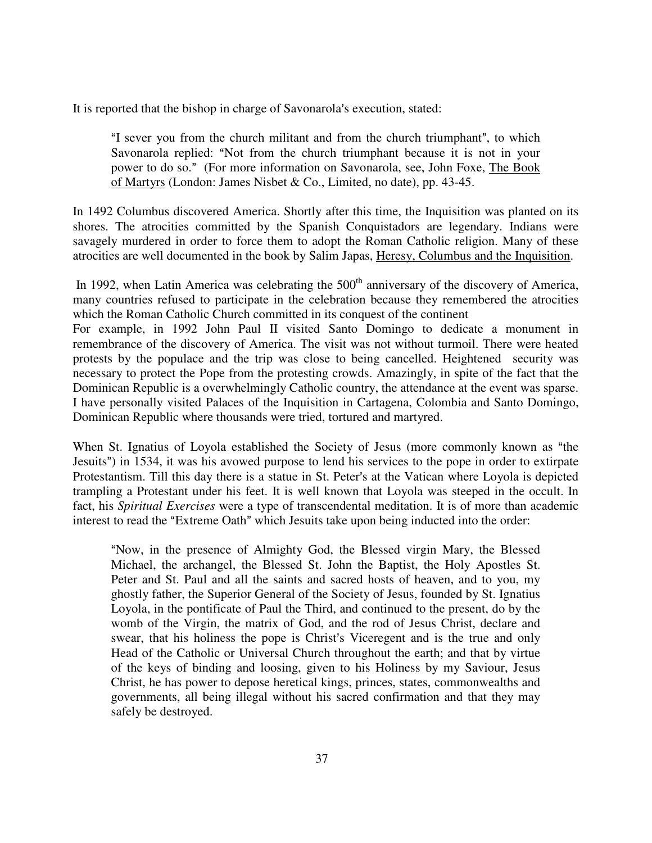It is reported that the bishop in charge of Savonarola's execution, stated:

"I sever you from the church militant and from the church triumphant", to which Savonarola replied: "Not from the church triumphant because it is not in your power to do so." (For more information on Savonarola, see, John Foxe, The Book of Martyrs (London: James Nisbet & Co., Limited, no date), pp. 43-45.

In 1492 Columbus discovered America. Shortly after this time, the Inquisition was planted on its shores. The atrocities committed by the Spanish Conquistadors are legendary. Indians were savagely murdered in order to force them to adopt the Roman Catholic religion. Many of these atrocities are well documented in the book by Salim Japas, Heresy, Columbus and the Inquisition.

In 1992, when Latin America was celebrating the 500<sup>th</sup> anniversary of the discovery of America, many countries refused to participate in the celebration because they remembered the atrocities which the Roman Catholic Church committed in its conquest of the continent For example, in 1992 John Paul II visited Santo Domingo to dedicate a monument in remembrance of the discovery of America. The visit was not without turmoil. There were heated protests by the populace and the trip was close to being cancelled. Heightened security was necessary to protect the Pope from the protesting crowds. Amazingly, in spite of the fact that the Dominican Republic is a overwhelmingly Catholic country, the attendance at the event was sparse. I have personally visited Palaces of the Inquisition in Cartagena, Colombia and Santo Domingo, Dominican Republic where thousands were tried, tortured and martyred.

When St. Ignatius of Loyola established the Society of Jesus (more commonly known as "the Jesuits") in 1534, it was his avowed purpose to lend his services to the pope in order to extirpate Protestantism. Till this day there is a statue in St. Peter's at the Vatican where Loyola is depicted trampling a Protestant under his feet. It is well known that Loyola was steeped in the occult. In fact, his *Spiritual Exercises* were a type of transcendental meditation. It is of more than academic interest to read the "Extreme Oath" which Jesuits take upon being inducted into the order:

"Now, in the presence of Almighty God, the Blessed virgin Mary, the Blessed Michael, the archangel, the Blessed St. John the Baptist, the Holy Apostles St. Peter and St. Paul and all the saints and sacred hosts of heaven, and to you, my ghostly father, the Superior General of the Society of Jesus, founded by St. Ignatius Loyola, in the pontificate of Paul the Third, and continued to the present, do by the womb of the Virgin, the matrix of God, and the rod of Jesus Christ, declare and swear, that his holiness the pope is Christ's Viceregent and is the true and only Head of the Catholic or Universal Church throughout the earth; and that by virtue of the keys of binding and loosing, given to his Holiness by my Saviour, Jesus Christ, he has power to depose heretical kings, princes, states, commonwealths and governments, all being illegal without his sacred confirmation and that they may safely be destroyed.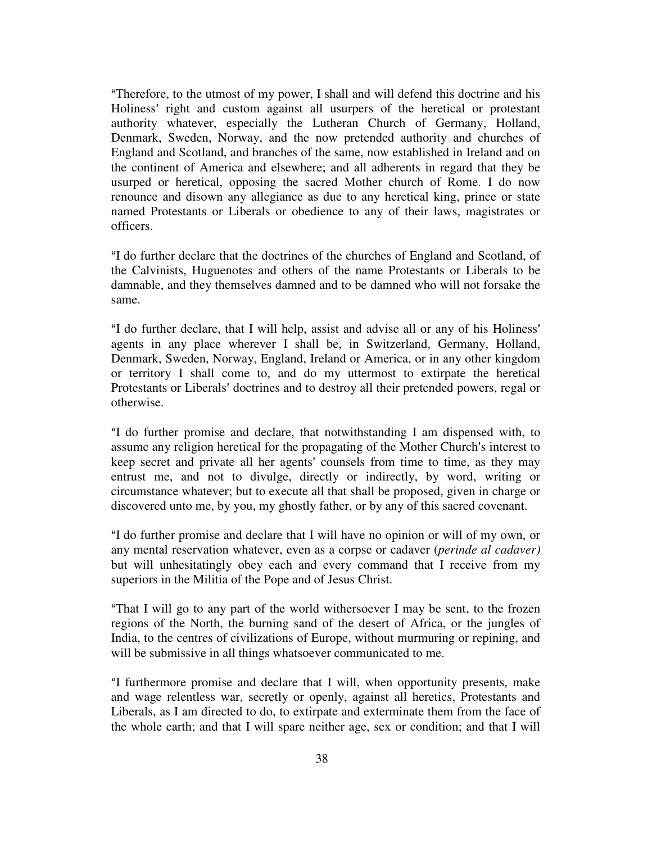"Therefore, to the utmost of my power, I shall and will defend this doctrine and his Holiness' right and custom against all usurpers of the heretical or protestant authority whatever, especially the Lutheran Church of Germany, Holland, Denmark, Sweden, Norway, and the now pretended authority and churches of England and Scotland, and branches of the same, now established in Ireland and on the continent of America and elsewhere; and all adherents in regard that they be usurped or heretical, opposing the sacred Mother church of Rome. I do now renounce and disown any allegiance as due to any heretical king, prince or state named Protestants or Liberals or obedience to any of their laws, magistrates or officers.

AI do further declare that the doctrines of the churches of England and Scotland, of the Calvinists, Huguenotes and others of the name Protestants or Liberals to be damnable, and they themselves damned and to be damned who will not forsake the same.

"I do further declare, that I will help, assist and advise all or any of his Holiness' agents in any place wherever I shall be, in Switzerland, Germany, Holland, Denmark, Sweden, Norway, England, Ireland or America, or in any other kingdom or territory I shall come to, and do my uttermost to extirpate the heretical Protestants or Liberals' doctrines and to destroy all their pretended powers, regal or otherwise.

AI do further promise and declare, that notwithstanding I am dispensed with, to assume any religion heretical for the propagating of the Mother Church's interest to keep secret and private all her agents' counsels from time to time, as they may entrust me, and not to divulge, directly or indirectly, by word, writing or circumstance whatever; but to execute all that shall be proposed, given in charge or discovered unto me, by you, my ghostly father, or by any of this sacred covenant.

AI do further promise and declare that I will have no opinion or will of my own, or any mental reservation whatever, even as a corpse or cadaver (*perinde al cadaver)*  but will unhesitatingly obey each and every command that I receive from my superiors in the Militia of the Pope and of Jesus Christ.

"That I will go to any part of the world withersoever I may be sent, to the frozen regions of the North, the burning sand of the desert of Africa, or the jungles of India, to the centres of civilizations of Europe, without murmuring or repining, and will be submissive in all things whatsoever communicated to me.

AI furthermore promise and declare that I will, when opportunity presents, make and wage relentless war, secretly or openly, against all heretics, Protestants and Liberals, as I am directed to do, to extirpate and exterminate them from the face of the whole earth; and that I will spare neither age, sex or condition; and that I will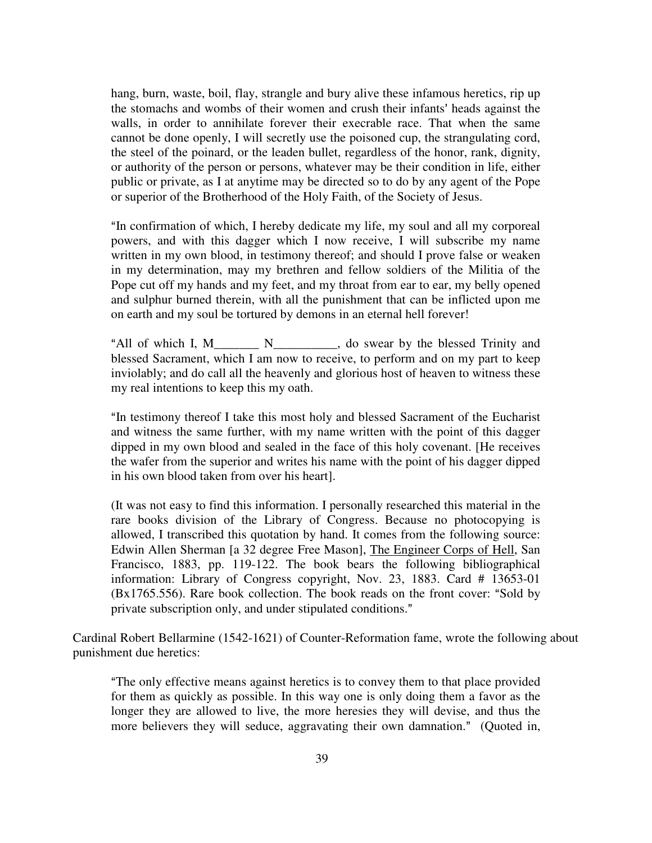hang, burn, waste, boil, flay, strangle and bury alive these infamous heretics, rip up the stomachs and wombs of their women and crush their infants' heads against the walls, in order to annihilate forever their execrable race. That when the same cannot be done openly, I will secretly use the poisoned cup, the strangulating cord, the steel of the poinard, or the leaden bullet, regardless of the honor, rank, dignity, or authority of the person or persons, whatever may be their condition in life, either public or private, as I at anytime may be directed so to do by any agent of the Pope or superior of the Brotherhood of the Holy Faith, of the Society of Jesus.

AIn confirmation of which, I hereby dedicate my life, my soul and all my corporeal powers, and with this dagger which I now receive, I will subscribe my name written in my own blood, in testimony thereof; and should I prove false or weaken in my determination, may my brethren and fellow soldiers of the Militia of the Pope cut off my hands and my feet, and my throat from ear to ear, my belly opened and sulphur burned therein, with all the punishment that can be inflicted upon me on earth and my soul be tortured by demons in an eternal hell forever!

"All of which I, M\_\_\_\_\_\_\_\_\_\_\_\_\_\_\_\_\_\_\_\_\_, do swear by the blessed Trinity and blessed Sacrament, which I am now to receive, to perform and on my part to keep inviolably; and do call all the heavenly and glorious host of heaven to witness these my real intentions to keep this my oath.

AIn testimony thereof I take this most holy and blessed Sacrament of the Eucharist and witness the same further, with my name written with the point of this dagger dipped in my own blood and sealed in the face of this holy covenant. [He receives the wafer from the superior and writes his name with the point of his dagger dipped in his own blood taken from over his heart].

(It was not easy to find this information. I personally researched this material in the rare books division of the Library of Congress. Because no photocopying is allowed, I transcribed this quotation by hand. It comes from the following source: Edwin Allen Sherman [a 32 degree Free Mason], The Engineer Corps of Hell, San Francisco, 1883, pp. 119-122. The book bears the following bibliographical information: Library of Congress copyright, Nov. 23, 1883. Card # 13653-01  $(Bx1765.556)$ . Rare book collection. The book reads on the front cover: "Sold by private subscription only, and under stipulated conditions."

Cardinal Robert Bellarmine (1542-1621) of Counter-Reformation fame, wrote the following about punishment due heretics:

"The only effective means against heretics is to convey them to that place provided for them as quickly as possible. In this way one is only doing them a favor as the longer they are allowed to live, the more heresies they will devise, and thus the more believers they will seduce, aggravating their own damnation." (Quoted in,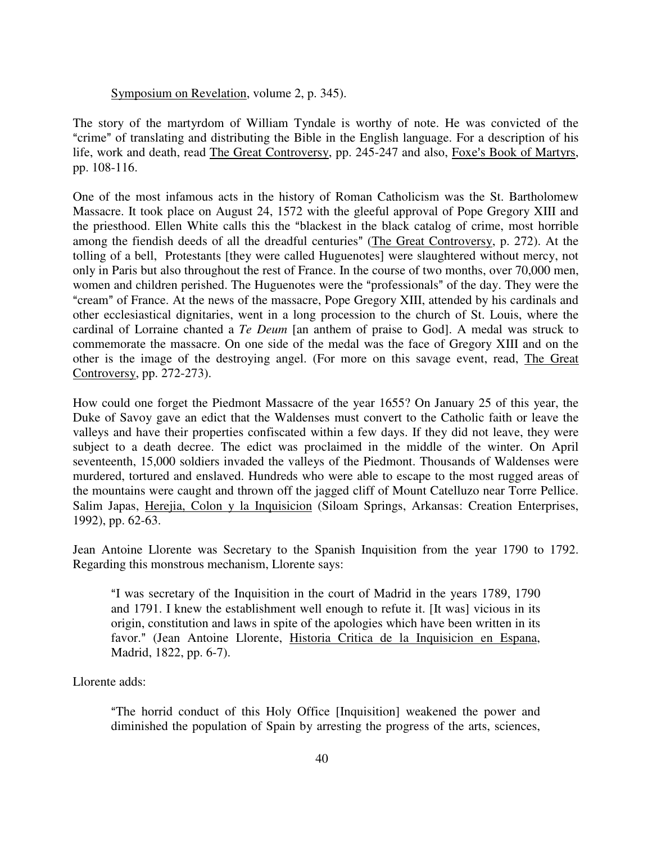## Symposium on Revelation, volume 2, p. 345).

The story of the martyrdom of William Tyndale is worthy of note. He was convicted of the "crime" of translating and distributing the Bible in the English language. For a description of his life, work and death, read The Great Controversy, pp. 245-247 and also, Foxe's Book of Martyrs, pp. 108-116.

One of the most infamous acts in the history of Roman Catholicism was the St. Bartholomew Massacre. It took place on August 24, 1572 with the gleeful approval of Pope Gregory XIII and the priesthood. Ellen White calls this the "blackest in the black catalog of crime, most horrible among the fiendish deeds of all the dreadful centuries" (The Great Controversy, p. 272). At the tolling of a bell, Protestants [they were called Huguenotes] were slaughtered without mercy, not only in Paris but also throughout the rest of France. In the course of two months, over 70,000 men, women and children perished. The Huguenotes were the "professionals" of the day. They were the "cream" of France. At the news of the massacre, Pope Gregory XIII, attended by his cardinals and other ecclesiastical dignitaries, went in a long procession to the church of St. Louis, where the cardinal of Lorraine chanted a *Te Deum* [an anthem of praise to God]. A medal was struck to commemorate the massacre. On one side of the medal was the face of Gregory XIII and on the other is the image of the destroying angel. (For more on this savage event, read, The Great Controversy, pp. 272-273).

How could one forget the Piedmont Massacre of the year 1655? On January 25 of this year, the Duke of Savoy gave an edict that the Waldenses must convert to the Catholic faith or leave the valleys and have their properties confiscated within a few days. If they did not leave, they were subject to a death decree. The edict was proclaimed in the middle of the winter. On April seventeenth, 15,000 soldiers invaded the valleys of the Piedmont. Thousands of Waldenses were murdered, tortured and enslaved. Hundreds who were able to escape to the most rugged areas of the mountains were caught and thrown off the jagged cliff of Mount Catelluzo near Torre Pellice. Salim Japas, Herejia, Colon y la Inquisicion (Siloam Springs, Arkansas: Creation Enterprises, 1992), pp. 62-63.

Jean Antoine Llorente was Secretary to the Spanish Inquisition from the year 1790 to 1792. Regarding this monstrous mechanism, Llorente says:

AI was secretary of the Inquisition in the court of Madrid in the years 1789, 1790 and 1791. I knew the establishment well enough to refute it. [It was] vicious in its origin, constitution and laws in spite of the apologies which have been written in its favor." (Jean Antoine Llorente, Historia Critica de la Inquisicion en Espana, Madrid, 1822, pp. 6-7).

Llorente adds:

"The horrid conduct of this Holy Office [Inquisition] weakened the power and diminished the population of Spain by arresting the progress of the arts, sciences,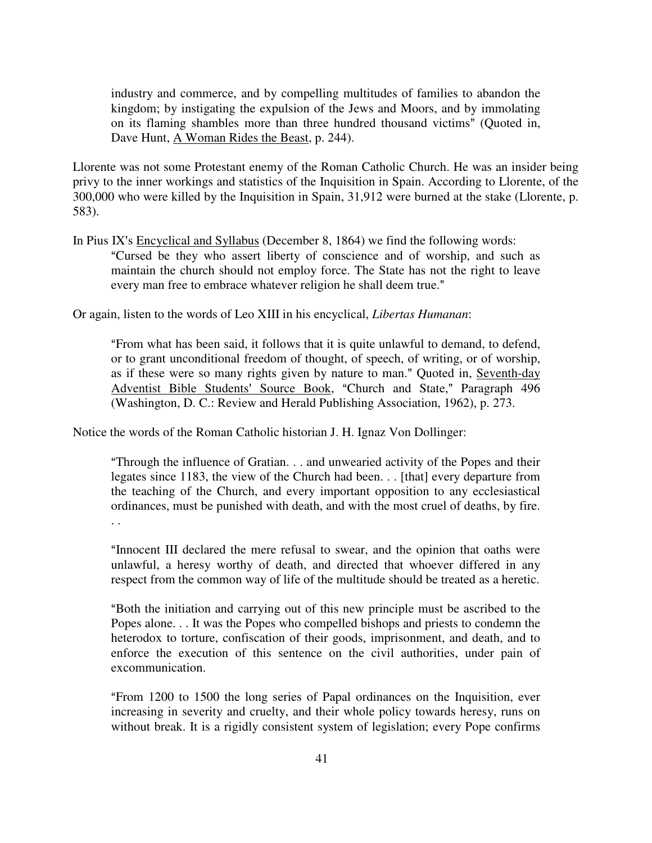industry and commerce, and by compelling multitudes of families to abandon the kingdom; by instigating the expulsion of the Jews and Moors, and by immolating on its flaming shambles more than three hundred thousand victims" (Quoted in, Dave Hunt, A Woman Rides the Beast, p. 244).

Llorente was not some Protestant enemy of the Roman Catholic Church. He was an insider being privy to the inner workings and statistics of the Inquisition in Spain. According to Llorente, of the 300,000 who were killed by the Inquisition in Spain, 31,912 were burned at the stake (Llorente, p. 583).

In Pius IX's Encyclical and Syllabus (December 8, 1864) we find the following words: "Cursed be they who assert liberty of conscience and of worship, and such as maintain the church should not employ force. The State has not the right to leave every man free to embrace whatever religion he shall deem true."

Or again, listen to the words of Leo XIII in his encyclical, *Libertas Humanan*:

AFrom what has been said, it follows that it is quite unlawful to demand, to defend, or to grant unconditional freedom of thought, of speech, of writing, or of worship, as if these were so many rights given by nature to man." Quoted in, Seventh-day Adventist Bible Students' Source Book, "Church and State," Paragraph 496 (Washington, D. C.: Review and Herald Publishing Association, 1962), p. 273.

Notice the words of the Roman Catholic historian J. H. Ignaz Von Dollinger:

"Through the influence of Gratian. . . and unwearied activity of the Popes and their legates since 1183, the view of the Church had been. . . [that] every departure from the teaching of the Church, and every important opposition to any ecclesiastical ordinances, must be punished with death, and with the most cruel of deaths, by fire. . .

AInnocent III declared the mere refusal to swear, and the opinion that oaths were unlawful, a heresy worthy of death, and directed that whoever differed in any respect from the common way of life of the multitude should be treated as a heretic.

"Both the initiation and carrying out of this new principle must be ascribed to the Popes alone. . . It was the Popes who compelled bishops and priests to condemn the heterodox to torture, confiscation of their goods, imprisonment, and death, and to enforce the execution of this sentence on the civil authorities, under pain of excommunication.

AFrom 1200 to 1500 the long series of Papal ordinances on the Inquisition, ever increasing in severity and cruelty, and their whole policy towards heresy, runs on without break. It is a rigidly consistent system of legislation; every Pope confirms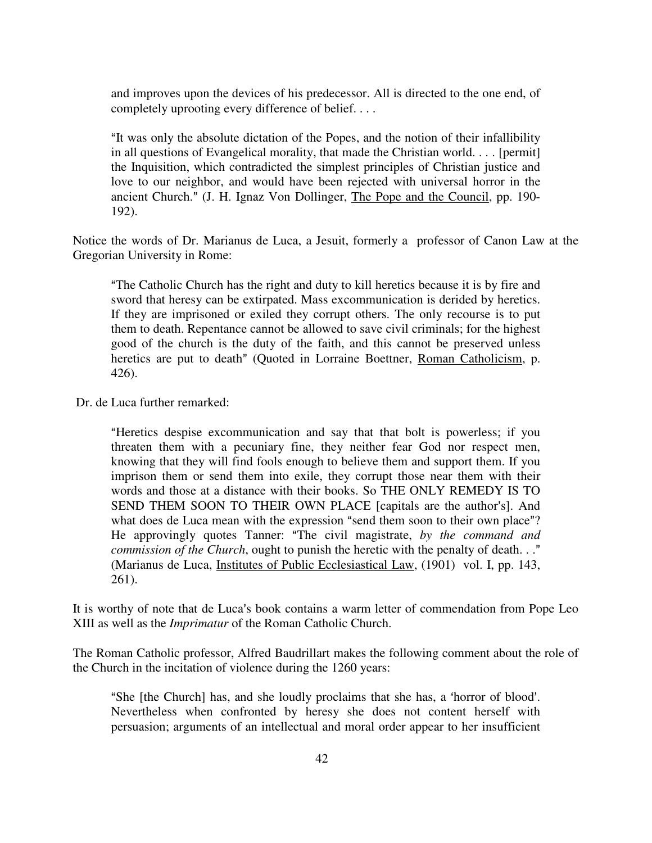and improves upon the devices of his predecessor. All is directed to the one end, of completely uprooting every difference of belief. . . .

AIt was only the absolute dictation of the Popes, and the notion of their infallibility in all questions of Evangelical morality, that made the Christian world. . . . [permit] the Inquisition, which contradicted the simplest principles of Christian justice and love to our neighbor, and would have been rejected with universal horror in the ancient Church." (J. H. Ignaz Von Dollinger, The Pope and the Council, pp. 190-192).

Notice the words of Dr. Marianus de Luca, a Jesuit, formerly a professor of Canon Law at the Gregorian University in Rome:

"The Catholic Church has the right and duty to kill heretics because it is by fire and sword that heresy can be extirpated. Mass excommunication is derided by heretics. If they are imprisoned or exiled they corrupt others. The only recourse is to put them to death. Repentance cannot be allowed to save civil criminals; for the highest good of the church is the duty of the faith, and this cannot be preserved unless heretics are put to death" (Quoted in Lorraine Boettner, Roman Catholicism, p. 426).

Dr. de Luca further remarked:

AHeretics despise excommunication and say that that bolt is powerless; if you threaten them with a pecuniary fine, they neither fear God nor respect men, knowing that they will find fools enough to believe them and support them. If you imprison them or send them into exile, they corrupt those near them with their words and those at a distance with their books. So THE ONLY REMEDY IS TO SEND THEM SOON TO THEIR OWN PLACE [capitals are the author's]. And what does de Luca mean with the expression "send them soon to their own place"? He approvingly quotes Tanner: "The civil magistrate, *by the command and commission of the Church*, ought to punish the heretic with the penalty of death. . ." (Marianus de Luca, Institutes of Public Ecclesiastical Law, (1901) vol. I, pp. 143, 261).

It is worthy of note that de Luca's book contains a warm letter of commendation from Pope Leo XIII as well as the *Imprimatur* of the Roman Catholic Church.

The Roman Catholic professor, Alfred Baudrillart makes the following comment about the role of the Church in the incitation of violence during the 1260 years:

"She [the Church] has, and she loudly proclaims that she has, a 'horror of blood'. Nevertheless when confronted by heresy she does not content herself with persuasion; arguments of an intellectual and moral order appear to her insufficient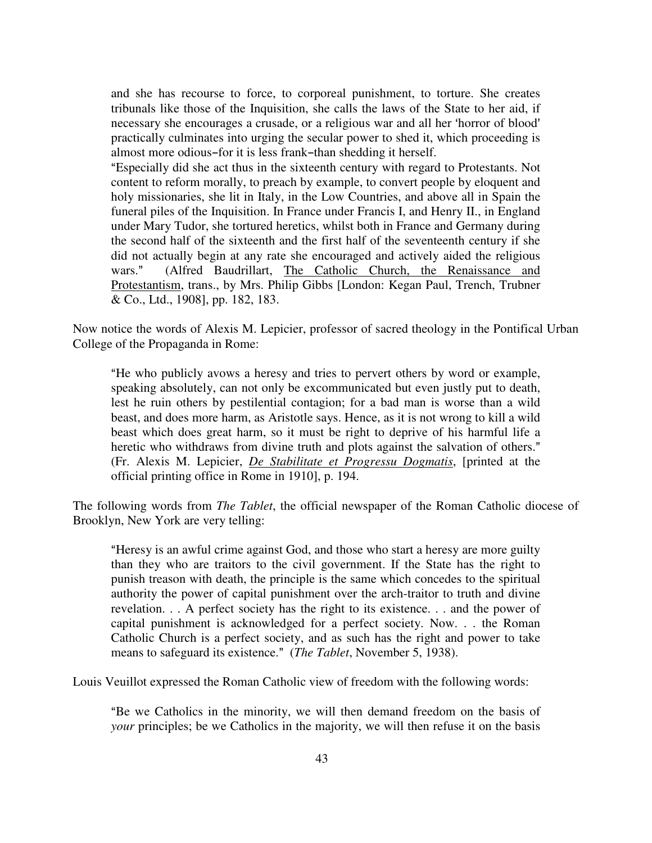and she has recourse to force, to corporeal punishment, to torture. She creates tribunals like those of the Inquisition, she calls the laws of the State to her aid, if necessary she encourages a crusade, or a religious war and all her 'horror of blood' practically culminates into urging the secular power to shed it, which proceeding is almost more odious-for it is less frank-than shedding it herself.

AEspecially did she act thus in the sixteenth century with regard to Protestants. Not content to reform morally, to preach by example, to convert people by eloquent and holy missionaries, she lit in Italy, in the Low Countries, and above all in Spain the funeral piles of the Inquisition. In France under Francis I, and Henry II., in England under Mary Tudor, she tortured heretics, whilst both in France and Germany during the second half of the sixteenth and the first half of the seventeenth century if she did not actually begin at any rate she encouraged and actively aided the religious wars." (Alfred Baudrillart, The Catholic Church, the Renaissance and Protestantism, trans., by Mrs. Philip Gibbs [London: Kegan Paul, Trench, Trubner & Co., Ltd., 1908], pp. 182, 183.

Now notice the words of Alexis M. Lepicier, professor of sacred theology in the Pontifical Urban College of the Propaganda in Rome:

"He who publicly avows a heresy and tries to pervert others by word or example, speaking absolutely, can not only be excommunicated but even justly put to death, lest he ruin others by pestilential contagion; for a bad man is worse than a wild beast, and does more harm, as Aristotle says. Hence, as it is not wrong to kill a wild beast which does great harm, so it must be right to deprive of his harmful life a heretic who withdraws from divine truth and plots against the salvation of others." (Fr. Alexis M. Lepicier, *De Stabilitate et Progressu Dogmatis*, [printed at the official printing office in Rome in 1910], p. 194.

The following words from *The Tablet*, the official newspaper of the Roman Catholic diocese of Brooklyn, New York are very telling:

"Heresy is an awful crime against God, and those who start a heresy are more guilty than they who are traitors to the civil government. If the State has the right to punish treason with death, the principle is the same which concedes to the spiritual authority the power of capital punishment over the arch-traitor to truth and divine revelation. . . A perfect society has the right to its existence. . . and the power of capital punishment is acknowledged for a perfect society. Now. . . the Roman Catholic Church is a perfect society, and as such has the right and power to take means to safeguard its existence." (*The Tablet*, November 5, 1938).

Louis Veuillot expressed the Roman Catholic view of freedom with the following words:

"Be we Catholics in the minority, we will then demand freedom on the basis of *your* principles; be we Catholics in the majority, we will then refuse it on the basis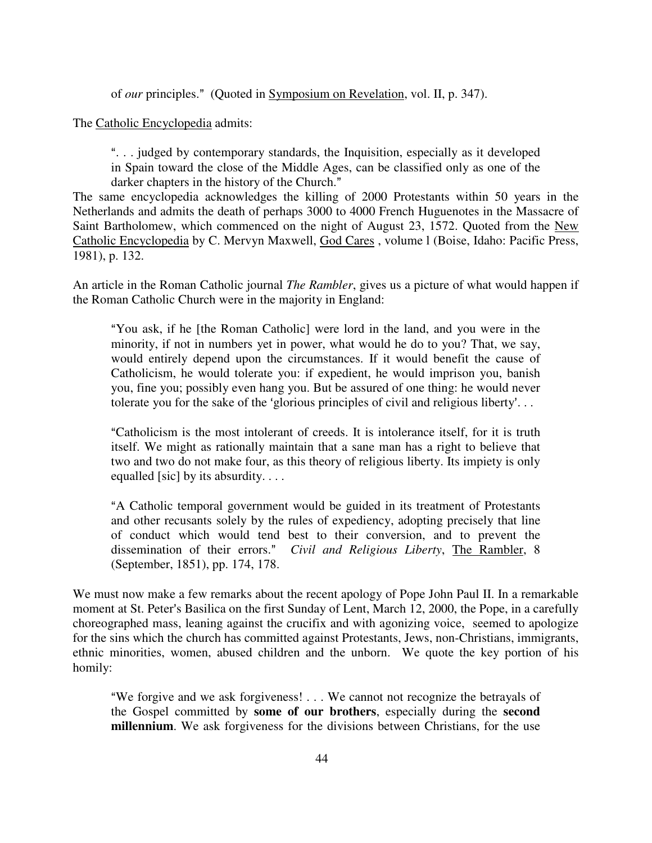of *our* principles." (Quoted in Symposium on Revelation, vol. II, p. 347).

The Catholic Encyclopedia admits:

A. . . judged by contemporary standards, the Inquisition, especially as it developed in Spain toward the close of the Middle Ages, can be classified only as one of the darker chapters in the history of the Church."

The same encyclopedia acknowledges the killing of 2000 Protestants within 50 years in the Netherlands and admits the death of perhaps 3000 to 4000 French Huguenotes in the Massacre of Saint Bartholomew, which commenced on the night of August 23, 1572. Quoted from the New Catholic Encyclopedia by C. Mervyn Maxwell, God Cares , volume l (Boise, Idaho: Pacific Press, 1981), p. 132.

An article in the Roman Catholic journal *The Rambler*, gives us a picture of what would happen if the Roman Catholic Church were in the majority in England:

"You ask, if he [the Roman Catholic] were lord in the land, and you were in the minority, if not in numbers yet in power, what would he do to you? That, we say, would entirely depend upon the circumstances. If it would benefit the cause of Catholicism, he would tolerate you: if expedient, he would imprison you, banish you, fine you; possibly even hang you. But be assured of one thing: he would never tolerate you for the sake of the 'glorious principles of civil and religious liberty'...

"Catholicism is the most intolerant of creeds. It is intolerance itself, for it is truth itself. We might as rationally maintain that a sane man has a right to believe that two and two do not make four, as this theory of religious liberty. Its impiety is only equalled [sic] by its absurdity. . . .

AA Catholic temporal government would be guided in its treatment of Protestants and other recusants solely by the rules of expediency, adopting precisely that line of conduct which would tend best to their conversion, and to prevent the dissemination of their errors." *Civil and Religious Liberty*, The Rambler, 8 (September, 1851), pp. 174, 178.

We must now make a few remarks about the recent apology of Pope John Paul II. In a remarkable moment at St. Peter's Basilica on the first Sunday of Lent, March 12, 2000, the Pope, in a carefully choreographed mass, leaning against the crucifix and with agonizing voice, seemed to apologize for the sins which the church has committed against Protestants, Jews, non-Christians, immigrants, ethnic minorities, women, abused children and the unborn. We quote the key portion of his homily:

"We forgive and we ask forgiveness! . . . We cannot not recognize the betrayals of the Gospel committed by **some of our brothers**, especially during the **second millennium**. We ask forgiveness for the divisions between Christians, for the use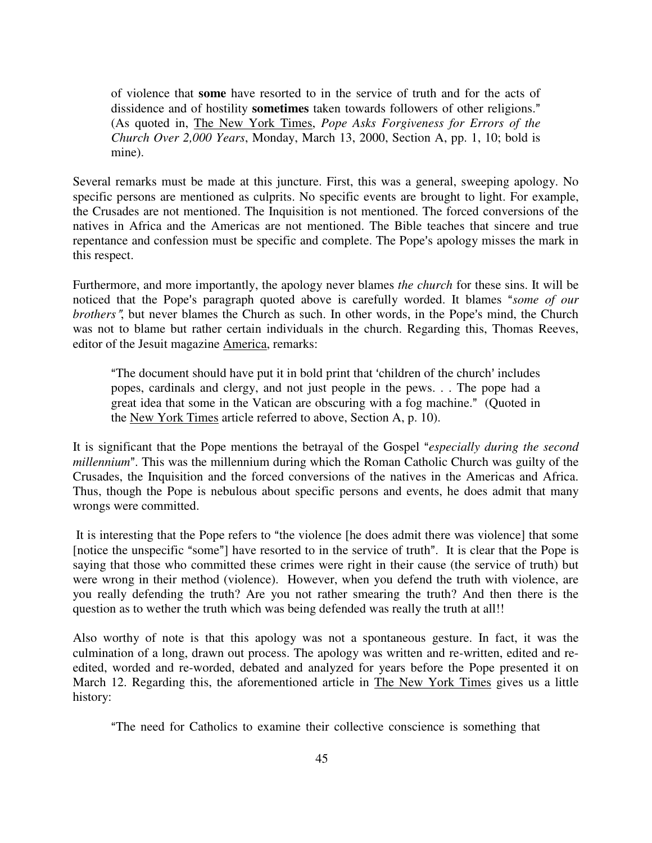of violence that **some** have resorted to in the service of truth and for the acts of dissidence and of hostility **sometimes** taken towards followers of other religions." (As quoted in, The New York Times, *Pope Asks Forgiveness for Errors of the Church Over 2,000 Years*, Monday, March 13, 2000, Section A, pp. 1, 10; bold is mine).

Several remarks must be made at this juncture. First, this was a general, sweeping apology. No specific persons are mentioned as culprits. No specific events are brought to light. For example, the Crusades are not mentioned. The Inquisition is not mentioned. The forced conversions of the natives in Africa and the Americas are not mentioned. The Bible teaches that sincere and true repentance and confession must be specific and complete. The Pope's apology misses the mark in this respect.

Furthermore, and more importantly, the apology never blames *the church* for these sins. It will be noticed that the Pope's paragraph quoted above is carefully worded. It blames "*some of our brothers*", but never blames the Church as such. In other words, in the Pope's mind, the Church was not to blame but rather certain individuals in the church. Regarding this, Thomas Reeves, editor of the Jesuit magazine America, remarks:

"The document should have put it in bold print that 'children of the church' includes popes, cardinals and clergy, and not just people in the pews. . . The pope had a great idea that some in the Vatican are obscuring with a fog machine." (Quoted in the New York Times article referred to above, Section A, p. 10).

It is significant that the Pope mentions the betrayal of the Gospel "*especially during the second millennium*". This was the millennium during which the Roman Catholic Church was guilty of the Crusades, the Inquisition and the forced conversions of the natives in the Americas and Africa. Thus, though the Pope is nebulous about specific persons and events, he does admit that many wrongs were committed.

It is interesting that the Pope refers to "the violence [he does admit there was violence] that some [notice the unspecific "some"] have resorted to in the service of truth". It is clear that the Pope is saying that those who committed these crimes were right in their cause (the service of truth) but were wrong in their method (violence). However, when you defend the truth with violence, are you really defending the truth? Are you not rather smearing the truth? And then there is the question as to wether the truth which was being defended was really the truth at all!!

Also worthy of note is that this apology was not a spontaneous gesture. In fact, it was the culmination of a long, drawn out process. The apology was written and re-written, edited and reedited, worded and re-worded, debated and analyzed for years before the Pope presented it on March 12. Regarding this, the aforementioned article in The New York Times gives us a little history:

AThe need for Catholics to examine their collective conscience is something that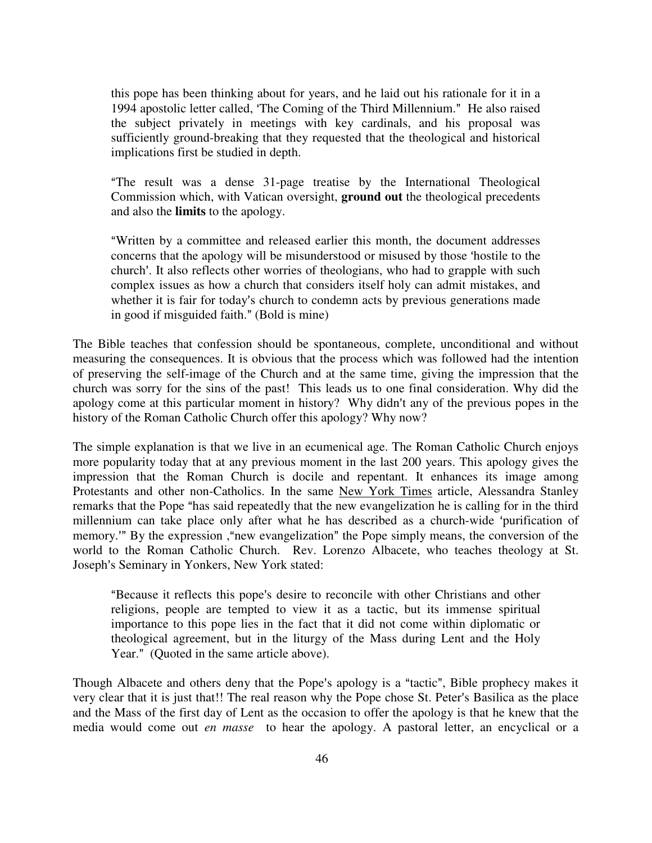this pope has been thinking about for years, and he laid out his rationale for it in a 1994 apostolic letter called, 'The Coming of the Third Millennium." He also raised the subject privately in meetings with key cardinals, and his proposal was sufficiently ground-breaking that they requested that the theological and historical implications first be studied in depth.

AThe result was a dense 31-page treatise by the International Theological Commission which, with Vatican oversight, **ground out** the theological precedents and also the **limits** to the apology.

"Written by a committee and released earlier this month, the document addresses concerns that the apology will be misunderstood or misused by those 'hostile to the church'. It also reflects other worries of theologians, who had to grapple with such complex issues as how a church that considers itself holy can admit mistakes, and whether it is fair for today's church to condemn acts by previous generations made in good if misguided faith." (Bold is mine)

The Bible teaches that confession should be spontaneous, complete, unconditional and without measuring the consequences. It is obvious that the process which was followed had the intention of preserving the self-image of the Church and at the same time, giving the impression that the church was sorry for the sins of the past! This leads us to one final consideration. Why did the apology come at this particular moment in history? Why didn't any of the previous popes in the history of the Roman Catholic Church offer this apology? Why now?

The simple explanation is that we live in an ecumenical age. The Roman Catholic Church enjoys more popularity today that at any previous moment in the last 200 years. This apology gives the impression that the Roman Church is docile and repentant. It enhances its image among Protestants and other non-Catholics. In the same New York Times article, Alessandra Stanley remarks that the Pope "has said repeatedly that the new evangelization he is calling for in the third millennium can take place only after what he has described as a church-wide 'purification of memory." By the expression ,"new evangelization" the Pope simply means, the conversion of the world to the Roman Catholic Church. Rev. Lorenzo Albacete, who teaches theology at St. Joseph's Seminary in Yonkers, New York stated:

"Because it reflects this pope's desire to reconcile with other Christians and other religions, people are tempted to view it as a tactic, but its immense spiritual importance to this pope lies in the fact that it did not come within diplomatic or theological agreement, but in the liturgy of the Mass during Lent and the Holy Year." (Quoted in the same article above).

Though Albacete and others deny that the Pope's apology is a "tactic", Bible prophecy makes it very clear that it is just that!! The real reason why the Pope chose St. Peter's Basilica as the place and the Mass of the first day of Lent as the occasion to offer the apology is that he knew that the media would come out *en masse* to hear the apology. A pastoral letter, an encyclical or a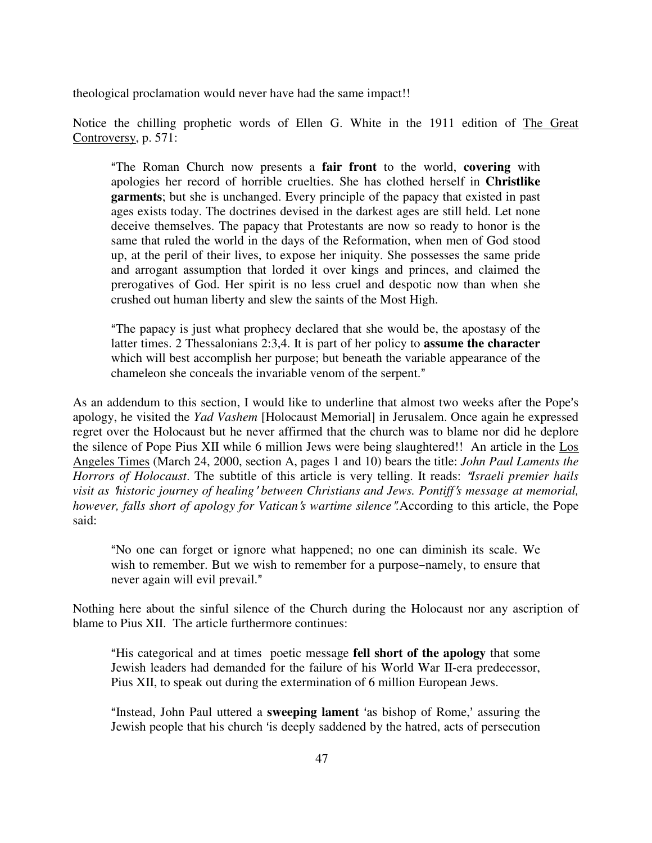theological proclamation would never have had the same impact!!

Notice the chilling prophetic words of Ellen G. White in the 1911 edition of The Great Controversy, p. 571:

"The Roman Church now presents a **fair front** to the world, **covering** with apologies her record of horrible cruelties. She has clothed herself in **Christlike garments**; but she is unchanged. Every principle of the papacy that existed in past ages exists today. The doctrines devised in the darkest ages are still held. Let none deceive themselves. The papacy that Protestants are now so ready to honor is the same that ruled the world in the days of the Reformation, when men of God stood up, at the peril of their lives, to expose her iniquity. She possesses the same pride and arrogant assumption that lorded it over kings and princes, and claimed the prerogatives of God. Her spirit is no less cruel and despotic now than when she crushed out human liberty and slew the saints of the Most High.

"The papacy is just what prophecy declared that she would be, the apostasy of the latter times. 2 Thessalonians 2:3,4. It is part of her policy to **assume the character** which will best accomplish her purpose; but beneath the variable appearance of the chameleon she conceals the invariable venom of the serpent."

As an addendum to this section, I would like to underline that almost two weeks after the Pope's apology, he visited the *Yad Vashem* [Holocaust Memorial] in Jerusalem. Once again he expressed regret over the Holocaust but he never affirmed that the church was to blame nor did he deplore the silence of Pope Pius XII while 6 million Jews were being slaughtered!! An article in the Los Angeles Times (March 24, 2000, section A, pages 1 and 10) bears the title: *John Paul Laments the Horrors of Holocaust*. The subtitle of this article is very telling. It reads: "Israeli premier hails *visit as 'historic journey of healing ' between Christians and Jews. Pontiff's message at memorial, however, falls short of apology for Vatican's wartime silence*". According to this article, the Pope said:

"No one can forget or ignore what happened; no one can diminish its scale. We wish to remember. But we wish to remember for a purpose–namely, to ensure that never again will evil prevail."

Nothing here about the sinful silence of the Church during the Holocaust nor any ascription of blame to Pius XII. The article furthermore continues:

AHis categorical and at times poetic message **fell short of the apology** that some Jewish leaders had demanded for the failure of his World War II-era predecessor, Pius XII, to speak out during the extermination of 6 million European Jews.

"Instead, John Paul uttered a **sweeping lament** 'as bishop of Rome,' assuring the Jewish people that his church 'is deeply saddened by the hatred, acts of persecution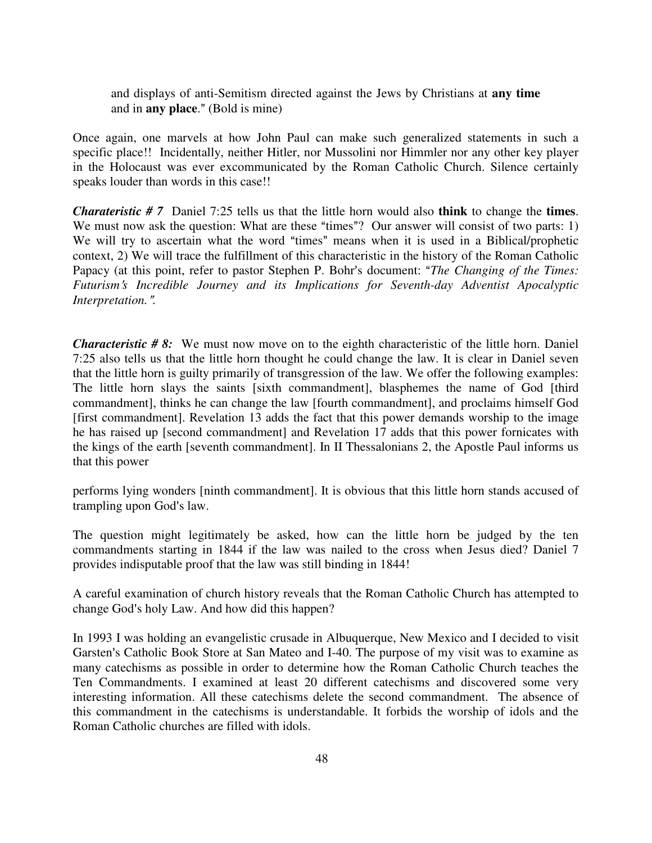and displays of anti-Semitism directed against the Jews by Christians at **any time** and in **any place**." (Bold is mine)

Once again, one marvels at how John Paul can make such generalized statements in such a specific place!! Incidentally, neither Hitler, nor Mussolini nor Himmler nor any other key player in the Holocaust was ever excommunicated by the Roman Catholic Church. Silence certainly speaks louder than words in this case!!

*Charateristic # 7* Daniel 7:25 tells us that the little horn would also **think** to change the **times**. We must now ask the question: What are these "times"? Our answer will consist of two parts: 1) We will try to ascertain what the word "times" means when it is used in a Biblical/prophetic context, 2) We will trace the fulfillment of this characteristic in the history of the Roman Catholic Papacy (at this point, refer to pastor Stephen P. Bohr's document: "*The Changing of the Times: Futurism*=*s Incredible Journey and its Implications for Seventh-day Adventist Apocalyptic Interpretation.*"

*Characteristic # 8:* We must now move on to the eighth characteristic of the little horn. Daniel 7:25 also tells us that the little horn thought he could change the law. It is clear in Daniel seven that the little horn is guilty primarily of transgression of the law. We offer the following examples: The little horn slays the saints [sixth commandment], blasphemes the name of God [third commandment], thinks he can change the law [fourth commandment], and proclaims himself God [first commandment]. Revelation 13 adds the fact that this power demands worship to the image he has raised up [second commandment] and Revelation 17 adds that this power fornicates with the kings of the earth [seventh commandment]. In II Thessalonians 2, the Apostle Paul informs us that this power

performs lying wonders [ninth commandment]. It is obvious that this little horn stands accused of trampling upon God's law.

The question might legitimately be asked, how can the little horn be judged by the ten commandments starting in 1844 if the law was nailed to the cross when Jesus died? Daniel 7 provides indisputable proof that the law was still binding in 1844!

A careful examination of church history reveals that the Roman Catholic Church has attempted to change God's holy Law. And how did this happen?

In 1993 I was holding an evangelistic crusade in Albuquerque, New Mexico and I decided to visit Garsten's Catholic Book Store at San Mateo and I-40. The purpose of my visit was to examine as many catechisms as possible in order to determine how the Roman Catholic Church teaches the Ten Commandments. I examined at least 20 different catechisms and discovered some very interesting information. All these catechisms delete the second commandment. The absence of this commandment in the catechisms is understandable. It forbids the worship of idols and the Roman Catholic churches are filled with idols.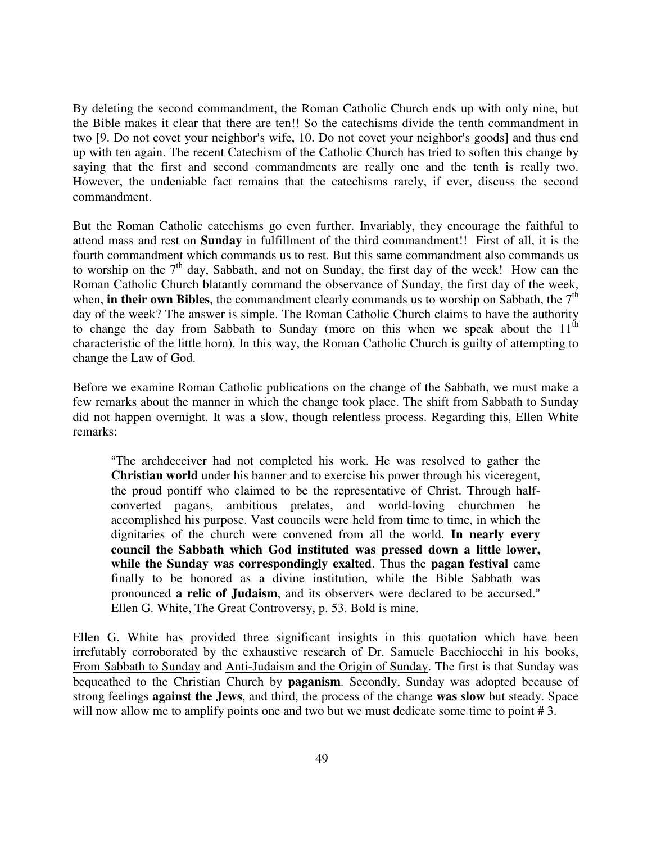By deleting the second commandment, the Roman Catholic Church ends up with only nine, but the Bible makes it clear that there are ten!! So the catechisms divide the tenth commandment in two [9. Do not covet your neighbor's wife, 10. Do not covet your neighbor's goods] and thus end up with ten again. The recent Catechism of the Catholic Church has tried to soften this change by saying that the first and second commandments are really one and the tenth is really two. However, the undeniable fact remains that the catechisms rarely, if ever, discuss the second commandment.

But the Roman Catholic catechisms go even further. Invariably, they encourage the faithful to attend mass and rest on **Sunday** in fulfillment of the third commandment!! First of all, it is the fourth commandment which commands us to rest. But this same commandment also commands us to worship on the  $7<sup>th</sup>$  day, Sabbath, and not on Sunday, the first day of the week! How can the Roman Catholic Church blatantly command the observance of Sunday, the first day of the week, when, **in their own Bibles**, the commandment clearly commands us to worship on Sabbath, the 7<sup>th</sup> day of the week? The answer is simple. The Roman Catholic Church claims to have the authority to change the day from Sabbath to Sunday (more on this when we speak about the  $11<sup>th</sup>$ characteristic of the little horn). In this way, the Roman Catholic Church is guilty of attempting to change the Law of God.

Before we examine Roman Catholic publications on the change of the Sabbath, we must make a few remarks about the manner in which the change took place. The shift from Sabbath to Sunday did not happen overnight. It was a slow, though relentless process. Regarding this, Ellen White remarks:

"The archdeceiver had not completed his work. He was resolved to gather the **Christian world** under his banner and to exercise his power through his viceregent, the proud pontiff who claimed to be the representative of Christ. Through halfconverted pagans, ambitious prelates, and world-loving churchmen he accomplished his purpose. Vast councils were held from time to time, in which the dignitaries of the church were convened from all the world. **In nearly every council the Sabbath which God instituted was pressed down a little lower, while the Sunday was correspondingly exalted**. Thus the **pagan festival** came finally to be honored as a divine institution, while the Bible Sabbath was pronounced **a relic of Judaism**, and its observers were declared to be accursed." Ellen G. White, The Great Controversy, p. 53. Bold is mine.

Ellen G. White has provided three significant insights in this quotation which have been irrefutably corroborated by the exhaustive research of Dr. Samuele Bacchiocchi in his books, From Sabbath to Sunday and Anti-Judaism and the Origin of Sunday. The first is that Sunday was bequeathed to the Christian Church by **paganism**. Secondly, Sunday was adopted because of strong feelings **against the Jews**, and third, the process of the change **was slow** but steady. Space will now allow me to amplify points one and two but we must dedicate some time to point #3.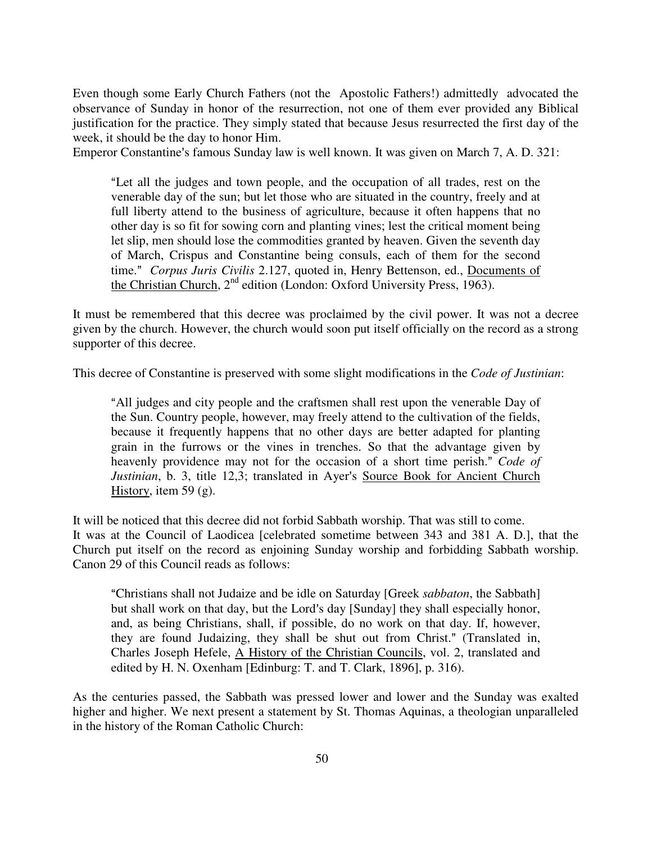Even though some Early Church Fathers (not the Apostolic Fathers!) admittedly advocated the observance of Sunday in honor of the resurrection, not one of them ever provided any Biblical justification for the practice. They simply stated that because Jesus resurrected the first day of the week, it should be the day to honor Him.

Emperor Constantine's famous Sunday law is well known. It was given on March 7, A. D. 321:

ALet all the judges and town people, and the occupation of all trades, rest on the venerable day of the sun; but let those who are situated in the country, freely and at full liberty attend to the business of agriculture, because it often happens that no other day is so fit for sowing corn and planting vines; lest the critical moment being let slip, men should lose the commodities granted by heaven. Given the seventh day of March, Crispus and Constantine being consuls, each of them for the second time." *Corpus Juris Civilis* 2.127, quoted in, Henry Bettenson, ed., Documents of the Christian Church,  $2^{nd}$  edition (London: Oxford University Press,  $\overline{1963}$ ).

It must be remembered that this decree was proclaimed by the civil power. It was not a decree given by the church. However, the church would soon put itself officially on the record as a strong supporter of this decree.

This decree of Constantine is preserved with some slight modifications in the *Code of Justinian*:

AAll judges and city people and the craftsmen shall rest upon the venerable Day of the Sun. Country people, however, may freely attend to the cultivation of the fields, because it frequently happens that no other days are better adapted for planting grain in the furrows or the vines in trenches. So that the advantage given by heavenly providence may not for the occasion of a short time perish." Code of *Justinian*, b. 3, title 12,3; translated in Ayer's Source Book for Ancient Church History, item 59 (g).

It will be noticed that this decree did not forbid Sabbath worship. That was still to come. It was at the Council of Laodicea [celebrated sometime between 343 and 381 A. D.], that the Church put itself on the record as enjoining Sunday worship and forbidding Sabbath worship. Canon 29 of this Council reads as follows:

AChristians shall not Judaize and be idle on Saturday [Greek *sabbaton*, the Sabbath] but shall work on that day, but the Lord's day [Sunday] they shall especially honor, and, as being Christians, shall, if possible, do no work on that day. If, however, they are found Judaizing, they shall be shut out from Christ." (Translated in, Charles Joseph Hefele, A History of the Christian Councils, vol. 2, translated and edited by H. N. Oxenham [Edinburg: T. and T. Clark, 1896], p. 316).

As the centuries passed, the Sabbath was pressed lower and lower and the Sunday was exalted higher and higher. We next present a statement by St. Thomas Aquinas, a theologian unparalleled in the history of the Roman Catholic Church: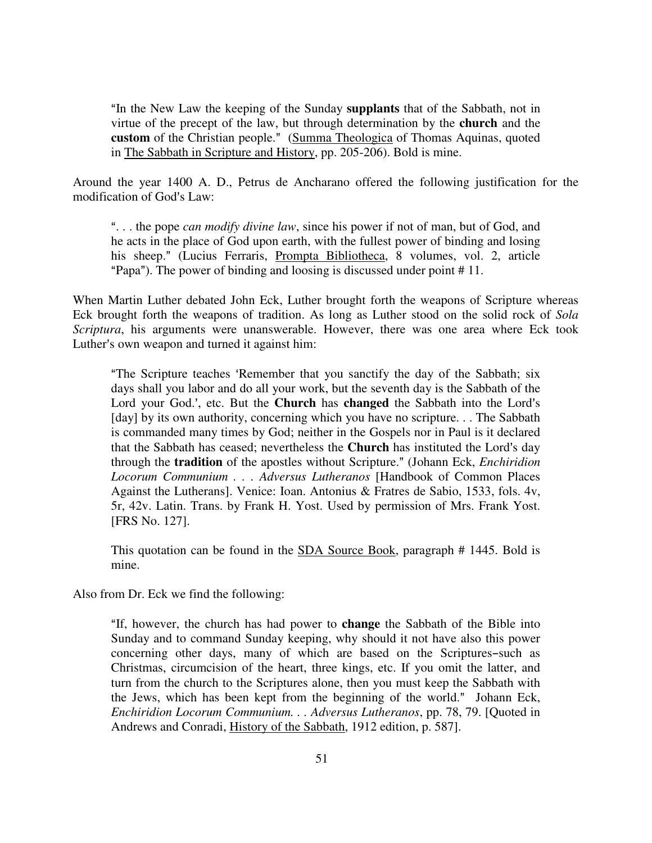AIn the New Law the keeping of the Sunday **supplants** that of the Sabbath, not in virtue of the precept of the law, but through determination by the **church** and the **custom** of the Christian people." (Summa Theologica of Thomas Aquinas, quoted in The Sabbath in Scripture and History, pp. 205-206). Bold is mine.

Around the year 1400 A. D., Petrus de Ancharano offered the following justification for the modification of God's Law:

A. . . the pope *can modify divine law*, since his power if not of man, but of God, and he acts in the place of God upon earth, with the fullest power of binding and losing his sheep." (Lucius Ferraris, Prompta Bibliotheca, 8 volumes, vol. 2, article "Papa"). The power of binding and loosing is discussed under point  $# 11$ .

When Martin Luther debated John Eck, Luther brought forth the weapons of Scripture whereas Eck brought forth the weapons of tradition. As long as Luther stood on the solid rock of *Sola Scriptura*, his arguments were unanswerable. However, there was one area where Eck took Luther's own weapon and turned it against him:

"The Scripture teaches 'Remember that you sanctify the day of the Sabbath; six days shall you labor and do all your work, but the seventh day is the Sabbath of the Lord your God.', etc. But the **Church** has **changed** the Sabbath into the Lord's [day] by its own authority, concerning which you have no scripture. . . The Sabbath is commanded many times by God; neither in the Gospels nor in Paul is it declared that the Sabbath has ceased; nevertheless the **Church** has instituted the Lord's day through the **tradition** of the apostles without Scripture." (Johann Eck, *Enchiridion Locorum Communium . . . Adversus Lutheranos* [Handbook of Common Places Against the Lutherans]. Venice: Ioan. Antonius & Fratres de Sabio, 1533, fols. 4v, 5r, 42v. Latin. Trans. by Frank H. Yost. Used by permission of Mrs. Frank Yost. [FRS No. 127].

This quotation can be found in the SDA Source Book, paragraph # 1445. Bold is mine.

Also from Dr. Eck we find the following:

AIf, however, the church has had power to **change** the Sabbath of the Bible into Sunday and to command Sunday keeping, why should it not have also this power concerning other days, many of which are based on the Scriptures-such as Christmas, circumcision of the heart, three kings, etc. If you omit the latter, and turn from the church to the Scriptures alone, then you must keep the Sabbath with the Jews, which has been kept from the beginning of the world." Johann Eck, *Enchiridion Locorum Communium. . . Adversus Lutheranos*, pp. 78, 79. [Quoted in Andrews and Conradi, History of the Sabbath, 1912 edition, p. 587].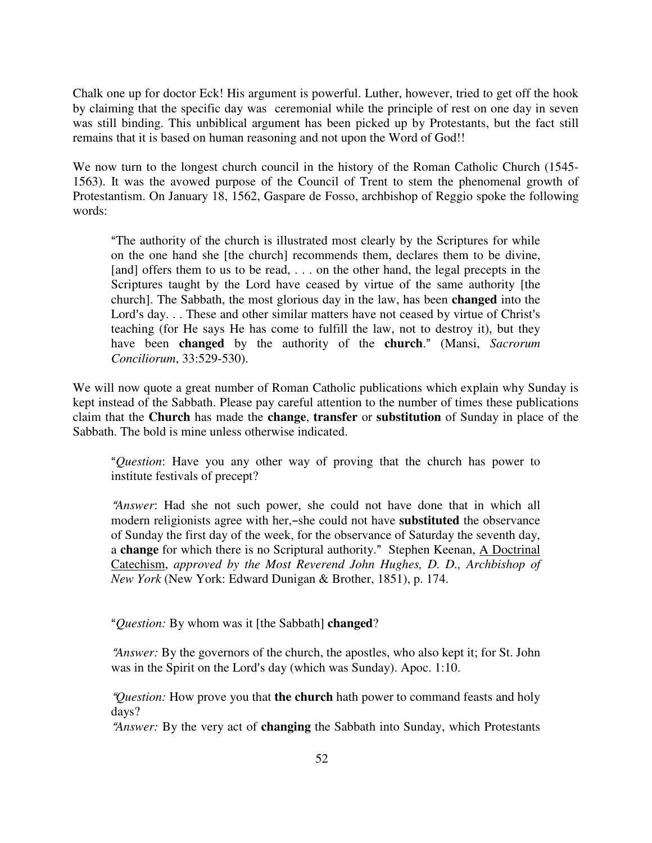Chalk one up for doctor Eck! His argument is powerful. Luther, however, tried to get off the hook by claiming that the specific day was ceremonial while the principle of rest on one day in seven was still binding. This unbiblical argument has been picked up by Protestants, but the fact still remains that it is based on human reasoning and not upon the Word of God!!

We now turn to the longest church council in the history of the Roman Catholic Church (1545- 1563). It was the avowed purpose of the Council of Trent to stem the phenomenal growth of Protestantism. On January 18, 1562, Gaspare de Fosso, archbishop of Reggio spoke the following words:

AThe authority of the church is illustrated most clearly by the Scriptures for while on the one hand she [the church] recommends them, declares them to be divine, [and] offers them to us to be read,  $\ldots$  on the other hand, the legal precepts in the Scriptures taught by the Lord have ceased by virtue of the same authority [the church]. The Sabbath, the most glorious day in the law, has been **changed** into the Lord's day.  $\ldots$  These and other similar matters have not ceased by virtue of Christ's teaching (for He says He has come to fulfill the law, not to destroy it), but they have been **changed** by the authority of the **church**." (Mansi, *Sacrorum Conciliorum*, 33:529-530).

We will now quote a great number of Roman Catholic publications which explain why Sunday is kept instead of the Sabbath. Please pay careful attention to the number of times these publications claim that the **Church** has made the **change**, **transfer** or **substitution** of Sunday in place of the Sabbath. The bold is mine unless otherwise indicated.

*<sup>a</sup>Question*: Have you any other way of proving that the church has power to institute festivals of precept?

<sup>A</sup>*Answer*: Had she not such power, she could not have done that in which all modern religionists agree with her,-she could not have **substituted** the observance of Sunday the first day of the week, for the observance of Saturday the seventh day, a **change** for which there is no Scriptural authority." Stephen Keenan, A Doctrinal Catechism, *approved by the Most Reverend John Hughes, D. D., Archbishop of New York* (New York: Edward Dunigan & Brother, 1851), p. 174.

A*Question:* By whom was it [the Sabbath] **changed**?

<sup>A</sup>*Answer:* By the governors of the church, the apostles, who also kept it; for St. John was in the Spirit on the Lord's day (which was Sunday). Apoc. 1:10.

*"Question:* How prove you that **the church** hath power to command feasts and holy days?

A*Answer:* By the very act of **changing** the Sabbath into Sunday, which Protestants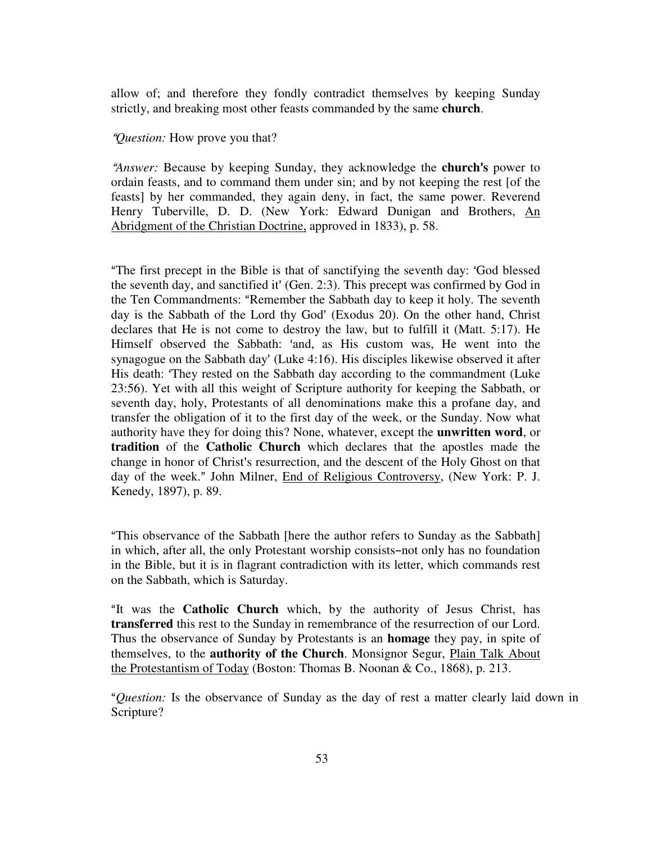allow of; and therefore they fondly contradict themselves by keeping Sunday strictly, and breaking most other feasts commanded by the same **church**.

*"Question:* How prove you that?

<sup>A</sup>*Answer:* Because by keeping Sunday, they acknowledge the **church**=**s** power to ordain feasts, and to command them under sin; and by not keeping the rest [of the feasts] by her commanded, they again deny, in fact, the same power. Reverend Henry Tuberville, D. D. (New York: Edward Dunigan and Brothers, An Abridgment of the Christian Doctrine, approved in 1833), p. 58.

"The first precept in the Bible is that of sanctifying the seventh day: 'God blessed the seventh day, and sanctified it' (Gen. 2:3). This precept was confirmed by God in the Ten Commandments: "Remember the Sabbath day to keep it holy. The seventh day is the Sabbath of the Lord thy God' (Exodus 20). On the other hand, Christ declares that He is not come to destroy the law, but to fulfill it (Matt. 5:17). He Himself observed the Sabbath: 'and, as His custom was, He went into the synagogue on the Sabbath day' (Luke  $4:16$ ). His disciples likewise observed it after His death: 'They rested on the Sabbath day according to the commandment (Luke 23:56). Yet with all this weight of Scripture authority for keeping the Sabbath, or seventh day, holy, Protestants of all denominations make this a profane day, and transfer the obligation of it to the first day of the week, or the Sunday. Now what authority have they for doing this? None, whatever, except the **unwritten word**, or **tradition** of the **Catholic Church** which declares that the apostles made the change in honor of Christ's resurrection, and the descent of the Holy Ghost on that day of the week." John Milner, End of Religious Controversy, (New York: P. J. Kenedy, 1897), p. 89.

"This observance of the Sabbath [here the author refers to Sunday as the Sabbath] in which, after all, the only Protestant worship consists-not only has no foundation in the Bible, but it is in flagrant contradiction with its letter, which commands rest on the Sabbath, which is Saturday.

"It was the **Catholic Church** which, by the authority of Jesus Christ, has **transferred** this rest to the Sunday in remembrance of the resurrection of our Lord. Thus the observance of Sunday by Protestants is an **homage** they pay, in spite of themselves, to the **authority of the Church**. Monsignor Segur, Plain Talk About the Protestantism of Today (Boston: Thomas B. Noonan & Co., 1868), p. 213.

A*Question:* Is the observance of Sunday as the day of rest a matter clearly laid down in Scripture?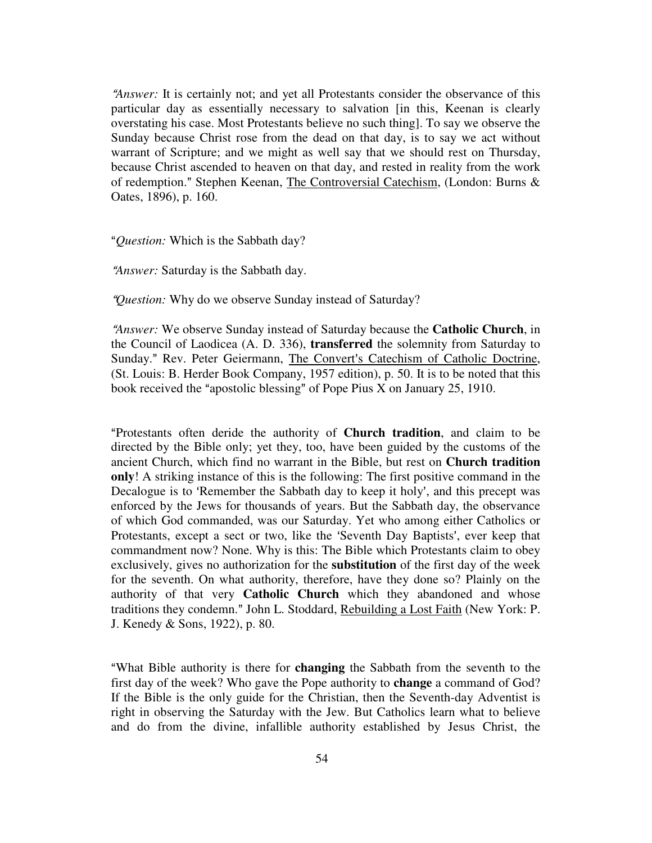<sup>A</sup>*Answer:* It is certainly not; and yet all Protestants consider the observance of this particular day as essentially necessary to salvation [in this, Keenan is clearly overstating his case. Most Protestants believe no such thing]. To say we observe the Sunday because Christ rose from the dead on that day, is to say we act without warrant of Scripture; and we might as well say that we should rest on Thursday, because Christ ascended to heaven on that day, and rested in reality from the work of redemption." Stephen Keenan, The Controversial Catechism, (London: Burns & Oates, 1896), p. 160.

A*Question:* Which is the Sabbath day?

<sup>A</sup>*Answer:* Saturday is the Sabbath day.

*"Question:* Why do we observe Sunday instead of Saturday?

<sup>A</sup>*Answer:* We observe Sunday instead of Saturday because the **Catholic Church**, in the Council of Laodicea (A. D. 336), **transferred** the solemnity from Saturday to Sunday." Rev. Peter Geiermann, The Convert's Catechism of Catholic Doctrine, (St. Louis: B. Herder Book Company, 1957 edition), p. 50. It is to be noted that this book received the "apostolic blessing" of Pope Pius X on January 25, 1910.

AProtestants often deride the authority of **Church tradition**, and claim to be directed by the Bible only; yet they, too, have been guided by the customs of the ancient Church, which find no warrant in the Bible, but rest on **Church tradition only**! A striking instance of this is the following: The first positive command in the Decalogue is to 'Remember the Sabbath day to keep it holy', and this precept was enforced by the Jews for thousands of years. But the Sabbath day, the observance of which God commanded, was our Saturday. Yet who among either Catholics or Protestants, except a sect or two, like the 'Seventh Day Baptists', ever keep that commandment now? None. Why is this: The Bible which Protestants claim to obey exclusively, gives no authorization for the **substitution** of the first day of the week for the seventh. On what authority, therefore, have they done so? Plainly on the authority of that very **Catholic Church** which they abandoned and whose traditions they condemn." John L. Stoddard, Rebuilding a Lost Faith (New York: P. J. Kenedy & Sons, 1922), p. 80.

AWhat Bible authority is there for **changing** the Sabbath from the seventh to the first day of the week? Who gave the Pope authority to **change** a command of God? If the Bible is the only guide for the Christian, then the Seventh-day Adventist is right in observing the Saturday with the Jew. But Catholics learn what to believe and do from the divine, infallible authority established by Jesus Christ, the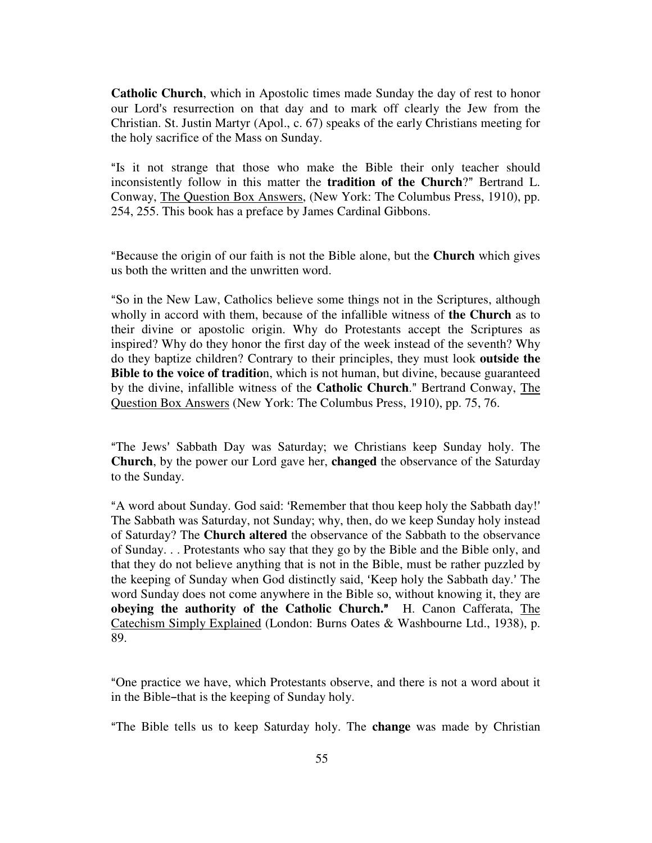**Catholic Church**, which in Apostolic times made Sunday the day of rest to honor our Lord's resurrection on that day and to mark off clearly the Jew from the Christian. St. Justin Martyr (Apol., c. 67) speaks of the early Christians meeting for the holy sacrifice of the Mass on Sunday.

"Is it not strange that those who make the Bible their only teacher should inconsistently follow in this matter the **tradition of the Church**?" Bertrand L. Conway, The Question Box Answers, (New York: The Columbus Press, 1910), pp. 254, 255. This book has a preface by James Cardinal Gibbons.

ABecause the origin of our faith is not the Bible alone, but the **Church** which gives us both the written and the unwritten word.

"So in the New Law, Catholics believe some things not in the Scriptures, although wholly in accord with them, because of the infallible witness of **the Church** as to their divine or apostolic origin. Why do Protestants accept the Scriptures as inspired? Why do they honor the first day of the week instead of the seventh? Why do they baptize children? Contrary to their principles, they must look **outside the Bible to the voice of traditio**n, which is not human, but divine, because guaranteed by the divine, infallible witness of the **Catholic Church**." Bertrand Conway, The Question Box Answers (New York: The Columbus Press, 1910), pp. 75, 76.

"The Jews' Sabbath Day was Saturday; we Christians keep Sunday holy. The **Church**, by the power our Lord gave her, **changed** the observance of the Saturday to the Sunday.

"A word about Sunday. God said: 'Remember that thou keep holy the Sabbath day!' The Sabbath was Saturday, not Sunday; why, then, do we keep Sunday holy instead of Saturday? The **Church altered** the observance of the Sabbath to the observance of Sunday. . . Protestants who say that they go by the Bible and the Bible only, and that they do not believe anything that is not in the Bible, must be rather puzzled by the keeping of Sunday when God distinctly said, 'Keep holy the Sabbath day.' The word Sunday does not come anywhere in the Bible so, without knowing it, they are **obeying the authority of the Catholic Church.**" H. Canon Cafferata, The Catechism Simply Explained (London: Burns Oates & Washbourne Ltd., 1938), p. 89.

"One practice we have, which Protestants observe, and there is not a word about it in the Bible-that is the keeping of Sunday holy.

AThe Bible tells us to keep Saturday holy. The **change** was made by Christian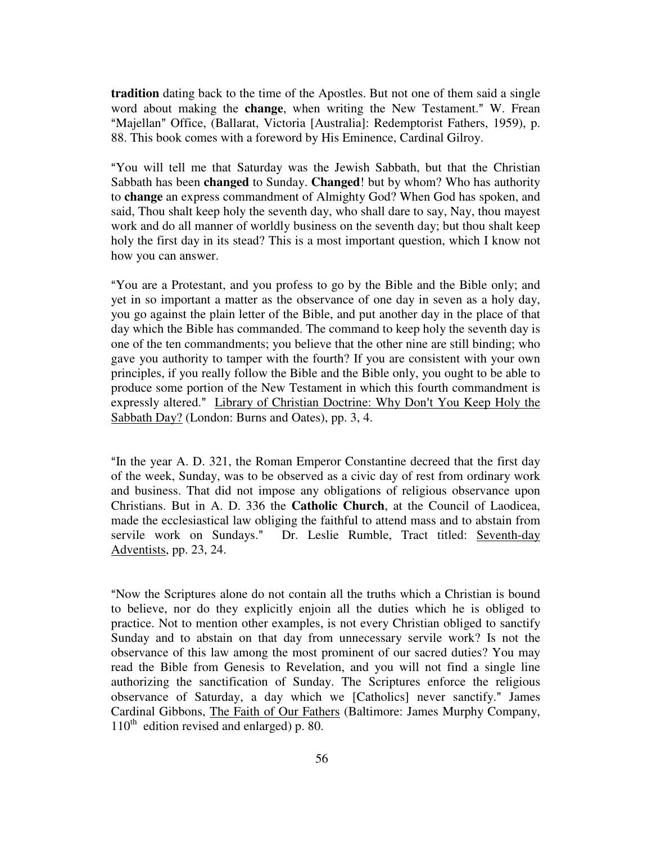**tradition** dating back to the time of the Apostles. But not one of them said a single word about making the **change**, when writing the New Testament." W. Frean "Majellan" Office, (Ballarat, Victoria [Australia]: Redemptorist Fathers, 1959), p. 88. This book comes with a foreword by His Eminence, Cardinal Gilroy.

"You will tell me that Saturday was the Jewish Sabbath, but that the Christian Sabbath has been **changed** to Sunday. **Changed**! but by whom? Who has authority to **change** an express commandment of Almighty God? When God has spoken, and said, Thou shalt keep holy the seventh day, who shall dare to say, Nay, thou mayest work and do all manner of worldly business on the seventh day; but thou shalt keep holy the first day in its stead? This is a most important question, which I know not how you can answer.

"You are a Protestant, and you profess to go by the Bible and the Bible only; and yet in so important a matter as the observance of one day in seven as a holy day, you go against the plain letter of the Bible, and put another day in the place of that day which the Bible has commanded. The command to keep holy the seventh day is one of the ten commandments; you believe that the other nine are still binding; who gave you authority to tamper with the fourth? If you are consistent with your own principles, if you really follow the Bible and the Bible only, you ought to be able to produce some portion of the New Testament in which this fourth commandment is expressly altered." Library of Christian Doctrine: Why Don't You Keep Holy the Sabbath Day? (London: Burns and Oates), pp. 3, 4.

"In the year A. D. 321, the Roman Emperor Constantine decreed that the first day of the week, Sunday, was to be observed as a civic day of rest from ordinary work and business. That did not impose any obligations of religious observance upon Christians. But in A. D. 336 the **Catholic Church**, at the Council of Laodicea, made the ecclesiastical law obliging the faithful to attend mass and to abstain from servile work on Sundays." Dr. Leslie Rumble, Tract titled: Seventh-day Adventists, pp. 23, 24.

"Now the Scriptures alone do not contain all the truths which a Christian is bound to believe, nor do they explicitly enjoin all the duties which he is obliged to practice. Not to mention other examples, is not every Christian obliged to sanctify Sunday and to abstain on that day from unnecessary servile work? Is not the observance of this law among the most prominent of our sacred duties? You may read the Bible from Genesis to Revelation, and you will not find a single line authorizing the sanctification of Sunday. The Scriptures enforce the religious observance of Saturday, a day which we [Catholics] never sanctify." James Cardinal Gibbons, The Faith of Our Fathers (Baltimore: James Murphy Company,  $110^{th}$  edition revised and enlarged) p. 80.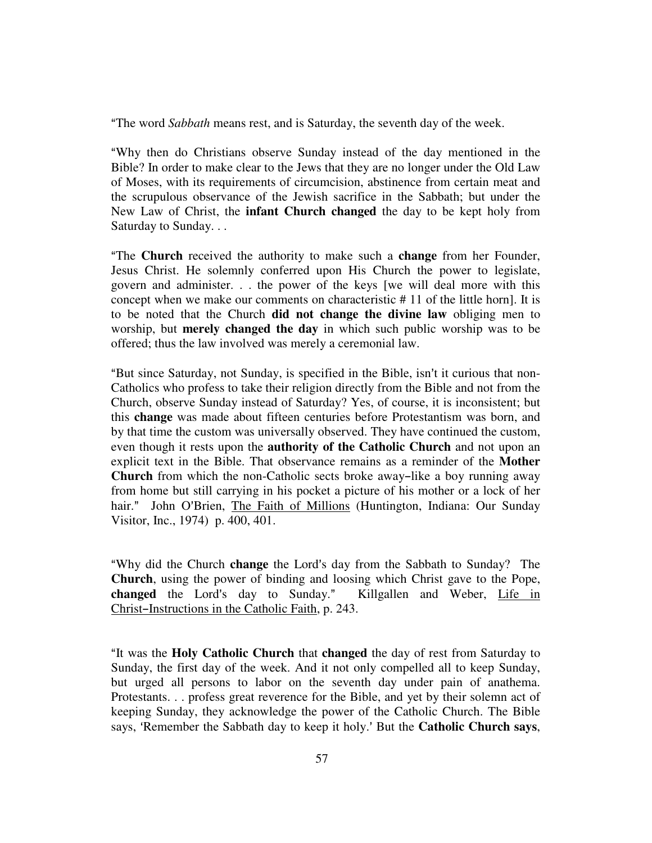"The word Sabbath means rest, and is Saturday, the seventh day of the week.

"Why then do Christians observe Sunday instead of the day mentioned in the Bible? In order to make clear to the Jews that they are no longer under the Old Law of Moses, with its requirements of circumcision, abstinence from certain meat and the scrupulous observance of the Jewish sacrifice in the Sabbath; but under the New Law of Christ, the **infant Church changed** the day to be kept holy from Saturday to Sunday. . .

"The **Church** received the authority to make such a **change** from her Founder, Jesus Christ. He solemnly conferred upon His Church the power to legislate, govern and administer. . . the power of the keys [we will deal more with this concept when we make our comments on characteristic # 11 of the little horn]. It is to be noted that the Church **did not change the divine law** obliging men to worship, but **merely changed the day** in which such public worship was to be offered; thus the law involved was merely a ceremonial law.

"But since Saturday, not Sunday, is specified in the Bible, isn't it curious that non-Catholics who profess to take their religion directly from the Bible and not from the Church, observe Sunday instead of Saturday? Yes, of course, it is inconsistent; but this **change** was made about fifteen centuries before Protestantism was born, and by that time the custom was universally observed. They have continued the custom, even though it rests upon the **authority of the Catholic Church** and not upon an explicit text in the Bible. That observance remains as a reminder of the **Mother Church** from which the non-Catholic sects broke away-like a boy running away from home but still carrying in his pocket a picture of his mother or a lock of her hair." John O'Brien, The Faith of Millions (Huntington, Indiana: Our Sunday Visitor, Inc., 1974) p. 400, 401.

"Why did the Church **change** the Lord's day from the Sabbath to Sunday? The **Church**, using the power of binding and loosing which Christ gave to the Pope, **changed** the Lord's day to Sunday." Killgallen and Weber, Life in Christ-Instructions in the Catholic Faith, p. 243.

AIt was the **Holy Catholic Church** that **changed** the day of rest from Saturday to Sunday, the first day of the week. And it not only compelled all to keep Sunday, but urged all persons to labor on the seventh day under pain of anathema. Protestants. . . profess great reverence for the Bible, and yet by their solemn act of keeping Sunday, they acknowledge the power of the Catholic Church. The Bible says, 'Remember the Sabbath day to keep it holy.' But the **Catholic Church says**,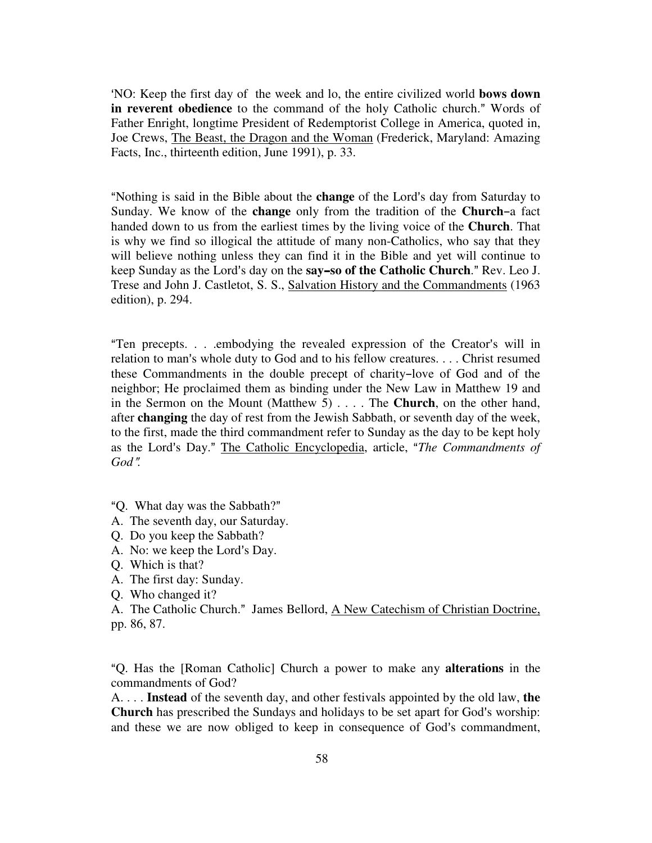>NO: Keep the first day of the week and lo, the entire civilized world **bows down in reverent obedience** to the command of the holy Catholic church." Words of Father Enright, longtime President of Redemptorist College in America, quoted in, Joe Crews, The Beast, the Dragon and the Woman (Frederick, Maryland: Amazing Facts, Inc., thirteenth edition, June 1991), p. 33.

"Nothing is said in the Bible about the **change** of the Lord's day from Saturday to Sunday. We know of the **change** only from the tradition of the **Church**-a fact handed down to us from the earliest times by the living voice of the **Church**. That is why we find so illogical the attitude of many non-Catholics, who say that they will believe nothing unless they can find it in the Bible and yet will continue to keep Sunday as the Lord's day on the **say–so** of the Catholic Church." Rev. Leo J. Trese and John J. Castletot, S. S., Salvation History and the Commandments (1963 edition), p. 294.

"Ten precepts. . . .embodying the revealed expression of the Creator's will in relation to man's whole duty to God and to his fellow creatures. . . . Christ resumed these Commandments in the double precept of charity-love of God and of the neighbor; He proclaimed them as binding under the New Law in Matthew 19 and in the Sermon on the Mount (Matthew 5) . . . . The **Church**, on the other hand, after **changing** the day of rest from the Jewish Sabbath, or seventh day of the week, to the first, made the third commandment refer to Sunday as the day to be kept holy as the Lord's Day." The Catholic Encyclopedia, article, "The Commandments of  $God$ 

- "Q. What day was the Sabbath?"
- A. The seventh day, our Saturday.
- Q. Do you keep the Sabbath?
- A. No: we keep the Lord's Day.
- Q. Which is that?
- A. The first day: Sunday.
- Q. Who changed it?
- A. The Catholic Church." James Bellord, A New Catechism of Christian Doctrine, pp. 86, 87.

AQ. Has the [Roman Catholic] Church a power to make any **alterations** in the commandments of God?

A. . . . **Instead** of the seventh day, and other festivals appointed by the old law, **the Church** has prescribed the Sundays and holidays to be set apart for God's worship: and these we are now obliged to keep in consequence of God's commandment,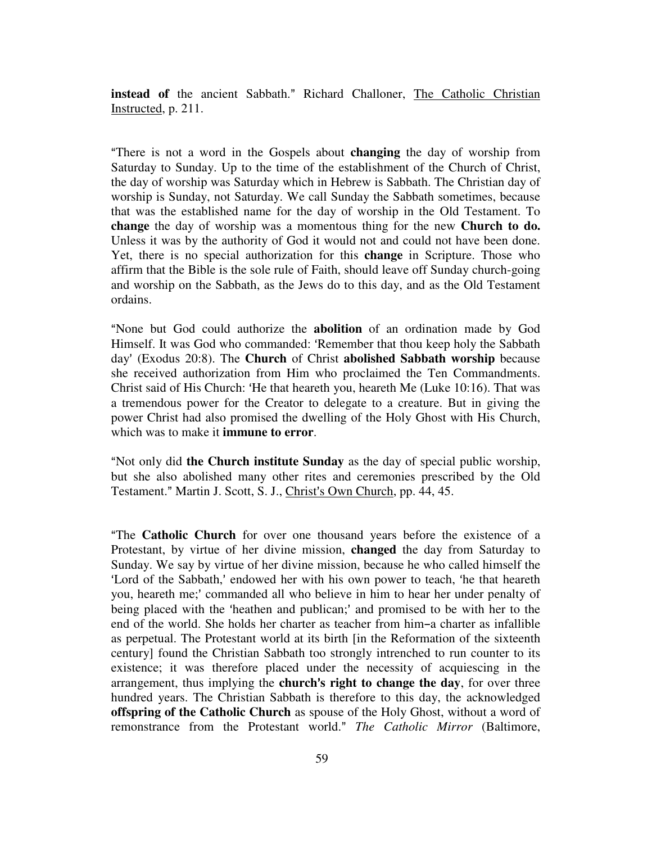**instead** of the ancient Sabbath." Richard Challoner, The Catholic Christian Instructed, p. 211.

"There is not a word in the Gospels about **changing** the day of worship from Saturday to Sunday. Up to the time of the establishment of the Church of Christ, the day of worship was Saturday which in Hebrew is Sabbath. The Christian day of worship is Sunday, not Saturday. We call Sunday the Sabbath sometimes, because that was the established name for the day of worship in the Old Testament. To **change** the day of worship was a momentous thing for the new **Church to do.** Unless it was by the authority of God it would not and could not have been done. Yet, there is no special authorization for this **change** in Scripture. Those who affirm that the Bible is the sole rule of Faith, should leave off Sunday church-going and worship on the Sabbath, as the Jews do to this day, and as the Old Testament ordains.

ANone but God could authorize the **abolition** of an ordination made by God Himself. It was God who commanded: 'Remember that thou keep holy the Sabbath day= (Exodus 20:8). The **Church** of Christ **abolished Sabbath worship** because she received authorization from Him who proclaimed the Ten Commandments. Christ said of His Church: 'He that heareth you, heareth Me (Luke  $10:16$ ). That was a tremendous power for the Creator to delegate to a creature. But in giving the power Christ had also promised the dwelling of the Holy Ghost with His Church, which was to make it **immune to error**.

"Not only did the Church institute Sunday as the day of special public worship, but she also abolished many other rites and ceremonies prescribed by the Old Testament." Martin J. Scott, S. J., Christ's Own Church, pp. 44, 45.

AThe **Catholic Church** for over one thousand years before the existence of a Protestant, by virtue of her divine mission, **changed** the day from Saturday to Sunday. We say by virtue of her divine mission, because he who called himself the 'Lord of the Sabbath,' endowed her with his own power to teach, 'he that heareth you, heareth me;' commanded all who believe in him to hear her under penalty of being placed with the 'heathen and publican;' and promised to be with her to the end of the world. She holds her charter as teacher from him-a charter as infallible as perpetual. The Protestant world at its birth [in the Reformation of the sixteenth century] found the Christian Sabbath too strongly intrenched to run counter to its existence; it was therefore placed under the necessity of acquiescing in the arrangement, thus implying the **church's right to change the day**, for over three hundred years. The Christian Sabbath is therefore to this day, the acknowledged **offspring of the Catholic Church** as spouse of the Holy Ghost, without a word of remonstrance from the Protestant world." The Catholic Mirror (Baltimore,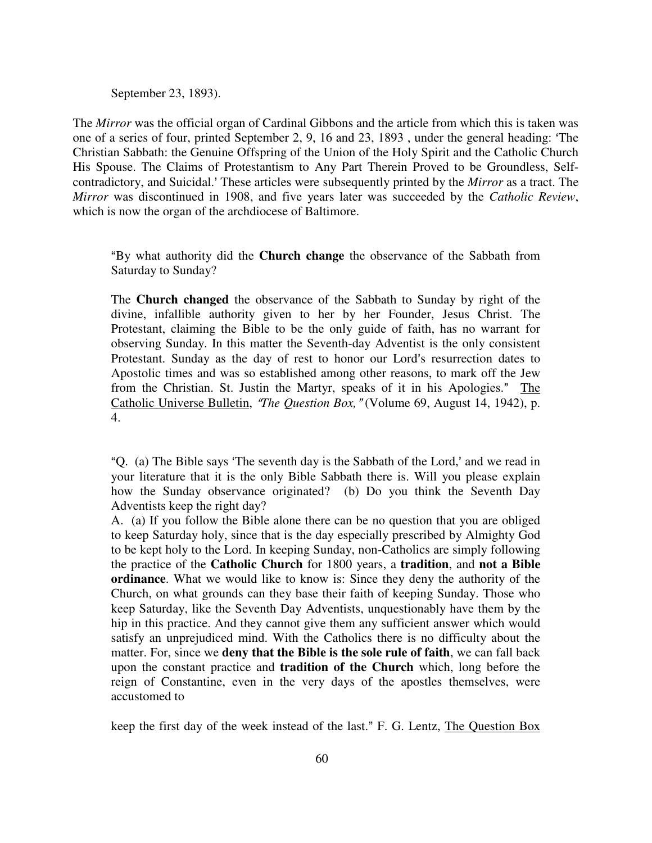September 23, 1893).

The *Mirror* was the official organ of Cardinal Gibbons and the article from which this is taken was one of a series of four, printed September 2, 9, 16 and 23, 1893, under the general heading: The Christian Sabbath: the Genuine Offspring of the Union of the Holy Spirit and the Catholic Church His Spouse. The Claims of Protestantism to Any Part Therein Proved to be Groundless, Selfcontradictory, and Suicidal.' These articles were subsequently printed by the *Mirror* as a tract. The *Mirror* was discontinued in 1908, and five years later was succeeded by the *Catholic Review*, which is now the organ of the archdiocese of Baltimore.

ABy what authority did the **Church change** the observance of the Sabbath from Saturday to Sunday?

The **Church changed** the observance of the Sabbath to Sunday by right of the divine, infallible authority given to her by her Founder, Jesus Christ. The Protestant, claiming the Bible to be the only guide of faith, has no warrant for observing Sunday. In this matter the Seventh-day Adventist is the only consistent Protestant. Sunday as the day of rest to honor our Lord's resurrection dates to Apostolic times and was so established among other reasons, to mark off the Jew from the Christian. St. Justin the Martyr, speaks of it in his Apologies." The Catholic Universe Bulletin, *The Question Box,* "(Volume 69, August 14, 1942), p. 4.

"Q. (a) The Bible says 'The seventh day is the Sabbath of the Lord,' and we read in your literature that it is the only Bible Sabbath there is. Will you please explain how the Sunday observance originated? (b) Do you think the Seventh Day Adventists keep the right day?

A. (a) If you follow the Bible alone there can be no question that you are obliged to keep Saturday holy, since that is the day especially prescribed by Almighty God to be kept holy to the Lord. In keeping Sunday, non-Catholics are simply following the practice of the **Catholic Church** for 1800 years, a **tradition**, and **not a Bible ordinance**. What we would like to know is: Since they deny the authority of the Church, on what grounds can they base their faith of keeping Sunday. Those who keep Saturday, like the Seventh Day Adventists, unquestionably have them by the hip in this practice. And they cannot give them any sufficient answer which would satisfy an unprejudiced mind. With the Catholics there is no difficulty about the matter. For, since we **deny that the Bible is the sole rule of faith**, we can fall back upon the constant practice and **tradition of the Church** which, long before the reign of Constantine, even in the very days of the apostles themselves, were accustomed to

keep the first day of the week instead of the last." F. G. Lentz, The Question Box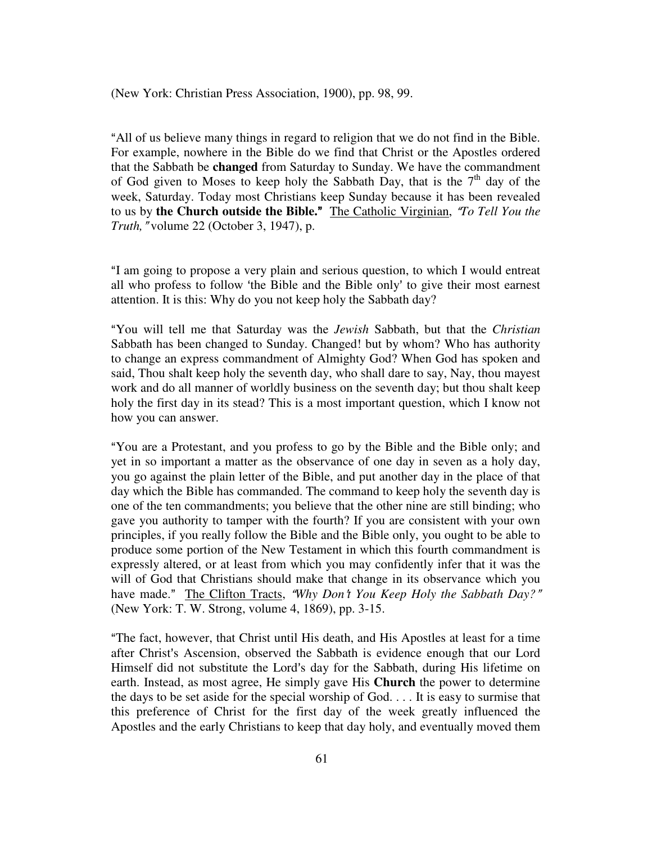## (New York: Christian Press Association, 1900), pp. 98, 99.

AAll of us believe many things in regard to religion that we do not find in the Bible. For example, nowhere in the Bible do we find that Christ or the Apostles ordered that the Sabbath be **changed** from Saturday to Sunday. We have the commandment of God given to Moses to keep holy the Sabbath Day, that is the  $7<sup>th</sup>$  day of the week, Saturday. Today most Christians keep Sunday because it has been revealed to us by the Church outside the Bible." The Catholic Virginian, *To Tell You the Truth,* "volume 22 (October 3, 1947), p.

<sup>4</sup>I am going to propose a very plain and serious question, to which I would entreat all who profess to follow 'the Bible and the Bible only' to give their most earnest attention. It is this: Why do you not keep holy the Sabbath day?

AYou will tell me that Saturday was the *Jewish* Sabbath, but that the *Christian* Sabbath has been changed to Sunday. Changed! but by whom? Who has authority to change an express commandment of Almighty God? When God has spoken and said, Thou shalt keep holy the seventh day, who shall dare to say, Nay, thou mayest work and do all manner of worldly business on the seventh day; but thou shalt keep holy the first day in its stead? This is a most important question, which I know not how you can answer.

"You are a Protestant, and you profess to go by the Bible and the Bible only; and yet in so important a matter as the observance of one day in seven as a holy day, you go against the plain letter of the Bible, and put another day in the place of that day which the Bible has commanded. The command to keep holy the seventh day is one of the ten commandments; you believe that the other nine are still binding; who gave you authority to tamper with the fourth? If you are consistent with your own principles, if you really follow the Bible and the Bible only, you ought to be able to produce some portion of the New Testament in which this fourth commandment is expressly altered, or at least from which you may confidently infer that it was the will of God that Christians should make that change in its observance which you have made." The Clifton Tracts, "Why Don't You Keep Holy the Sabbath Day?" (New York: T. W. Strong, volume 4, 1869), pp. 3-15.

"The fact, however, that Christ until His death, and His Apostles at least for a time after Christ's Ascension, observed the Sabbath is evidence enough that our Lord Himself did not substitute the Lord's day for the Sabbath, during His lifetime on earth. Instead, as most agree, He simply gave His **Church** the power to determine the days to be set aside for the special worship of God. . . . It is easy to surmise that this preference of Christ for the first day of the week greatly influenced the Apostles and the early Christians to keep that day holy, and eventually moved them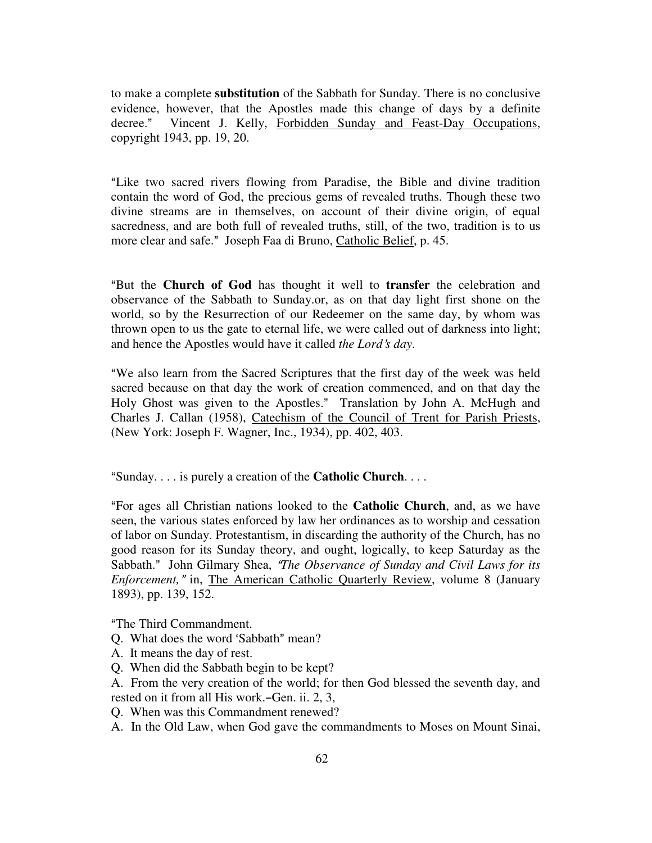to make a complete **substitution** of the Sabbath for Sunday. There is no conclusive evidence, however, that the Apostles made this change of days by a definite decree." Vincent J. Kelly, Forbidden Sunday and Feast-Day Occupations, copyright 1943, pp. 19, 20.

"Like two sacred rivers flowing from Paradise, the Bible and divine tradition contain the word of God, the precious gems of revealed truths. Though these two divine streams are in themselves, on account of their divine origin, of equal sacredness, and are both full of revealed truths, still, of the two, tradition is to us more clear and safe." Joseph Faa di Bruno, Catholic Belief, p. 45.

ABut the **Church of God** has thought it well to **transfer** the celebration and observance of the Sabbath to Sunday.or, as on that day light first shone on the world, so by the Resurrection of our Redeemer on the same day, by whom was thrown open to us the gate to eternal life, we were called out of darkness into light; and hence the Apostles would have it called *the Lord*=*s day*.

We also learn from the Sacred Scriptures that the first day of the week was held sacred because on that day the work of creation commenced, and on that day the Holy Ghost was given to the Apostles." Translation by John A. McHugh and Charles J. Callan (1958), Catechism of the Council of Trent for Parish Priests, (New York: Joseph F. Wagner, Inc., 1934), pp. 402, 403.

"Sunday. . . . is purely a creation of the **Catholic Church**. . . .

AFor ages all Christian nations looked to the **Catholic Church**, and, as we have seen, the various states enforced by law her ordinances as to worship and cessation of labor on Sunday. Protestantism, in discarding the authority of the Church, has no good reason for its Sunday theory, and ought, logically, to keep Saturday as the Sabbath." John Gilmary Shea, "The Observance of Sunday and Civil Laws for its *Enforcement,*" in, The American Catholic Quarterly Review, volume 8 (January 1893), pp. 139, 152.

"The Third Commandment.

- Q. What does the word 'Sabbath" mean?
- A. It means the day of rest.
- Q. When did the Sabbath begin to be kept?
- A. From the very creation of the world; for then God blessed the seventh day, and rested on it from all His work.–Gen. ii. 2, 3,
- Q. When was this Commandment renewed?
- A. In the Old Law, when God gave the commandments to Moses on Mount Sinai,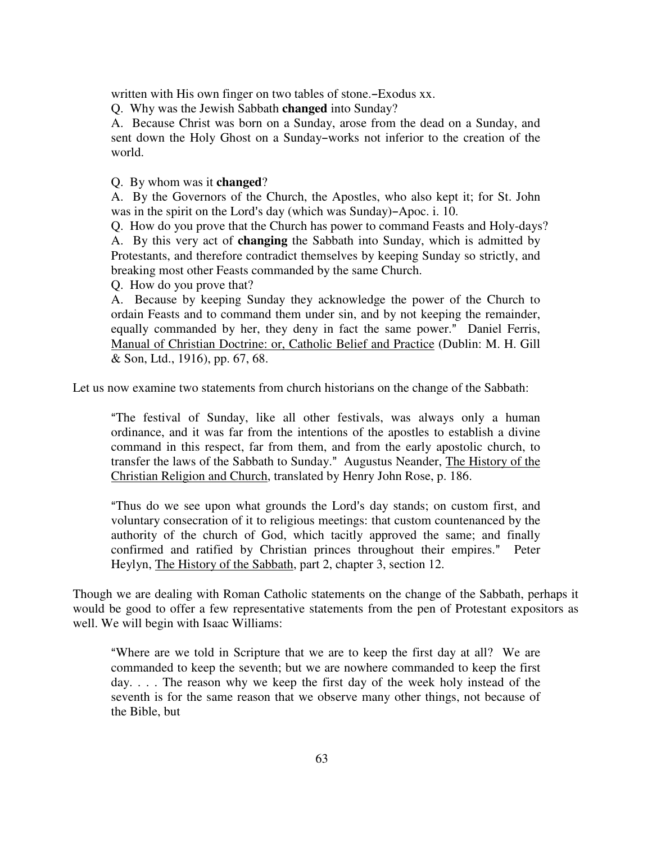written with His own finger on two tables of stone.-Exodus xx.

Q. Why was the Jewish Sabbath **changed** into Sunday?

A. Because Christ was born on a Sunday, arose from the dead on a Sunday, and sent down the Holy Ghost on a Sunday-works not inferior to the creation of the world.

Q. By whom was it **changed**?

A. By the Governors of the Church, the Apostles, who also kept it; for St. John was in the spirit on the Lord's day (which was Sunday)–Apoc. i. 10.

Q. How do you prove that the Church has power to command Feasts and Holy-days? A. By this very act of **changing** the Sabbath into Sunday, which is admitted by Protestants, and therefore contradict themselves by keeping Sunday so strictly, and breaking most other Feasts commanded by the same Church.

Q. How do you prove that?

A. Because by keeping Sunday they acknowledge the power of the Church to ordain Feasts and to command them under sin, and by not keeping the remainder, equally commanded by her, they deny in fact the same power." Daniel Ferris, Manual of Christian Doctrine: or, Catholic Belief and Practice (Dublin: M. H. Gill & Son, Ltd., 1916), pp. 67, 68.

Let us now examine two statements from church historians on the change of the Sabbath:

"The festival of Sunday, like all other festivals, was always only a human ordinance, and it was far from the intentions of the apostles to establish a divine command in this respect, far from them, and from the early apostolic church, to transfer the laws of the Sabbath to Sunday." Augustus Neander, The History of the Christian Religion and Church, translated by Henry John Rose, p. 186.

"Thus do we see upon what grounds the Lord's day stands; on custom first, and voluntary consecration of it to religious meetings: that custom countenanced by the authority of the church of God, which tacitly approved the same; and finally confirmed and ratified by Christian princes throughout their empires." Peter Heylyn, The History of the Sabbath, part 2, chapter 3, section 12.

Though we are dealing with Roman Catholic statements on the change of the Sabbath, perhaps it would be good to offer a few representative statements from the pen of Protestant expositors as well. We will begin with Isaac Williams:

"Where are we told in Scripture that we are to keep the first day at all? We are commanded to keep the seventh; but we are nowhere commanded to keep the first day. . . . The reason why we keep the first day of the week holy instead of the seventh is for the same reason that we observe many other things, not because of the Bible, but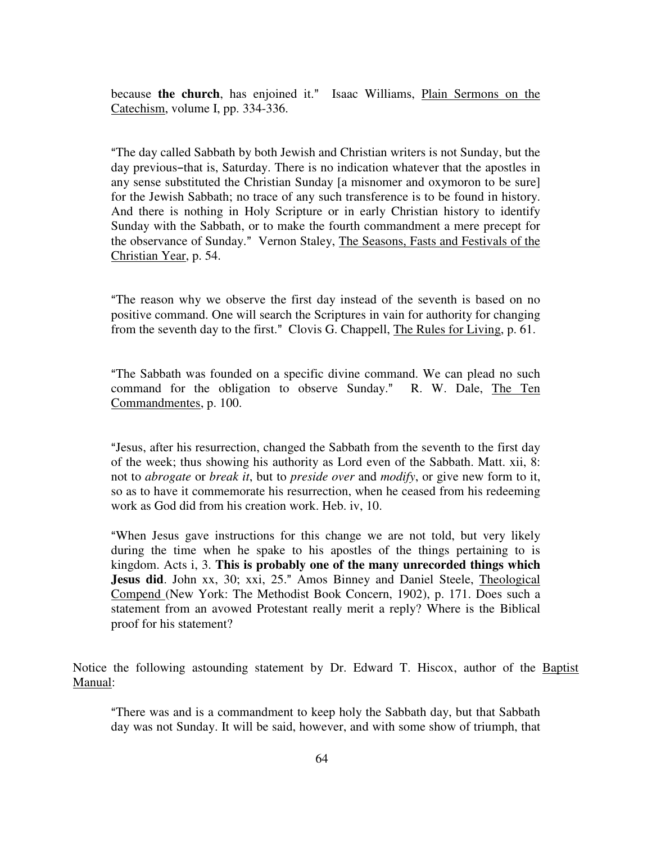because the church, has enjoined it." Isaac Williams, Plain Sermons on the Catechism, volume I, pp. 334-336.

"The day called Sabbath by both Jewish and Christian writers is not Sunday, but the day previous-that is, Saturday. There is no indication whatever that the apostles in any sense substituted the Christian Sunday [a misnomer and oxymoron to be sure] for the Jewish Sabbath; no trace of any such transference is to be found in history. And there is nothing in Holy Scripture or in early Christian history to identify Sunday with the Sabbath, or to make the fourth commandment a mere precept for the observance of Sunday." Vernon Staley, The Seasons, Fasts and Festivals of the Christian Year, p. 54.

"The reason why we observe the first day instead of the seventh is based on no positive command. One will search the Scriptures in vain for authority for changing from the seventh day to the first." Clovis G. Chappell, The Rules for Living, p. 61.

"The Sabbath was founded on a specific divine command. We can plead no such command for the obligation to observe Sunday." R. W. Dale, The Ten Commandmentes, p. 100.

"Jesus, after his resurrection, changed the Sabbath from the seventh to the first day of the week; thus showing his authority as Lord even of the Sabbath. Matt. xii, 8: not to *abrogate* or *break it*, but to *preside over* and *modify*, or give new form to it, so as to have it commemorate his resurrection, when he ceased from his redeeming work as God did from his creation work. Heb. iv, 10.

"When Jesus gave instructions for this change we are not told, but very likely during the time when he spake to his apostles of the things pertaining to is kingdom. Acts i, 3. **This is probably one of the many unrecorded things which Jesus did**. John xx, 30; xxi, 25." Amos Binney and Daniel Steele, Theological Compend (New York: The Methodist Book Concern, 1902), p. 171. Does such a statement from an avowed Protestant really merit a reply? Where is the Biblical proof for his statement?

Notice the following astounding statement by Dr. Edward T. Hiscox, author of the Baptist Manual:

"There was and is a commandment to keep holy the Sabbath day, but that Sabbath day was not Sunday. It will be said, however, and with some show of triumph, that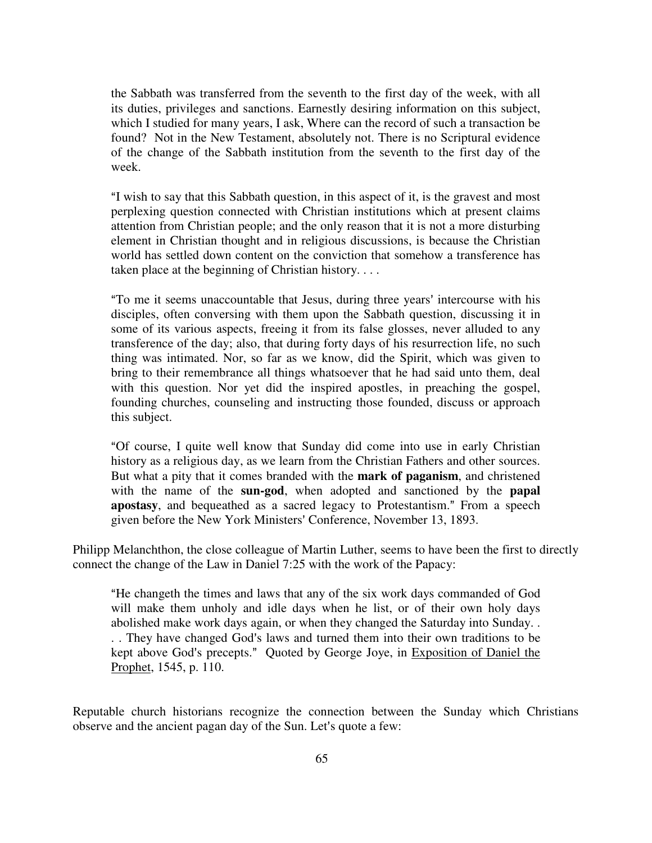the Sabbath was transferred from the seventh to the first day of the week, with all its duties, privileges and sanctions. Earnestly desiring information on this subject, which I studied for many years, I ask, Where can the record of such a transaction be found? Not in the New Testament, absolutely not. There is no Scriptural evidence of the change of the Sabbath institution from the seventh to the first day of the week.

AI wish to say that this Sabbath question, in this aspect of it, is the gravest and most perplexing question connected with Christian institutions which at present claims attention from Christian people; and the only reason that it is not a more disturbing element in Christian thought and in religious discussions, is because the Christian world has settled down content on the conviction that somehow a transference has taken place at the beginning of Christian history. . . .

ATo me it seems unaccountable that Jesus, during three years= intercourse with his disciples, often conversing with them upon the Sabbath question, discussing it in some of its various aspects, freeing it from its false glosses, never alluded to any transference of the day; also, that during forty days of his resurrection life, no such thing was intimated. Nor, so far as we know, did the Spirit, which was given to bring to their remembrance all things whatsoever that he had said unto them, deal with this question. Nor yet did the inspired apostles, in preaching the gospel, founding churches, counseling and instructing those founded, discuss or approach this subject.

AOf course, I quite well know that Sunday did come into use in early Christian history as a religious day, as we learn from the Christian Fathers and other sources. But what a pity that it comes branded with the **mark of paganism**, and christened with the name of the **sun-god**, when adopted and sanctioned by the **papal**  apostasy, and bequeathed as a sacred legacy to Protestantism." From a speech given before the New York Ministers' Conference, November 13, 1893.

Philipp Melanchthon, the close colleague of Martin Luther, seems to have been the first to directly connect the change of the Law in Daniel 7:25 with the work of the Papacy:

AHe changeth the times and laws that any of the six work days commanded of God will make them unholy and idle days when he list, or of their own holy days abolished make work days again, or when they changed the Saturday into Sunday. . .. They have changed God's laws and turned them into their own traditions to be kept above God's precepts." Quoted by George Joye, in Exposition of Daniel the Prophet, 1545, p. 110.

Reputable church historians recognize the connection between the Sunday which Christians observe and the ancient pagan day of the Sun. Let's quote a few: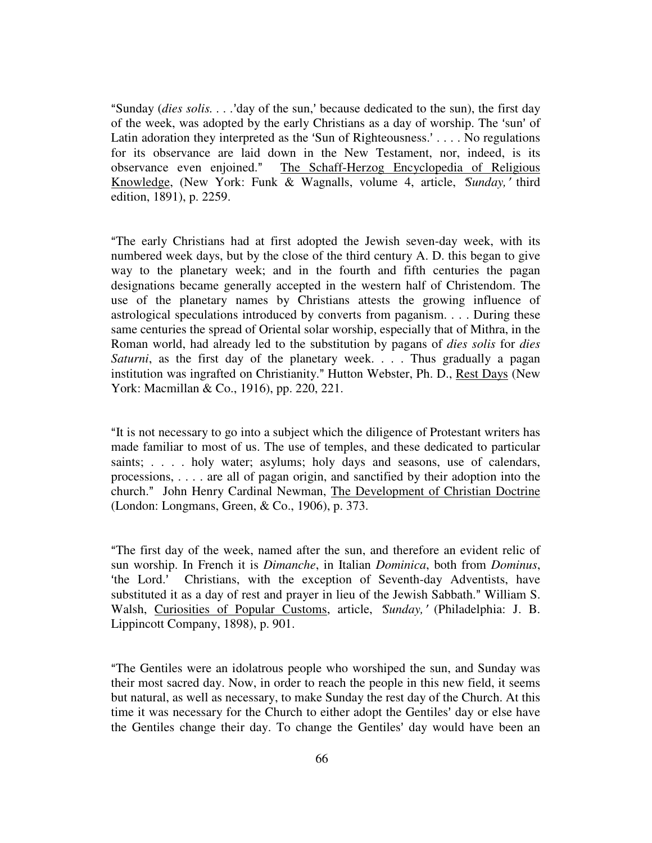ASunday (*dies solis. . . .*=day of the sun,= because dedicated to the sun), the first day of the week, was adopted by the early Christians as a day of worship. The 'sun' of Latin adoration they interpreted as the 'Sun of Righteousness.'... No regulations for its observance are laid down in the New Testament, nor, indeed, is its observance even enjoined." The Schaff-Herzog Encyclopedia of Religious Knowledge, (New York: Funk & Wagnalls, volume 4, article, *Sunday*, *third* edition, 1891), p. 2259.

"The early Christians had at first adopted the Jewish seven-day week, with its numbered week days, but by the close of the third century A. D. this began to give way to the planetary week; and in the fourth and fifth centuries the pagan designations became generally accepted in the western half of Christendom. The use of the planetary names by Christians attests the growing influence of astrological speculations introduced by converts from paganism. . . . During these same centuries the spread of Oriental solar worship, especially that of Mithra, in the Roman world, had already led to the substitution by pagans of *dies solis* for *dies Saturni*, as the first day of the planetary week. . . . Thus gradually a pagan institution was ingrafted on Christianity." Hutton Webster, Ph. D., Rest Days (New York: Macmillan & Co., 1916), pp. 220, 221.

AIt is not necessary to go into a subject which the diligence of Protestant writers has made familiar to most of us. The use of temples, and these dedicated to particular saints; . . . . holy water; asylums; holy days and seasons, use of calendars, processions, . . . . are all of pagan origin, and sanctified by their adoption into the church.<sup>"</sup> John Henry Cardinal Newman, The Development of Christian Doctrine (London: Longmans, Green, & Co., 1906), p. 373.

"The first day of the week, named after the sun, and therefore an evident relic of sun worship. In French it is *Dimanche*, in Italian *Dominica*, both from *Dominus*, 'the Lord.' Christians, with the exception of Seventh-day Adventists, have substituted it as a day of rest and prayer in lieu of the Jewish Sabbath." William S. Walsh, Curiosities of Popular Customs, article, 'Sunday,' (Philadelphia: J. B. Lippincott Company, 1898), p. 901.

"The Gentiles were an idolatrous people who worshiped the sun, and Sunday was their most sacred day. Now, in order to reach the people in this new field, it seems but natural, as well as necessary, to make Sunday the rest day of the Church. At this time it was necessary for the Church to either adopt the Gentiles' day or else have the Gentiles change their day. To change the Gentiles' day would have been an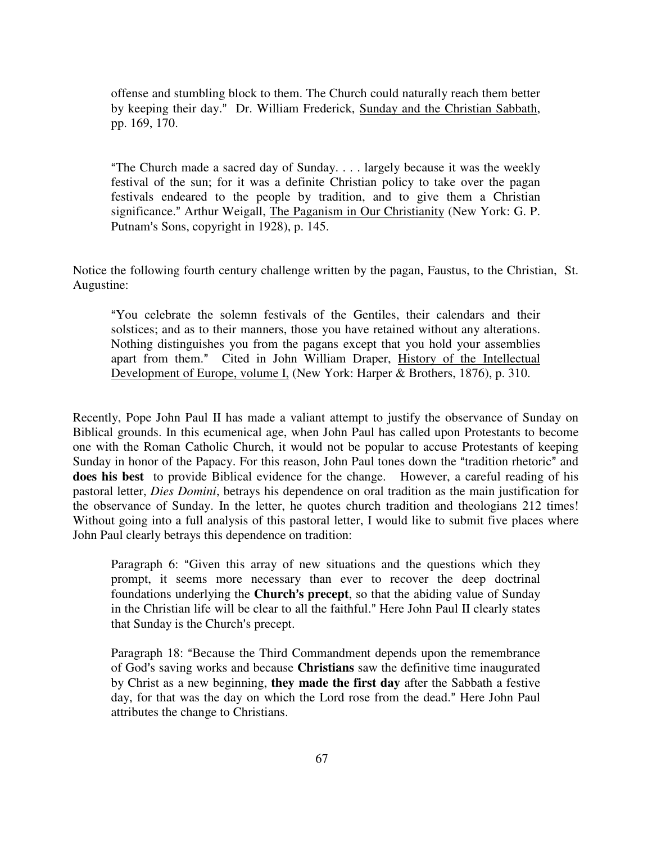offense and stumbling block to them. The Church could naturally reach them better by keeping their day." Dr. William Frederick, Sunday and the Christian Sabbath, pp. 169, 170.

"The Church made a sacred day of Sunday.  $\ldots$  largely because it was the weekly festival of the sun; for it was a definite Christian policy to take over the pagan festivals endeared to the people by tradition, and to give them a Christian significance." Arthur Weigall, The Paganism in Our Christianity (New York: G. P. Putnam's Sons, copyright in 1928), p. 145.

Notice the following fourth century challenge written by the pagan, Faustus, to the Christian, St. Augustine:

AYou celebrate the solemn festivals of the Gentiles, their calendars and their solstices; and as to their manners, those you have retained without any alterations. Nothing distinguishes you from the pagans except that you hold your assemblies apart from them." Cited in John William Draper, History of the Intellectual Development of Europe, volume I, (New York: Harper & Brothers, 1876), p. 310.

Recently, Pope John Paul II has made a valiant attempt to justify the observance of Sunday on Biblical grounds. In this ecumenical age, when John Paul has called upon Protestants to become one with the Roman Catholic Church, it would not be popular to accuse Protestants of keeping Sunday in honor of the Papacy. For this reason, John Paul tones down the "tradition rhetoric" and **does his best** to provide Biblical evidence for the change. However, a careful reading of his pastoral letter, *Dies Domini*, betrays his dependence on oral tradition as the main justification for the observance of Sunday. In the letter, he quotes church tradition and theologians 212 times! Without going into a full analysis of this pastoral letter, I would like to submit five places where John Paul clearly betrays this dependence on tradition:

Paragraph 6: "Given this array of new situations and the questions which they prompt, it seems more necessary than ever to recover the deep doctrinal foundations underlying the **Church's precept**, so that the abiding value of Sunday in the Christian life will be clear to all the faithful." Here John Paul II clearly states that Sunday is the Church's precept.

Paragraph 18: "Because the Third Commandment depends upon the remembrance of God's saving works and because **Christians** saw the definitive time inaugurated by Christ as a new beginning, **they made the first day** after the Sabbath a festive day, for that was the day on which the Lord rose from the dead." Here John Paul attributes the change to Christians.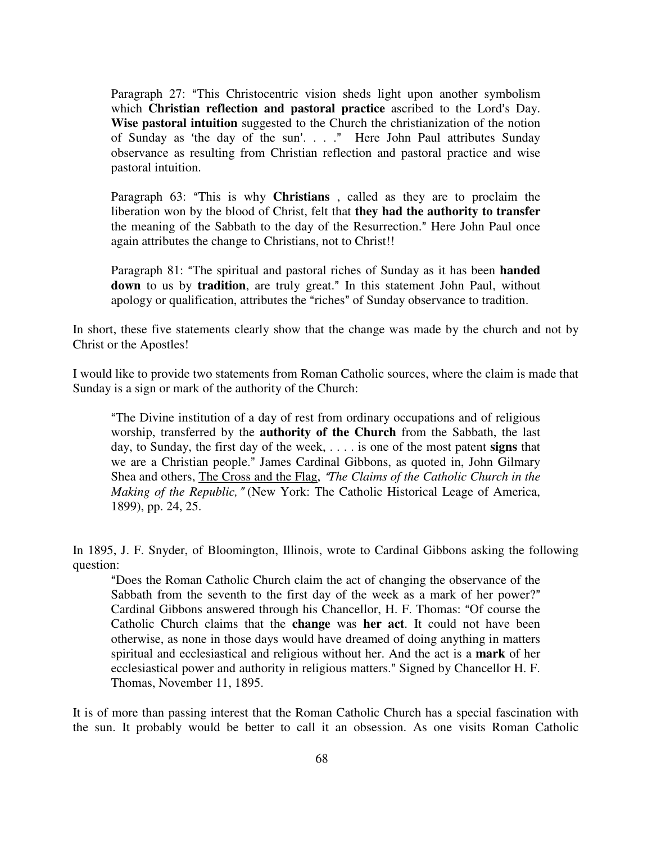Paragraph 27: "This Christocentric vision sheds light upon another symbolism which **Christian reflection and pastoral practice** ascribed to the Lord's Day. **Wise pastoral intuition** suggested to the Church the christianization of the notion of Sunday as 'the day of the sun'. . . ." Here John Paul attributes Sunday observance as resulting from Christian reflection and pastoral practice and wise pastoral intuition.

Paragraph 63: "This is why **Christians**, called as they are to proclaim the liberation won by the blood of Christ, felt that **they had the authority to transfer** the meaning of the Sabbath to the day of the Resurrection." Here John Paul once again attributes the change to Christians, not to Christ!!

Paragraph 81: "The spiritual and pastoral riches of Sunday as it has been **handed** down to us by tradition, are truly great." In this statement John Paul, without apology or qualification, attributes the "riches" of Sunday observance to tradition.

In short, these five statements clearly show that the change was made by the church and not by Christ or the Apostles!

I would like to provide two statements from Roman Catholic sources, where the claim is made that Sunday is a sign or mark of the authority of the Church:

AThe Divine institution of a day of rest from ordinary occupations and of religious worship, transferred by the **authority of the Church** from the Sabbath, the last day, to Sunday, the first day of the week, . . . . is one of the most patent **signs** that we are a Christian people." James Cardinal Gibbons, as quoted in, John Gilmary Shea and others, The Cross and the Flag, *'The Claims of the Catholic Church in the Making of the Republic,* "(New York: The Catholic Historical Leage of America, 1899), pp. 24, 25.

In 1895, J. F. Snyder, of Bloomington, Illinois, wrote to Cardinal Gibbons asking the following question:

"Does the Roman Catholic Church claim the act of changing the observance of the Sabbath from the seventh to the first day of the week as a mark of her power?" Cardinal Gibbons answered through his Chancellor, H. F. Thomas: "Of course the Catholic Church claims that the **change** was **her act**. It could not have been otherwise, as none in those days would have dreamed of doing anything in matters spiritual and ecclesiastical and religious without her. And the act is a **mark** of her ecclesiastical power and authority in religious matters." Signed by Chancellor H. F. Thomas, November 11, 1895.

It is of more than passing interest that the Roman Catholic Church has a special fascination with the sun. It probably would be better to call it an obsession. As one visits Roman Catholic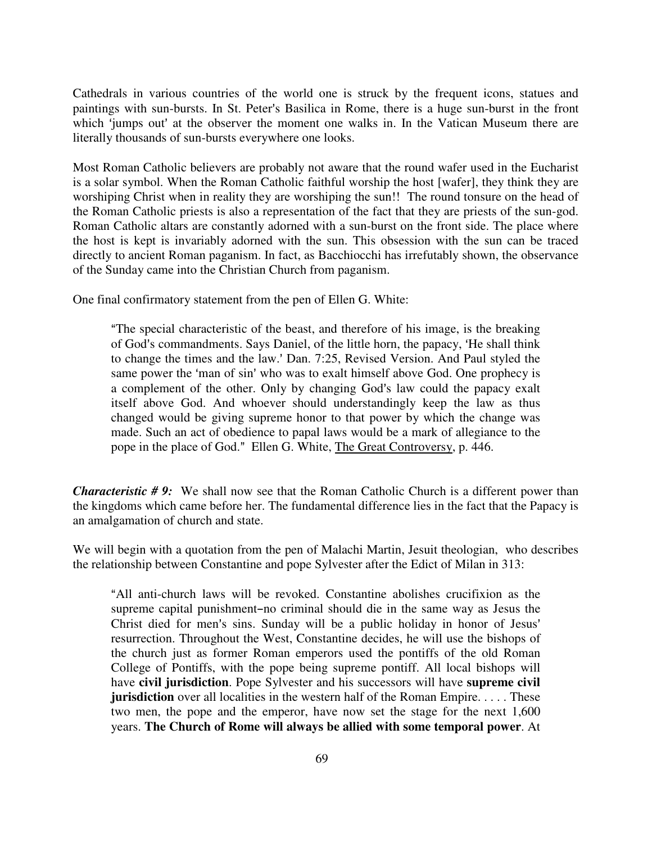Cathedrals in various countries of the world one is struck by the frequent icons, statues and paintings with sun-bursts. In St. Peter's Basilica in Rome, there is a huge sun-burst in the front which 'jumps out' at the observer the moment one walks in. In the Vatican Museum there are literally thousands of sun-bursts everywhere one looks.

Most Roman Catholic believers are probably not aware that the round wafer used in the Eucharist is a solar symbol. When the Roman Catholic faithful worship the host [wafer], they think they are worshiping Christ when in reality they are worshiping the sun!! The round tonsure on the head of the Roman Catholic priests is also a representation of the fact that they are priests of the sun-god. Roman Catholic altars are constantly adorned with a sun-burst on the front side. The place where the host is kept is invariably adorned with the sun. This obsession with the sun can be traced directly to ancient Roman paganism. In fact, as Bacchiocchi has irrefutably shown, the observance of the Sunday came into the Christian Church from paganism.

One final confirmatory statement from the pen of Ellen G. White:

"The special characteristic of the beast, and therefore of his image, is the breaking of God's commandments. Says Daniel, of the little horn, the papacy, 'He shall think to change the times and the law.' Dan. 7:25, Revised Version. And Paul styled the same power the 'man of sin' who was to exalt himself above God. One prophecy is a complement of the other. Only by changing God's law could the papacy exalt itself above God. And whoever should understandingly keep the law as thus changed would be giving supreme honor to that power by which the change was made. Such an act of obedience to papal laws would be a mark of allegiance to the pope in the place of God." Ellen G. White, The Great Controversy, p. 446.

*Characteristic #9:* We shall now see that the Roman Catholic Church is a different power than the kingdoms which came before her. The fundamental difference lies in the fact that the Papacy is an amalgamation of church and state.

We will begin with a quotation from the pen of Malachi Martin, Jesuit theologian, who describes the relationship between Constantine and pope Sylvester after the Edict of Milan in 313:

AAll anti-church laws will be revoked. Constantine abolishes crucifixion as the supreme capital punishment-no criminal should die in the same way as Jesus the Christ died for men's sins. Sunday will be a public holiday in honor of Jesus' resurrection. Throughout the West, Constantine decides, he will use the bishops of the church just as former Roman emperors used the pontiffs of the old Roman College of Pontiffs, with the pope being supreme pontiff. All local bishops will have **civil jurisdiction**. Pope Sylvester and his successors will have **supreme civil jurisdiction** over all localities in the western half of the Roman Empire. . . . . These two men, the pope and the emperor, have now set the stage for the next 1,600 years. **The Church of Rome will always be allied with some temporal power**. At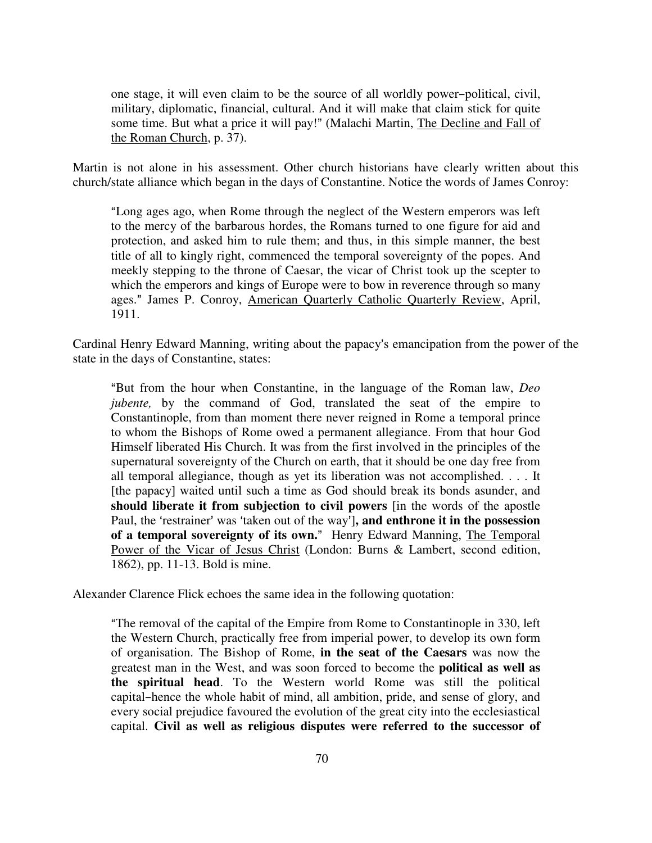one stage, it will even claim to be the source of all worldly power-political, civil, military, diplomatic, financial, cultural. And it will make that claim stick for quite some time. But what a price it will pay!" (Malachi Martin, The Decline and Fall of the Roman Church, p. 37).

Martin is not alone in his assessment. Other church historians have clearly written about this church/state alliance which began in the days of Constantine. Notice the words of James Conroy:

"Long ages ago, when Rome through the neglect of the Western emperors was left to the mercy of the barbarous hordes, the Romans turned to one figure for aid and protection, and asked him to rule them; and thus, in this simple manner, the best title of all to kingly right, commenced the temporal sovereignty of the popes. And meekly stepping to the throne of Caesar, the vicar of Christ took up the scepter to which the emperors and kings of Europe were to bow in reverence through so many ages." James P. Conroy, American Quarterly Catholic Quarterly Review, April, 1911.

Cardinal Henry Edward Manning, writing about the papacy's emancipation from the power of the state in the days of Constantine, states:

ABut from the hour when Constantine, in the language of the Roman law, *Deo jubente,* by the command of God, translated the seat of the empire to Constantinople, from than moment there never reigned in Rome a temporal prince to whom the Bishops of Rome owed a permanent allegiance. From that hour God Himself liberated His Church. It was from the first involved in the principles of the supernatural sovereignty of the Church on earth, that it should be one day free from all temporal allegiance, though as yet its liberation was not accomplished. . . . It [the papacy] waited until such a time as God should break its bonds asunder, and **should liberate it from subjection to civil powers** [in the words of the apostle Paul, the 'restrainer' was 'taken out of the way'], and enthrone it in the possession of a temporal sovereignty of its own." Henry Edward Manning, The Temporal Power of the Vicar of Jesus Christ (London: Burns & Lambert, second edition, 1862), pp. 11-13. Bold is mine.

Alexander Clarence Flick echoes the same idea in the following quotation:

AThe removal of the capital of the Empire from Rome to Constantinople in 330, left the Western Church, practically free from imperial power, to develop its own form of organisation. The Bishop of Rome, **in the seat of the Caesars** was now the greatest man in the West, and was soon forced to become the **political as well as the spiritual head**. To the Western world Rome was still the political capital-hence the whole habit of mind, all ambition, pride, and sense of glory, and every social prejudice favoured the evolution of the great city into the ecclesiastical capital. **Civil as well as religious disputes were referred to the successor of**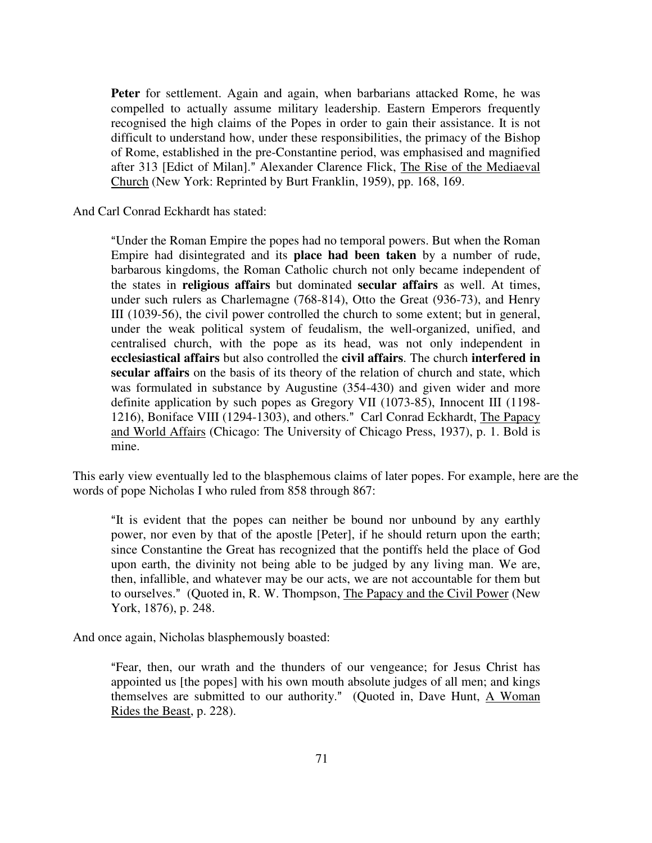Peter for settlement. Again and again, when barbarians attacked Rome, he was compelled to actually assume military leadership. Eastern Emperors frequently recognised the high claims of the Popes in order to gain their assistance. It is not difficult to understand how, under these responsibilities, the primacy of the Bishop of Rome, established in the pre-Constantine period, was emphasised and magnified after 313 [Edict of Milan]." Alexander Clarence Flick, The Rise of the Mediaeval Church (New York: Reprinted by Burt Franklin, 1959), pp. 168, 169.

And Carl Conrad Eckhardt has stated:

"Under the Roman Empire the popes had no temporal powers. But when the Roman Empire had disintegrated and its **place had been taken** by a number of rude, barbarous kingdoms, the Roman Catholic church not only became independent of the states in **religious affairs** but dominated **secular affairs** as well. At times, under such rulers as Charlemagne (768-814), Otto the Great (936-73), and Henry III (1039-56), the civil power controlled the church to some extent; but in general, under the weak political system of feudalism, the well-organized, unified, and centralised church, with the pope as its head, was not only independent in **ecclesiastical affairs** but also controlled the **civil affairs**. The church **interfered in secular affairs** on the basis of its theory of the relation of church and state, which was formulated in substance by Augustine (354-430) and given wider and more definite application by such popes as Gregory VII (1073-85), Innocent III (1198- 1216), Boniface VIII (1294-1303), and others." Carl Conrad Eckhardt, The Papacy and World Affairs (Chicago: The University of Chicago Press, 1937), p. 1. Bold is mine.

This early view eventually led to the blasphemous claims of later popes. For example, here are the words of pope Nicholas I who ruled from 858 through 867:

AIt is evident that the popes can neither be bound nor unbound by any earthly power, nor even by that of the apostle [Peter], if he should return upon the earth; since Constantine the Great has recognized that the pontiffs held the place of God upon earth, the divinity not being able to be judged by any living man. We are, then, infallible, and whatever may be our acts, we are not accountable for them but to ourselves." (Quoted in, R. W. Thompson, The Papacy and the Civil Power (New York, 1876), p. 248.

And once again, Nicholas blasphemously boasted:

"Fear, then, our wrath and the thunders of our vengeance; for Jesus Christ has appointed us [the popes] with his own mouth absolute judges of all men; and kings themselves are submitted to our authority." (Quoted in, Dave Hunt,  $\overline{A}$  Woman Rides the Beast, p. 228).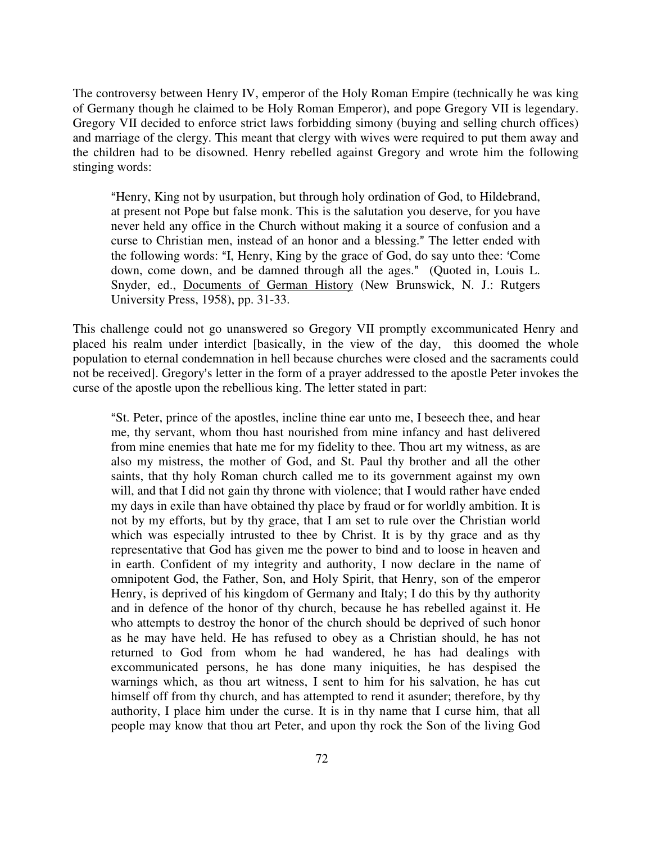The controversy between Henry IV, emperor of the Holy Roman Empire (technically he was king of Germany though he claimed to be Holy Roman Emperor), and pope Gregory VII is legendary. Gregory VII decided to enforce strict laws forbidding simony (buying and selling church offices) and marriage of the clergy. This meant that clergy with wives were required to put them away and the children had to be disowned. Henry rebelled against Gregory and wrote him the following stinging words:

"Henry, King not by usurpation, but through holy ordination of God, to Hildebrand, at present not Pope but false monk. This is the salutation you deserve, for you have never held any office in the Church without making it a source of confusion and a curse to Christian men, instead of an honor and a blessing." The letter ended with the following words: "I, Henry, King by the grace of God, do say unto thee: 'Come down, come down, and be damned through all the ages." (Quoted in, Louis L. Snyder, ed., Documents of German History (New Brunswick, N. J.: Rutgers University Press, 1958), pp. 31-33.

This challenge could not go unanswered so Gregory VII promptly excommunicated Henry and placed his realm under interdict [basically, in the view of the day, this doomed the whole population to eternal condemnation in hell because churches were closed and the sacraments could not be received]. Gregory's letter in the form of a prayer addressed to the apostle Peter invokes the curse of the apostle upon the rebellious king. The letter stated in part:

"St. Peter, prince of the apostles, incline thine ear unto me, I beseech thee, and hear me, thy servant, whom thou hast nourished from mine infancy and hast delivered from mine enemies that hate me for my fidelity to thee. Thou art my witness, as are also my mistress, the mother of God, and St. Paul thy brother and all the other saints, that thy holy Roman church called me to its government against my own will, and that I did not gain thy throne with violence; that I would rather have ended my days in exile than have obtained thy place by fraud or for worldly ambition. It is not by my efforts, but by thy grace, that I am set to rule over the Christian world which was especially intrusted to thee by Christ. It is by thy grace and as thy representative that God has given me the power to bind and to loose in heaven and in earth. Confident of my integrity and authority, I now declare in the name of omnipotent God, the Father, Son, and Holy Spirit, that Henry, son of the emperor Henry, is deprived of his kingdom of Germany and Italy; I do this by thy authority and in defence of the honor of thy church, because he has rebelled against it. He who attempts to destroy the honor of the church should be deprived of such honor as he may have held. He has refused to obey as a Christian should, he has not returned to God from whom he had wandered, he has had dealings with excommunicated persons, he has done many iniquities, he has despised the warnings which, as thou art witness, I sent to him for his salvation, he has cut himself off from thy church, and has attempted to rend it asunder; therefore, by thy authority, I place him under the curse. It is in thy name that I curse him, that all people may know that thou art Peter, and upon thy rock the Son of the living God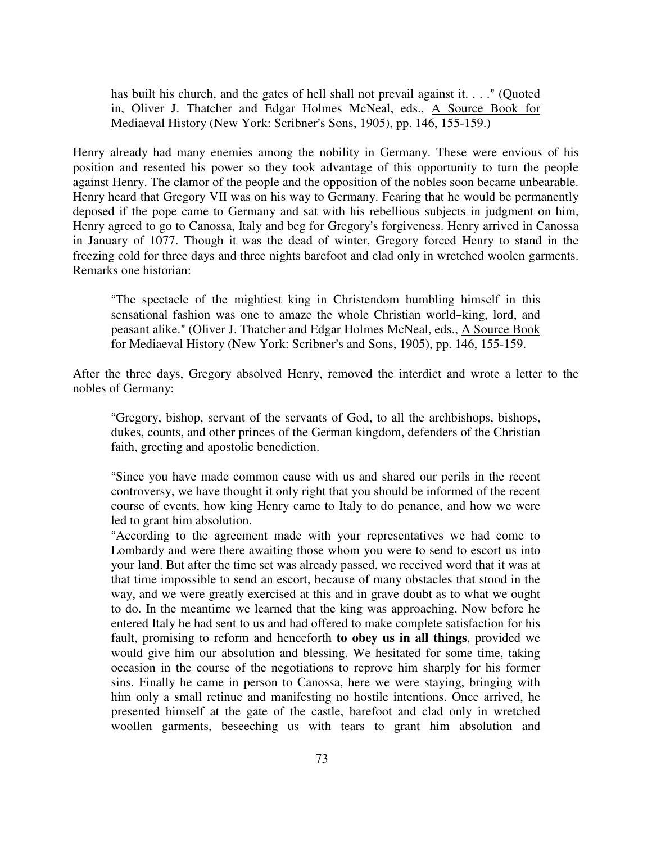has built his church, and the gates of hell shall not prevail against it.  $\ldots$  " (Quoted in, Oliver J. Thatcher and Edgar Holmes McNeal, eds., A Source Book for Mediaeval History (New York: Scribner's Sons, 1905), pp. 146, 155-159.)

Henry already had many enemies among the nobility in Germany. These were envious of his position and resented his power so they took advantage of this opportunity to turn the people against Henry. The clamor of the people and the opposition of the nobles soon became unbearable. Henry heard that Gregory VII was on his way to Germany. Fearing that he would be permanently deposed if the pope came to Germany and sat with his rebellious subjects in judgment on him, Henry agreed to go to Canossa, Italy and beg for Gregory's forgiveness. Henry arrived in Canossa in January of 1077. Though it was the dead of winter, Gregory forced Henry to stand in the freezing cold for three days and three nights barefoot and clad only in wretched woolen garments. Remarks one historian:

"The spectacle of the mightiest king in Christendom humbling himself in this sensational fashion was one to amaze the whole Christian world-king, lord, and peasant alike." (Oliver J. Thatcher and Edgar Holmes McNeal, eds., A Source Book for Mediaeval History (New York: Scribner's and Sons, 1905), pp. 146, 155-159.

After the three days, Gregory absolved Henry, removed the interdict and wrote a letter to the nobles of Germany:

AGregory, bishop, servant of the servants of God, to all the archbishops, bishops, dukes, counts, and other princes of the German kingdom, defenders of the Christian faith, greeting and apostolic benediction.

"Since you have made common cause with us and shared our perils in the recent controversy, we have thought it only right that you should be informed of the recent course of events, how king Henry came to Italy to do penance, and how we were led to grant him absolution.

"According to the agreement made with your representatives we had come to Lombardy and were there awaiting those whom you were to send to escort us into your land. But after the time set was already passed, we received word that it was at that time impossible to send an escort, because of many obstacles that stood in the way, and we were greatly exercised at this and in grave doubt as to what we ought to do. In the meantime we learned that the king was approaching. Now before he entered Italy he had sent to us and had offered to make complete satisfaction for his fault, promising to reform and henceforth **to obey us in all things**, provided we would give him our absolution and blessing. We hesitated for some time, taking occasion in the course of the negotiations to reprove him sharply for his former sins. Finally he came in person to Canossa, here we were staying, bringing with him only a small retinue and manifesting no hostile intentions. Once arrived, he presented himself at the gate of the castle, barefoot and clad only in wretched woollen garments, beseeching us with tears to grant him absolution and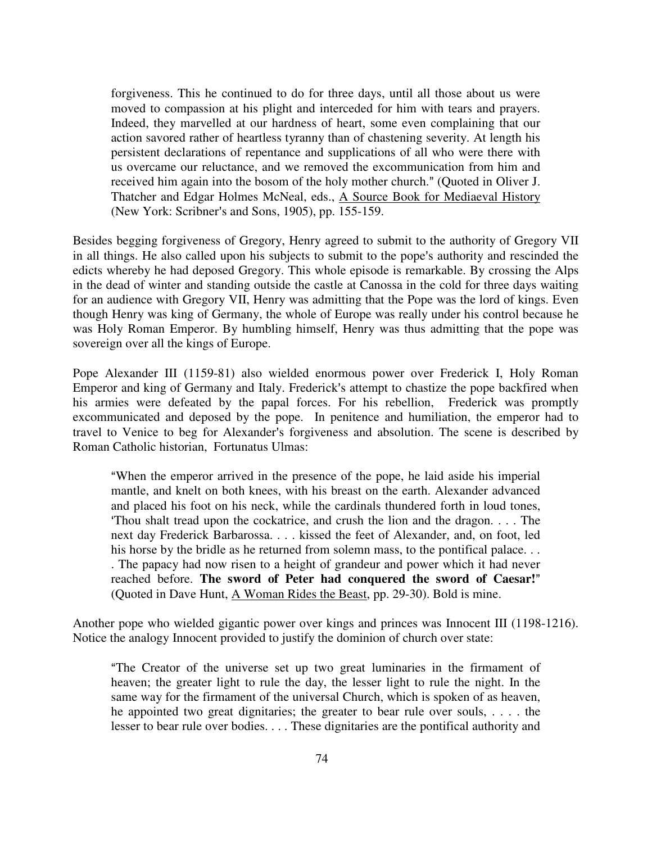forgiveness. This he continued to do for three days, until all those about us were moved to compassion at his plight and interceded for him with tears and prayers. Indeed, they marvelled at our hardness of heart, some even complaining that our action savored rather of heartless tyranny than of chastening severity. At length his persistent declarations of repentance and supplications of all who were there with us overcame our reluctance, and we removed the excommunication from him and received him again into the bosom of the holy mother church." (Quoted in Oliver J. Thatcher and Edgar Holmes McNeal, eds., A Source Book for Mediaeval History (New York: Scribner's and Sons,  $1905$ ), pp. 155-159.

Besides begging forgiveness of Gregory, Henry agreed to submit to the authority of Gregory VII in all things. He also called upon his subjects to submit to the pope's authority and rescinded the edicts whereby he had deposed Gregory. This whole episode is remarkable. By crossing the Alps in the dead of winter and standing outside the castle at Canossa in the cold for three days waiting for an audience with Gregory VII, Henry was admitting that the Pope was the lord of kings. Even though Henry was king of Germany, the whole of Europe was really under his control because he was Holy Roman Emperor. By humbling himself, Henry was thus admitting that the pope was sovereign over all the kings of Europe.

Pope Alexander III (1159-81) also wielded enormous power over Frederick I, Holy Roman Emperor and king of Germany and Italy. Frederick's attempt to chastize the pope backfired when his armies were defeated by the papal forces. For his rebellion, Frederick was promptly excommunicated and deposed by the pope. In penitence and humiliation, the emperor had to travel to Venice to beg for Alexander's forgiveness and absolution. The scene is described by Roman Catholic historian, Fortunatus Ulmas:

"When the emperor arrived in the presence of the pope, he laid aside his imperial mantle, and knelt on both knees, with his breast on the earth. Alexander advanced and placed his foot on his neck, while the cardinals thundered forth in loud tones, >Thou shalt tread upon the cockatrice, and crush the lion and the dragon. . . . The next day Frederick Barbarossa. . . . kissed the feet of Alexander, and, on foot, led his horse by the bridle as he returned from solemn mass, to the pontifical palace... . The papacy had now risen to a height of grandeur and power which it had never reached before. The sword of Peter had conquered the sword of Caesar!" (Quoted in Dave Hunt, A Woman Rides the Beast, pp. 29-30). Bold is mine.

Another pope who wielded gigantic power over kings and princes was Innocent III (1198-1216). Notice the analogy Innocent provided to justify the dominion of church over state:

"The Creator of the universe set up two great luminaries in the firmament of heaven; the greater light to rule the day, the lesser light to rule the night. In the same way for the firmament of the universal Church, which is spoken of as heaven, he appointed two great dignitaries; the greater to bear rule over souls, . . . . the lesser to bear rule over bodies. . . . These dignitaries are the pontifical authority and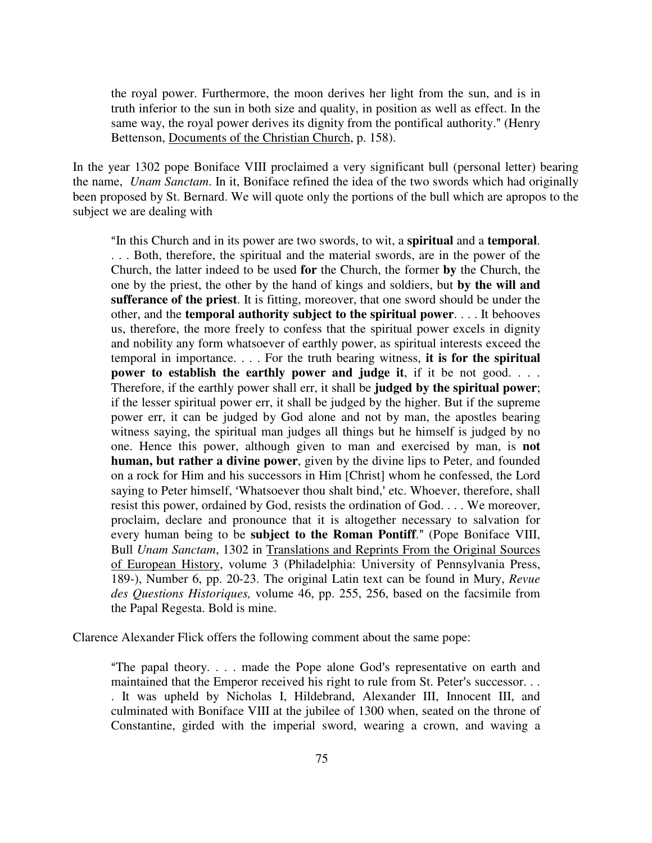the royal power. Furthermore, the moon derives her light from the sun, and is in truth inferior to the sun in both size and quality, in position as well as effect. In the same way, the royal power derives its dignity from the pontifical authority." (Henry Bettenson, Documents of the Christian Church, p. 158).

In the year 1302 pope Boniface VIII proclaimed a very significant bull (personal letter) bearing the name, *Unam Sanctam*. In it, Boniface refined the idea of the two swords which had originally been proposed by St. Bernard. We will quote only the portions of the bull which are apropos to the subject we are dealing with

AIn this Church and in its power are two swords, to wit, a **spiritual** and a **temporal**. . . . Both, therefore, the spiritual and the material swords, are in the power of the Church, the latter indeed to be used **for** the Church, the former **by** the Church, the one by the priest, the other by the hand of kings and soldiers, but **by the will and sufferance of the priest**. It is fitting, moreover, that one sword should be under the other, and the **temporal authority subject to the spiritual power**. . . . It behooves us, therefore, the more freely to confess that the spiritual power excels in dignity and nobility any form whatsoever of earthly power, as spiritual interests exceed the temporal in importance. . . . For the truth bearing witness, **it is for the spiritual power to establish the earthly power and judge it**, if it be not good. . . . Therefore, if the earthly power shall err, it shall be **judged by the spiritual power**; if the lesser spiritual power err, it shall be judged by the higher. But if the supreme power err, it can be judged by God alone and not by man, the apostles bearing witness saying, the spiritual man judges all things but he himself is judged by no one. Hence this power, although given to man and exercised by man, is **not human, but rather a divine power**, given by the divine lips to Peter, and founded on a rock for Him and his successors in Him [Christ] whom he confessed, the Lord saying to Peter himself, 'Whatsoever thou shalt bind,' etc. Whoever, therefore, shall resist this power, ordained by God, resists the ordination of God. . . . We moreover, proclaim, declare and pronounce that it is altogether necessary to salvation for every human being to be **subject to the Roman Pontiff**." (Pope Boniface VIII, Bull *Unam Sanctam*, 1302 in Translations and Reprints From the Original Sources of European History, volume 3 (Philadelphia: University of Pennsylvania Press, 189-), Number 6, pp. 20-23. The original Latin text can be found in Mury, *Revue des Questions Historiques,* volume 46, pp. 255, 256, based on the facsimile from the Papal Regesta. Bold is mine.

Clarence Alexander Flick offers the following comment about the same pope:

"The papal theory. . . . made the Pope alone God's representative on earth and maintained that the Emperor received his right to rule from St. Peter's successor. . . . It was upheld by Nicholas I, Hildebrand, Alexander III, Innocent III, and culminated with Boniface VIII at the jubilee of 1300 when, seated on the throne of Constantine, girded with the imperial sword, wearing a crown, and waving a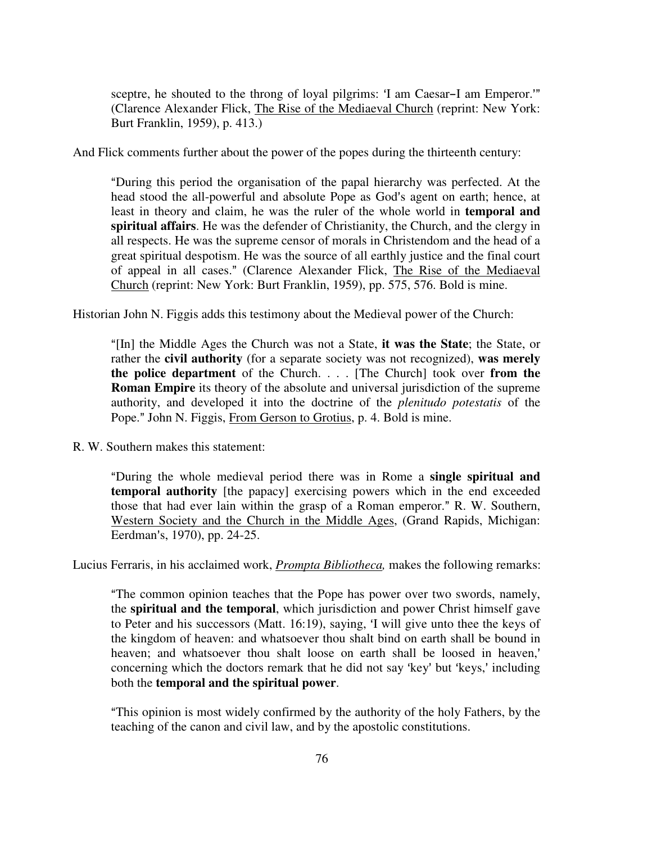sceptre, he shouted to the throng of loyal pilgrims: 'I am Caesar-I am Emperor.'" (Clarence Alexander Flick, The Rise of the Mediaeval Church (reprint: New York: Burt Franklin, 1959), p. 413.)

And Flick comments further about the power of the popes during the thirteenth century:

ADuring this period the organisation of the papal hierarchy was perfected. At the head stood the all-powerful and absolute Pope as God's agent on earth; hence, at least in theory and claim, he was the ruler of the whole world in **temporal and spiritual affairs**. He was the defender of Christianity, the Church, and the clergy in all respects. He was the supreme censor of morals in Christendom and the head of a great spiritual despotism. He was the source of all earthly justice and the final court of appeal in all cases." (Clarence Alexander Flick, The Rise of the Mediaeval Church (reprint: New York: Burt Franklin, 1959), pp. 575, 576. Bold is mine.

Historian John N. Figgis adds this testimony about the Medieval power of the Church:

A[In] the Middle Ages the Church was not a State, **it was the State**; the State, or rather the **civil authority** (for a separate society was not recognized), **was merely the police department** of the Church. . . . [The Church] took over **from the Roman Empire** its theory of the absolute and universal jurisdiction of the supreme authority, and developed it into the doctrine of the *plenitudo potestatis* of the Pope." John N. Figgis, From Gerson to Grotius, p. 4. Bold is mine.

R. W. Southern makes this statement:

ADuring the whole medieval period there was in Rome a **single spiritual and temporal authority** [the papacy] exercising powers which in the end exceeded those that had ever lain within the grasp of a Roman emperor."  $R$ . W. Southern, Western Society and the Church in the Middle Ages, (Grand Rapids, Michigan: Eerdman's, 1970), pp. 24-25.

Lucius Ferraris, in his acclaimed work, *Prompta Bibliotheca,* makes the following remarks:

"The common opinion teaches that the Pope has power over two swords, namely, the **spiritual and the temporal**, which jurisdiction and power Christ himself gave to Peter and his successors (Matt.  $16:19$ ), saying, 'I will give unto thee the keys of the kingdom of heaven: and whatsoever thou shalt bind on earth shall be bound in heaven; and whatsoever thou shalt loose on earth shall be loosed in heaven,' concerning which the doctors remark that he did not say 'key' but 'keys,' including both the **temporal and the spiritual power**.

"This opinion is most widely confirmed by the authority of the holy Fathers, by the teaching of the canon and civil law, and by the apostolic constitutions.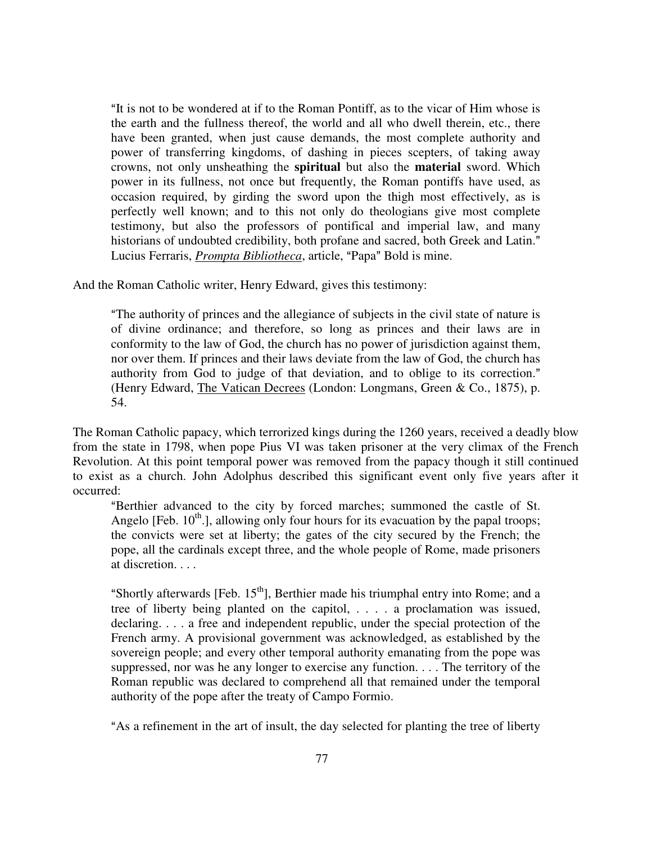"It is not to be wondered at if to the Roman Pontiff, as to the vicar of Him whose is the earth and the fullness thereof, the world and all who dwell therein, etc., there have been granted, when just cause demands, the most complete authority and power of transferring kingdoms, of dashing in pieces scepters, of taking away crowns, not only unsheathing the **spiritual** but also the **material** sword. Which power in its fullness, not once but frequently, the Roman pontiffs have used, as occasion required, by girding the sword upon the thigh most effectively, as is perfectly well known; and to this not only do theologians give most complete testimony, but also the professors of pontifical and imperial law, and many historians of undoubted credibility, both profane and sacred, both Greek and Latin." Lucius Ferraris, *Prompta Bibliotheca*, article, "Papa" Bold is mine.

And the Roman Catholic writer, Henry Edward, gives this testimony:

AThe authority of princes and the allegiance of subjects in the civil state of nature is of divine ordinance; and therefore, so long as princes and their laws are in conformity to the law of God, the church has no power of jurisdiction against them, nor over them. If princes and their laws deviate from the law of God, the church has authority from God to judge of that deviation, and to oblige to its correction." (Henry Edward, The Vatican Decrees (London: Longmans, Green & Co., 1875), p. 54.

The Roman Catholic papacy, which terrorized kings during the 1260 years, received a deadly blow from the state in 1798, when pope Pius VI was taken prisoner at the very climax of the French Revolution. At this point temporal power was removed from the papacy though it still continued to exist as a church. John Adolphus described this significant event only five years after it occurred:

"Berthier advanced to the city by forced marches; summoned the castle of St. Angelo [Feb.  $10^{th}$ .], allowing only four hours for its evacuation by the papal troops; the convicts were set at liberty; the gates of the city secured by the French; the pope, all the cardinals except three, and the whole people of Rome, made prisoners at discretion. . . .

"Shortly afterwards [Feb.  $15<sup>th</sup>$ ], Berthier made his triumphal entry into Rome; and a tree of liberty being planted on the capitol, . . . . a proclamation was issued, declaring. . . . a free and independent republic, under the special protection of the French army. A provisional government was acknowledged, as established by the sovereign people; and every other temporal authority emanating from the pope was suppressed, nor was he any longer to exercise any function. . . . The territory of the Roman republic was declared to comprehend all that remained under the temporal authority of the pope after the treaty of Campo Formio.

"As a refinement in the art of insult, the day selected for planting the tree of liberty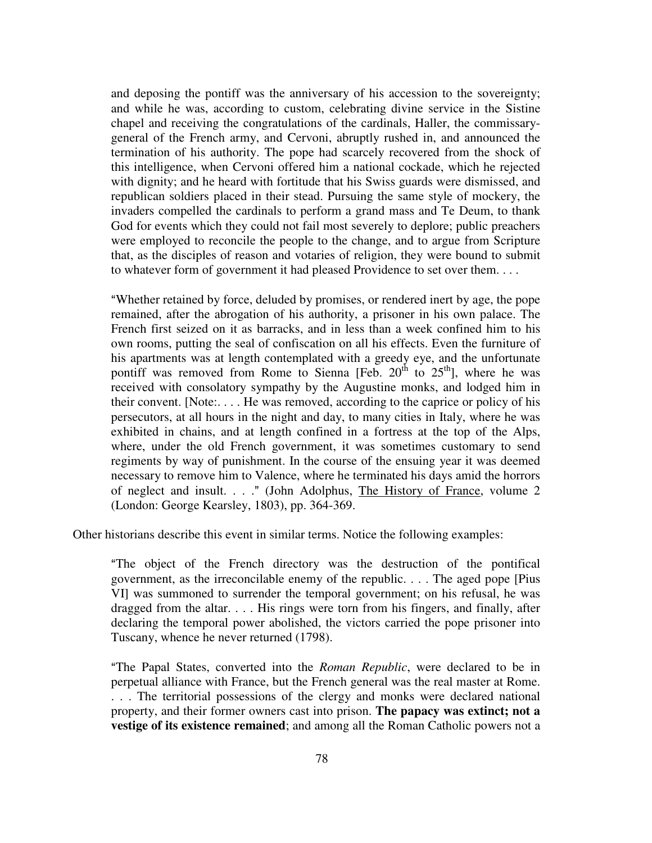and deposing the pontiff was the anniversary of his accession to the sovereignty; and while he was, according to custom, celebrating divine service in the Sistine chapel and receiving the congratulations of the cardinals, Haller, the commissarygeneral of the French army, and Cervoni, abruptly rushed in, and announced the termination of his authority. The pope had scarcely recovered from the shock of this intelligence, when Cervoni offered him a national cockade, which he rejected with dignity; and he heard with fortitude that his Swiss guards were dismissed, and republican soldiers placed in their stead. Pursuing the same style of mockery, the invaders compelled the cardinals to perform a grand mass and Te Deum, to thank God for events which they could not fail most severely to deplore; public preachers were employed to reconcile the people to the change, and to argue from Scripture that, as the disciples of reason and votaries of religion, they were bound to submit to whatever form of government it had pleased Providence to set over them. . . .

AWhether retained by force, deluded by promises, or rendered inert by age, the pope remained, after the abrogation of his authority, a prisoner in his own palace. The French first seized on it as barracks, and in less than a week confined him to his own rooms, putting the seal of confiscation on all his effects. Even the furniture of his apartments was at length contemplated with a greedy eye, and the unfortunate pontiff was removed from Rome to Sienna [Feb.  $20<sup>th</sup>$  to  $25<sup>th</sup>$ ], where he was received with consolatory sympathy by the Augustine monks, and lodged him in their convent. [Note:. . . . He was removed, according to the caprice or policy of his persecutors, at all hours in the night and day, to many cities in Italy, where he was exhibited in chains, and at length confined in a fortress at the top of the Alps, where, under the old French government, it was sometimes customary to send regiments by way of punishment. In the course of the ensuing year it was deemed necessary to remove him to Valence, where he terminated his days amid the horrors of neglect and insult. . . ." (John Adolphus, The History of France, volume 2) (London: George Kearsley, 1803), pp. 364-369.

Other historians describe this event in similar terms. Notice the following examples:

AThe object of the French directory was the destruction of the pontifical government, as the irreconcilable enemy of the republic. . . . The aged pope [Pius VI] was summoned to surrender the temporal government; on his refusal, he was dragged from the altar. . . . His rings were torn from his fingers, and finally, after declaring the temporal power abolished, the victors carried the pope prisoner into Tuscany, whence he never returned (1798).

"The Papal States, converted into the *Roman Republic*, were declared to be in perpetual alliance with France, but the French general was the real master at Rome. . . . The territorial possessions of the clergy and monks were declared national property, and their former owners cast into prison. **The papacy was extinct; not a vestige of its existence remained**; and among all the Roman Catholic powers not a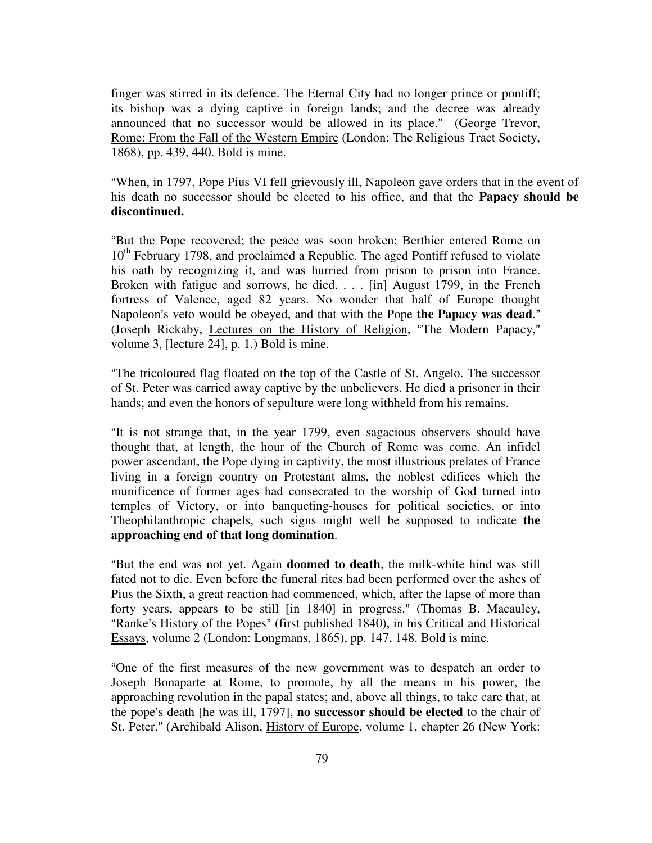finger was stirred in its defence. The Eternal City had no longer prince or pontiff; its bishop was a dying captive in foreign lands; and the decree was already announced that no successor would be allowed in its place." (George Trevor, Rome: From the Fall of the Western Empire (London: The Religious Tract Society, 1868), pp. 439, 440. Bold is mine.

"When, in 1797, Pope Pius VI fell grievously ill, Napoleon gave orders that in the event of his death no successor should be elected to his office, and that the **Papacy should be discontinued.**

"But the Pope recovered; the peace was soon broken; Berthier entered Rome on  $10<sup>th</sup>$  February 1798, and proclaimed a Republic. The aged Pontiff refused to violate his oath by recognizing it, and was hurried from prison to prison into France. Broken with fatigue and sorrows, he died. . . . [in] August 1799, in the French fortress of Valence, aged 82 years. No wonder that half of Europe thought Napoleon's veto would be obeyed, and that with the Pope the Papacy was dead." (Joseph Rickaby, Lectures on the History of Religion, "The Modern Papacy," volume 3, [lecture 24], p. 1.) Bold is mine.

AThe tricoloured flag floated on the top of the Castle of St. Angelo. The successor of St. Peter was carried away captive by the unbelievers. He died a prisoner in their hands; and even the honors of sepulture were long withheld from his remains.

AIt is not strange that, in the year 1799, even sagacious observers should have thought that, at length, the hour of the Church of Rome was come. An infidel power ascendant, the Pope dying in captivity, the most illustrious prelates of France living in a foreign country on Protestant alms, the noblest edifices which the munificence of former ages had consecrated to the worship of God turned into temples of Victory, or into banqueting-houses for political societies, or into Theophilanthropic chapels, such signs might well be supposed to indicate **the approaching end of that long domination**.

ABut the end was not yet. Again **doomed to death**, the milk-white hind was still fated not to die. Even before the funeral rites had been performed over the ashes of Pius the Sixth, a great reaction had commenced, which, after the lapse of more than forty years, appears to be still [in 1840] in progress." (Thomas B. Macauley, "Ranke's History of the Popes" (first published 1840), in his Critical and Historical Essays, volume 2 (London: Longmans, 1865), pp. 147, 148. Bold is mine.

"One of the first measures of the new government was to despatch an order to Joseph Bonaparte at Rome, to promote, by all the means in his power, the approaching revolution in the papal states; and, above all things, to take care that, at the pope's death [he was ill, 1797], **no successor should be elected** to the chair of St. Peter." (Archibald Alison, History of Europe, volume 1, chapter 26 (New York: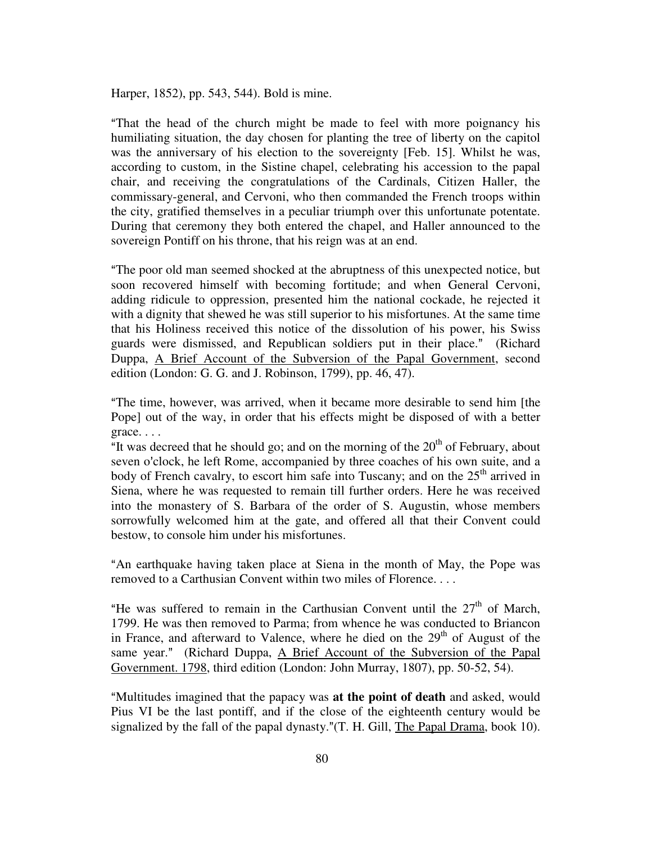Harper, 1852), pp. 543, 544). Bold is mine.

"That the head of the church might be made to feel with more poignancy his humiliating situation, the day chosen for planting the tree of liberty on the capitol was the anniversary of his election to the sovereignty [Feb. 15]. Whilst he was, according to custom, in the Sistine chapel, celebrating his accession to the papal chair, and receiving the congratulations of the Cardinals, Citizen Haller, the commissary-general, and Cervoni, who then commanded the French troops within the city, gratified themselves in a peculiar triumph over this unfortunate potentate. During that ceremony they both entered the chapel, and Haller announced to the sovereign Pontiff on his throne, that his reign was at an end.

AThe poor old man seemed shocked at the abruptness of this unexpected notice, but soon recovered himself with becoming fortitude; and when General Cervoni, adding ridicule to oppression, presented him the national cockade, he rejected it with a dignity that shewed he was still superior to his misfortunes. At the same time that his Holiness received this notice of the dissolution of his power, his Swiss guards were dismissed, and Republican soldiers put in their place." (Richard Duppa, A Brief Account of the Subversion of the Papal Government, second edition (London: G. G. and J. Robinson, 1799), pp. 46, 47).

AThe time, however, was arrived, when it became more desirable to send him [the Pope] out of the way, in order that his effects might be disposed of with a better grace. . . .

 $\frac{4}{1}$  The was decreed that he should go; and on the morning of the 20<sup>th</sup> of February, about seven o'clock, he left Rome, accompanied by three coaches of his own suite, and a body of French cavalry, to escort him safe into Tuscany; and on the  $25<sup>th</sup>$  arrived in Siena, where he was requested to remain till further orders. Here he was received into the monastery of S. Barbara of the order of S. Augustin, whose members sorrowfully welcomed him at the gate, and offered all that their Convent could bestow, to console him under his misfortunes.

Ah earthquake having taken place at Siena in the month of May, the Pope was removed to a Carthusian Convent within two miles of Florence. . . .

"He was suffered to remain in the Carthusian Convent until the  $27<sup>th</sup>$  of March, 1799. He was then removed to Parma; from whence he was conducted to Briancon in France, and afterward to Valence, where he died on the  $29<sup>th</sup>$  of August of the same year." (Richard Duppa, A Brief Account of the Subversion of the Papal Government. 1798, third edition (London: John Murray, 1807), pp. 50-52, 54).

"Multitudes imagined that the papacy was at the point of death and asked, would Pius VI be the last pontiff, and if the close of the eighteenth century would be signalized by the fall of the papal dynasty."(T. H. Gill, The Papal Drama, book 10).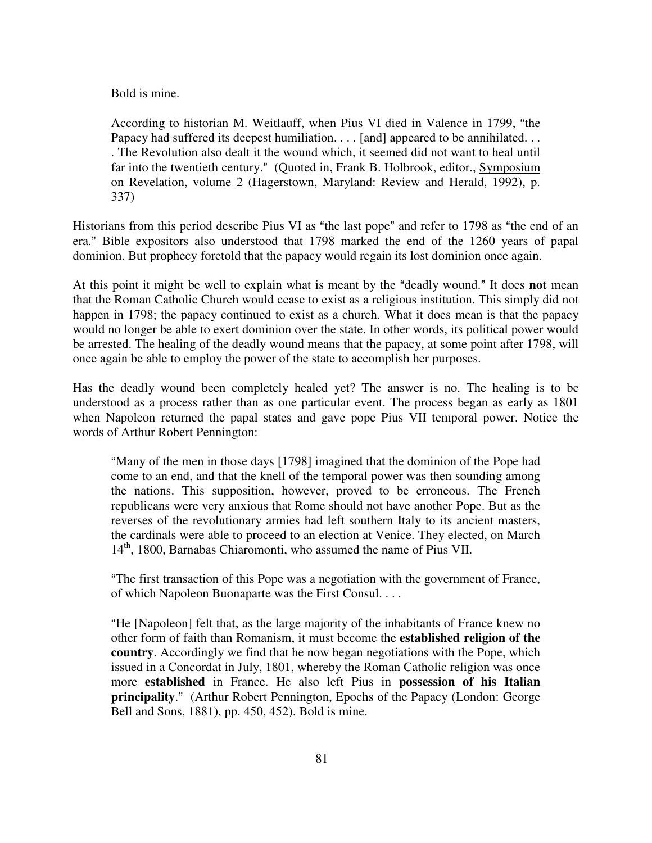Bold is mine.

According to historian M. Weitlauff, when Pius VI died in Valence in 1799, "the Papacy had suffered its deepest humiliation. . . . [and] appeared to be annihilated. . . . The Revolution also dealt it the wound which, it seemed did not want to heal until far into the twentieth century." (Quoted in, Frank B. Holbrook, editor., Symposium on Revelation, volume 2 (Hagerstown, Maryland: Review and Herald, 1992), p. 337)

Historians from this period describe Pius VI as "the last pope" and refer to 1798 as "the end of an era." Bible expositors also understood that 1798 marked the end of the 1260 years of papal dominion. But prophecy foretold that the papacy would regain its lost dominion once again.

At this point it might be well to explain what is meant by the "deadly wound." It does **not** mean that the Roman Catholic Church would cease to exist as a religious institution. This simply did not happen in 1798; the papacy continued to exist as a church. What it does mean is that the papacy would no longer be able to exert dominion over the state. In other words, its political power would be arrested. The healing of the deadly wound means that the papacy, at some point after 1798, will once again be able to employ the power of the state to accomplish her purposes.

Has the deadly wound been completely healed yet? The answer is no. The healing is to be understood as a process rather than as one particular event. The process began as early as 1801 when Napoleon returned the papal states and gave pope Pius VII temporal power. Notice the words of Arthur Robert Pennington:

"Many of the men in those days [1798] imagined that the dominion of the Pope had come to an end, and that the knell of the temporal power was then sounding among the nations. This supposition, however, proved to be erroneous. The French republicans were very anxious that Rome should not have another Pope. But as the reverses of the revolutionary armies had left southern Italy to its ancient masters, the cardinals were able to proceed to an election at Venice. They elected, on March 14<sup>th</sup>, 1800, Barnabas Chiaromonti, who assumed the name of Pius VII.

"The first transaction of this Pope was a negotiation with the government of France, of which Napoleon Buonaparte was the First Consul. . . .

"He [Napoleon] felt that, as the large majority of the inhabitants of France knew no other form of faith than Romanism, it must become the **established religion of the country**. Accordingly we find that he now began negotiations with the Pope, which issued in a Concordat in July, 1801, whereby the Roman Catholic religion was once more **established** in France. He also left Pius in **possession of his Italian principality.**" (Arthur Robert Pennington, Epochs of the Papacy (London: George Bell and Sons, 1881), pp. 450, 452). Bold is mine.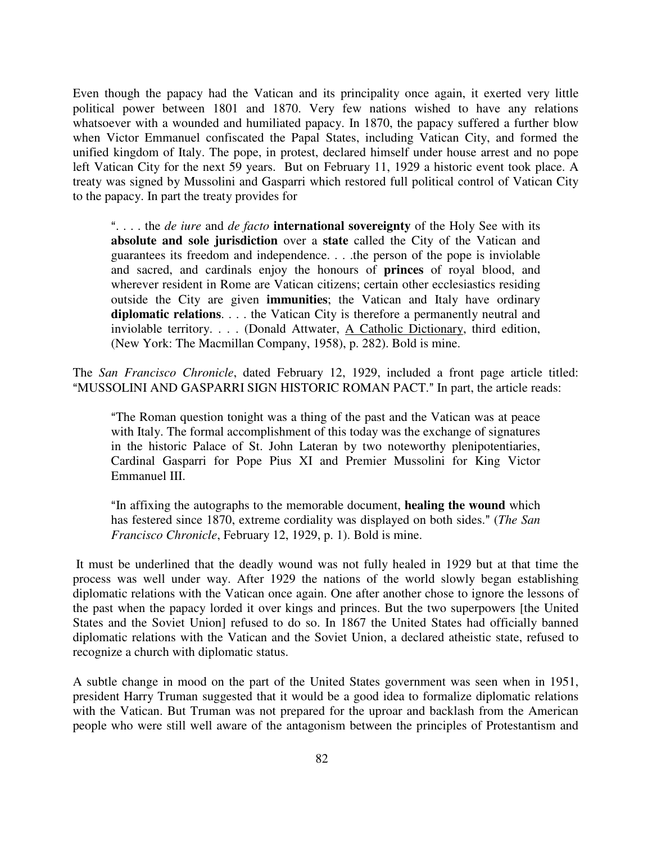Even though the papacy had the Vatican and its principality once again, it exerted very little political power between 1801 and 1870. Very few nations wished to have any relations whatsoever with a wounded and humiliated papacy. In 1870, the papacy suffered a further blow when Victor Emmanuel confiscated the Papal States, including Vatican City, and formed the unified kingdom of Italy. The pope, in protest, declared himself under house arrest and no pope left Vatican City for the next 59 years. But on February 11, 1929 a historic event took place. A treaty was signed by Mussolini and Gasparri which restored full political control of Vatican City to the papacy. In part the treaty provides for

A. . . . the *de iure* and *de facto* **international sovereignty** of the Holy See with its **absolute and sole jurisdiction** over a **state** called the City of the Vatican and guarantees its freedom and independence. . . .the person of the pope is inviolable and sacred, and cardinals enjoy the honours of **princes** of royal blood, and wherever resident in Rome are Vatican citizens; certain other ecclesiastics residing outside the City are given **immunities**; the Vatican and Italy have ordinary **diplomatic relations**. . . . the Vatican City is therefore a permanently neutral and inviolable territory. . . . (Donald Attwater, A Catholic Dictionary, third edition, (New York: The Macmillan Company, 1958), p. 282). Bold is mine.

The *San Francisco Chronicle*, dated February 12, 1929, included a front page article titled: "MUSSOLINI AND GASPARRI SIGN HISTORIC ROMAN PACT." In part, the article reads:

AThe Roman question tonight was a thing of the past and the Vatican was at peace with Italy. The formal accomplishment of this today was the exchange of signatures in the historic Palace of St. John Lateran by two noteworthy plenipotentiaries, Cardinal Gasparri for Pope Pius XI and Premier Mussolini for King Victor Emmanuel III.

<sup>"</sup>In affixing the autographs to the memorable document, **healing the wound** which has festered since 1870, extreme cordiality was displayed on both sides." (*The San Francisco Chronicle*, February 12, 1929, p. 1). Bold is mine.

 It must be underlined that the deadly wound was not fully healed in 1929 but at that time the process was well under way. After 1929 the nations of the world slowly began establishing diplomatic relations with the Vatican once again. One after another chose to ignore the lessons of the past when the papacy lorded it over kings and princes. But the two superpowers [the United States and the Soviet Union] refused to do so. In 1867 the United States had officially banned diplomatic relations with the Vatican and the Soviet Union, a declared atheistic state, refused to recognize a church with diplomatic status.

A subtle change in mood on the part of the United States government was seen when in 1951, president Harry Truman suggested that it would be a good idea to formalize diplomatic relations with the Vatican. But Truman was not prepared for the uproar and backlash from the American people who were still well aware of the antagonism between the principles of Protestantism and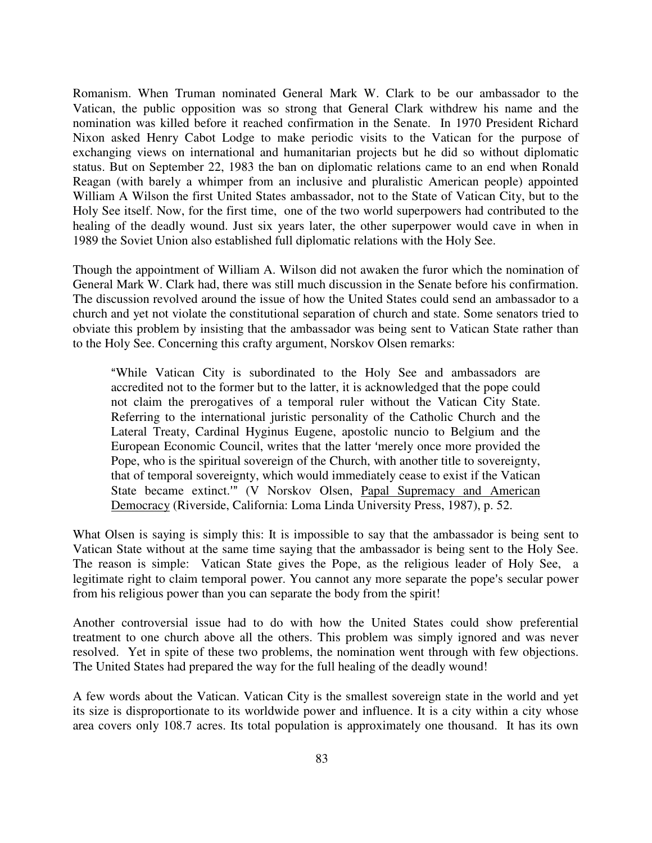Romanism. When Truman nominated General Mark W. Clark to be our ambassador to the Vatican, the public opposition was so strong that General Clark withdrew his name and the nomination was killed before it reached confirmation in the Senate. In 1970 President Richard Nixon asked Henry Cabot Lodge to make periodic visits to the Vatican for the purpose of exchanging views on international and humanitarian projects but he did so without diplomatic status. But on September 22, 1983 the ban on diplomatic relations came to an end when Ronald Reagan (with barely a whimper from an inclusive and pluralistic American people) appointed William A Wilson the first United States ambassador, not to the State of Vatican City, but to the Holy See itself. Now, for the first time, one of the two world superpowers had contributed to the healing of the deadly wound. Just six years later, the other superpower would cave in when in 1989 the Soviet Union also established full diplomatic relations with the Holy See.

Though the appointment of William A. Wilson did not awaken the furor which the nomination of General Mark W. Clark had, there was still much discussion in the Senate before his confirmation. The discussion revolved around the issue of how the United States could send an ambassador to a church and yet not violate the constitutional separation of church and state. Some senators tried to obviate this problem by insisting that the ambassador was being sent to Vatican State rather than to the Holy See. Concerning this crafty argument, Norskov Olsen remarks:

"While Vatican City is subordinated to the Holy See and ambassadors are accredited not to the former but to the latter, it is acknowledged that the pope could not claim the prerogatives of a temporal ruler without the Vatican City State. Referring to the international juristic personality of the Catholic Church and the Lateral Treaty, Cardinal Hyginus Eugene, apostolic nuncio to Belgium and the European Economic Council, writes that the latter 'merely once more provided the Pope, who is the spiritual sovereign of the Church, with another title to sovereignty, that of temporal sovereignty, which would immediately cease to exist if the Vatican State became extinct." (V Norskov Olsen, Papal Supremacy and American Democracy (Riverside, California: Loma Linda University Press, 1987), p. 52.

What Olsen is saying is simply this: It is impossible to say that the ambassador is being sent to Vatican State without at the same time saying that the ambassador is being sent to the Holy See. The reason is simple: Vatican State gives the Pope, as the religious leader of Holy See, a legitimate right to claim temporal power. You cannot any more separate the pope's secular power from his religious power than you can separate the body from the spirit!

Another controversial issue had to do with how the United States could show preferential treatment to one church above all the others. This problem was simply ignored and was never resolved. Yet in spite of these two problems, the nomination went through with few objections. The United States had prepared the way for the full healing of the deadly wound!

A few words about the Vatican. Vatican City is the smallest sovereign state in the world and yet its size is disproportionate to its worldwide power and influence. It is a city within a city whose area covers only 108.7 acres. Its total population is approximately one thousand. It has its own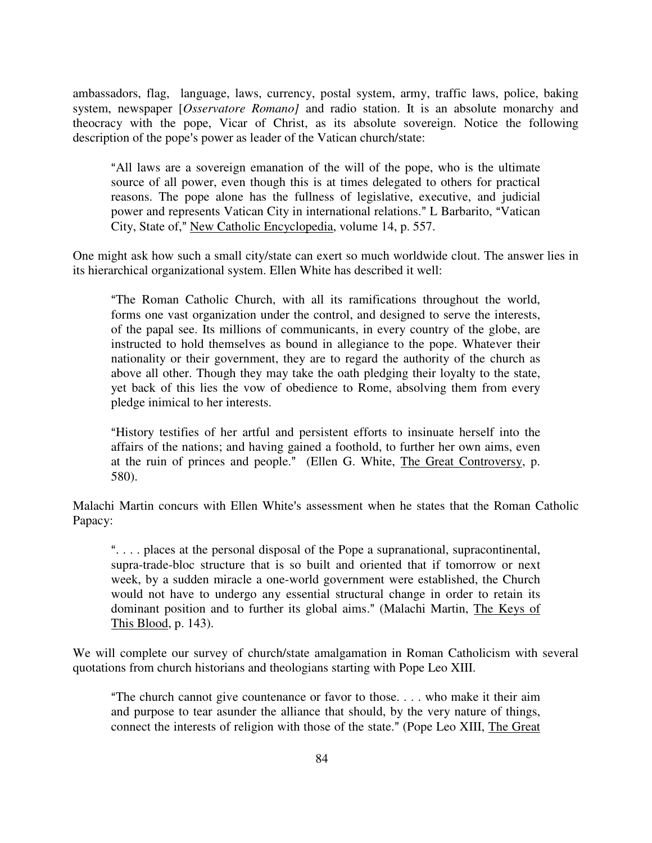ambassadors, flag, language, laws, currency, postal system, army, traffic laws, police, baking system, newspaper [*Osservatore Romano]* and radio station. It is an absolute monarchy and theocracy with the pope, Vicar of Christ, as its absolute sovereign. Notice the following description of the pope's power as leader of the Vatican church/state:

AAll laws are a sovereign emanation of the will of the pope, who is the ultimate source of all power, even though this is at times delegated to others for practical reasons. The pope alone has the fullness of legislative, executive, and judicial power and represents Vatican City in international relations." L Barbarito, "Vatican City, State of," New Catholic Encyclopedia, volume 14, p. 557.

One might ask how such a small city/state can exert so much worldwide clout. The answer lies in its hierarchical organizational system. Ellen White has described it well:

"The Roman Catholic Church, with all its ramifications throughout the world, forms one vast organization under the control, and designed to serve the interests, of the papal see. Its millions of communicants, in every country of the globe, are instructed to hold themselves as bound in allegiance to the pope. Whatever their nationality or their government, they are to regard the authority of the church as above all other. Though they may take the oath pledging their loyalty to the state, yet back of this lies the vow of obedience to Rome, absolving them from every pledge inimical to her interests.

AHistory testifies of her artful and persistent efforts to insinuate herself into the affairs of the nations; and having gained a foothold, to further her own aims, even at the ruin of princes and people." (Ellen G. White, The Great Controversy, p. 580).

Malachi Martin concurs with Ellen White's assessment when he states that the Roman Catholic Papacy:

A. . . . places at the personal disposal of the Pope a supranational, supracontinental, supra-trade-bloc structure that is so built and oriented that if tomorrow or next week, by a sudden miracle a one-world government were established, the Church would not have to undergo any essential structural change in order to retain its dominant position and to further its global aims." (Malachi Martin, The Keys of This Blood, p. 143).

We will complete our survey of church/state amalgamation in Roman Catholicism with several quotations from church historians and theologians starting with Pope Leo XIII.

"The church cannot give countenance or favor to those.  $\dots$  who make it their aim and purpose to tear asunder the alliance that should, by the very nature of things, connect the interests of religion with those of the state." (Pope Leo XIII, The Great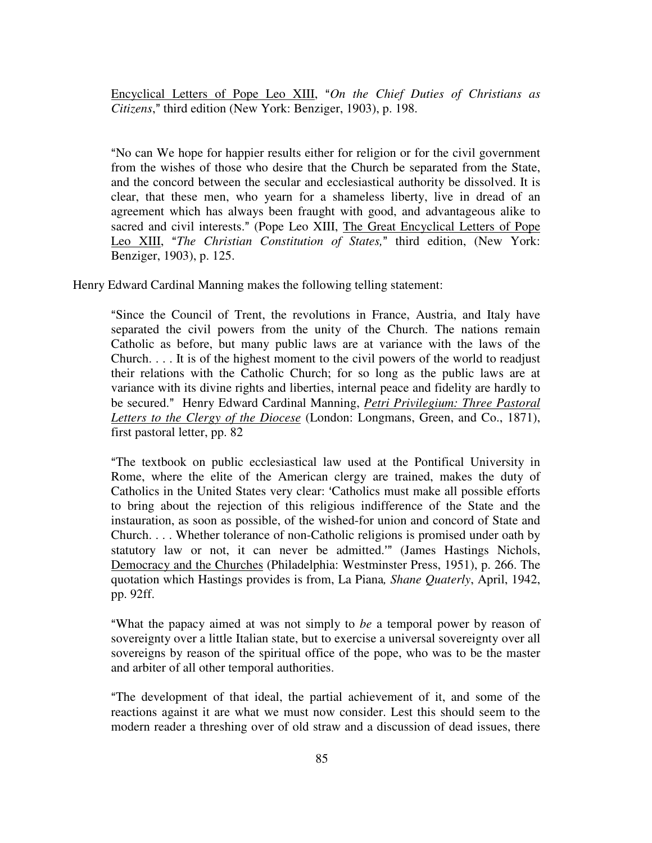Encyclical Letters of Pope Leo XIII, "On the Chief Duties of Christians as *Citizens*," third edition (New York: Benziger, 1903), p. 198.

"No can We hope for happier results either for religion or for the civil government from the wishes of those who desire that the Church be separated from the State, and the concord between the secular and ecclesiastical authority be dissolved. It is clear, that these men, who yearn for a shameless liberty, live in dread of an agreement which has always been fraught with good, and advantageous alike to sacred and civil interests." (Pope Leo XIII, The Great Encyclical Letters of Pope Leo XIII, "The Christian Constitution of States," third edition, (New York: Benziger, 1903), p. 125.

Henry Edward Cardinal Manning makes the following telling statement:

"Since the Council of Trent, the revolutions in France, Austria, and Italy have separated the civil powers from the unity of the Church. The nations remain Catholic as before, but many public laws are at variance with the laws of the Church. . . . It is of the highest moment to the civil powers of the world to readjust their relations with the Catholic Church; for so long as the public laws are at variance with its divine rights and liberties, internal peace and fidelity are hardly to be secured." Henry Edward Cardinal Manning, *Petri Privilegium: Three Pastoral Letters to the Clergy of the Diocese* (London: Longmans, Green, and Co., 1871), first pastoral letter, pp. 82

"The textbook on public ecclesiastical law used at the Pontifical University in Rome, where the elite of the American clergy are trained, makes the duty of Catholics in the United States very clear: 'Catholics must make all possible efforts to bring about the rejection of this religious indifference of the State and the instauration, as soon as possible, of the wished-for union and concord of State and Church. . . . Whether tolerance of non-Catholic religions is promised under oath by statutory law or not, it can never be admitted." (James Hastings Nichols, Democracy and the Churches (Philadelphia: Westminster Press, 1951), p. 266. The quotation which Hastings provides is from, La Piana*, Shane Quaterly*, April, 1942, pp. 92ff.

"What the papacy aimed at was not simply to *be* a temporal power by reason of sovereignty over a little Italian state, but to exercise a universal sovereignty over all sovereigns by reason of the spiritual office of the pope, who was to be the master and arbiter of all other temporal authorities.

AThe development of that ideal, the partial achievement of it, and some of the reactions against it are what we must now consider. Lest this should seem to the modern reader a threshing over of old straw and a discussion of dead issues, there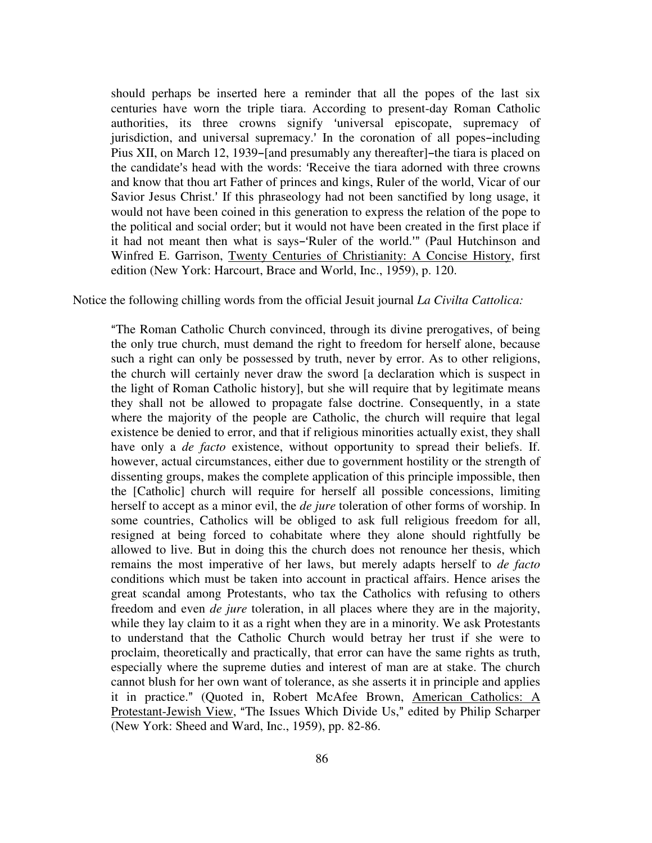should perhaps be inserted here a reminder that all the popes of the last six centuries have worn the triple tiara. According to present-day Roman Catholic authorities, its three crowns signify 'universal episcopate, supremacy of jurisdiction, and universal supremacy.' In the coronation of all popes-including Pius XII, on March 12, 1939–[and presumably any thereafter]–the tiara is placed on the candidate's head with the words: 'Receive the tiara adorned with three crowns and know that thou art Father of princes and kings, Ruler of the world, Vicar of our Savior Jesus Christ.' If this phraseology had not been sanctified by long usage, it would not have been coined in this generation to express the relation of the pope to the political and social order; but it would not have been created in the first place if it had not meant then what is says-'Ruler of the world." (Paul Hutchinson and Winfred E. Garrison, Twenty Centuries of Christianity: A Concise History, first edition (New York: Harcourt, Brace and World, Inc., 1959), p. 120.

## Notice the following chilling words from the official Jesuit journal *La Civilta Cattolica:*

AThe Roman Catholic Church convinced, through its divine prerogatives, of being the only true church, must demand the right to freedom for herself alone, because such a right can only be possessed by truth, never by error. As to other religions, the church will certainly never draw the sword [a declaration which is suspect in the light of Roman Catholic history], but she will require that by legitimate means they shall not be allowed to propagate false doctrine. Consequently, in a state where the majority of the people are Catholic, the church will require that legal existence be denied to error, and that if religious minorities actually exist, they shall have only a *de facto* existence, without opportunity to spread their beliefs. If. however, actual circumstances, either due to government hostility or the strength of dissenting groups, makes the complete application of this principle impossible, then the [Catholic] church will require for herself all possible concessions, limiting herself to accept as a minor evil, the *de jure* toleration of other forms of worship. In some countries, Catholics will be obliged to ask full religious freedom for all, resigned at being forced to cohabitate where they alone should rightfully be allowed to live. But in doing this the church does not renounce her thesis, which remains the most imperative of her laws, but merely adapts herself to *de facto* conditions which must be taken into account in practical affairs. Hence arises the great scandal among Protestants, who tax the Catholics with refusing to others freedom and even *de jure* toleration, in all places where they are in the majority, while they lay claim to it as a right when they are in a minority. We ask Protestants to understand that the Catholic Church would betray her trust if she were to proclaim, theoretically and practically, that error can have the same rights as truth, especially where the supreme duties and interest of man are at stake. The church cannot blush for her own want of tolerance, as she asserts it in principle and applies it in practice." (Quoted in, Robert McAfee Brown, American Catholics: A Protestant-Jewish View, "The Issues Which Divide Us," edited by Philip Scharper (New York: Sheed and Ward, Inc., 1959), pp. 82-86.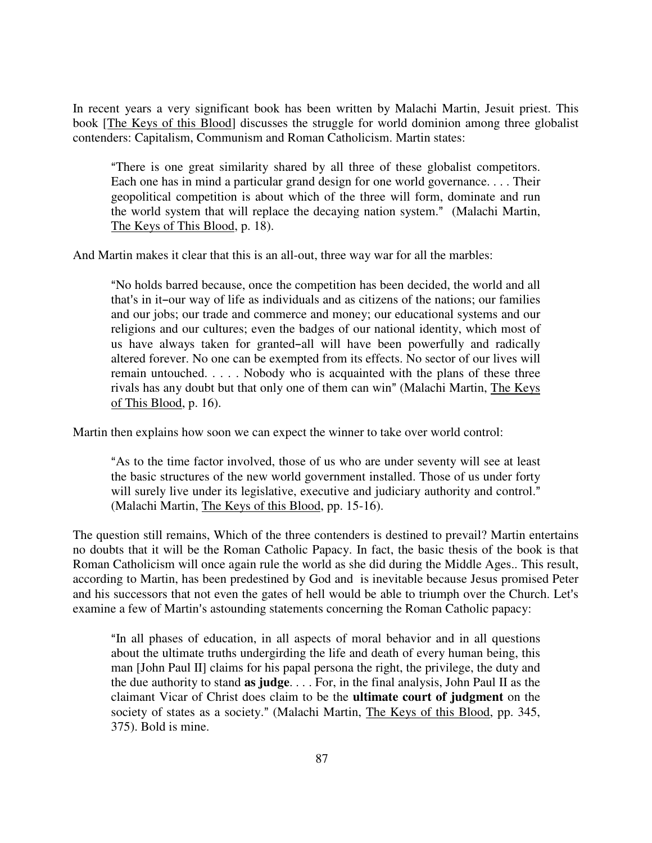In recent years a very significant book has been written by Malachi Martin, Jesuit priest. This book [The Keys of this Blood] discusses the struggle for world dominion among three globalist contenders: Capitalism, Communism and Roman Catholicism. Martin states:

AThere is one great similarity shared by all three of these globalist competitors. Each one has in mind a particular grand design for one world governance. . . . Their geopolitical competition is about which of the three will form, dominate and run the world system that will replace the decaying nation system." (Malachi Martin, The Keys of This Blood, p. 18).

And Martin makes it clear that this is an all-out, three way war for all the marbles:

"No holds barred because, once the competition has been decided, the world and all that's in it-our way of life as individuals and as citizens of the nations; our families and our jobs; our trade and commerce and money; our educational systems and our religions and our cultures; even the badges of our national identity, which most of us have always taken for granted-all will have been powerfully and radically altered forever. No one can be exempted from its effects. No sector of our lives will remain untouched. . . . . Nobody who is acquainted with the plans of these three rivals has any doubt but that only one of them can win" (Malachi Martin, The Keys of This Blood, p. 16).

Martin then explains how soon we can expect the winner to take over world control:

As to the time factor involved, those of us who are under seventy will see at least the basic structures of the new world government installed. Those of us under forty will surely live under its legislative, executive and judiciary authority and control." (Malachi Martin, The Keys of this Blood, pp. 15-16).

The question still remains, Which of the three contenders is destined to prevail? Martin entertains no doubts that it will be the Roman Catholic Papacy. In fact, the basic thesis of the book is that Roman Catholicism will once again rule the world as she did during the Middle Ages.. This result, according to Martin, has been predestined by God and is inevitable because Jesus promised Peter and his successors that not even the gates of hell would be able to triumph over the Church. Let's examine a few of Martin's astounding statements concerning the Roman Catholic papacy:

AIn all phases of education, in all aspects of moral behavior and in all questions about the ultimate truths undergirding the life and death of every human being, this man [John Paul II] claims for his papal persona the right, the privilege, the duty and the due authority to stand **as judge**. . . . For, in the final analysis, John Paul II as the claimant Vicar of Christ does claim to be the **ultimate court of judgment** on the society of states as a society." (Malachi Martin, The Keys of this Blood, pp. 345, 375). Bold is mine.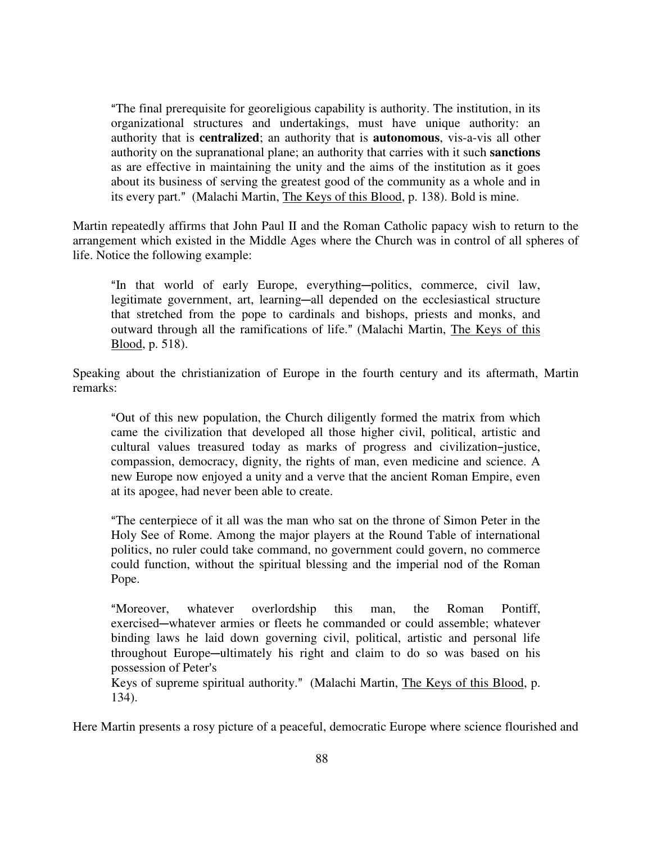AThe final prerequisite for georeligious capability is authority. The institution, in its organizational structures and undertakings, must have unique authority: an authority that is **centralized**; an authority that is **autonomous**, vis-a-vis all other authority on the supranational plane; an authority that carries with it such **sanctions** as are effective in maintaining the unity and the aims of the institution as it goes about its business of serving the greatest good of the community as a whole and in its every part." (Malachi Martin, The Keys of this Blood, p. 138). Bold is mine.

Martin repeatedly affirms that John Paul II and the Roman Catholic papacy wish to return to the arrangement which existed in the Middle Ages where the Church was in control of all spheres of life. Notice the following example:

"In that world of early Europe, everything-politics, commerce, civil law, legitimate government, art, learning—all depended on the ecclesiastical structure that stretched from the pope to cardinals and bishops, priests and monks, and outward through all the ramifications of life." (Malachi Martin, The Keys of this Blood, p. 518).

Speaking about the christianization of Europe in the fourth century and its aftermath, Martin remarks:

"Out of this new population, the Church diligently formed the matrix from which came the civilization that developed all those higher civil, political, artistic and cultural values treasured today as marks of progress and civilization-justice, compassion, democracy, dignity, the rights of man, even medicine and science. A new Europe now enjoyed a unity and a verve that the ancient Roman Empire, even at its apogee, had never been able to create.

"The centerpiece of it all was the man who sat on the throne of Simon Peter in the Holy See of Rome. Among the major players at the Round Table of international politics, no ruler could take command, no government could govern, no commerce could function, without the spiritual blessing and the imperial nod of the Roman Pope.

"Moreover, whatever overlordship this man, the Roman Pontiff, exercised—whatever armies or fleets he commanded or could assemble; whatever binding laws he laid down governing civil, political, artistic and personal life throughout Europe—ultimately his right and claim to do so was based on his possession of Peter's

Keys of supreme spiritual authority." (Malachi Martin, The Keys of this Blood, p. 134).

Here Martin presents a rosy picture of a peaceful, democratic Europe where science flourished and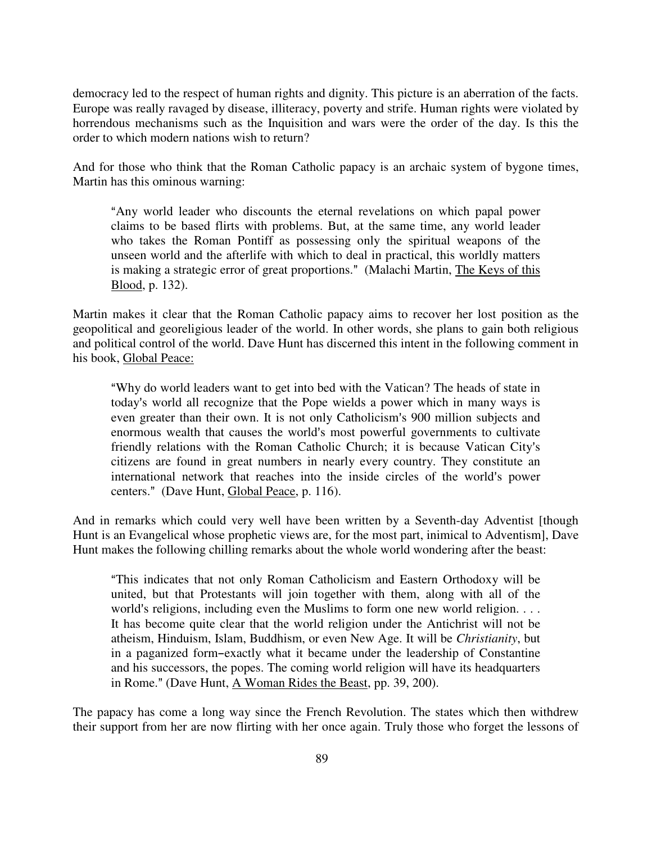democracy led to the respect of human rights and dignity. This picture is an aberration of the facts. Europe was really ravaged by disease, illiteracy, poverty and strife. Human rights were violated by horrendous mechanisms such as the Inquisition and wars were the order of the day. Is this the order to which modern nations wish to return?

And for those who think that the Roman Catholic papacy is an archaic system of bygone times, Martin has this ominous warning:

AAny world leader who discounts the eternal revelations on which papal power claims to be based flirts with problems. But, at the same time, any world leader who takes the Roman Pontiff as possessing only the spiritual weapons of the unseen world and the afterlife with which to deal in practical, this worldly matters is making a strategic error of great proportions." (Malachi Martin, The Keys of this Blood, p. 132).

Martin makes it clear that the Roman Catholic papacy aims to recover her lost position as the geopolitical and georeligious leader of the world. In other words, she plans to gain both religious and political control of the world. Dave Hunt has discerned this intent in the following comment in his book, Global Peace:

"Why do world leaders want to get into bed with the Vatican? The heads of state in today's world all recognize that the Pope wields a power which in many ways is even greater than their own. It is not only Catholicism's 900 million subjects and enormous wealth that causes the world's most powerful governments to cultivate friendly relations with the Roman Catholic Church; it is because Vatican City's citizens are found in great numbers in nearly every country. They constitute an international network that reaches into the inside circles of the world's power centers." (Dave Hunt, Global Peace, p. 116).

And in remarks which could very well have been written by a Seventh-day Adventist [though Hunt is an Evangelical whose prophetic views are, for the most part, inimical to Adventism], Dave Hunt makes the following chilling remarks about the whole world wondering after the beast:

"This indicates that not only Roman Catholicism and Eastern Orthodoxy will be united, but that Protestants will join together with them, along with all of the world's religions, including even the Muslims to form one new world religion.  $\dots$ It has become quite clear that the world religion under the Antichrist will not be atheism, Hinduism, Islam, Buddhism, or even New Age. It will be *Christianity*, but in a paganized form-exactly what it became under the leadership of Constantine and his successors, the popes. The coming world religion will have its headquarters in Rome." (Dave Hunt, A Woman Rides the Beast, pp. 39, 200).

The papacy has come a long way since the French Revolution. The states which then withdrew their support from her are now flirting with her once again. Truly those who forget the lessons of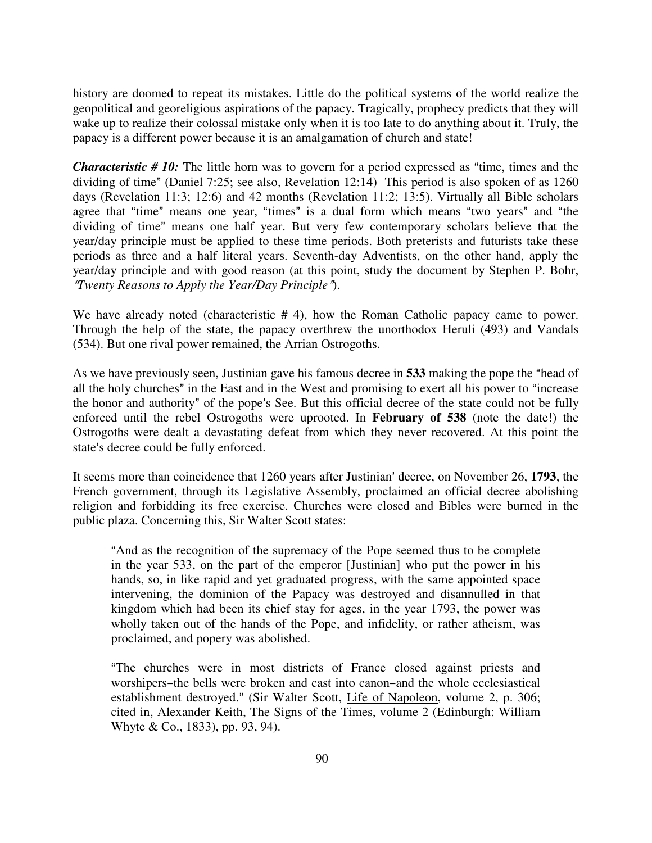history are doomed to repeat its mistakes. Little do the political systems of the world realize the geopolitical and georeligious aspirations of the papacy. Tragically, prophecy predicts that they will wake up to realize their colossal mistake only when it is too late to do anything about it. Truly, the papacy is a different power because it is an amalgamation of church and state!

*Characteristic # 10:* The little horn was to govern for a period expressed as "time, times and the dividing of time" (Daniel 7:25; see also, Revelation 12:14) This period is also spoken of as  $1260$ days (Revelation 11:3; 12:6) and 42 months (Revelation 11:2; 13:5). Virtually all Bible scholars agree that "time" means one year, "times" is a dual form which means "two years" and "the dividing of time" means one half year. But very few contemporary scholars believe that the year/day principle must be applied to these time periods. Both preterists and futurists take these periods as three and a half literal years. Seventh-day Adventists, on the other hand, apply the year/day principle and with good reason (at this point, study the document by Stephen P. Bohr, *'Twenty Reasons to Apply the Year/Day Principle*").

We have already noted (characteristic # 4), how the Roman Catholic papacy came to power. Through the help of the state, the papacy overthrew the unorthodox Heruli (493) and Vandals (534). But one rival power remained, the Arrian Ostrogoths.

As we have previously seen, Justinian gave his famous decree in 533 making the pope the "head of all the holy churches" in the East and in the West and promising to exert all his power to "increase" the honor and authority" of the pope's See. But this official decree of the state could not be fully enforced until the rebel Ostrogoths were uprooted. In **February of 538** (note the date!) the Ostrogoths were dealt a devastating defeat from which they never recovered. At this point the state's decree could be fully enforced.

It seems more than coincidence that 1260 years after Justinian' decree, on November 26, 1793, the French government, through its Legislative Assembly, proclaimed an official decree abolishing religion and forbidding its free exercise. Churches were closed and Bibles were burned in the public plaza. Concerning this, Sir Walter Scott states:

"And as the recognition of the supremacy of the Pope seemed thus to be complete in the year 533, on the part of the emperor [Justinian] who put the power in his hands, so, in like rapid and yet graduated progress, with the same appointed space intervening, the dominion of the Papacy was destroyed and disannulled in that kingdom which had been its chief stay for ages, in the year 1793, the power was wholly taken out of the hands of the Pope, and infidelity, or rather atheism, was proclaimed, and popery was abolished.

AThe churches were in most districts of France closed against priests and worshipers-the bells were broken and cast into canon-and the whole ecclesiastical establishment destroyed." (Sir Walter Scott, Life of Napoleon, volume 2, p. 306; cited in, Alexander Keith, The Signs of the Times, volume 2 (Edinburgh: William Whyte & Co., 1833), pp. 93, 94).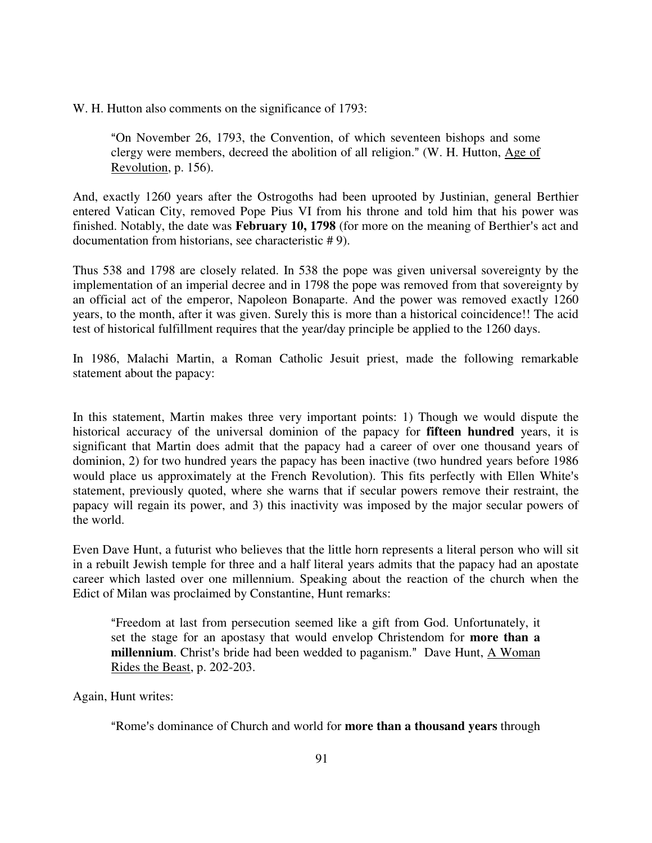W. H. Hutton also comments on the significance of 1793:

"On November 26, 1793, the Convention, of which seventeen bishops and some clergy were members, decreed the abolition of all religion." (W. H. Hutton, Age of Revolution, p. 156).

And, exactly 1260 years after the Ostrogoths had been uprooted by Justinian, general Berthier entered Vatican City, removed Pope Pius VI from his throne and told him that his power was finished. Notably, the date was **February 10, 1798** (for more on the meaning of Berthier's act and documentation from historians, see characteristic # 9).

Thus 538 and 1798 are closely related. In 538 the pope was given universal sovereignty by the implementation of an imperial decree and in 1798 the pope was removed from that sovereignty by an official act of the emperor, Napoleon Bonaparte. And the power was removed exactly 1260 years, to the month, after it was given. Surely this is more than a historical coincidence!! The acid test of historical fulfillment requires that the year/day principle be applied to the 1260 days.

In 1986, Malachi Martin, a Roman Catholic Jesuit priest, made the following remarkable statement about the papacy:

In this statement, Martin makes three very important points: 1) Though we would dispute the historical accuracy of the universal dominion of the papacy for **fifteen hundred** years, it is significant that Martin does admit that the papacy had a career of over one thousand years of dominion, 2) for two hundred years the papacy has been inactive (two hundred years before 1986 would place us approximately at the French Revolution). This fits perfectly with Ellen White's statement, previously quoted, where she warns that if secular powers remove their restraint, the papacy will regain its power, and 3) this inactivity was imposed by the major secular powers of the world.

Even Dave Hunt, a futurist who believes that the little horn represents a literal person who will sit in a rebuilt Jewish temple for three and a half literal years admits that the papacy had an apostate career which lasted over one millennium. Speaking about the reaction of the church when the Edict of Milan was proclaimed by Constantine, Hunt remarks:

AFreedom at last from persecution seemed like a gift from God. Unfortunately, it set the stage for an apostasy that would envelop Christendom for **more than a millennium**. Christ's bride had been wedded to paganism." Dave Hunt, A Woman Rides the Beast, p. 202-203.

Again, Hunt writes:

"Rome's dominance of Church and world for **more than a thousand years** through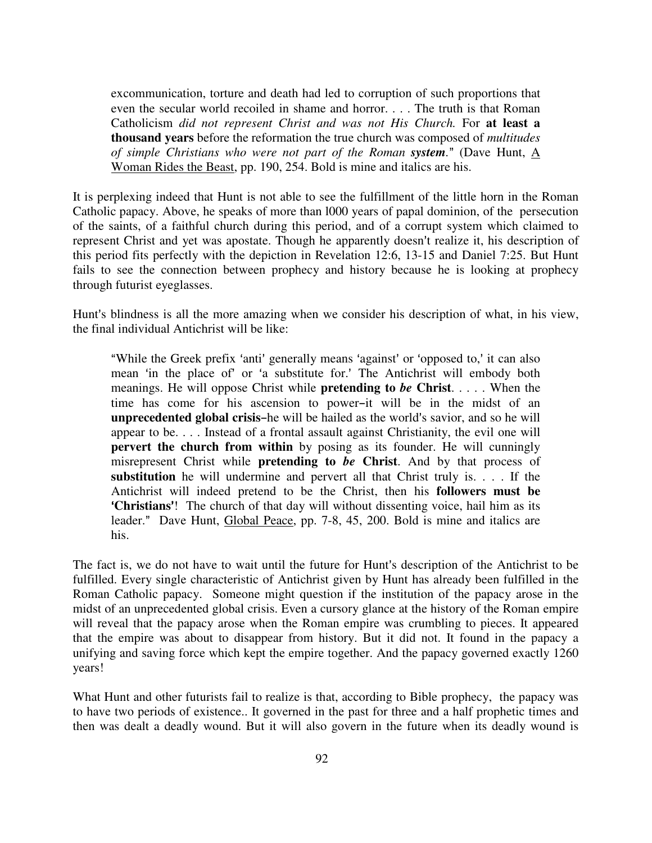excommunication, torture and death had led to corruption of such proportions that even the secular world recoiled in shame and horror. . . . The truth is that Roman Catholicism *did not represent Christ and was not His Church.* For **at least a thousand years** before the reformation the true church was composed of *multitudes of simple Christians who were not part of the Roman system.*@ (Dave Hunt, A Woman Rides the Beast, pp. 190, 254. Bold is mine and italics are his.

It is perplexing indeed that Hunt is not able to see the fulfillment of the little horn in the Roman Catholic papacy. Above, he speaks of more than l000 years of papal dominion, of the persecution of the saints, of a faithful church during this period, and of a corrupt system which claimed to represent Christ and yet was apostate. Though he apparently doesn't realize it, his description of this period fits perfectly with the depiction in Revelation 12:6, 13-15 and Daniel 7:25. But Hunt fails to see the connection between prophecy and history because he is looking at prophecy through futurist eyeglasses.

Hunt's blindness is all the more amazing when we consider his description of what, in his view, the final individual Antichrist will be like:

"While the Greek prefix 'anti' generally means 'against' or 'opposed to,' it can also mean 'in the place of' or 'a substitute for.' The Antichrist will embody both meanings. He will oppose Christ while **pretending to** *be* **Christ**. . . . . When the time has come for his ascension to power-it will be in the midst of an **unprecedented global crisis-he** will be hailed as the world's savior, and so he will appear to be. . . . Instead of a frontal assault against Christianity, the evil one will **pervert the church from within** by posing as its founder. He will cunningly misrepresent Christ while **pretending to** *be* **Christ**. And by that process of **substitution** he will undermine and pervert all that Christ truly is. . . . If the Antichrist will indeed pretend to be the Christ, then his **followers must be 'Christians'!** The church of that day will without dissenting voice, hail him as its leader." Dave Hunt, Global Peace, pp. 7-8, 45, 200. Bold is mine and italics are his.

The fact is, we do not have to wait until the future for Hunt's description of the Antichrist to be fulfilled. Every single characteristic of Antichrist given by Hunt has already been fulfilled in the Roman Catholic papacy. Someone might question if the institution of the papacy arose in the midst of an unprecedented global crisis. Even a cursory glance at the history of the Roman empire will reveal that the papacy arose when the Roman empire was crumbling to pieces. It appeared that the empire was about to disappear from history. But it did not. It found in the papacy a unifying and saving force which kept the empire together. And the papacy governed exactly 1260 years!

What Hunt and other futurists fail to realize is that, according to Bible prophecy, the papacy was to have two periods of existence.. It governed in the past for three and a half prophetic times and then was dealt a deadly wound. But it will also govern in the future when its deadly wound is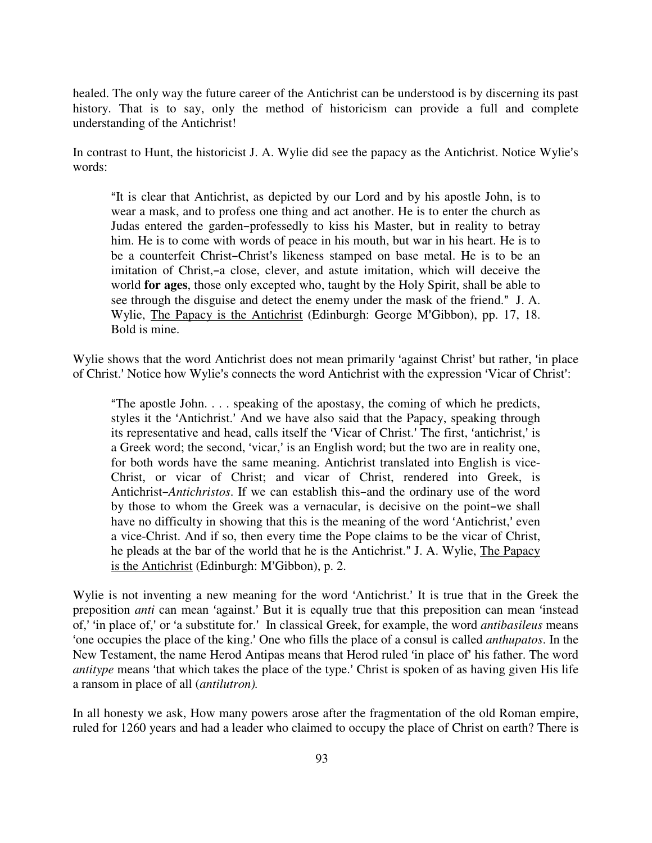healed. The only way the future career of the Antichrist can be understood is by discerning its past history. That is to say, only the method of historicism can provide a full and complete understanding of the Antichrist!

In contrast to Hunt, the historicist J. A. Wylie did see the papacy as the Antichrist. Notice Wylie's words:

AIt is clear that Antichrist, as depicted by our Lord and by his apostle John, is to wear a mask, and to profess one thing and act another. He is to enter the church as Judas entered the garden-professedly to kiss his Master, but in reality to betray him. He is to come with words of peace in his mouth, but war in his heart. He is to be a counterfeit Christ-Christ's likeness stamped on base metal. He is to be an imitation of Christ,-a close, clever, and astute imitation, which will deceive the world **for ages**, those only excepted who, taught by the Holy Spirit, shall be able to see through the disguise and detect the enemy under the mask of the friend." J. A. Wylie, The Papacy is the Antichrist (Edinburgh: George M'Gibbon), pp. 17, 18. Bold is mine.

Wylie shows that the word Antichrist does not mean primarily 'against Christ' but rather, 'in place of Christ.' Notice how Wylie's connects the word Antichrist with the expression 'Vicar of Christ':

"The apostle John.  $\ldots$  speaking of the apostasy, the coming of which he predicts, styles it the 'Antichrist.' And we have also said that the Papacy, speaking through its representative and head, calls itself the 'Vicar of Christ.' The first, 'antichrist,' is a Greek word; the second, 'vicar,' is an English word; but the two are in reality one, for both words have the same meaning. Antichrist translated into English is vice-Christ, or vicar of Christ; and vicar of Christ, rendered into Greek, is Antichrist-*Antichristos*. If we can establish this-and the ordinary use of the word by those to whom the Greek was a vernacular, is decisive on the point-we shall have no difficulty in showing that this is the meaning of the word 'Antichrist,' even a vice-Christ. And if so, then every time the Pope claims to be the vicar of Christ, he pleads at the bar of the world that he is the Antichrist." J. A. Wylie, The Papacy is the Antichrist (Edinburgh: M'Gibbon), p. 2.

Wylie is not inventing a new meaning for the word 'Antichrist.' It is true that in the Greek the preposition *anti* can mean 'against.' But it is equally true that this preposition can mean 'instead of,' 'in place of,' or 'a substitute for.' In classical Greek, for example, the word *antibasileus* means >one occupies the place of the king.= One who fills the place of a consul is called *anthupatos*. In the New Testament, the name Herod Antipas means that Herod ruled 'in place of' his father. The word *antitype* means 'that which takes the place of the type.' Christ is spoken of as having given His life a ransom in place of all (*antilutron).* 

In all honesty we ask, How many powers arose after the fragmentation of the old Roman empire, ruled for 1260 years and had a leader who claimed to occupy the place of Christ on earth? There is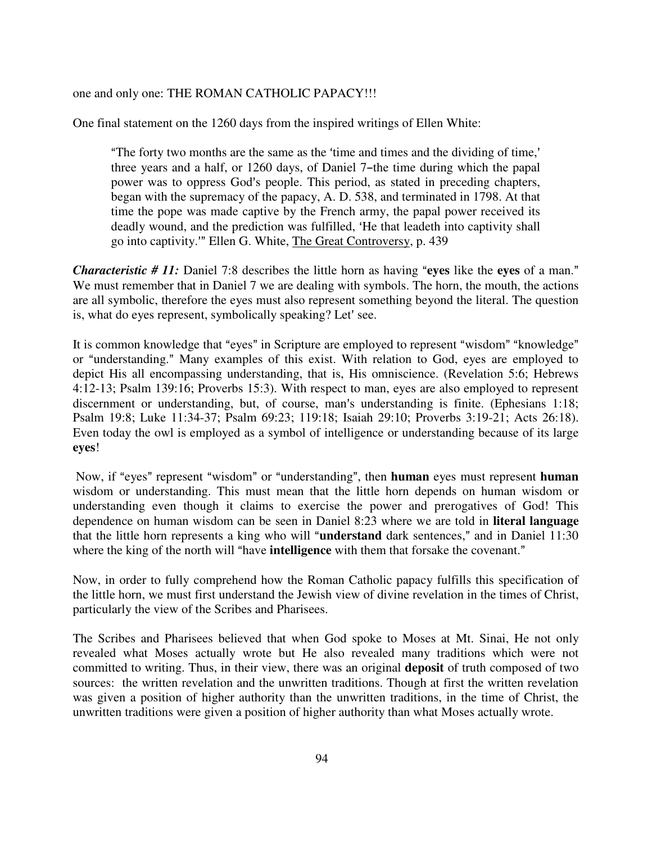# one and only one: THE ROMAN CATHOLIC PAPACY!!!

One final statement on the 1260 days from the inspired writings of Ellen White:

"The forty two months are the same as the 'time and times and the dividing of time," three years and a half, or 1260 days, of Daniel 7-the time during which the papal power was to oppress God's people. This period, as stated in preceding chapters, began with the supremacy of the papacy, A. D. 538, and terminated in 1798. At that time the pope was made captive by the French army, the papal power received its deadly wound, and the prediction was fulfilled, 'He that leadeth into captivity shall go into captivity." Ellen G. White, The Great Controversy, p. 439

*Characteristic # 11:* **Daniel 7:8 describes the little horn as having "eyes like the eyes of a man."** We must remember that in Daniel 7 we are dealing with symbols. The horn, the mouth, the actions are all symbolic, therefore the eyes must also represent something beyond the literal. The question is, what do eyes represent, symbolically speaking? Let' see.

It is common knowledge that "eyes" in Scripture are employed to represent "wisdom" "knowledge" or "understanding." Many examples of this exist. With relation to God, eyes are employed to depict His all encompassing understanding, that is, His omniscience. (Revelation 5:6; Hebrews 4:12-13; Psalm 139:16; Proverbs 15:3). With respect to man, eyes are also employed to represent discernment or understanding, but, of course, man's understanding is finite. (Ephesians 1:18; Psalm 19:8; Luke 11:34-37; Psalm 69:23; 119:18; Isaiah 29:10; Proverbs 3:19-21; Acts 26:18). Even today the owl is employed as a symbol of intelligence or understanding because of its large **eyes**!

Now, if "eyes" represent "wisdom" or "understanding", then **human** eyes must represent **human** wisdom or understanding. This must mean that the little horn depends on human wisdom or understanding even though it claims to exercise the power and prerogatives of God! This dependence on human wisdom can be seen in Daniel 8:23 where we are told in **literal language** that the little horn represents a king who will "**understand** dark sentences," and in Daniel 11:30 where the king of the north will "have **intelligence** with them that forsake the covenant."

Now, in order to fully comprehend how the Roman Catholic papacy fulfills this specification of the little horn, we must first understand the Jewish view of divine revelation in the times of Christ, particularly the view of the Scribes and Pharisees.

The Scribes and Pharisees believed that when God spoke to Moses at Mt. Sinai, He not only revealed what Moses actually wrote but He also revealed many traditions which were not committed to writing. Thus, in their view, there was an original **deposit** of truth composed of two sources: the written revelation and the unwritten traditions. Though at first the written revelation was given a position of higher authority than the unwritten traditions, in the time of Christ, the unwritten traditions were given a position of higher authority than what Moses actually wrote.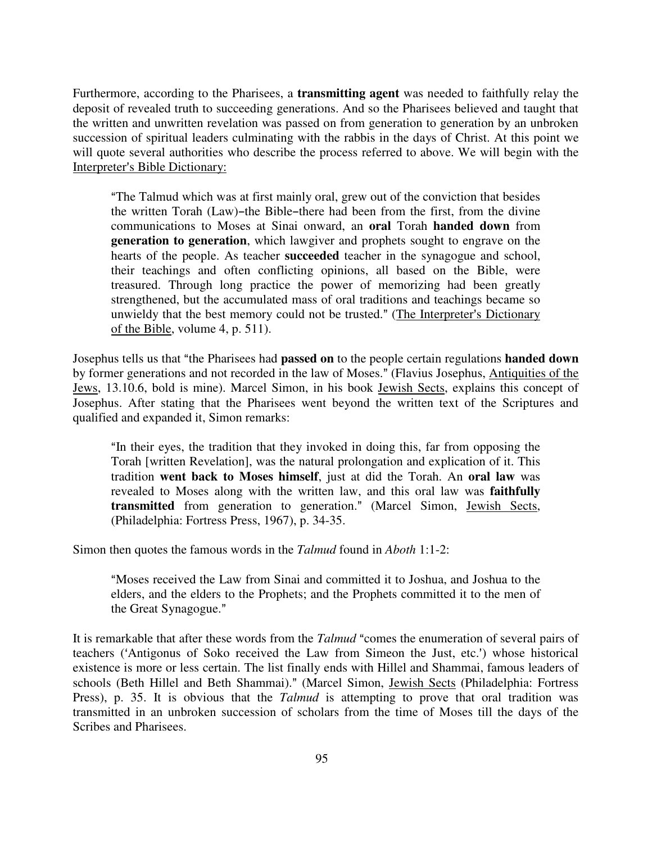Furthermore, according to the Pharisees, a **transmitting agent** was needed to faithfully relay the deposit of revealed truth to succeeding generations. And so the Pharisees believed and taught that the written and unwritten revelation was passed on from generation to generation by an unbroken succession of spiritual leaders culminating with the rabbis in the days of Christ. At this point we will quote several authorities who describe the process referred to above. We will begin with the Interpreter's Bible Dictionary:

"The Talmud which was at first mainly oral, grew out of the conviction that besides the written Torah (Law)-the Bible-there had been from the first, from the divine communications to Moses at Sinai onward, an **oral** Torah **handed down** from **generation to generation**, which lawgiver and prophets sought to engrave on the hearts of the people. As teacher **succeeded** teacher in the synagogue and school, their teachings and often conflicting opinions, all based on the Bible, were treasured. Through long practice the power of memorizing had been greatly strengthened, but the accumulated mass of oral traditions and teachings became so unwieldy that the best memory could not be trusted." (The Interpreter's Dictionary of the Bible, volume 4, p. 511).

Josephus tells us that "the Pharisees had **passed on** to the people certain regulations **handed down** by former generations and not recorded in the law of Moses." (Flavius Josephus, Antiquities of the Jews, 13.10.6, bold is mine). Marcel Simon, in his book Jewish Sects, explains this concept of Josephus. After stating that the Pharisees went beyond the written text of the Scriptures and qualified and expanded it, Simon remarks:

"In their eyes, the tradition that they invoked in doing this, far from opposing the Torah [written Revelation], was the natural prolongation and explication of it. This tradition **went back to Moses himself**, just at did the Torah. An **oral law** was revealed to Moses along with the written law, and this oral law was **faithfully transmitted** from generation to generation." (Marcel Simon, <u>Jewish Sects</u>, (Philadelphia: Fortress Press, 1967), p. 34-35.

Simon then quotes the famous words in the *Talmud* found in *Aboth* 1:1-2:

"Moses received the Law from Sinai and committed it to Joshua, and Joshua to the elders, and the elders to the Prophets; and the Prophets committed it to the men of the Great Synagogue."

It is remarkable that after these words from the *Talmud* "comes the enumeration of several pairs of teachers ('Antigonus of Soko received the Law from Simeon the Just, etc.') whose historical existence is more or less certain. The list finally ends with Hillel and Shammai, famous leaders of schools (Beth Hillel and Beth Shammai)." (Marcel Simon, Jewish Sects (Philadelphia: Fortress Press), p. 35. It is obvious that the *Talmud* is attempting to prove that oral tradition was transmitted in an unbroken succession of scholars from the time of Moses till the days of the Scribes and Pharisees.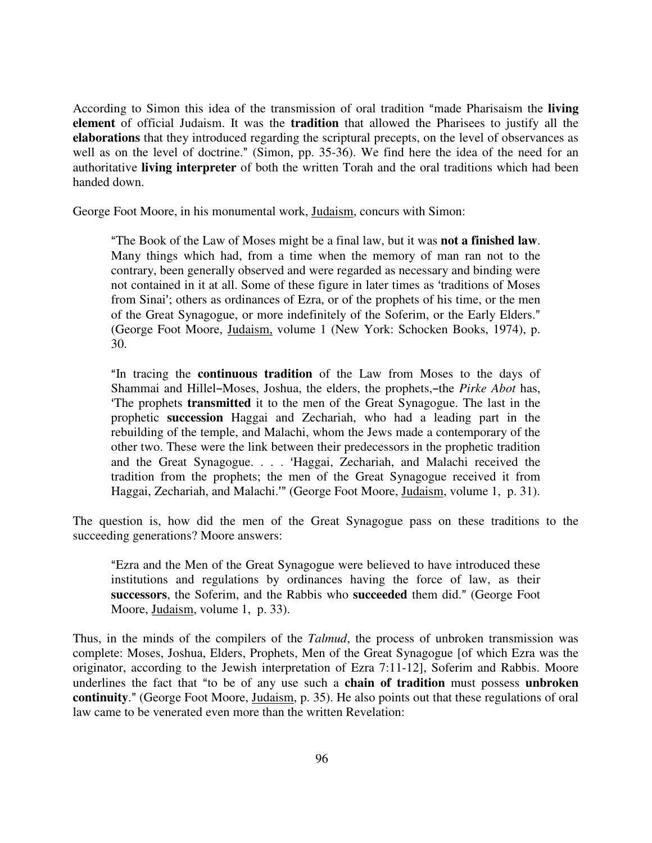According to Simon this idea of the transmission of oral tradition "made Pharisaism the **living element** of official Judaism. It was the **tradition** that allowed the Pharisees to justify all the **elaborations** that they introduced regarding the scriptural precepts, on the level of observances as well as on the level of doctrine." (Simon, pp. 35-36). We find here the idea of the need for an authoritative **living interpreter** of both the written Torah and the oral traditions which had been handed down.

George Foot Moore, in his monumental work, Judaism, concurs with Simon:

AThe Book of the Law of Moses might be a final law, but it was **not a finished law**. Many things which had, from a time when the memory of man ran not to the contrary, been generally observed and were regarded as necessary and binding were not contained in it at all. Some of these figure in later times as 'traditions of Moses from Sinai'; others as ordinances of Ezra, or of the prophets of his time, or the men of the Great Synagogue, or more indefinitely of the Soferim, or the Early Elders." (George Foot Moore, Judaism, volume 1 (New York: Schocken Books, 1974), p. 30.

AIn tracing the **continuous tradition** of the Law from Moses to the days of Shammai and Hillel-Moses, Joshua, the elders, the prophets,-the *Pirke Abot* has, >The prophets **transmitted** it to the men of the Great Synagogue. The last in the prophetic **succession** Haggai and Zechariah, who had a leading part in the rebuilding of the temple, and Malachi, whom the Jews made a contemporary of the other two. These were the link between their predecessors in the prophetic tradition and the Great Synagogue. . . . 'Haggai, Zechariah, and Malachi received the tradition from the prophets; the men of the Great Synagogue received it from Haggai, Zechariah, and Malachi."" (George Foot Moore, Judaism, volume 1, p. 31).

The question is, how did the men of the Great Synagogue pass on these traditions to the succeeding generations? Moore answers:

"Ezra and the Men of the Great Synagogue were believed to have introduced these institutions and regulations by ordinances having the force of law, as their successors, the Soferim, and the Rabbis who succeeded them did." (George Foot Moore, Judaism, volume 1, p. 33).

Thus, in the minds of the compilers of the *Talmud*, the process of unbroken transmission was complete: Moses, Joshua, Elders, Prophets, Men of the Great Synagogue [of which Ezra was the originator, according to the Jewish interpretation of Ezra 7:11-12], Soferim and Rabbis. Moore underlines the fact that "to be of any use such a **chain of tradition** must possess **unbroken continuity**." (George Foot Moore, Judaism, p. 35). He also points out that these regulations of oral law came to be venerated even more than the written Revelation: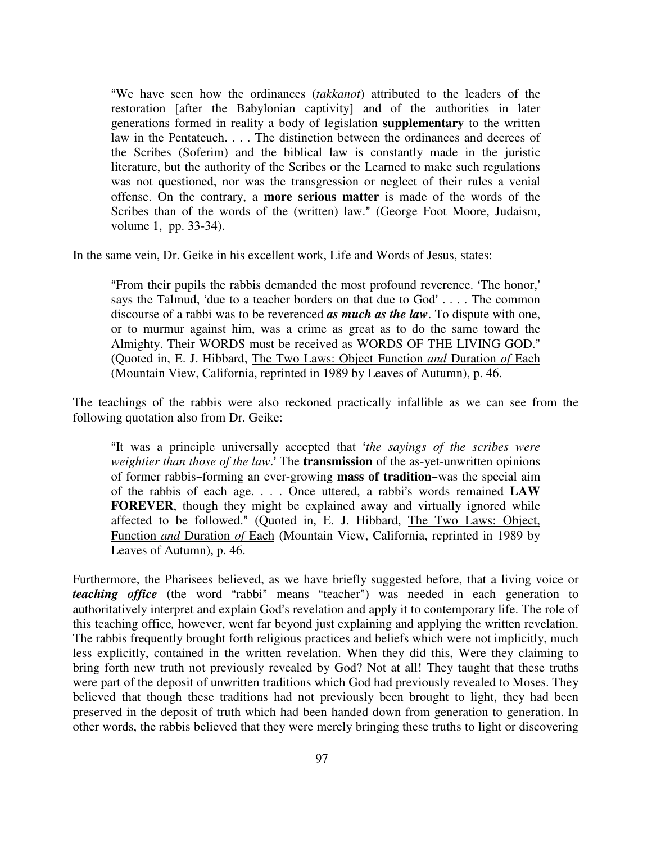"We have seen how the ordinances (*takkanot*) attributed to the leaders of the restoration [after the Babylonian captivity] and of the authorities in later generations formed in reality a body of legislation **supplementary** to the written law in the Pentateuch. . . . The distinction between the ordinances and decrees of the Scribes (Soferim) and the biblical law is constantly made in the juristic literature, but the authority of the Scribes or the Learned to make such regulations was not questioned, nor was the transgression or neglect of their rules a venial offense. On the contrary, a **more serious matter** is made of the words of the Scribes than of the words of the (written) law." (George Foot Moore, Judaism, volume 1, pp. 33-34).

In the same vein, Dr. Geike in his excellent work, Life and Words of Jesus, states:

"From their pupils the rabbis demanded the most profound reverence. "The honor," says the Talmud, 'due to a teacher borders on that due to  $God' \dots$ . The common discourse of a rabbi was to be reverenced *as much as the law*. To dispute with one, or to murmur against him, was a crime as great as to do the same toward the Almighty. Their WORDS must be received as WORDS OF THE LIVING GOD." (Quoted in, E. J. Hibbard, The Two Laws: Object Function *and* Duration *of* Each (Mountain View, California, reprinted in 1989 by Leaves of Autumn), p. 46.

The teachings of the rabbis were also reckoned practically infallible as we can see from the following quotation also from Dr. Geike:

<sup>"It</sup> was a principle universally accepted that '*the sayings of the scribes were weightier than those of the law*.' The **transmission** of the as-yet-unwritten opinions of former rabbis-forming an ever-growing **mass of tradition**-was the special aim of the rabbis of each age. . . . Once uttered, a rabbi's words remained LAW **FOREVER**, though they might be explained away and virtually ignored while affected to be followed." (Quoted in, E. J. Hibbard, The Two Laws: Object, Function *and* Duration *of* Each (Mountain View, California, reprinted in 1989 by Leaves of Autumn), p. 46.

Furthermore, the Pharisees believed, as we have briefly suggested before, that a living voice or *teaching office* (the word "rabbi" means "teacher") was needed in each generation to authoritatively interpret and explain God's revelation and apply it to contemporary life. The role of this teaching office*,* however, went far beyond just explaining and applying the written revelation. The rabbis frequently brought forth religious practices and beliefs which were not implicitly, much less explicitly, contained in the written revelation. When they did this, Were they claiming to bring forth new truth not previously revealed by God? Not at all! They taught that these truths were part of the deposit of unwritten traditions which God had previously revealed to Moses. They believed that though these traditions had not previously been brought to light, they had been preserved in the deposit of truth which had been handed down from generation to generation. In other words, the rabbis believed that they were merely bringing these truths to light or discovering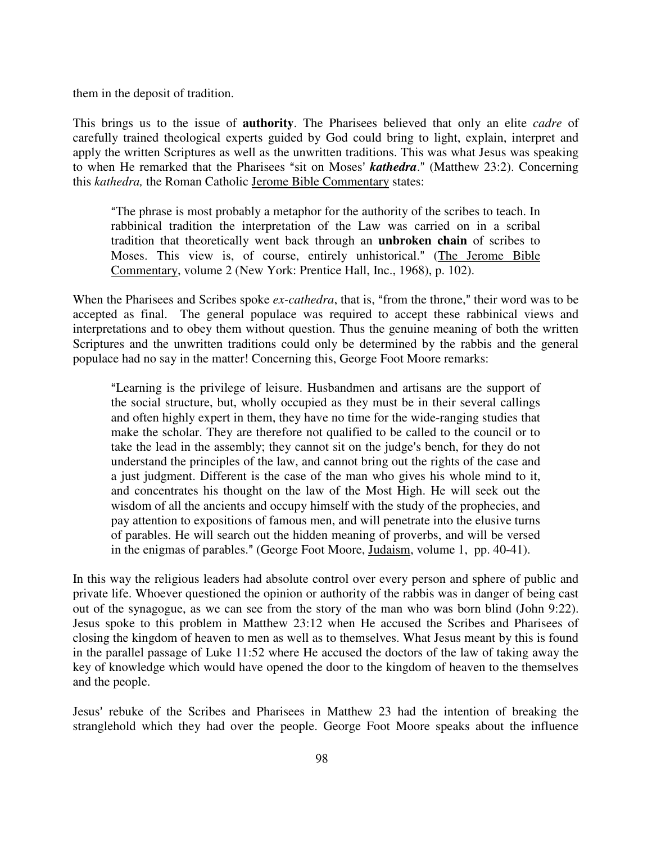them in the deposit of tradition.

This brings us to the issue of **authority**. The Pharisees believed that only an elite *cadre* of carefully trained theological experts guided by God could bring to light, explain, interpret and apply the written Scriptures as well as the unwritten traditions. This was what Jesus was speaking to when He remarked that the Pharisees "sit on Moses' *kathedra*." (Matthew 23:2). Concerning this *kathedra,* the Roman Catholic Jerome Bible Commentary states:

"The phrase is most probably a metaphor for the authority of the scribes to teach. In rabbinical tradition the interpretation of the Law was carried on in a scribal tradition that theoretically went back through an **unbroken chain** of scribes to Moses. This view is, of course, entirely unhistorical." (The Jerome Bible Commentary, volume 2 (New York: Prentice Hall, Inc., 1968), p. 102).

When the Pharisees and Scribes spoke *ex-cathedra*, that is, "from the throne," their word was to be accepted as final. The general populace was required to accept these rabbinical views and interpretations and to obey them without question. Thus the genuine meaning of both the written Scriptures and the unwritten traditions could only be determined by the rabbis and the general populace had no say in the matter! Concerning this, George Foot Moore remarks:

"Learning is the privilege of leisure. Husbandmen and artisans are the support of the social structure, but, wholly occupied as they must be in their several callings and often highly expert in them, they have no time for the wide-ranging studies that make the scholar. They are therefore not qualified to be called to the council or to take the lead in the assembly; they cannot sit on the judge's bench, for they do not understand the principles of the law, and cannot bring out the rights of the case and a just judgment. Different is the case of the man who gives his whole mind to it, and concentrates his thought on the law of the Most High. He will seek out the wisdom of all the ancients and occupy himself with the study of the prophecies, and pay attention to expositions of famous men, and will penetrate into the elusive turns of parables. He will search out the hidden meaning of proverbs, and will be versed in the enigmas of parables." (George Foot Moore, Judaism, volume 1, pp. 40-41).

In this way the religious leaders had absolute control over every person and sphere of public and private life. Whoever questioned the opinion or authority of the rabbis was in danger of being cast out of the synagogue, as we can see from the story of the man who was born blind (John 9:22). Jesus spoke to this problem in Matthew 23:12 when He accused the Scribes and Pharisees of closing the kingdom of heaven to men as well as to themselves. What Jesus meant by this is found in the parallel passage of Luke 11:52 where He accused the doctors of the law of taking away the key of knowledge which would have opened the door to the kingdom of heaven to the themselves and the people.

Jesus' rebuke of the Scribes and Pharisees in Matthew 23 had the intention of breaking the stranglehold which they had over the people. George Foot Moore speaks about the influence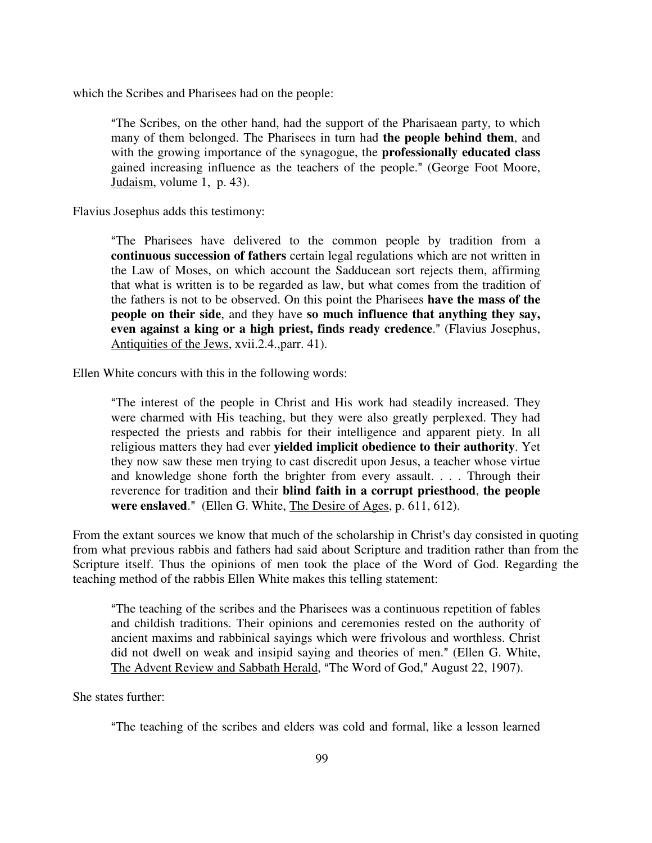which the Scribes and Pharisees had on the people:

"The Scribes, on the other hand, had the support of the Pharisaean party, to which many of them belonged. The Pharisees in turn had **the people behind them**, and with the growing importance of the synagogue, the **professionally educated class** gained increasing influence as the teachers of the people." (George Foot Moore, Judaism, volume 1, p. 43).

Flavius Josephus adds this testimony:

"The Pharisees have delivered to the common people by tradition from a **continuous succession of fathers** certain legal regulations which are not written in the Law of Moses, on which account the Sadducean sort rejects them, affirming that what is written is to be regarded as law, but what comes from the tradition of the fathers is not to be observed. On this point the Pharisees **have the mass of the people on their side**, and they have **so much influence that anything they say, even against a king or a high priest, finds ready credence.**" (Flavius Josephus, Antiquities of the Jews, xvii.2.4.,parr. 41).

Ellen White concurs with this in the following words:

"The interest of the people in Christ and His work had steadily increased. They were charmed with His teaching, but they were also greatly perplexed. They had respected the priests and rabbis for their intelligence and apparent piety. In all religious matters they had ever **yielded implicit obedience to their authority**. Yet they now saw these men trying to cast discredit upon Jesus, a teacher whose virtue and knowledge shone forth the brighter from every assault. . . . Through their reverence for tradition and their **blind faith in a corrupt priesthood**, **the people were enslaved.**" (Ellen G. White, The Desire of Ages, p. 611, 612).

From the extant sources we know that much of the scholarship in Christ's day consisted in quoting from what previous rabbis and fathers had said about Scripture and tradition rather than from the Scripture itself. Thus the opinions of men took the place of the Word of God. Regarding the teaching method of the rabbis Ellen White makes this telling statement:

"The teaching of the scribes and the Pharisees was a continuous repetition of fables and childish traditions. Their opinions and ceremonies rested on the authority of ancient maxims and rabbinical sayings which were frivolous and worthless. Christ did not dwell on weak and insipid saying and theories of men." (Ellen G. White, The Advent Review and Sabbath Herald, "The Word of God," August 22, 1907).

She states further:

"The teaching of the scribes and elders was cold and formal, like a lesson learned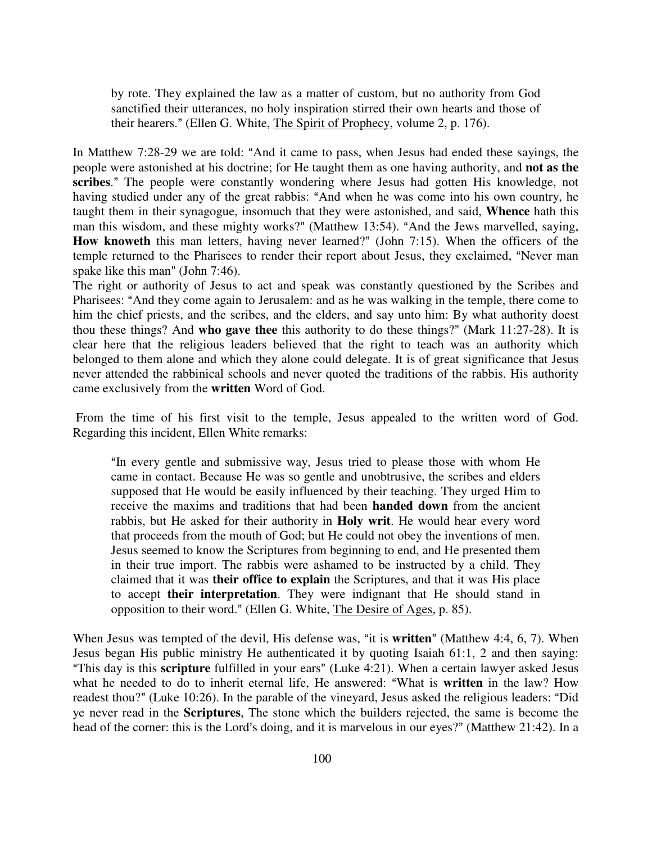by rote. They explained the law as a matter of custom, but no authority from God sanctified their utterances, no holy inspiration stirred their own hearts and those of their hearers." (Ellen G. White, The Spirit of Prophecy, volume 2, p. 176).

In Matthew 7:28-29 we are told: "And it came to pass, when Jesus had ended these sayings, the people were astonished at his doctrine; for He taught them as one having authority, and **not as the**  scribes." The people were constantly wondering where Jesus had gotten His knowledge, not having studied under any of the great rabbis: "And when he was come into his own country, he taught them in their synagogue, insomuch that they were astonished, and said, **Whence** hath this man this wisdom, and these mighty works?" (Matthew 13:54). "And the Jews marvelled, saying, **How knoweth** this man letters, having never learned?" (John 7:15). When the officers of the temple returned to the Pharisees to render their report about Jesus, they exclaimed, "Never man spake like this man" (John 7:46).

The right or authority of Jesus to act and speak was constantly questioned by the Scribes and Pharisees: "And they come again to Jerusalem: and as he was walking in the temple, there come to him the chief priests, and the scribes, and the elders, and say unto him: By what authority doest thou these things? And **who gave thee** this authority to do these things?" (Mark 11:27-28). It is clear here that the religious leaders believed that the right to teach was an authority which belonged to them alone and which they alone could delegate. It is of great significance that Jesus never attended the rabbinical schools and never quoted the traditions of the rabbis. His authority came exclusively from the **written** Word of God.

 From the time of his first visit to the temple, Jesus appealed to the written word of God. Regarding this incident, Ellen White remarks:

"In every gentle and submissive way, Jesus tried to please those with whom He came in contact. Because He was so gentle and unobtrusive, the scribes and elders supposed that He would be easily influenced by their teaching. They urged Him to receive the maxims and traditions that had been **handed down** from the ancient rabbis, but He asked for their authority in **Holy writ**. He would hear every word that proceeds from the mouth of God; but He could not obey the inventions of men. Jesus seemed to know the Scriptures from beginning to end, and He presented them in their true import. The rabbis were ashamed to be instructed by a child. They claimed that it was **their office to explain** the Scriptures, and that it was His place to accept **their interpretation**. They were indignant that He should stand in opposition to their word." (Ellen G. White, The Desire of Ages, p. 85).

When Jesus was tempted of the devil, His defense was, "it is **written**" (Matthew 4:4, 6, 7). When Jesus began His public ministry He authenticated it by quoting Isaiah 61:1, 2 and then saying: "This day is this **scripture** fulfilled in your ears" (Luke 4:21). When a certain lawyer asked Jesus what he needed to do to inherit eternal life, He answered: "What is **written** in the law? How readest thou?" (Luke 10:26). In the parable of the vineyard, Jesus asked the religious leaders: "Did ye never read in the **Scriptures**, The stone which the builders rejected, the same is become the head of the corner: this is the Lord's doing, and it is marvelous in our eyes?" (Matthew 21:42). In a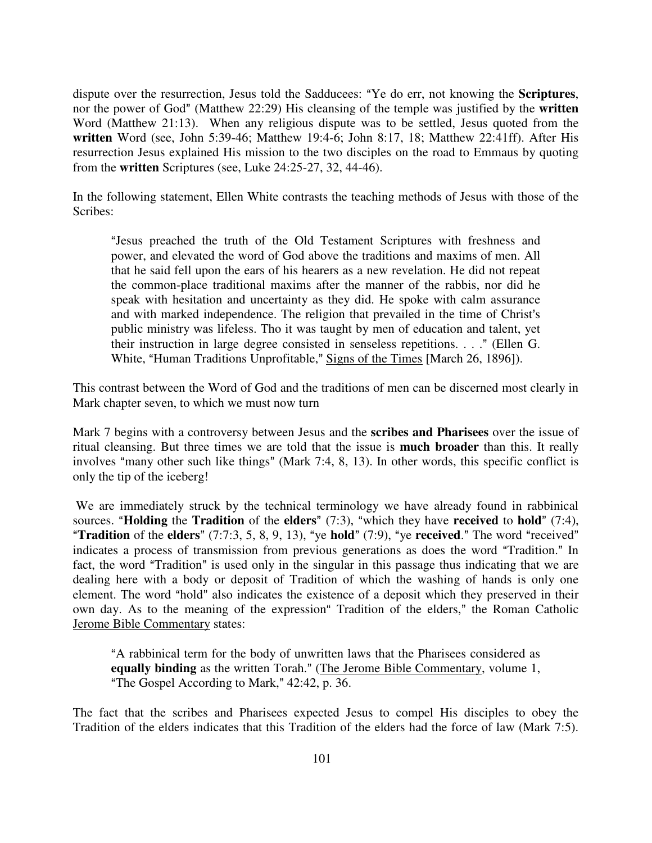dispute over the resurrection, Jesus told the Sadducees: "Ye do err, not knowing the **Scriptures**, nor the power of God" (Matthew 22:29) His cleansing of the temple was justified by the written Word (Matthew 21:13). When any religious dispute was to be settled, Jesus quoted from the **written** Word (see, John 5:39-46; Matthew 19:4-6; John 8:17, 18; Matthew 22:41ff). After His resurrection Jesus explained His mission to the two disciples on the road to Emmaus by quoting from the **written** Scriptures (see, Luke 24:25-27, 32, 44-46).

In the following statement, Ellen White contrasts the teaching methods of Jesus with those of the Scribes:

AJesus preached the truth of the Old Testament Scriptures with freshness and power, and elevated the word of God above the traditions and maxims of men. All that he said fell upon the ears of his hearers as a new revelation. He did not repeat the common-place traditional maxims after the manner of the rabbis, nor did he speak with hesitation and uncertainty as they did. He spoke with calm assurance and with marked independence. The religion that prevailed in the time of Christ's public ministry was lifeless. Tho it was taught by men of education and talent, yet their instruction in large degree consisted in senseless repetitions.  $\ldots$ ." (Ellen G. White, "Human Traditions Unprofitable," Signs of the Times [March 26, 1896]).

This contrast between the Word of God and the traditions of men can be discerned most clearly in Mark chapter seven, to which we must now turn

Mark 7 begins with a controversy between Jesus and the **scribes and Pharisees** over the issue of ritual cleansing. But three times we are told that the issue is **much broader** than this. It really involves "many other such like things" (Mark 7:4, 8, 13). In other words, this specific conflict is only the tip of the iceberg!

 We are immediately struck by the technical terminology we have already found in rabbinical sources. "**Holding** the **Tradition** of the **elders**" (7:3), "which they have **received** to **hold**" (7:4), "**Tradition** of the **elders**"  $(7:7:3, 5, 8, 9, 13)$ , "ye **hold**"  $(7:9)$ , "ye **received**." The word "received" indicates a process of transmission from previous generations as does the word "Tradition." In fact, the word "Tradition" is used only in the singular in this passage thus indicating that we are dealing here with a body or deposit of Tradition of which the washing of hands is only one element. The word "hold" also indicates the existence of a deposit which they preserved in their own day. As to the meaning of the expression Tradition of the elders," the Roman Catholic Jerome Bible Commentary states:

A rabbinical term for the body of unwritten laws that the Pharisees considered as **equally binding** as the written Torah." (The Jerome Bible Commentary, volume 1, "The Gospel According to Mark,"  $42:42$ , p. 36.

The fact that the scribes and Pharisees expected Jesus to compel His disciples to obey the Tradition of the elders indicates that this Tradition of the elders had the force of law (Mark 7:5).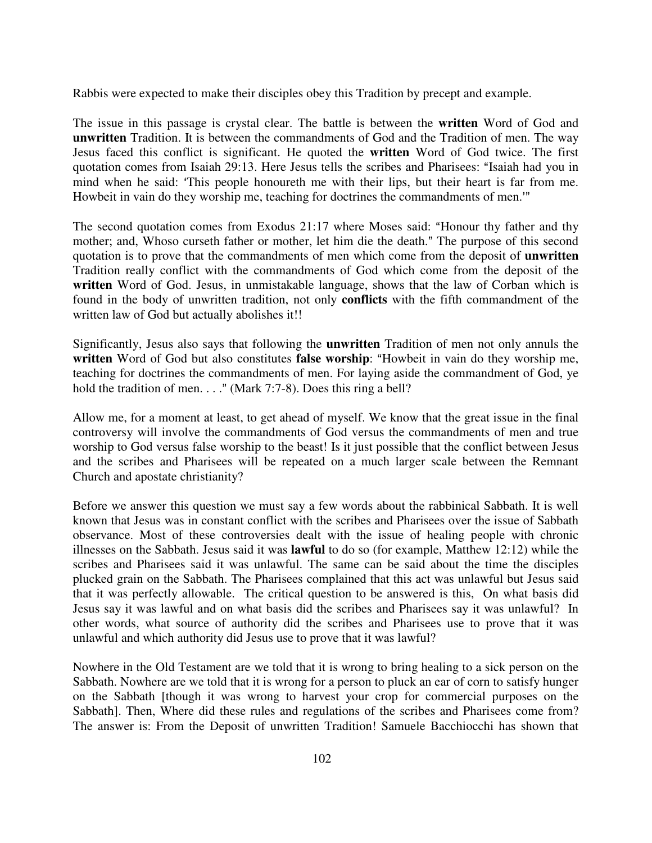Rabbis were expected to make their disciples obey this Tradition by precept and example.

The issue in this passage is crystal clear. The battle is between the **written** Word of God and **unwritten** Tradition. It is between the commandments of God and the Tradition of men. The way Jesus faced this conflict is significant. He quoted the **written** Word of God twice. The first quotation comes from Isaiah 29:13. Here Jesus tells the scribes and Pharisees: "Isaiah had you in mind when he said: 'This people honoureth me with their lips, but their heart is far from me. Howbeit in vain do they worship me, teaching for doctrines the commandments of men.<sup>10</sup>

The second quotation comes from Exodus  $21:17$  where Moses said: "Honour thy father and thy mother; and, Whoso curseth father or mother, let him die the death." The purpose of this second quotation is to prove that the commandments of men which come from the deposit of **unwritten** Tradition really conflict with the commandments of God which come from the deposit of the **written** Word of God. Jesus, in unmistakable language, shows that the law of Corban which is found in the body of unwritten tradition, not only **conflicts** with the fifth commandment of the written law of God but actually abolishes it!!

Significantly, Jesus also says that following the **unwritten** Tradition of men not only annuls the written Word of God but also constitutes false worship: "Howbeit in vain do they worship me, teaching for doctrines the commandments of men. For laying aside the commandment of God, ye hold the tradition of men.  $\ldots$ " (Mark 7:7-8). Does this ring a bell?

Allow me, for a moment at least, to get ahead of myself. We know that the great issue in the final controversy will involve the commandments of God versus the commandments of men and true worship to God versus false worship to the beast! Is it just possible that the conflict between Jesus and the scribes and Pharisees will be repeated on a much larger scale between the Remnant Church and apostate christianity?

Before we answer this question we must say a few words about the rabbinical Sabbath. It is well known that Jesus was in constant conflict with the scribes and Pharisees over the issue of Sabbath observance. Most of these controversies dealt with the issue of healing people with chronic illnesses on the Sabbath. Jesus said it was **lawful** to do so (for example, Matthew 12:12) while the scribes and Pharisees said it was unlawful. The same can be said about the time the disciples plucked grain on the Sabbath. The Pharisees complained that this act was unlawful but Jesus said that it was perfectly allowable. The critical question to be answered is this, On what basis did Jesus say it was lawful and on what basis did the scribes and Pharisees say it was unlawful? In other words, what source of authority did the scribes and Pharisees use to prove that it was unlawful and which authority did Jesus use to prove that it was lawful?

Nowhere in the Old Testament are we told that it is wrong to bring healing to a sick person on the Sabbath. Nowhere are we told that it is wrong for a person to pluck an ear of corn to satisfy hunger on the Sabbath [though it was wrong to harvest your crop for commercial purposes on the Sabbath]. Then, Where did these rules and regulations of the scribes and Pharisees come from? The answer is: From the Deposit of unwritten Tradition! Samuele Bacchiocchi has shown that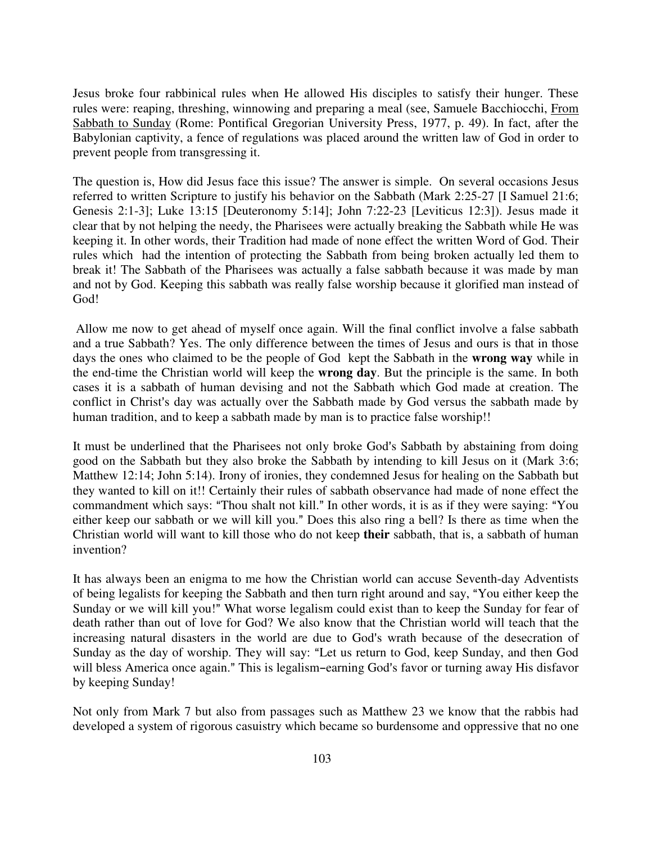Jesus broke four rabbinical rules when He allowed His disciples to satisfy their hunger. These rules were: reaping, threshing, winnowing and preparing a meal (see, Samuele Bacchiocchi, From Sabbath to Sunday (Rome: Pontifical Gregorian University Press, 1977, p. 49). In fact, after the Babylonian captivity, a fence of regulations was placed around the written law of God in order to prevent people from transgressing it.

The question is, How did Jesus face this issue? The answer is simple. On several occasions Jesus referred to written Scripture to justify his behavior on the Sabbath (Mark 2:25-27 [I Samuel 21:6; Genesis 2:1-3]; Luke 13:15 [Deuteronomy 5:14]; John 7:22-23 [Leviticus 12:3]). Jesus made it clear that by not helping the needy, the Pharisees were actually breaking the Sabbath while He was keeping it. In other words, their Tradition had made of none effect the written Word of God. Their rules which had the intention of protecting the Sabbath from being broken actually led them to break it! The Sabbath of the Pharisees was actually a false sabbath because it was made by man and not by God. Keeping this sabbath was really false worship because it glorified man instead of God!

 Allow me now to get ahead of myself once again. Will the final conflict involve a false sabbath and a true Sabbath? Yes. The only difference between the times of Jesus and ours is that in those days the ones who claimed to be the people of God kept the Sabbath in the **wrong way** while in the end-time the Christian world will keep the **wrong day**. But the principle is the same. In both cases it is a sabbath of human devising and not the Sabbath which God made at creation. The conflict in Christ's day was actually over the Sabbath made by God versus the sabbath made by human tradition, and to keep a sabbath made by man is to practice false worship!!

It must be underlined that the Pharisees not only broke God's Sabbath by abstaining from doing good on the Sabbath but they also broke the Sabbath by intending to kill Jesus on it (Mark 3:6; Matthew 12:14; John 5:14). Irony of ironies, they condemned Jesus for healing on the Sabbath but they wanted to kill on it!! Certainly their rules of sabbath observance had made of none effect the commandment which says: "Thou shalt not kill." In other words, it is as if they were saying: "You either keep our sabbath or we will kill you." Does this also ring a bell? Is there as time when the Christian world will want to kill those who do not keep **their** sabbath, that is, a sabbath of human invention?

It has always been an enigma to me how the Christian world can accuse Seventh-day Adventists of being legalists for keeping the Sabbath and then turn right around and say, "You either keep the Sunday or we will kill you!" What worse legalism could exist than to keep the Sunday for fear of death rather than out of love for God? We also know that the Christian world will teach that the increasing natural disasters in the world are due to God's wrath because of the desecration of Sunday as the day of worship. They will say: "Let us return to God, keep Sunday, and then God will bless America once again." This is legalism-earning God's favor or turning away His disfavor by keeping Sunday!

Not only from Mark 7 but also from passages such as Matthew 23 we know that the rabbis had developed a system of rigorous casuistry which became so burdensome and oppressive that no one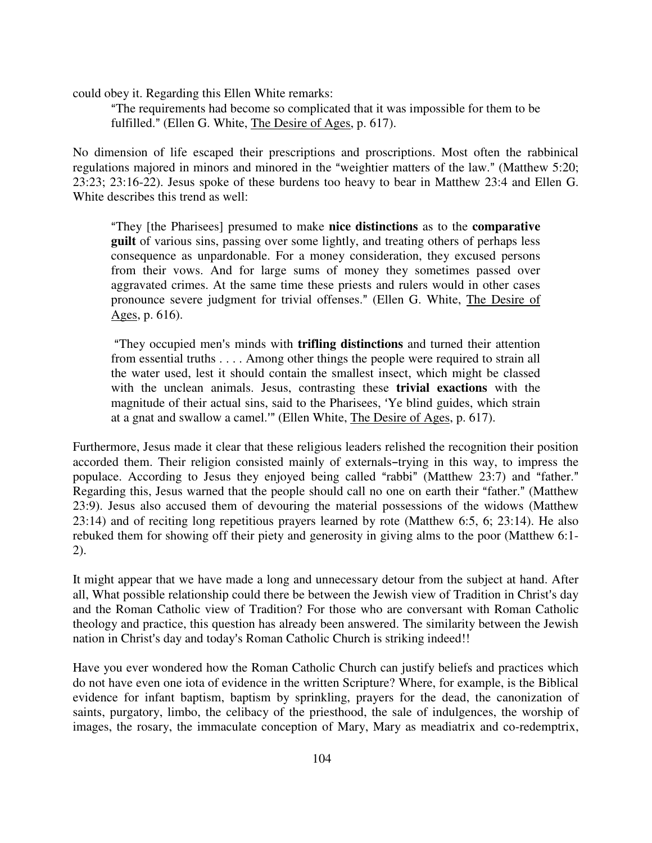could obey it. Regarding this Ellen White remarks:

AThe requirements had become so complicated that it was impossible for them to be fulfilled." (Ellen G. White, The Desire of Ages, p. 617).

No dimension of life escaped their prescriptions and proscriptions. Most often the rabbinical regulations majored in minors and minored in the "weightier matters of the law." (Matthew 5:20; 23:23; 23:16-22). Jesus spoke of these burdens too heavy to bear in Matthew 23:4 and Ellen G. White describes this trend as well:

AThey [the Pharisees] presumed to make **nice distinctions** as to the **comparative guilt** of various sins, passing over some lightly, and treating others of perhaps less consequence as unpardonable. For a money consideration, they excused persons from their vows. And for large sums of money they sometimes passed over aggravated crimes. At the same time these priests and rulers would in other cases pronounce severe judgment for trivial offenses." (Ellen G. White, The Desire of Ages, p. 616).

"They occupied men's minds with **trifling distinctions** and turned their attention from essential truths . . . . Among other things the people were required to strain all the water used, lest it should contain the smallest insect, which might be classed with the unclean animals. Jesus, contrasting these **trivial exactions** with the magnitude of their actual sins, said to the Pharisees, 'Ye blind guides, which strain at a gnat and swallow a camel." (Ellen White, The Desire of Ages, p. 617).

Furthermore, Jesus made it clear that these religious leaders relished the recognition their position accorded them. Their religion consisted mainly of externals-trying in this way, to impress the populace. According to Jesus they enjoyed being called "rabbi" (Matthew 23:7) and "father." Regarding this, Jesus warned that the people should call no one on earth their "father." (Matthew 23:9). Jesus also accused them of devouring the material possessions of the widows (Matthew 23:14) and of reciting long repetitious prayers learned by rote (Matthew 6:5, 6; 23:14). He also rebuked them for showing off their piety and generosity in giving alms to the poor (Matthew 6:1- 2).

It might appear that we have made a long and unnecessary detour from the subject at hand. After all, What possible relationship could there be between the Jewish view of Tradition in Christ's day and the Roman Catholic view of Tradition? For those who are conversant with Roman Catholic theology and practice, this question has already been answered. The similarity between the Jewish nation in Christ's day and today's Roman Catholic Church is striking indeed!!

Have you ever wondered how the Roman Catholic Church can justify beliefs and practices which do not have even one iota of evidence in the written Scripture? Where, for example, is the Biblical evidence for infant baptism, baptism by sprinkling, prayers for the dead, the canonization of saints, purgatory, limbo, the celibacy of the priesthood, the sale of indulgences, the worship of images, the rosary, the immaculate conception of Mary, Mary as meadiatrix and co-redemptrix,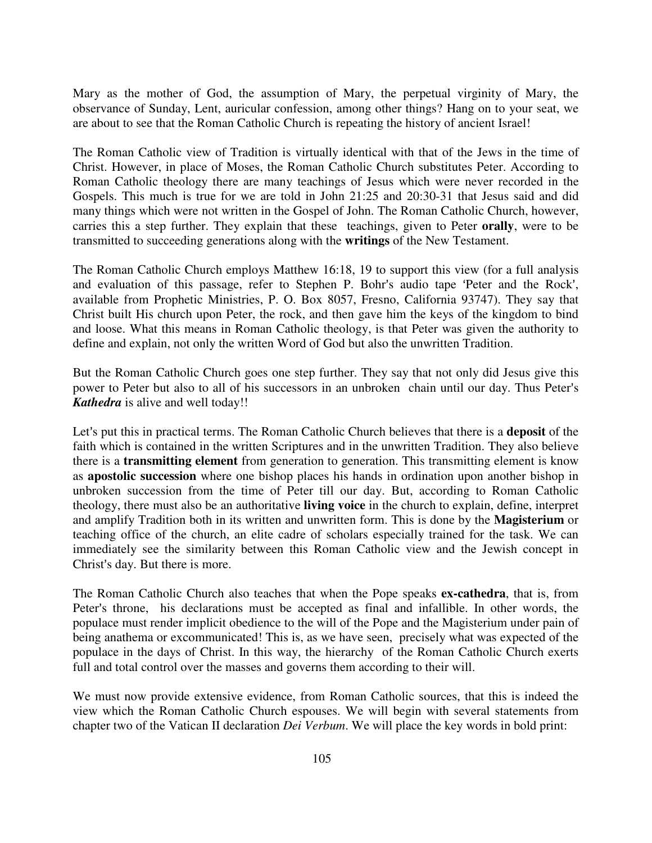Mary as the mother of God, the assumption of Mary, the perpetual virginity of Mary, the observance of Sunday, Lent, auricular confession, among other things? Hang on to your seat, we are about to see that the Roman Catholic Church is repeating the history of ancient Israel!

The Roman Catholic view of Tradition is virtually identical with that of the Jews in the time of Christ. However, in place of Moses, the Roman Catholic Church substitutes Peter. According to Roman Catholic theology there are many teachings of Jesus which were never recorded in the Gospels. This much is true for we are told in John 21:25 and 20:30-31 that Jesus said and did many things which were not written in the Gospel of John. The Roman Catholic Church, however, carries this a step further. They explain that these teachings, given to Peter **orally**, were to be transmitted to succeeding generations along with the **writings** of the New Testament.

The Roman Catholic Church employs Matthew 16:18, 19 to support this view (for a full analysis and evaluation of this passage, refer to Stephen P. Bohr's audio tape 'Peter and the Rock', available from Prophetic Ministries, P. O. Box 8057, Fresno, California 93747). They say that Christ built His church upon Peter, the rock, and then gave him the keys of the kingdom to bind and loose. What this means in Roman Catholic theology, is that Peter was given the authority to define and explain, not only the written Word of God but also the unwritten Tradition.

But the Roman Catholic Church goes one step further. They say that not only did Jesus give this power to Peter but also to all of his successors in an unbroken chain until our day. Thus Peter's *Kathedra* is alive and well today!!

Let's put this in practical terms. The Roman Catholic Church believes that there is a **deposit** of the faith which is contained in the written Scriptures and in the unwritten Tradition. They also believe there is a **transmitting element** from generation to generation. This transmitting element is know as **apostolic succession** where one bishop places his hands in ordination upon another bishop in unbroken succession from the time of Peter till our day. But, according to Roman Catholic theology, there must also be an authoritative **living voice** in the church to explain, define, interpret and amplify Tradition both in its written and unwritten form. This is done by the **Magisterium** or teaching office of the church, an elite cadre of scholars especially trained for the task. We can immediately see the similarity between this Roman Catholic view and the Jewish concept in Christ's day. But there is more.

The Roman Catholic Church also teaches that when the Pope speaks **ex-cathedra**, that is, from Peter's throne, his declarations must be accepted as final and infallible. In other words, the populace must render implicit obedience to the will of the Pope and the Magisterium under pain of being anathema or excommunicated! This is, as we have seen, precisely what was expected of the populace in the days of Christ. In this way, the hierarchy of the Roman Catholic Church exerts full and total control over the masses and governs them according to their will.

We must now provide extensive evidence, from Roman Catholic sources, that this is indeed the view which the Roman Catholic Church espouses. We will begin with several statements from chapter two of the Vatican II declaration *Dei Verbum*. We will place the key words in bold print: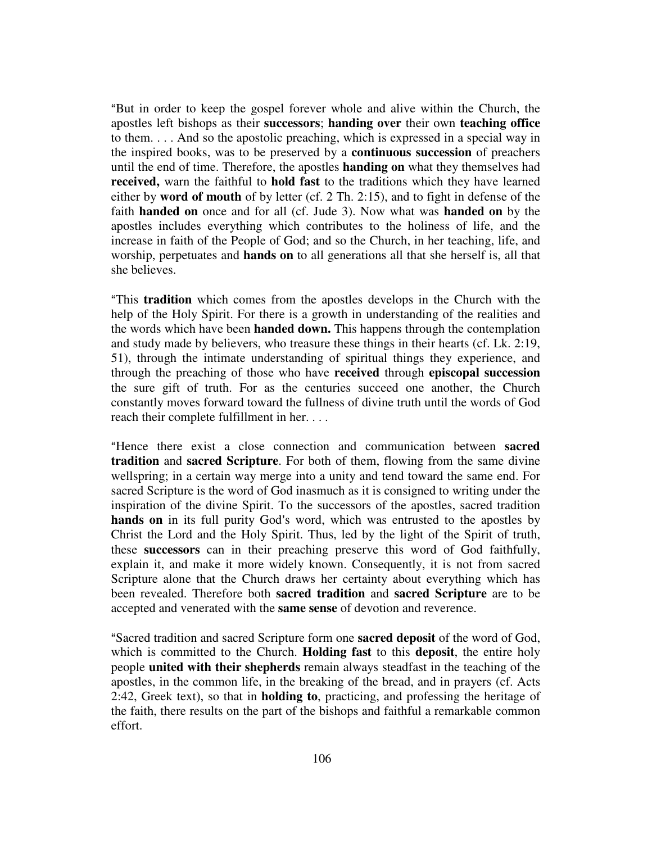ABut in order to keep the gospel forever whole and alive within the Church, the apostles left bishops as their **successors**; **handing over** their own **teaching office** to them. . . . And so the apostolic preaching, which is expressed in a special way in the inspired books, was to be preserved by a **continuous succession** of preachers until the end of time. Therefore, the apostles **handing on** what they themselves had **received,** warn the faithful to **hold fast** to the traditions which they have learned either by **word of mouth** of by letter (cf. 2 Th. 2:15), and to fight in defense of the faith **handed on** once and for all (cf. Jude 3). Now what was **handed on** by the apostles includes everything which contributes to the holiness of life, and the increase in faith of the People of God; and so the Church, in her teaching, life, and worship, perpetuates and **hands on** to all generations all that she herself is, all that she believes.

AThis **tradition** which comes from the apostles develops in the Church with the help of the Holy Spirit. For there is a growth in understanding of the realities and the words which have been **handed down.** This happens through the contemplation and study made by believers, who treasure these things in their hearts (cf. Lk. 2:19, 51), through the intimate understanding of spiritual things they experience, and through the preaching of those who have **received** through **episcopal succession**  the sure gift of truth. For as the centuries succeed one another, the Church constantly moves forward toward the fullness of divine truth until the words of God reach their complete fulfillment in her. . . .

AHence there exist a close connection and communication between **sacred tradition** and **sacred Scripture**. For both of them, flowing from the same divine wellspring; in a certain way merge into a unity and tend toward the same end. For sacred Scripture is the word of God inasmuch as it is consigned to writing under the inspiration of the divine Spirit. To the successors of the apostles, sacred tradition **hands on** in its full purity God's word, which was entrusted to the apostles by Christ the Lord and the Holy Spirit. Thus, led by the light of the Spirit of truth, these **successors** can in their preaching preserve this word of God faithfully, explain it, and make it more widely known. Consequently, it is not from sacred Scripture alone that the Church draws her certainty about everything which has been revealed. Therefore both **sacred tradition** and **sacred Scripture** are to be accepted and venerated with the **same sense** of devotion and reverence.

ASacred tradition and sacred Scripture form one **sacred deposit** of the word of God, which is committed to the Church. **Holding fast** to this **deposit**, the entire holy people **united with their shepherds** remain always steadfast in the teaching of the apostles, in the common life, in the breaking of the bread, and in prayers (cf. Acts 2:42, Greek text), so that in **holding to**, practicing, and professing the heritage of the faith, there results on the part of the bishops and faithful a remarkable common effort.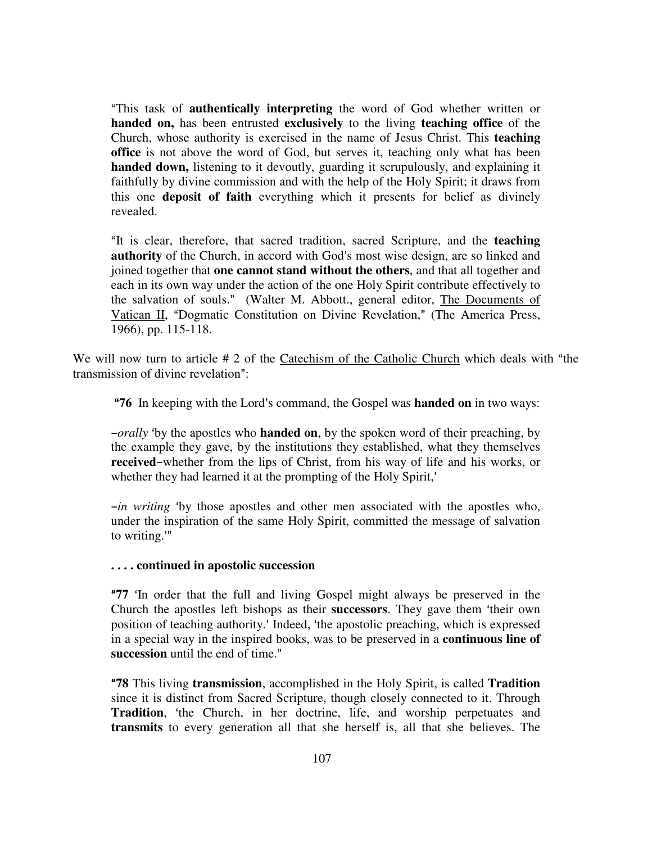AThis task of **authentically interpreting** the word of God whether written or **handed on,** has been entrusted **exclusively** to the living **teaching office** of the Church, whose authority is exercised in the name of Jesus Christ. This **teaching office** is not above the word of God, but serves it, teaching only what has been **handed down,** listening to it devoutly, guarding it scrupulously, and explaining it faithfully by divine commission and with the help of the Holy Spirit; it draws from this one **deposit of faith** everything which it presents for belief as divinely revealed.

AIt is clear, therefore, that sacred tradition, sacred Scripture, and the **teaching authority** of the Church, in accord with God's most wise design, are so linked and joined together that **one cannot stand without the others**, and that all together and each in its own way under the action of the one Holy Spirit contribute effectively to the salvation of souls.@ (Walter M. Abbott., general editor, The Documents of Vatican II, "Dogmatic Constitution on Divine Revelation," (The America Press, 1966), pp. 115-118.

We will now turn to article  $# 2$  of the Catechism of the Catholic Church which deals with "the transmission of divine revelation":

*476* In keeping with the Lord's command, the Gospel was **handed on** in two ways:

-orally 'by the apostles who **handed on**, by the spoken word of their preaching, by the example they gave, by the institutions they established, what they themselves **received**-whether from the lips of Christ, from his way of life and his works, or whether they had learned it at the prompting of the Holy Spirit,'

*in writing* 'by those apostles and other men associated with the apostles who, under the inspiration of the same Holy Spirit, committed the message of salvation to writing. $"$ 

# **. . . . continued in apostolic succession**

*477* In order that the full and living Gospel might always be preserved in the Church the apostles left bishops as their **successors**. They gave them 'their own position of teaching authority.' Indeed, 'the apostolic preaching, which is expressed in a special way in the inspired books, was to be preserved in a **continuous line of**  succession until the end of time."

A**78** This living **transmission**, accomplished in the Holy Spirit, is called **Tradition** since it is distinct from Sacred Scripture, though closely connected to it. Through **Tradition**, 'the Church, in her doctrine, life, and worship perpetuates and **transmits** to every generation all that she herself is, all that she believes. The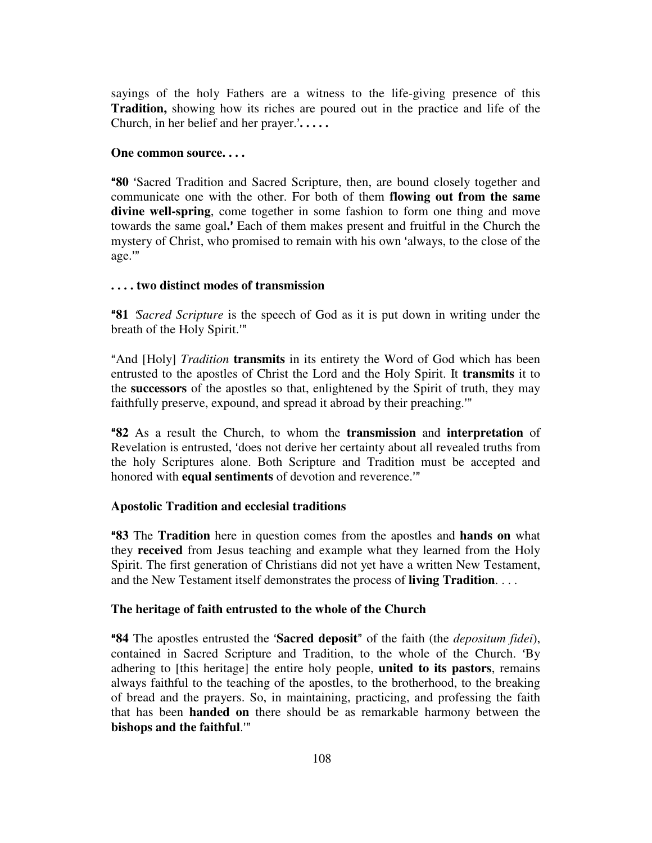sayings of the holy Fathers are a witness to the life-giving presence of this **Tradition,** showing how its riches are poured out in the practice and life of the Church, in her belief and her prayer. $\cdot \cdot \cdot$ ...

## **One common source. . . .**

**80** 'Sacred Tradition and Sacred Scripture, then, are bound closely together and communicate one with the other. For both of them **flowing out from the same divine well-spring**, come together in some fashion to form one thing and move towards the same goal.<sup>•</sup> Each of them makes present and fruitful in the Church the mystery of Christ, who promised to remain with his own 'always, to the close of the age."

## **. . . . two distinct modes of transmission**

A**81** >*Sacred Scripture* is the speech of God as it is put down in writing under the breath of the Holy Spirit."

AAnd [Holy] *Tradition* **transmits** in its entirety the Word of God which has been entrusted to the apostles of Christ the Lord and the Holy Spirit. It **transmits** it to the **successors** of the apostles so that, enlightened by the Spirit of truth, they may faithfully preserve, expound, and spread it abroad by their preaching."

A**82** As a result the Church, to whom the **transmission** and **interpretation** of Revelation is entrusted, 'does not derive her certainty about all revealed truths from the holy Scriptures alone. Both Scripture and Tradition must be accepted and honored with **equal sentiments** of devotion and reverence."

# **Apostolic Tradition and ecclesial traditions**

A**83** The **Tradition** here in question comes from the apostles and **hands on** what they **received** from Jesus teaching and example what they learned from the Holy Spirit. The first generation of Christians did not yet have a written New Testament, and the New Testament itself demonstrates the process of **living Tradition**. . . .

#### **The heritage of faith entrusted to the whole of the Church**

**84** The apostles entrusted the **Sacred deposit**<sup>"</sup> of the faith (the *depositum fidei*), contained in Sacred Scripture and Tradition, to the whole of the Church. 'By adhering to [this heritage] the entire holy people, **united to its pastors**, remains always faithful to the teaching of the apostles, to the brotherhood, to the breaking of bread and the prayers. So, in maintaining, practicing, and professing the faith that has been **handed on** there should be as remarkable harmony between the **bishops and the faithful.**"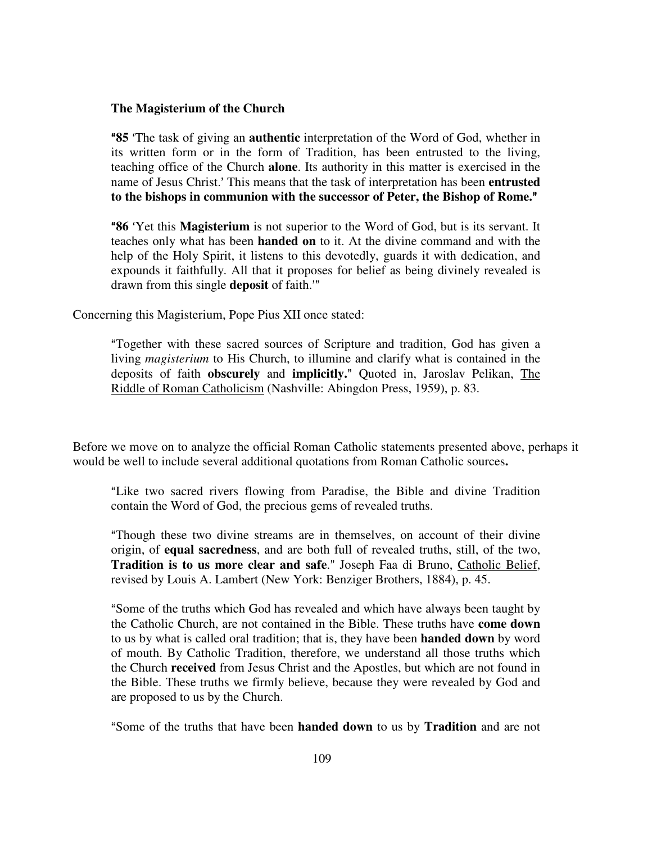## **The Magisterium of the Church**

**85** The task of giving an **authentic** interpretation of the Word of God, whether in its written form or in the form of Tradition, has been entrusted to the living, teaching office of the Church **alone**. Its authority in this matter is exercised in the name of Jesus Christ.' This means that the task of interpretation has been **entrusted** to the bishops in communion with the successor of Peter, the Bishop of Rome."

**86** Yet this **Magisterium** is not superior to the Word of God, but is its servant. It teaches only what has been **handed on** to it. At the divine command and with the help of the Holy Spirit, it listens to this devotedly, guards it with dedication, and expounds it faithfully. All that it proposes for belief as being divinely revealed is drawn from this single **deposit** of faith."

Concerning this Magisterium, Pope Pius XII once stated:

"Together with these sacred sources of Scripture and tradition, God has given a living *magisterium* to His Church, to illumine and clarify what is contained in the deposits of faith **obscurely** and **implicitly.**" Quoted in, Jaroslav Pelikan, The Riddle of Roman Catholicism (Nashville: Abingdon Press, 1959), p. 83.

Before we move on to analyze the official Roman Catholic statements presented above, perhaps it would be well to include several additional quotations from Roman Catholic sources**.** 

"Like two sacred rivers flowing from Paradise, the Bible and divine Tradition contain the Word of God, the precious gems of revealed truths.

AThough these two divine streams are in themselves, on account of their divine origin, of **equal sacredness**, and are both full of revealed truths, still, of the two, **Tradition is to us more clear and safe.**" Joseph Faa di Bruno, Catholic Belief, revised by Louis A. Lambert (New York: Benziger Brothers, 1884), p. 45.

"Some of the truths which God has revealed and which have always been taught by the Catholic Church, are not contained in the Bible. These truths have **come down** to us by what is called oral tradition; that is, they have been **handed down** by word of mouth. By Catholic Tradition, therefore, we understand all those truths which the Church **received** from Jesus Christ and the Apostles, but which are not found in the Bible. These truths we firmly believe, because they were revealed by God and are proposed to us by the Church.

ASome of the truths that have been **handed down** to us by **Tradition** and are not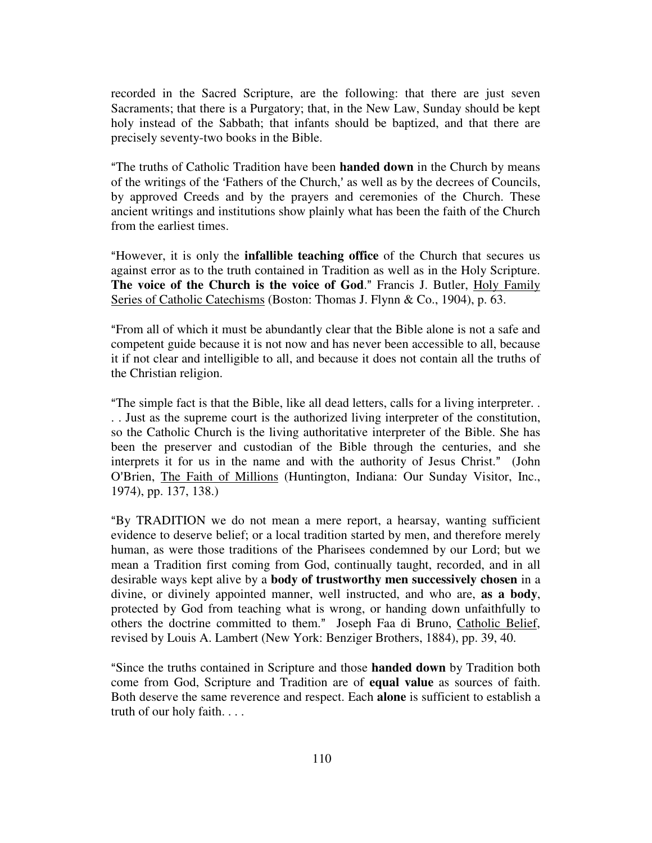recorded in the Sacred Scripture, are the following: that there are just seven Sacraments; that there is a Purgatory; that, in the New Law, Sunday should be kept holy instead of the Sabbath; that infants should be baptized, and that there are precisely seventy-two books in the Bible.

AThe truths of Catholic Tradition have been **handed down** in the Church by means of the writings of the 'Fathers of the Church,' as well as by the decrees of Councils, by approved Creeds and by the prayers and ceremonies of the Church. These ancient writings and institutions show plainly what has been the faith of the Church from the earliest times.

AHowever, it is only the **infallible teaching office** of the Church that secures us against error as to the truth contained in Tradition as well as in the Holy Scripture. **The voice of the Church is the voice of God."** Francis J. Butler, Holy Family Series of Catholic Catechisms (Boston: Thomas J. Flynn & Co., 1904), p. 63.

AFrom all of which it must be abundantly clear that the Bible alone is not a safe and competent guide because it is not now and has never been accessible to all, because it if not clear and intelligible to all, and because it does not contain all the truths of the Christian religion.

"The simple fact is that the Bible, like all dead letters, calls for a living interpreter.. . . Just as the supreme court is the authorized living interpreter of the constitution, so the Catholic Church is the living authoritative interpreter of the Bible. She has been the preserver and custodian of the Bible through the centuries, and she interprets it for us in the name and with the authority of Jesus Christ." (John O'Brien, The Faith of Millions (Huntington, Indiana: Our Sunday Visitor, Inc., 1974), pp. 137, 138.)

"By TRADITION we do not mean a mere report, a hearsay, wanting sufficient evidence to deserve belief; or a local tradition started by men, and therefore merely human, as were those traditions of the Pharisees condemned by our Lord; but we mean a Tradition first coming from God, continually taught, recorded, and in all desirable ways kept alive by a **body of trustworthy men successively chosen** in a divine, or divinely appointed manner, well instructed, and who are, **as a body**, protected by God from teaching what is wrong, or handing down unfaithfully to others the doctrine committed to them." Joseph Faa di Bruno, Catholic Belief, revised by Louis A. Lambert (New York: Benziger Brothers, 1884), pp. 39, 40.

ASince the truths contained in Scripture and those **handed down** by Tradition both come from God, Scripture and Tradition are of **equal value** as sources of faith. Both deserve the same reverence and respect. Each **alone** is sufficient to establish a truth of our holy faith. . . .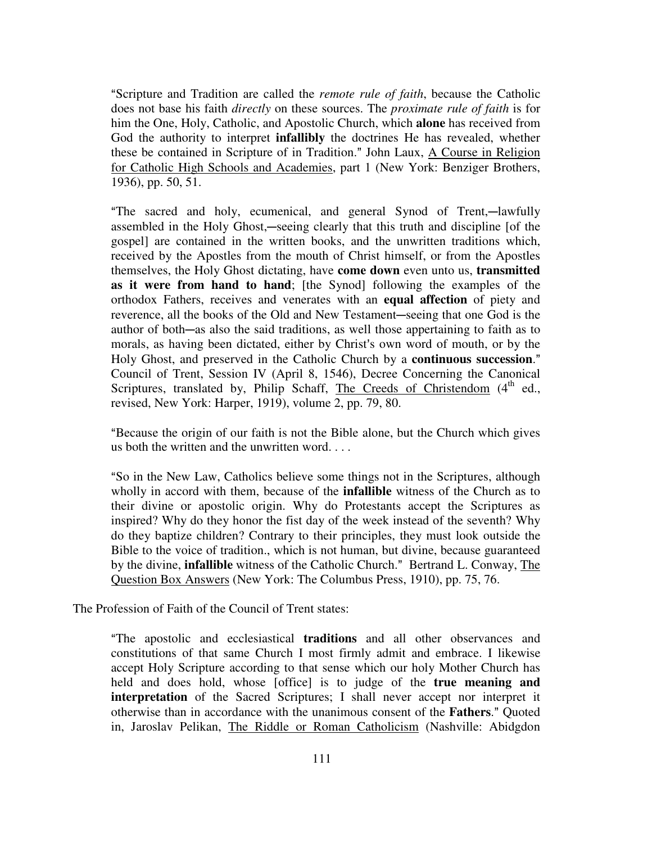AScripture and Tradition are called the *remote rule of faith*, because the Catholic does not base his faith *directly* on these sources. The *proximate rule of faith* is for him the One, Holy, Catholic, and Apostolic Church, which **alone** has received from God the authority to interpret **infallibly** the doctrines He has revealed, whether these be contained in Scripture of in Tradition." John Laux, A Course in Religion for Catholic High Schools and Academies, part 1 (New York: Benziger Brothers, 1936), pp. 50, 51.

"The sacred and holy, ecumenical, and general Synod of Trent,—lawfully assembled in the Holy Ghost,—seeing clearly that this truth and discipline [of the gospel] are contained in the written books, and the unwritten traditions which, received by the Apostles from the mouth of Christ himself, or from the Apostles themselves, the Holy Ghost dictating, have **come down** even unto us, **transmitted as it were from hand to hand**; [the Synod] following the examples of the orthodox Fathers, receives and venerates with an **equal affection** of piety and reverence, all the books of the Old and New Testament—seeing that one God is the author of both—as also the said traditions, as well those appertaining to faith as to morals, as having been dictated, either by Christ's own word of mouth, or by the Holy Ghost, and preserved in the Catholic Church by a **continuous succession**." Council of Trent, Session IV (April 8, 1546), Decree Concerning the Canonical Scriptures, translated by, Philip Schaff, The Creeds of Christendom (4<sup>th</sup> ed., revised, New York: Harper, 1919), volume 2, pp. 79, 80.

"Because the origin of our faith is not the Bible alone, but the Church which gives us both the written and the unwritten word. . . .

"So in the New Law, Catholics believe some things not in the Scriptures, although wholly in accord with them, because of the **infallible** witness of the Church as to their divine or apostolic origin. Why do Protestants accept the Scriptures as inspired? Why do they honor the fist day of the week instead of the seventh? Why do they baptize children? Contrary to their principles, they must look outside the Bible to the voice of tradition., which is not human, but divine, because guaranteed by the divine, **infallible** witness of the Catholic Church." Bertrand L. Conway, The Question Box Answers (New York: The Columbus Press, 1910), pp. 75, 76.

The Profession of Faith of the Council of Trent states:

AThe apostolic and ecclesiastical **traditions** and all other observances and constitutions of that same Church I most firmly admit and embrace. I likewise accept Holy Scripture according to that sense which our holy Mother Church has held and does hold, whose [office] is to judge of the **true meaning and interpretation** of the Sacred Scriptures; I shall never accept nor interpret it otherwise than in accordance with the unanimous consent of the **Fathers**." Quoted in, Jaroslav Pelikan, The Riddle or Roman Catholicism (Nashville: Abidgdon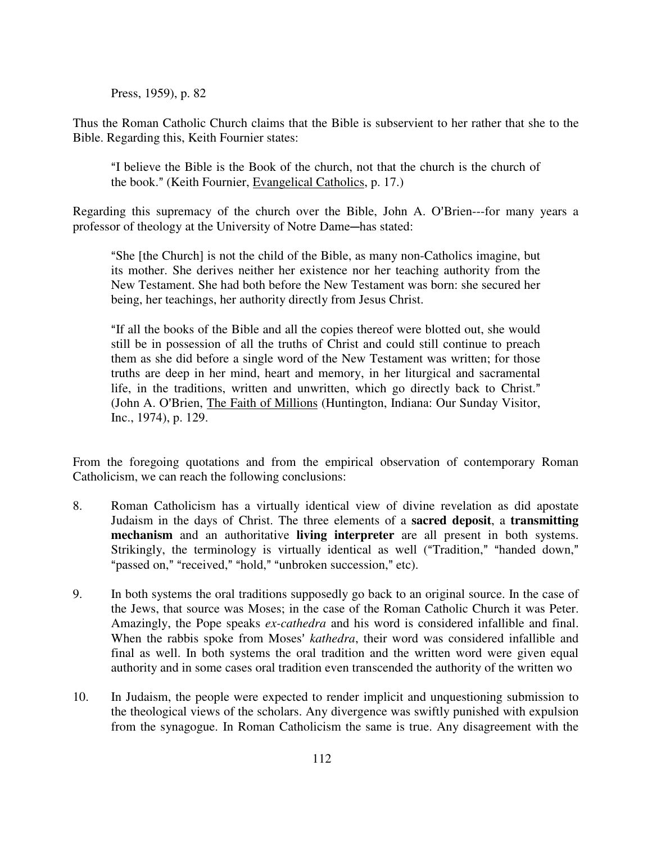Press, 1959), p. 82

Thus the Roman Catholic Church claims that the Bible is subservient to her rather that she to the Bible. Regarding this, Keith Fournier states:

AI believe the Bible is the Book of the church, not that the church is the church of the book." (Keith Fournier, Evangelical Catholics, p. 17.)

Regarding this supremacy of the church over the Bible, John A. O'Brien---for many years a professor of theology at the University of Notre Dame—has stated:

"She [the Church] is not the child of the Bible, as many non-Catholics imagine, but its mother. She derives neither her existence nor her teaching authority from the New Testament. She had both before the New Testament was born: she secured her being, her teachings, her authority directly from Jesus Christ.

AIf all the books of the Bible and all the copies thereof were blotted out, she would still be in possession of all the truths of Christ and could still continue to preach them as she did before a single word of the New Testament was written; for those truths are deep in her mind, heart and memory, in her liturgical and sacramental life, in the traditions, written and unwritten, which go directly back to Christ." (John A. O'Brien, The Faith of Millions (Huntington, Indiana: Our Sunday Visitor, Inc., 1974), p. 129.

From the foregoing quotations and from the empirical observation of contemporary Roman Catholicism, we can reach the following conclusions:

- 8. Roman Catholicism has a virtually identical view of divine revelation as did apostate Judaism in the days of Christ. The three elements of a **sacred deposit**, a **transmitting mechanism** and an authoritative **living interpreter** are all present in both systems. Strikingly, the terminology is virtually identical as well ("Tradition," "handed down," "passed on," "received," "hold," "unbroken succession," etc).
- 9. In both systems the oral traditions supposedly go back to an original source. In the case of the Jews, that source was Moses; in the case of the Roman Catholic Church it was Peter. Amazingly, the Pope speaks *ex-cathedra* and his word is considered infallible and final. When the rabbis spoke from Moses' *kathedra*, their word was considered infallible and final as well. In both systems the oral tradition and the written word were given equal authority and in some cases oral tradition even transcended the authority of the written wo
- 10. In Judaism, the people were expected to render implicit and unquestioning submission to the theological views of the scholars. Any divergence was swiftly punished with expulsion from the synagogue. In Roman Catholicism the same is true. Any disagreement with the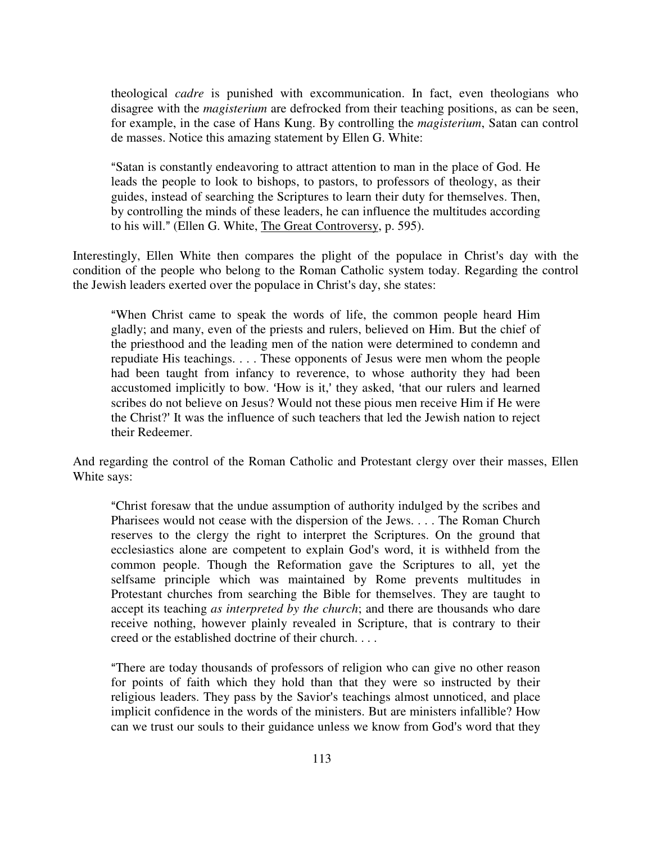theological *cadre* is punished with excommunication. In fact, even theologians who disagree with the *magisterium* are defrocked from their teaching positions, as can be seen, for example, in the case of Hans Kung. By controlling the *magisterium*, Satan can control de masses. Notice this amazing statement by Ellen G. White:

"Satan is constantly endeavoring to attract attention to man in the place of God. He leads the people to look to bishops, to pastors, to professors of theology, as their guides, instead of searching the Scriptures to learn their duty for themselves. Then, by controlling the minds of these leaders, he can influence the multitudes according to his will." (Ellen G. White, The Great Controversy, p. 595).

Interestingly, Ellen White then compares the plight of the populace in Christ's day with the condition of the people who belong to the Roman Catholic system today. Regarding the control the Jewish leaders exerted over the populace in Christ's day, she states:

"When Christ came to speak the words of life, the common people heard Him gladly; and many, even of the priests and rulers, believed on Him. But the chief of the priesthood and the leading men of the nation were determined to condemn and repudiate His teachings. . . . These opponents of Jesus were men whom the people had been taught from infancy to reverence, to whose authority they had been accustomed implicitly to bow. 'How is it,' they asked, 'that our rulers and learned scribes do not believe on Jesus? Would not these pious men receive Him if He were the Christ?' It was the influence of such teachers that led the Jewish nation to reject their Redeemer.

And regarding the control of the Roman Catholic and Protestant clergy over their masses, Ellen White says:

AChrist foresaw that the undue assumption of authority indulged by the scribes and Pharisees would not cease with the dispersion of the Jews. . . . The Roman Church reserves to the clergy the right to interpret the Scriptures. On the ground that ecclesiastics alone are competent to explain God's word, it is withheld from the common people. Though the Reformation gave the Scriptures to all, yet the selfsame principle which was maintained by Rome prevents multitudes in Protestant churches from searching the Bible for themselves. They are taught to accept its teaching *as interpreted by the church*; and there are thousands who dare receive nothing, however plainly revealed in Scripture, that is contrary to their creed or the established doctrine of their church. . . .

"There are today thousands of professors of religion who can give no other reason for points of faith which they hold than that they were so instructed by their religious leaders. They pass by the Savior's teachings almost unnoticed, and place implicit confidence in the words of the ministers. But are ministers infallible? How can we trust our souls to their guidance unless we know from God's word that they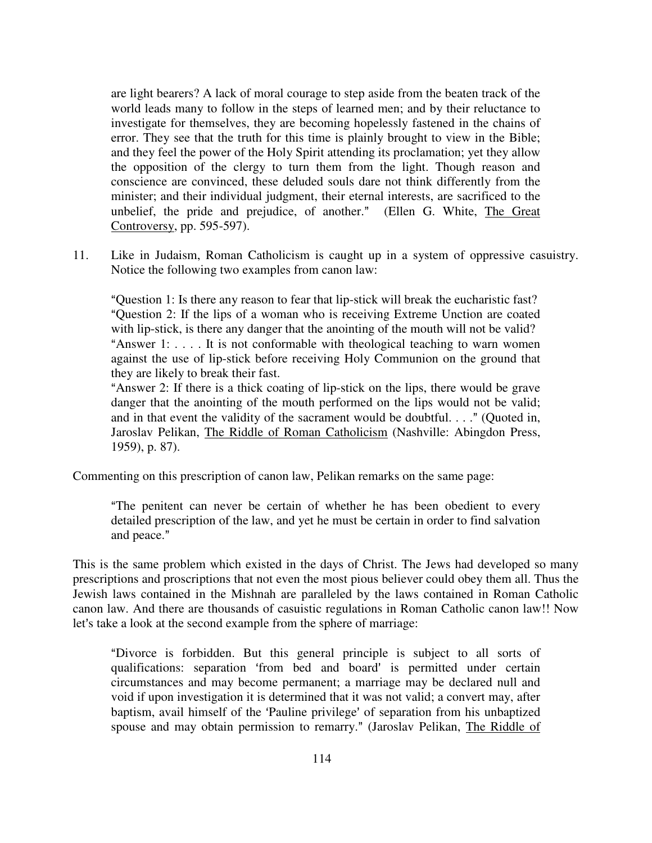are light bearers? A lack of moral courage to step aside from the beaten track of the world leads many to follow in the steps of learned men; and by their reluctance to investigate for themselves, they are becoming hopelessly fastened in the chains of error. They see that the truth for this time is plainly brought to view in the Bible; and they feel the power of the Holy Spirit attending its proclamation; yet they allow the opposition of the clergy to turn them from the light. Though reason and conscience are convinced, these deluded souls dare not think differently from the minister; and their individual judgment, their eternal interests, are sacrificed to the unbelief, the pride and prejudice, of another." (Ellen G. White, The Great Controversy, pp. 595-597).

11. Like in Judaism, Roman Catholicism is caught up in a system of oppressive casuistry. Notice the following two examples from canon law:

"Ouestion 1: Is there any reason to fear that lip-stick will break the eucharistic fast? "Question 2: If the lips of a woman who is receiving Extreme Unction are coated with lip-stick, is there any danger that the anointing of the mouth will not be valid? "Answer  $1: \ldots$ . It is not conformable with theological teaching to warn women against the use of lip-stick before receiving Holy Communion on the ground that they are likely to break their fast.

"Answer 2: If there is a thick coating of lip-stick on the lips, there would be grave danger that the anointing of the mouth performed on the lips would not be valid; and in that event the validity of the sacrament would be doubtful.  $\ldots$  " (Quoted in, Jaroslav Pelikan, The Riddle of Roman Catholicism (Nashville: Abingdon Press, 1959), p. 87).

Commenting on this prescription of canon law, Pelikan remarks on the same page:

"The penitent can never be certain of whether he has been obedient to every detailed prescription of the law, and yet he must be certain in order to find salvation and peace."

This is the same problem which existed in the days of Christ. The Jews had developed so many prescriptions and proscriptions that not even the most pious believer could obey them all. Thus the Jewish laws contained in the Mishnah are paralleled by the laws contained in Roman Catholic canon law. And there are thousands of casuistic regulations in Roman Catholic canon law!! Now let's take a look at the second example from the sphere of marriage:

"Divorce is forbidden. But this general principle is subject to all sorts of qualifications: separation 'from bed and board' is permitted under certain circumstances and may become permanent; a marriage may be declared null and void if upon investigation it is determined that it was not valid; a convert may, after baptism, avail himself of the 'Pauline privilege' of separation from his unbaptized spouse and may obtain permission to remarry." (Jaroslav Pelikan, The Riddle of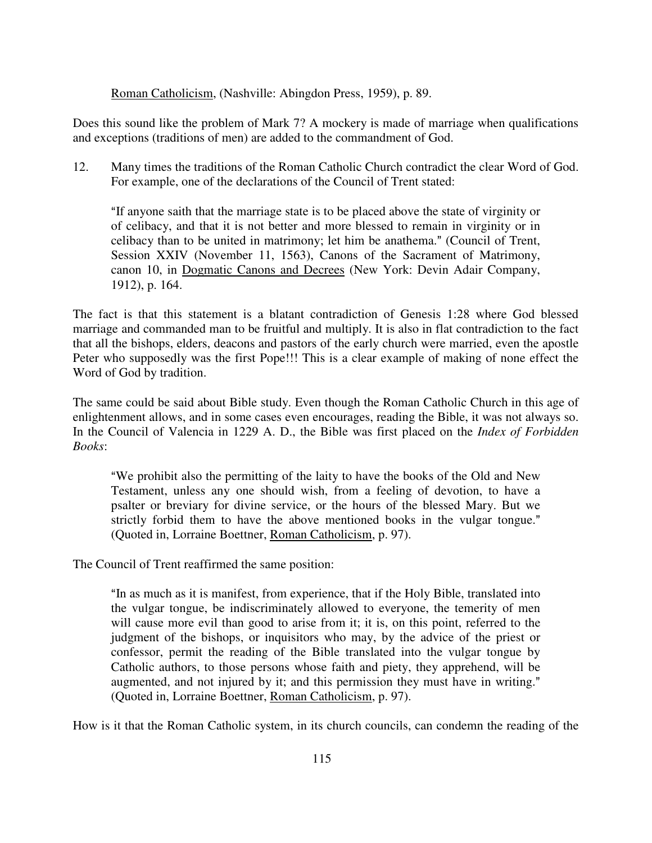Roman Catholicism, (Nashville: Abingdon Press, 1959), p. 89.

Does this sound like the problem of Mark 7? A mockery is made of marriage when qualifications and exceptions (traditions of men) are added to the commandment of God.

12. Many times the traditions of the Roman Catholic Church contradict the clear Word of God. For example, one of the declarations of the Council of Trent stated:

AIf anyone saith that the marriage state is to be placed above the state of virginity or of celibacy, and that it is not better and more blessed to remain in virginity or in celibacy than to be united in matrimony; let him be anathema." (Council of Trent, Session XXIV (November 11, 1563), Canons of the Sacrament of Matrimony, canon 10, in Dogmatic Canons and Decrees (New York: Devin Adair Company, 1912), p. 164.

The fact is that this statement is a blatant contradiction of Genesis 1:28 where God blessed marriage and commanded man to be fruitful and multiply. It is also in flat contradiction to the fact that all the bishops, elders, deacons and pastors of the early church were married, even the apostle Peter who supposedly was the first Pope!!! This is a clear example of making of none effect the Word of God by tradition.

The same could be said about Bible study. Even though the Roman Catholic Church in this age of enlightenment allows, and in some cases even encourages, reading the Bible, it was not always so. In the Council of Valencia in 1229 A. D., the Bible was first placed on the *Index of Forbidden Books*:

"We prohibit also the permitting of the laity to have the books of the Old and New Testament, unless any one should wish, from a feeling of devotion, to have a psalter or breviary for divine service, or the hours of the blessed Mary. But we strictly forbid them to have the above mentioned books in the vulgar tongue." (Quoted in, Lorraine Boettner, Roman Catholicism, p. 97).

The Council of Trent reaffirmed the same position:

"In as much as it is manifest, from experience, that if the Holy Bible, translated into the vulgar tongue, be indiscriminately allowed to everyone, the temerity of men will cause more evil than good to arise from it; it is, on this point, referred to the judgment of the bishops, or inquisitors who may, by the advice of the priest or confessor, permit the reading of the Bible translated into the vulgar tongue by Catholic authors, to those persons whose faith and piety, they apprehend, will be augmented, and not injured by it; and this permission they must have in writing." (Quoted in, Lorraine Boettner, Roman Catholicism, p. 97).

How is it that the Roman Catholic system, in its church councils, can condemn the reading of the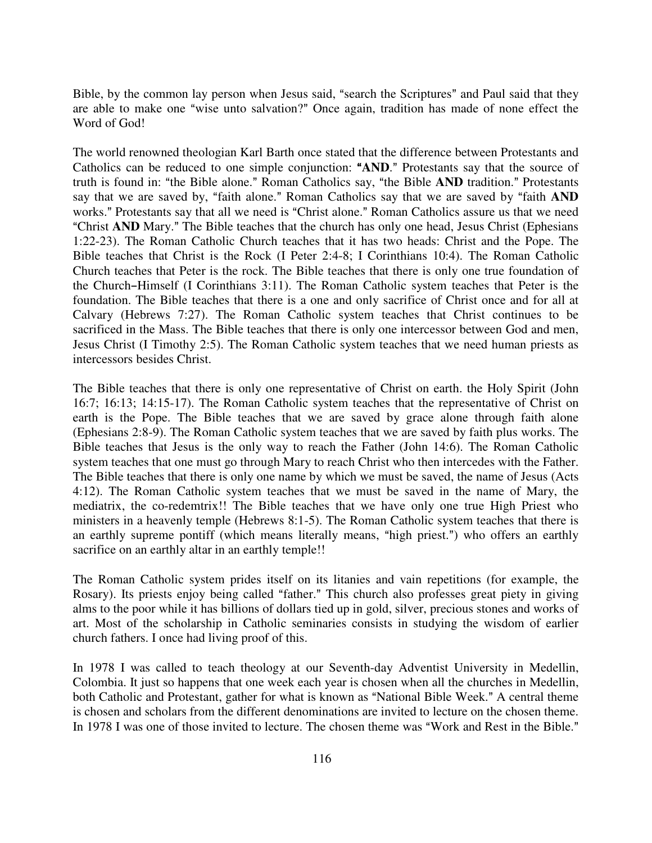Bible, by the common lay person when Jesus said, "search the Scriptures" and Paul said that they are able to make one "wise unto salvation?" Once again, tradition has made of none effect the Word of God!

The world renowned theologian Karl Barth once stated that the difference between Protestants and Catholics can be reduced to one simple conjunction: "AND." Protestants say that the source of truth is found in: "the Bible alone." Roman Catholics say, "the Bible **AND** tradition." Protestants say that we are saved by, "faith alone." Roman Catholics say that we are saved by "faith **AND** works." Protestants say that all we need is "Christ alone." Roman Catholics assure us that we need "Christ AND Mary." The Bible teaches that the church has only one head, Jesus Christ (Ephesians 1:22-23). The Roman Catholic Church teaches that it has two heads: Christ and the Pope. The Bible teaches that Christ is the Rock (I Peter 2:4-8; I Corinthians 10:4). The Roman Catholic Church teaches that Peter is the rock. The Bible teaches that there is only one true foundation of the Church-Himself (I Corinthians 3:11). The Roman Catholic system teaches that Peter is the foundation. The Bible teaches that there is a one and only sacrifice of Christ once and for all at Calvary (Hebrews 7:27). The Roman Catholic system teaches that Christ continues to be sacrificed in the Mass. The Bible teaches that there is only one intercessor between God and men, Jesus Christ (I Timothy 2:5). The Roman Catholic system teaches that we need human priests as intercessors besides Christ.

The Bible teaches that there is only one representative of Christ on earth. the Holy Spirit (John 16:7; 16:13; 14:15-17). The Roman Catholic system teaches that the representative of Christ on earth is the Pope. The Bible teaches that we are saved by grace alone through faith alone (Ephesians 2:8-9). The Roman Catholic system teaches that we are saved by faith plus works. The Bible teaches that Jesus is the only way to reach the Father (John 14:6). The Roman Catholic system teaches that one must go through Mary to reach Christ who then intercedes with the Father. The Bible teaches that there is only one name by which we must be saved, the name of Jesus (Acts 4:12). The Roman Catholic system teaches that we must be saved in the name of Mary, the mediatrix, the co-redemtrix!! The Bible teaches that we have only one true High Priest who ministers in a heavenly temple (Hebrews 8:1-5). The Roman Catholic system teaches that there is an earthly supreme pontiff (which means literally means, "high priest.") who offers an earthly sacrifice on an earthly altar in an earthly temple!!

The Roman Catholic system prides itself on its litanies and vain repetitions (for example, the Rosary). Its priests enjoy being called "father." This church also professes great piety in giving alms to the poor while it has billions of dollars tied up in gold, silver, precious stones and works of art. Most of the scholarship in Catholic seminaries consists in studying the wisdom of earlier church fathers. I once had living proof of this.

In 1978 I was called to teach theology at our Seventh-day Adventist University in Medellin, Colombia. It just so happens that one week each year is chosen when all the churches in Medellin, both Catholic and Protestant, gather for what is known as "National Bible Week." A central theme is chosen and scholars from the different denominations are invited to lecture on the chosen theme. In 1978 I was one of those invited to lecture. The chosen theme was "Work and Rest in the Bible."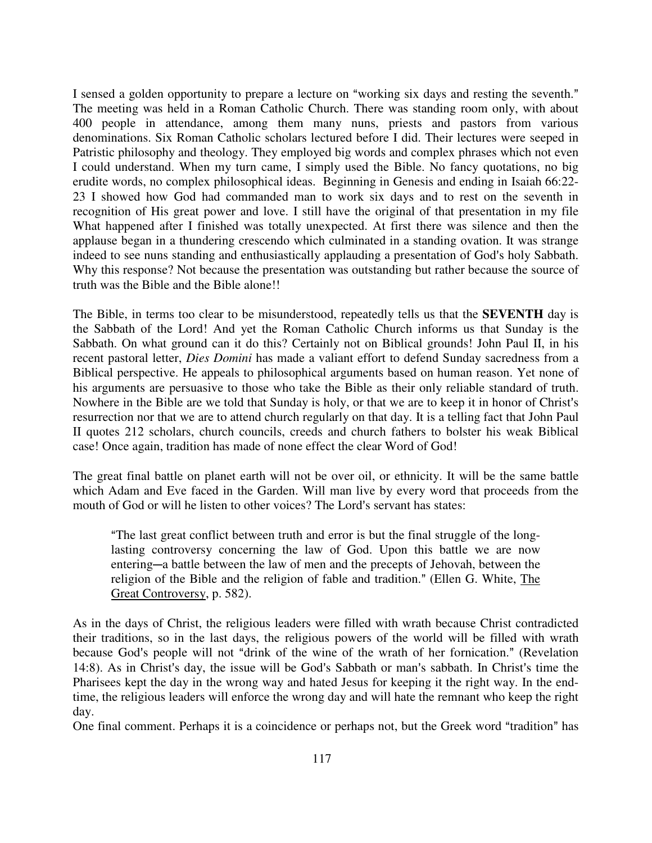I sensed a golden opportunity to prepare a lecture on "working six days and resting the seventh." The meeting was held in a Roman Catholic Church. There was standing room only, with about 400 people in attendance, among them many nuns, priests and pastors from various denominations. Six Roman Catholic scholars lectured before I did. Their lectures were seeped in Patristic philosophy and theology. They employed big words and complex phrases which not even I could understand. When my turn came, I simply used the Bible. No fancy quotations, no big erudite words, no complex philosophical ideas. Beginning in Genesis and ending in Isaiah 66:22- 23 I showed how God had commanded man to work six days and to rest on the seventh in recognition of His great power and love. I still have the original of that presentation in my file What happened after I finished was totally unexpected. At first there was silence and then the applause began in a thundering crescendo which culminated in a standing ovation. It was strange indeed to see nuns standing and enthusiastically applauding a presentation of God's holy Sabbath. Why this response? Not because the presentation was outstanding but rather because the source of truth was the Bible and the Bible alone!!

The Bible, in terms too clear to be misunderstood, repeatedly tells us that the **SEVENTH** day is the Sabbath of the Lord! And yet the Roman Catholic Church informs us that Sunday is the Sabbath. On what ground can it do this? Certainly not on Biblical grounds! John Paul II, in his recent pastoral letter, *Dies Domini* has made a valiant effort to defend Sunday sacredness from a Biblical perspective. He appeals to philosophical arguments based on human reason. Yet none of his arguments are persuasive to those who take the Bible as their only reliable standard of truth. Nowhere in the Bible are we told that Sunday is holy, or that we are to keep it in honor of Christ's resurrection nor that we are to attend church regularly on that day. It is a telling fact that John Paul II quotes 212 scholars, church councils, creeds and church fathers to bolster his weak Biblical case! Once again, tradition has made of none effect the clear Word of God!

The great final battle on planet earth will not be over oil, or ethnicity. It will be the same battle which Adam and Eve faced in the Garden. Will man live by every word that proceeds from the mouth of God or will he listen to other voices? The Lord's servant has states:

"The last great conflict between truth and error is but the final struggle of the longlasting controversy concerning the law of God. Upon this battle we are now entering—a battle between the law of men and the precepts of Jehovah, between the religion of the Bible and the religion of fable and tradition." (Ellen G. White, The Great Controversy, p. 582).

As in the days of Christ, the religious leaders were filled with wrath because Christ contradicted their traditions, so in the last days, the religious powers of the world will be filled with wrath because God's people will not "drink of the wine of the wrath of her fornication." (Revelation 14:8). As in Christ's day, the issue will be God's Sabbath or man's sabbath. In Christ's time the Pharisees kept the day in the wrong way and hated Jesus for keeping it the right way. In the endtime, the religious leaders will enforce the wrong day and will hate the remnant who keep the right day.

One final comment. Perhaps it is a coincidence or perhaps not, but the Greek word "tradition" has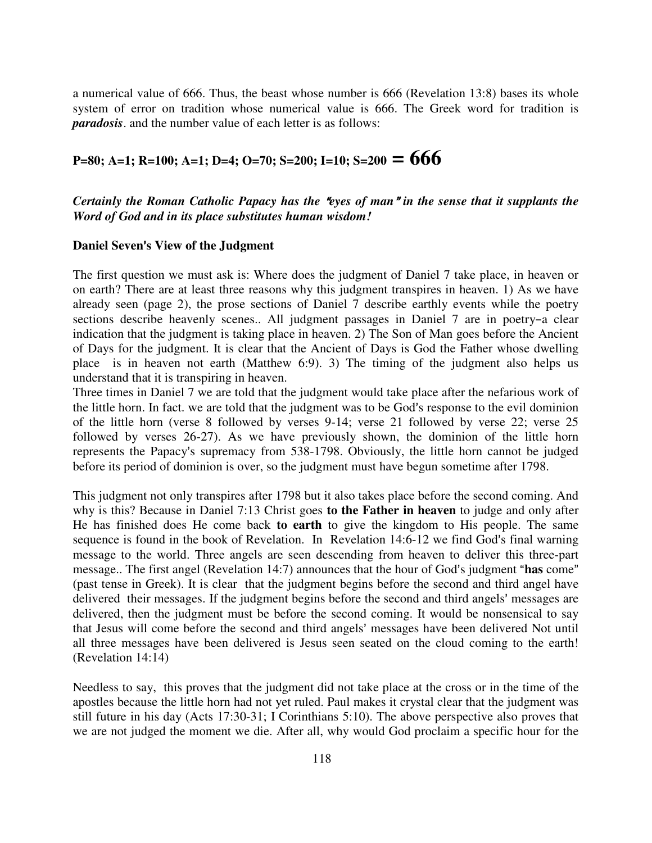a numerical value of 666. Thus, the beast whose number is 666 (Revelation 13:8) bases its whole system of error on tradition whose numerical value is 666. The Greek word for tradition is *paradosis*. and the number value of each letter is as follows:

## **P=80; A=1; R=100; A=1; D=4; O=70; S=200; I=10; S=200 = 666**

## *Certainly the Roman Catholic Papacy has the "eyes of man" in the sense that it supplants the Word of God and in its place substitutes human wisdom!*

## **Daniel Seven's View of the Judgment**

The first question we must ask is: Where does the judgment of Daniel 7 take place, in heaven or on earth? There are at least three reasons why this judgment transpires in heaven. 1) As we have already seen (page 2), the prose sections of Daniel 7 describe earthly events while the poetry sections describe heavenly scenes.. All judgment passages in Daniel 7 are in poetry-a clear indication that the judgment is taking place in heaven. 2) The Son of Man goes before the Ancient of Days for the judgment. It is clear that the Ancient of Days is God the Father whose dwelling place is in heaven not earth (Matthew 6:9). 3) The timing of the judgment also helps us understand that it is transpiring in heaven.

Three times in Daniel 7 we are told that the judgment would take place after the nefarious work of the little horn. In fact, we are told that the judgment was to be God's response to the evil dominion of the little horn (verse 8 followed by verses 9-14; verse 21 followed by verse 22; verse 25 followed by verses 26-27). As we have previously shown, the dominion of the little horn represents the Papacy's supremacy from 538-1798. Obviously, the little horn cannot be judged before its period of dominion is over, so the judgment must have begun sometime after 1798.

This judgment not only transpires after 1798 but it also takes place before the second coming. And why is this? Because in Daniel 7:13 Christ goes **to the Father in heaven** to judge and only after He has finished does He come back **to earth** to give the kingdom to His people. The same sequence is found in the book of Revelation. In Revelation  $14:6-12$  we find God's final warning message to the world. Three angels are seen descending from heaven to deliver this three-part message.. The first angel (Revelation 14:7) announces that the hour of God's judgment "has come" (past tense in Greek). It is clear that the judgment begins before the second and third angel have delivered their messages. If the judgment begins before the second and third angels' messages are delivered, then the judgment must be before the second coming. It would be nonsensical to say that Jesus will come before the second and third angels' messages have been delivered Not until all three messages have been delivered is Jesus seen seated on the cloud coming to the earth! (Revelation 14:14)

Needless to say, this proves that the judgment did not take place at the cross or in the time of the apostles because the little horn had not yet ruled. Paul makes it crystal clear that the judgment was still future in his day (Acts 17:30-31; I Corinthians 5:10). The above perspective also proves that we are not judged the moment we die. After all, why would God proclaim a specific hour for the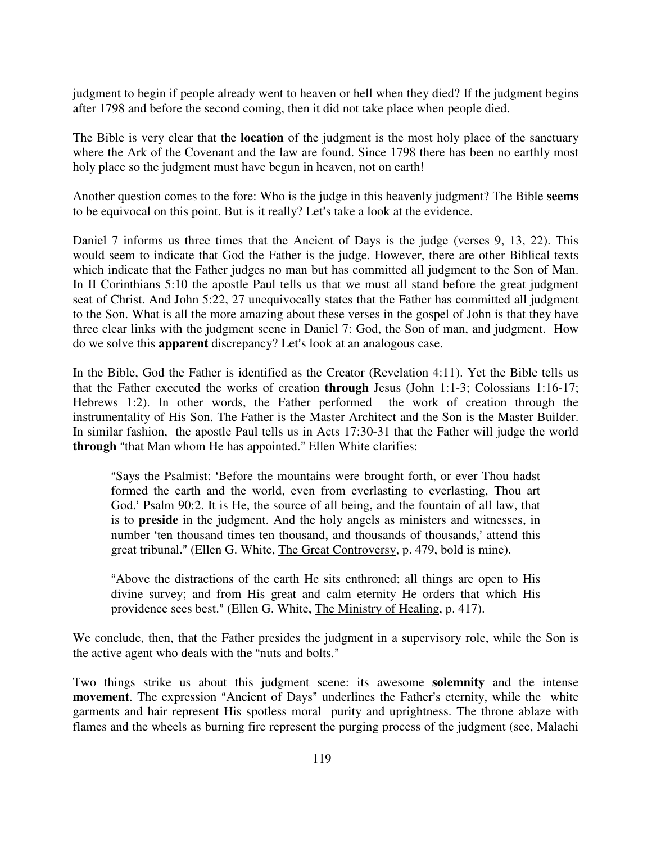judgment to begin if people already went to heaven or hell when they died? If the judgment begins after 1798 and before the second coming, then it did not take place when people died.

The Bible is very clear that the **location** of the judgment is the most holy place of the sanctuary where the Ark of the Covenant and the law are found. Since 1798 there has been no earthly most holy place so the judgment must have begun in heaven, not on earth!

Another question comes to the fore: Who is the judge in this heavenly judgment? The Bible **seems**  to be equivocal on this point. But is it really? Let's take a look at the evidence.

Daniel 7 informs us three times that the Ancient of Days is the judge (verses 9, 13, 22). This would seem to indicate that God the Father is the judge. However, there are other Biblical texts which indicate that the Father judges no man but has committed all judgment to the Son of Man. In II Corinthians 5:10 the apostle Paul tells us that we must all stand before the great judgment seat of Christ. And John 5:22, 27 unequivocally states that the Father has committed all judgment to the Son. What is all the more amazing about these verses in the gospel of John is that they have three clear links with the judgment scene in Daniel 7: God, the Son of man, and judgment. How do we solve this **apparent** discrepancy? Let's look at an analogous case.

In the Bible, God the Father is identified as the Creator (Revelation 4:11). Yet the Bible tells us that the Father executed the works of creation **through** Jesus (John 1:1-3; Colossians 1:16-17; Hebrews 1:2). In other words, the Father performed the work of creation through the instrumentality of His Son. The Father is the Master Architect and the Son is the Master Builder. In similar fashion, the apostle Paul tells us in Acts 17:30-31 that the Father will judge the world **through** "that Man whom He has appointed." Ellen White clarifies:

"Says the Psalmist: 'Before the mountains were brought forth, or ever Thou hadst formed the earth and the world, even from everlasting to everlasting, Thou art God.' Psalm 90:2. It is He, the source of all being, and the fountain of all law, that is to **preside** in the judgment. And the holy angels as ministers and witnesses, in number 'ten thousand times ten thousand, and thousands of thousands,' attend this great tribunal." (Ellen G. White, The Great Controversy, p. 479, bold is mine).

"Above the distractions of the earth He sits enthroned; all things are open to His divine survey; and from His great and calm eternity He orders that which His providence sees best." (Ellen G. White, The Ministry of Healing, p. 417).

We conclude, then, that the Father presides the judgment in a supervisory role, while the Son is the active agent who deals with the "nuts and bolts."

Two things strike us about this judgment scene: its awesome **solemnity** and the intense **movement**. The expression "Ancient of Days" underlines the Father's eternity, while the white garments and hair represent His spotless moral purity and uprightness. The throne ablaze with flames and the wheels as burning fire represent the purging process of the judgment (see, Malachi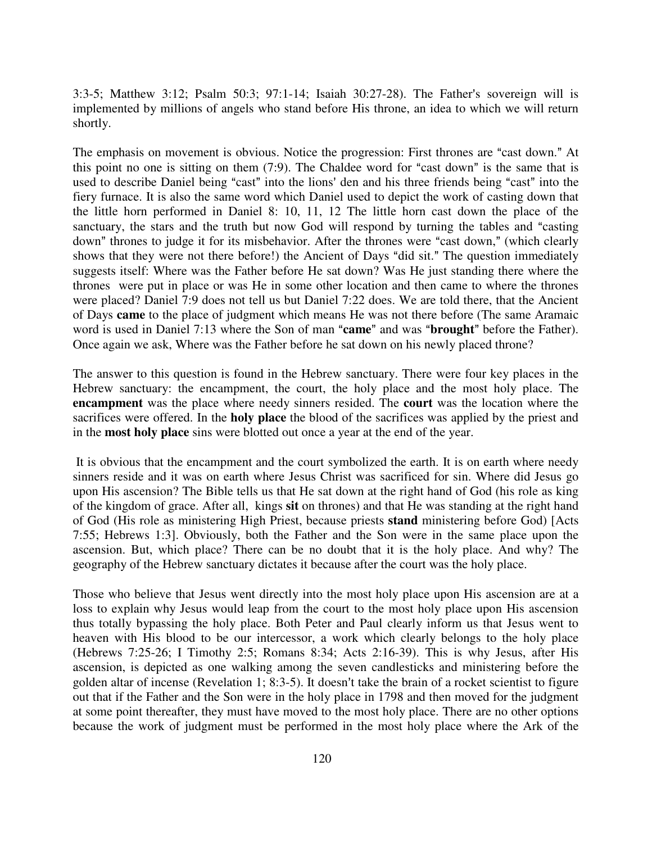3:3-5; Matthew 3:12; Psalm 50:3; 97:1-14; Isaiah 30:27-28). The Father's sovereign will is implemented by millions of angels who stand before His throne, an idea to which we will return shortly.

The emphasis on movement is obvious. Notice the progression: First thrones are "cast down." At this point no one is sitting on them  $(7:9)$ . The Chaldee word for "cast down" is the same that is used to describe Daniel being "cast" into the lions' den and his three friends being "cast" into the fiery furnace. It is also the same word which Daniel used to depict the work of casting down that the little horn performed in Daniel 8: 10, 11, 12 The little horn cast down the place of the sanctuary, the stars and the truth but now God will respond by turning the tables and "casting" down" thrones to judge it for its misbehavior. After the thrones were "cast down," (which clearly shows that they were not there before!) the Ancient of Days "did sit." The question immediately suggests itself: Where was the Father before He sat down? Was He just standing there where the thrones were put in place or was He in some other location and then came to where the thrones were placed? Daniel 7:9 does not tell us but Daniel 7:22 does. We are told there, that the Ancient of Days **came** to the place of judgment which means He was not there before (The same Aramaic word is used in Daniel 7:13 where the Son of man "**came**" and was "**brought**" before the Father). Once again we ask, Where was the Father before he sat down on his newly placed throne?

The answer to this question is found in the Hebrew sanctuary. There were four key places in the Hebrew sanctuary: the encampment, the court, the holy place and the most holy place. The **encampment** was the place where needy sinners resided. The **court** was the location where the sacrifices were offered. In the **holy place** the blood of the sacrifices was applied by the priest and in the **most holy place** sins were blotted out once a year at the end of the year.

 It is obvious that the encampment and the court symbolized the earth. It is on earth where needy sinners reside and it was on earth where Jesus Christ was sacrificed for sin. Where did Jesus go upon His ascension? The Bible tells us that He sat down at the right hand of God (his role as king of the kingdom of grace. After all, kings **sit** on thrones) and that He was standing at the right hand of God (His role as ministering High Priest, because priests **stand** ministering before God) [Acts 7:55; Hebrews 1:3]. Obviously, both the Father and the Son were in the same place upon the ascension. But, which place? There can be no doubt that it is the holy place. And why? The geography of the Hebrew sanctuary dictates it because after the court was the holy place.

Those who believe that Jesus went directly into the most holy place upon His ascension are at a loss to explain why Jesus would leap from the court to the most holy place upon His ascension thus totally bypassing the holy place. Both Peter and Paul clearly inform us that Jesus went to heaven with His blood to be our intercessor, a work which clearly belongs to the holy place (Hebrews 7:25-26; I Timothy 2:5; Romans 8:34; Acts 2:16-39). This is why Jesus, after His ascension, is depicted as one walking among the seven candlesticks and ministering before the golden altar of incense (Revelation 1; 8:3-5). It doesn't take the brain of a rocket scientist to figure out that if the Father and the Son were in the holy place in 1798 and then moved for the judgment at some point thereafter, they must have moved to the most holy place. There are no other options because the work of judgment must be performed in the most holy place where the Ark of the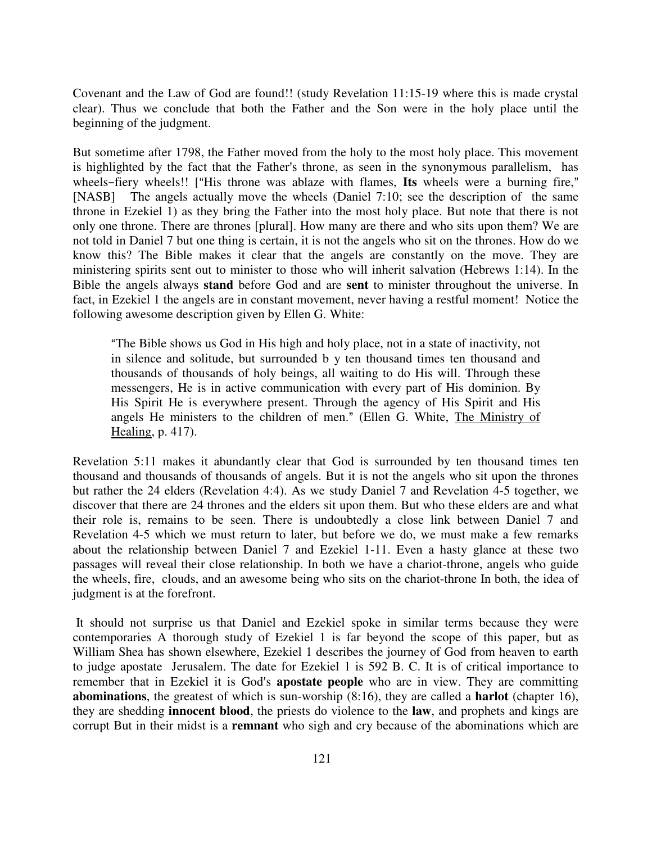Covenant and the Law of God are found!! (study Revelation 11:15-19 where this is made crystal clear). Thus we conclude that both the Father and the Son were in the holy place until the beginning of the judgment.

But sometime after 1798, the Father moved from the holy to the most holy place. This movement is highlighted by the fact that the Father's throne, as seen in the synonymous parallelism, has wheels-fiery wheels!! ["His throne was ablaze with flames, **Its** wheels were a burning fire," [NASB] The angels actually move the wheels (Daniel 7:10; see the description of the same throne in Ezekiel 1) as they bring the Father into the most holy place. But note that there is not only one throne. There are thrones [plural]. How many are there and who sits upon them? We are not told in Daniel 7 but one thing is certain, it is not the angels who sit on the thrones. How do we know this? The Bible makes it clear that the angels are constantly on the move. They are ministering spirits sent out to minister to those who will inherit salvation (Hebrews 1:14). In the Bible the angels always **stand** before God and are **sent** to minister throughout the universe. In fact, in Ezekiel 1 the angels are in constant movement, never having a restful moment! Notice the following awesome description given by Ellen G. White:

AThe Bible shows us God in His high and holy place, not in a state of inactivity, not in silence and solitude, but surrounded b y ten thousand times ten thousand and thousands of thousands of holy beings, all waiting to do His will. Through these messengers, He is in active communication with every part of His dominion. By His Spirit He is everywhere present. Through the agency of His Spirit and His angels He ministers to the children of men." (Ellen G. White, The Ministry of Healing, p. 417).

Revelation 5:11 makes it abundantly clear that God is surrounded by ten thousand times ten thousand and thousands of thousands of angels. But it is not the angels who sit upon the thrones but rather the 24 elders (Revelation 4:4). As we study Daniel 7 and Revelation 4-5 together, we discover that there are 24 thrones and the elders sit upon them. But who these elders are and what their role is, remains to be seen. There is undoubtedly a close link between Daniel 7 and Revelation 4-5 which we must return to later, but before we do, we must make a few remarks about the relationship between Daniel 7 and Ezekiel 1-11. Even a hasty glance at these two passages will reveal their close relationship. In both we have a chariot-throne, angels who guide the wheels, fire, clouds, and an awesome being who sits on the chariot-throne In both, the idea of judgment is at the forefront.

 It should not surprise us that Daniel and Ezekiel spoke in similar terms because they were contemporaries A thorough study of Ezekiel 1 is far beyond the scope of this paper, but as William Shea has shown elsewhere, Ezekiel 1 describes the journey of God from heaven to earth to judge apostate Jerusalem. The date for Ezekiel 1 is 592 B. C. It is of critical importance to remember that in Ezekiel it is God's **apostate people** who are in view. They are committing **abominations**, the greatest of which is sun-worship (8:16), they are called a **harlot** (chapter 16), they are shedding **innocent blood**, the priests do violence to the **law**, and prophets and kings are corrupt But in their midst is a **remnant** who sigh and cry because of the abominations which are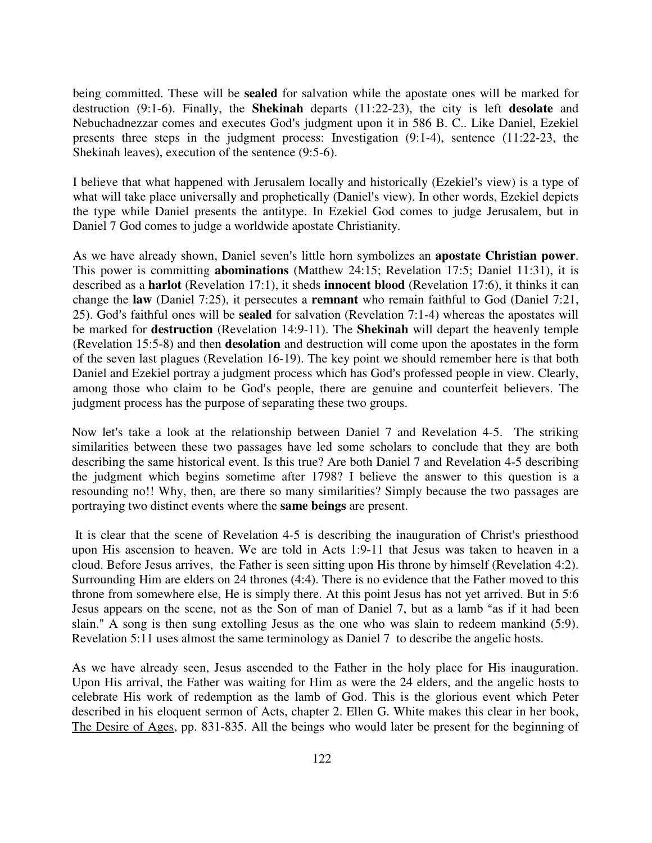being committed. These will be **sealed** for salvation while the apostate ones will be marked for destruction (9:1-6). Finally, the **Shekinah** departs (11:22-23), the city is left **desolate** and Nebuchadnezzar comes and executes God's judgment upon it in 586 B. C.. Like Daniel, Ezekiel presents three steps in the judgment process: Investigation (9:1-4), sentence (11:22-23, the Shekinah leaves), execution of the sentence (9:5-6).

I believe that what happened with Jerusalem locally and historically (Ezekiel's view) is a type of what will take place universally and prophetically (Daniel's view). In other words, Ezekiel depicts the type while Daniel presents the antitype. In Ezekiel God comes to judge Jerusalem, but in Daniel 7 God comes to judge a worldwide apostate Christianity.

As we have already shown, Daniel seven's little horn symbolizes an **apostate Christian power**. This power is committing **abominations** (Matthew 24:15; Revelation 17:5; Daniel 11:31), it is described as a **harlot** (Revelation 17:1), it sheds **innocent blood** (Revelation 17:6), it thinks it can change the **law** (Daniel 7:25), it persecutes a **remnant** who remain faithful to God (Daniel 7:21, 25). God's faithful ones will be **sealed** for salvation (Revelation 7:1-4) whereas the apostates will be marked for **destruction** (Revelation 14:9-11). The **Shekinah** will depart the heavenly temple (Revelation 15:5-8) and then **desolation** and destruction will come upon the apostates in the form of the seven last plagues (Revelation 16-19). The key point we should remember here is that both Daniel and Ezekiel portray a judgment process which has God's professed people in view. Clearly, among those who claim to be God's people, there are genuine and counterfeit believers. The judgment process has the purpose of separating these two groups.

Now let's take a look at the relationship between Daniel 7 and Revelation 4-5. The striking similarities between these two passages have led some scholars to conclude that they are both describing the same historical event. Is this true? Are both Daniel 7 and Revelation 4-5 describing the judgment which begins sometime after 1798? I believe the answer to this question is a resounding no!! Why, then, are there so many similarities? Simply because the two passages are portraying two distinct events where the **same beings** are present.

It is clear that the scene of Revelation 4-5 is describing the inauguration of Christ's priesthood upon His ascension to heaven. We are told in Acts 1:9-11 that Jesus was taken to heaven in a cloud. Before Jesus arrives, the Father is seen sitting upon His throne by himself (Revelation 4:2). Surrounding Him are elders on 24 thrones (4:4). There is no evidence that the Father moved to this throne from somewhere else, He is simply there. At this point Jesus has not yet arrived. But in 5:6 Jesus appears on the scene, not as the Son of man of Daniel 7, but as a lamb "as if it had been slain." A song is then sung extolling Jesus as the one who was slain to redeem mankind  $(5:9)$ . Revelation 5:11 uses almost the same terminology as Daniel 7 to describe the angelic hosts.

As we have already seen, Jesus ascended to the Father in the holy place for His inauguration. Upon His arrival, the Father was waiting for Him as were the 24 elders, and the angelic hosts to celebrate His work of redemption as the lamb of God. This is the glorious event which Peter described in his eloquent sermon of Acts, chapter 2. Ellen G. White makes this clear in her book, The Desire of Ages, pp. 831-835. All the beings who would later be present for the beginning of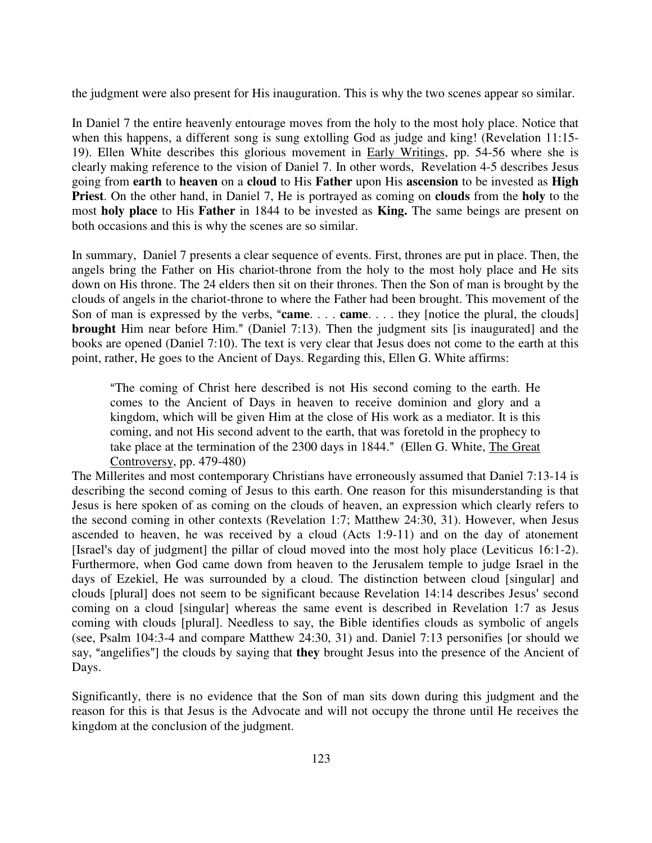the judgment were also present for His inauguration. This is why the two scenes appear so similar.

In Daniel 7 the entire heavenly entourage moves from the holy to the most holy place. Notice that when this happens, a different song is sung extolling God as judge and king! (Revelation 11:15-19). Ellen White describes this glorious movement in Early Writings, pp. 54-56 where she is clearly making reference to the vision of Daniel 7. In other words, Revelation 4-5 describes Jesus going from **earth** to **heaven** on a **cloud** to His **Father** upon His **ascension** to be invested as **High Priest**. On the other hand, in Daniel 7, He is portrayed as coming on **clouds** from the **holy** to the most **holy place** to His **Father** in 1844 to be invested as **King.** The same beings are present on both occasions and this is why the scenes are so similar.

In summary, Daniel 7 presents a clear sequence of events. First, thrones are put in place. Then, the angels bring the Father on His chariot-throne from the holy to the most holy place and He sits down on His throne. The 24 elders then sit on their thrones. Then the Son of man is brought by the clouds of angels in the chariot-throne to where the Father had been brought. This movement of the Son of man is expressed by the verbs, "came. . . . came. . . . they [notice the plural, the clouds] **brought** Him near before Him." (Daniel 7:13). Then the judgment sits [is inaugurated] and the books are opened (Daniel 7:10). The text is very clear that Jesus does not come to the earth at this point, rather, He goes to the Ancient of Days. Regarding this, Ellen G. White affirms:

"The coming of Christ here described is not His second coming to the earth. He comes to the Ancient of Days in heaven to receive dominion and glory and a kingdom, which will be given Him at the close of His work as a mediator. It is this coming, and not His second advent to the earth, that was foretold in the prophecy to take place at the termination of the 2300 days in 1844." (Ellen G. White, The Great Controversy, pp. 479-480)

The Millerites and most contemporary Christians have erroneously assumed that Daniel 7:13-14 is describing the second coming of Jesus to this earth. One reason for this misunderstanding is that Jesus is here spoken of as coming on the clouds of heaven, an expression which clearly refers to the second coming in other contexts (Revelation 1:7; Matthew 24:30, 31). However, when Jesus ascended to heaven, he was received by a cloud (Acts 1:9-11) and on the day of atonement [Israel's day of judgment] the pillar of cloud moved into the most holy place (Leviticus 16:1-2). Furthermore, when God came down from heaven to the Jerusalem temple to judge Israel in the days of Ezekiel, He was surrounded by a cloud. The distinction between cloud [singular] and clouds [plural] does not seem to be significant because Revelation 14:14 describes Jesus' second coming on a cloud [singular] whereas the same event is described in Revelation 1:7 as Jesus coming with clouds [plural]. Needless to say, the Bible identifies clouds as symbolic of angels (see, Psalm 104:3-4 and compare Matthew 24:30, 31) and. Daniel 7:13 personifies [or should we say, "angelifies"] the clouds by saying that **they** brought Jesus into the presence of the Ancient of Days.

Significantly, there is no evidence that the Son of man sits down during this judgment and the reason for this is that Jesus is the Advocate and will not occupy the throne until He receives the kingdom at the conclusion of the judgment.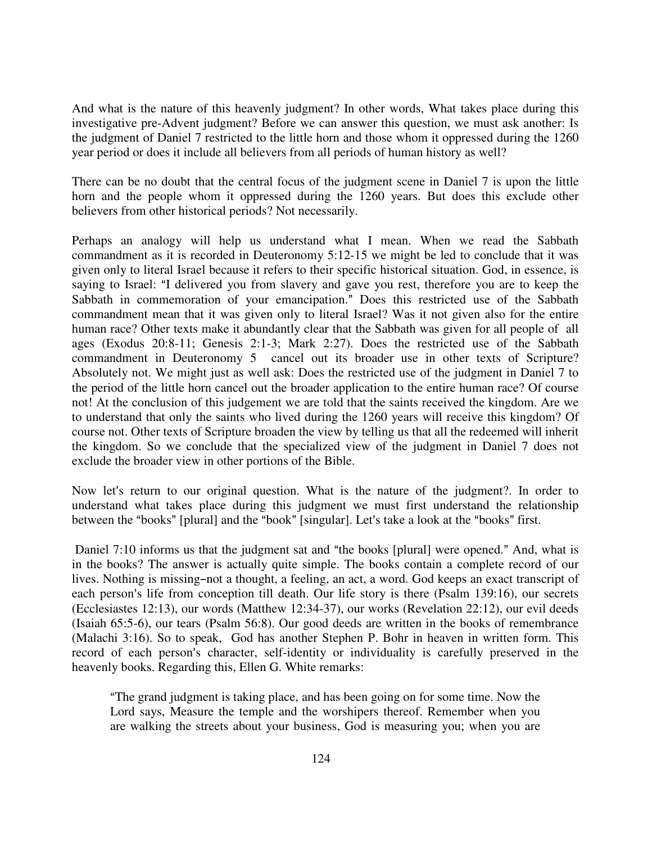And what is the nature of this heavenly judgment? In other words, What takes place during this investigative pre-Advent judgment? Before we can answer this question, we must ask another: Is the judgment of Daniel 7 restricted to the little horn and those whom it oppressed during the 1260 year period or does it include all believers from all periods of human history as well?

There can be no doubt that the central focus of the judgment scene in Daniel 7 is upon the little horn and the people whom it oppressed during the 1260 years. But does this exclude other believers from other historical periods? Not necessarily.

Perhaps an analogy will help us understand what I mean. When we read the Sabbath commandment as it is recorded in Deuteronomy 5:12-15 we might be led to conclude that it was given only to literal Israel because it refers to their specific historical situation. God, in essence, is saying to Israel: "I delivered you from slavery and gave you rest, therefore you are to keep the Sabbath in commemoration of your emancipation." Does this restricted use of the Sabbath commandment mean that it was given only to literal Israel? Was it not given also for the entire human race? Other texts make it abundantly clear that the Sabbath was given for all people of all ages (Exodus 20:8-11; Genesis 2:1-3; Mark 2:27). Does the restricted use of the Sabbath commandment in Deuteronomy 5 cancel out its broader use in other texts of Scripture? Absolutely not. We might just as well ask: Does the restricted use of the judgment in Daniel 7 to the period of the little horn cancel out the broader application to the entire human race? Of course not! At the conclusion of this judgement we are told that the saints received the kingdom. Are we to understand that only the saints who lived during the 1260 years will receive this kingdom? Of course not. Other texts of Scripture broaden the view by telling us that all the redeemed will inherit the kingdom. So we conclude that the specialized view of the judgment in Daniel 7 does not exclude the broader view in other portions of the Bible.

Now let's return to our original question. What is the nature of the judgment?. In order to understand what takes place during this judgment we must first understand the relationship between the "books" [plural] and the "book" [singular]. Let's take a look at the "books" first.

Daniel 7:10 informs us that the judgment sat and "the books [plural] were opened." And, what is in the books? The answer is actually quite simple. The books contain a complete record of our lives. Nothing is missing-not a thought, a feeling, an act, a word. God keeps an exact transcript of each person's life from conception till death. Our life story is there (Psalm 139:16), our secrets (Ecclesiastes 12:13), our words (Matthew 12:34-37), our works (Revelation 22:12), our evil deeds (Isaiah 65:5-6), our tears (Psalm 56:8). Our good deeds are written in the books of remembrance (Malachi 3:16). So to speak, God has another Stephen P. Bohr in heaven in written form. This record of each person's character, self-identity or individuality is carefully preserved in the heavenly books. Regarding this, Ellen G. White remarks:

"The grand judgment is taking place, and has been going on for some time. Now the Lord says, Measure the temple and the worshipers thereof. Remember when you are walking the streets about your business, God is measuring you; when you are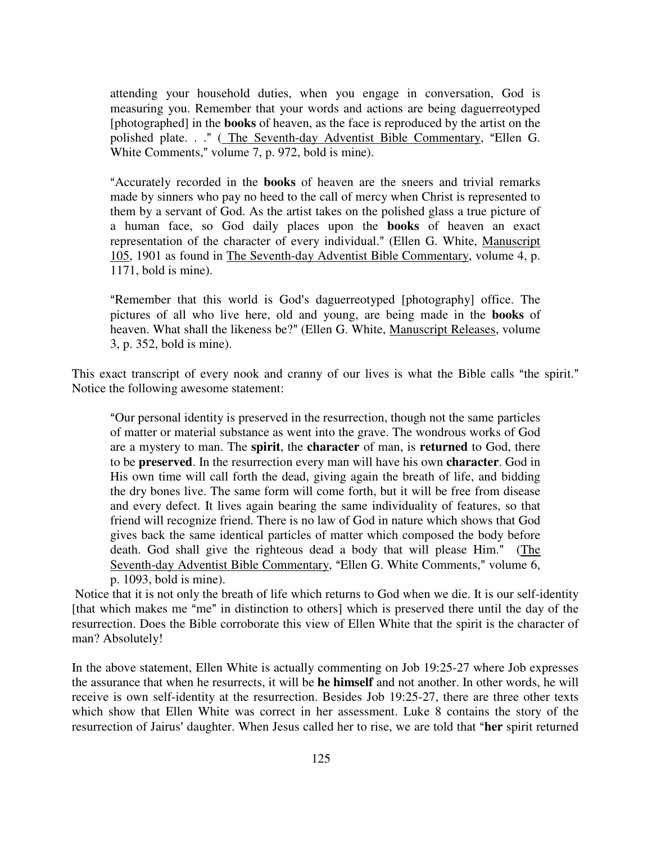attending your household duties, when you engage in conversation, God is measuring you. Remember that your words and actions are being daguerreotyped [photographed] in the **books** of heaven, as the face is reproduced by the artist on the polished plate. . ." (The Seventh-day Adventist Bible Commentary, "Ellen G. White Comments," volume  $7, p. 972$ , bold is mine).

Accurately recorded in the **books** of heaven are the sneers and trivial remarks made by sinners who pay no heed to the call of mercy when Christ is represented to them by a servant of God. As the artist takes on the polished glass a true picture of a human face, so God daily places upon the **books** of heaven an exact representation of the character of every individual." (Ellen G. White, Manuscript 105, 1901 as found in The Seventh-day Adventist Bible Commentary, volume 4, p. 1171, bold is mine).

"Remember that this world is God's daguerreotyped [photography] office. The pictures of all who live here, old and young, are being made in the **books** of heaven. What shall the likeness be?" (Ellen G. White, Manuscript Releases, volume 3, p. 352, bold is mine).

This exact transcript of every nook and cranny of our lives is what the Bible calls "the spirit." Notice the following awesome statement:

AOur personal identity is preserved in the resurrection, though not the same particles of matter or material substance as went into the grave. The wondrous works of God are a mystery to man. The **spirit**, the **character** of man, is **returned** to God, there to be **preserved**. In the resurrection every man will have his own **character**. God in His own time will call forth the dead, giving again the breath of life, and bidding the dry bones live. The same form will come forth, but it will be free from disease and every defect. It lives again bearing the same individuality of features, so that friend will recognize friend. There is no law of God in nature which shows that God gives back the same identical particles of matter which composed the body before death. God shall give the righteous dead a body that will please Him." (The Seventh-day Adventist Bible Commentary, "Ellen G. White Comments," volume 6, p. 1093, bold is mine).

 Notice that it is not only the breath of life which returns to God when we die. It is our self-identity [that which makes me "me" in distinction to others] which is preserved there until the day of the resurrection. Does the Bible corroborate this view of Ellen White that the spirit is the character of man? Absolutely!

In the above statement, Ellen White is actually commenting on Job 19:25-27 where Job expresses the assurance that when he resurrects, it will be **he himself** and not another. In other words, he will receive is own self-identity at the resurrection. Besides Job 19:25-27, there are three other texts which show that Ellen White was correct in her assessment. Luke 8 contains the story of the resurrection of Jairus' daughter. When Jesus called her to rise, we are told that "**her** spirit returned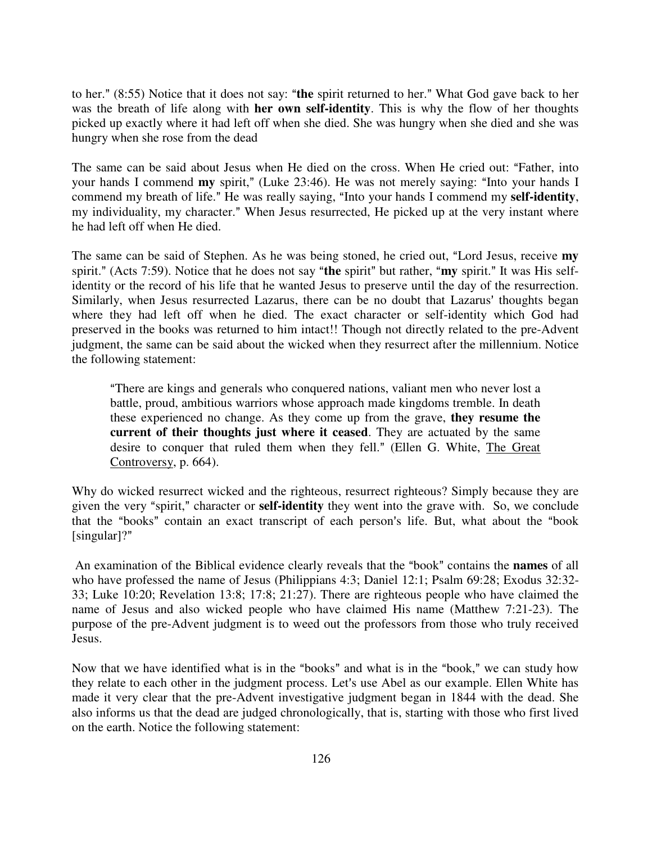to her." (8:55) Notice that it does not say: "the spirit returned to her." What God gave back to her was the breath of life along with **her own self-identity**. This is why the flow of her thoughts picked up exactly where it had left off when she died. She was hungry when she died and she was hungry when she rose from the dead

The same can be said about Jesus when He died on the cross. When He cried out: "Father, into your hands I commend **my** spirit," (Luke 23:46). He was not merely saying: "Into your hands I commend my breath of life." He was really saying, "Into your hands I commend my **self-identity**, my individuality, my character." When Jesus resurrected, He picked up at the very instant where he had left off when He died.

The same can be said of Stephen. As he was being stoned, he cried out, "Lord Jesus, receive my spirit." (Acts 7:59). Notice that he does not say "the spirit" but rather, "my spirit." It was His selfidentity or the record of his life that he wanted Jesus to preserve until the day of the resurrection. Similarly, when Jesus resurrected Lazarus, there can be no doubt that Lazarus' thoughts began where they had left off when he died. The exact character or self-identity which God had preserved in the books was returned to him intact!! Though not directly related to the pre-Advent judgment, the same can be said about the wicked when they resurrect after the millennium. Notice the following statement:

AThere are kings and generals who conquered nations, valiant men who never lost a battle, proud, ambitious warriors whose approach made kingdoms tremble. In death these experienced no change. As they come up from the grave, **they resume the current of their thoughts just where it ceased**. They are actuated by the same desire to conquer that ruled them when they fell." (Ellen G. White, The Great Controversy, p. 664).

Why do wicked resurrect wicked and the righteous, resurrect righteous? Simply because they are given the very "spirit," character or **self-identity** they went into the grave with. So, we conclude that the "books" contain an exact transcript of each person's life. But, what about the "book [singular]?"

An examination of the Biblical evidence clearly reveals that the "book" contains the **names** of all who have professed the name of Jesus (Philippians 4:3; Daniel 12:1; Psalm 69:28; Exodus 32:32- 33; Luke 10:20; Revelation 13:8; 17:8; 21:27). There are righteous people who have claimed the name of Jesus and also wicked people who have claimed His name (Matthew 7:21-23). The purpose of the pre-Advent judgment is to weed out the professors from those who truly received Jesus.

Now that we have identified what is in the "books" and what is in the "book," we can study how they relate to each other in the judgment process. Let's use Abel as our example. Ellen White has made it very clear that the pre-Advent investigative judgment began in 1844 with the dead. She also informs us that the dead are judged chronologically, that is, starting with those who first lived on the earth. Notice the following statement: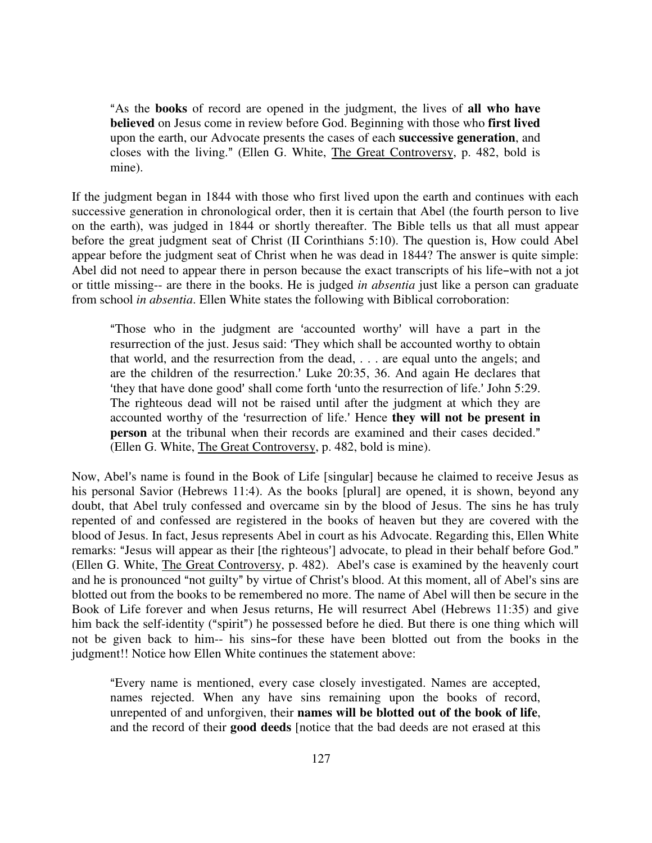AAs the **books** of record are opened in the judgment, the lives of **all who have believed** on Jesus come in review before God. Beginning with those who **first lived** upon the earth, our Advocate presents the cases of each **successive generation**, and closes with the living." (Ellen G. White, The Great Controversy, p. 482, bold is mine).

If the judgment began in 1844 with those who first lived upon the earth and continues with each successive generation in chronological order, then it is certain that Abel (the fourth person to live on the earth), was judged in 1844 or shortly thereafter. The Bible tells us that all must appear before the great judgment seat of Christ (II Corinthians 5:10). The question is, How could Abel appear before the judgment seat of Christ when he was dead in 1844? The answer is quite simple: Abel did not need to appear there in person because the exact transcripts of his life-with not a jot or tittle missing-- are there in the books. He is judged *in absentia* just like a person can graduate from school *in absentia*. Ellen White states the following with Biblical corroboration:

"Those who in the judgment are 'accounted worthy' will have a part in the resurrection of the just. Jesus said: 'They which shall be accounted worthy to obtain that world, and the resurrection from the dead, . . . are equal unto the angels; and are the children of the resurrection.' Luke 20:35, 36. And again He declares that they that have done good' shall come forth 'unto the resurrection of life.' John 5:29. The righteous dead will not be raised until after the judgment at which they are accounted worthy of the 'resurrection of life.' Hence **they will not be present in person** at the tribunal when their records are examined and their cases decided." (Ellen G. White, The Great Controversy, p. 482, bold is mine).

Now, Abel's name is found in the Book of Life [singular] because he claimed to receive Jesus as his personal Savior (Hebrews 11:4). As the books [plural] are opened, it is shown, beyond any doubt, that Abel truly confessed and overcame sin by the blood of Jesus. The sins he has truly repented of and confessed are registered in the books of heaven but they are covered with the blood of Jesus. In fact, Jesus represents Abel in court as his Advocate. Regarding this, Ellen White remarks: "Jesus will appear as their [the righteous'] advocate, to plead in their behalf before God." (Ellen G. White, The Great Controversy, p. 482). Abel's case is examined by the heavenly court and he is pronounced "not guilty" by virtue of Christ's blood. At this moment, all of Abel's sins are blotted out from the books to be remembered no more. The name of Abel will then be secure in the Book of Life forever and when Jesus returns, He will resurrect Abel (Hebrews 11:35) and give him back the self-identity ("spirit") he possessed before he died. But there is one thing which will not be given back to him-- his sins-for these have been blotted out from the books in the judgment!! Notice how Ellen White continues the statement above:

AEvery name is mentioned, every case closely investigated. Names are accepted, names rejected. When any have sins remaining upon the books of record, unrepented of and unforgiven, their **names will be blotted out of the book of life**, and the record of their **good deeds** [notice that the bad deeds are not erased at this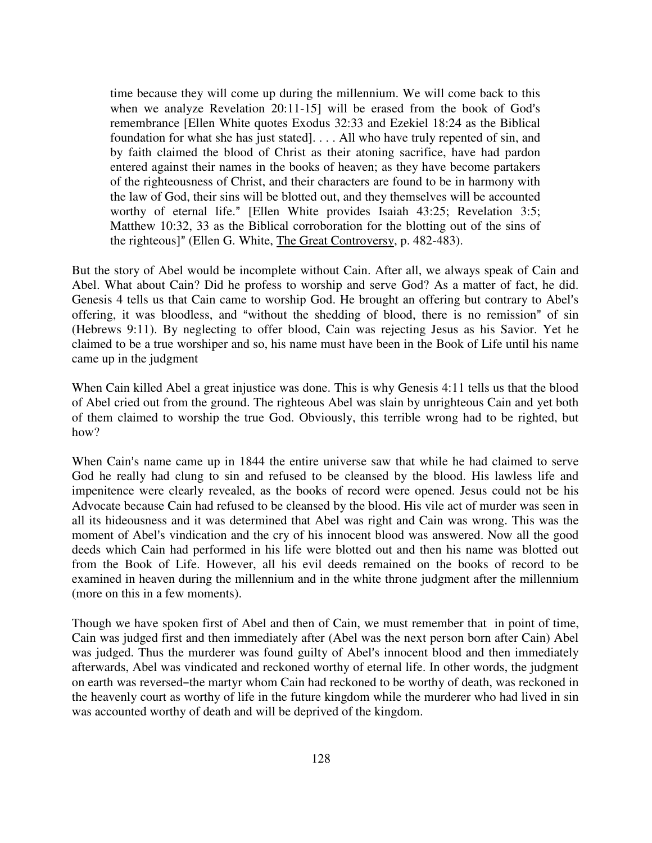time because they will come up during the millennium. We will come back to this when we analyze Revelation  $20:11-15$ ] will be erased from the book of God's remembrance [Ellen White quotes Exodus 32:33 and Ezekiel 18:24 as the Biblical foundation for what she has just stated]. . . . All who have truly repented of sin, and by faith claimed the blood of Christ as their atoning sacrifice, have had pardon entered against their names in the books of heaven; as they have become partakers of the righteousness of Christ, and their characters are found to be in harmony with the law of God, their sins will be blotted out, and they themselves will be accounted worthy of eternal life." [Ellen White provides Isaiah  $43:25$ ; Revelation  $3:5$ ; Matthew 10:32, 33 as the Biblical corroboration for the blotting out of the sins of the righteous]" (Ellen G. White, The Great Controversy, p. 482-483).

But the story of Abel would be incomplete without Cain. After all, we always speak of Cain and Abel. What about Cain? Did he profess to worship and serve God? As a matter of fact, he did. Genesis 4 tells us that Cain came to worship God. He brought an offering but contrary to Abel's offering, it was bloodless, and "without the shedding of blood, there is no remission" of sin (Hebrews 9:11). By neglecting to offer blood, Cain was rejecting Jesus as his Savior. Yet he claimed to be a true worshiper and so, his name must have been in the Book of Life until his name came up in the judgment

When Cain killed Abel a great injustice was done. This is why Genesis 4:11 tells us that the blood of Abel cried out from the ground. The righteous Abel was slain by unrighteous Cain and yet both of them claimed to worship the true God. Obviously, this terrible wrong had to be righted, but how?

When Cain's name came up in 1844 the entire universe saw that while he had claimed to serve God he really had clung to sin and refused to be cleansed by the blood. His lawless life and impenitence were clearly revealed, as the books of record were opened. Jesus could not be his Advocate because Cain had refused to be cleansed by the blood. His vile act of murder was seen in all its hideousness and it was determined that Abel was right and Cain was wrong. This was the moment of Abel's vindication and the cry of his innocent blood was answered. Now all the good deeds which Cain had performed in his life were blotted out and then his name was blotted out from the Book of Life. However, all his evil deeds remained on the books of record to be examined in heaven during the millennium and in the white throne judgment after the millennium (more on this in a few moments).

Though we have spoken first of Abel and then of Cain, we must remember that in point of time, Cain was judged first and then immediately after (Abel was the next person born after Cain) Abel was judged. Thus the murderer was found guilty of Abel's innocent blood and then immediately afterwards, Abel was vindicated and reckoned worthy of eternal life. In other words, the judgment on earth was reversed-the martyr whom Cain had reckoned to be worthy of death, was reckoned in the heavenly court as worthy of life in the future kingdom while the murderer who had lived in sin was accounted worthy of death and will be deprived of the kingdom.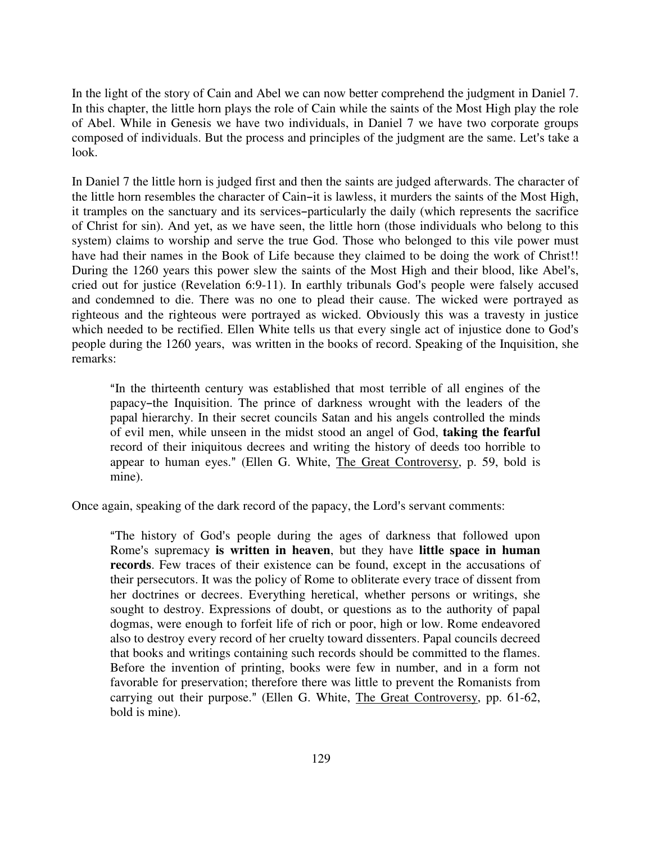In the light of the story of Cain and Abel we can now better comprehend the judgment in Daniel 7. In this chapter, the little horn plays the role of Cain while the saints of the Most High play the role of Abel. While in Genesis we have two individuals, in Daniel 7 we have two corporate groups composed of individuals. But the process and principles of the judgment are the same. Let's take a look.

In Daniel 7 the little horn is judged first and then the saints are judged afterwards. The character of the little horn resembles the character of Cain-it is lawless, it murders the saints of the Most High, it tramples on the sanctuary and its services-particularly the daily (which represents the sacrifice of Christ for sin). And yet, as we have seen, the little horn (those individuals who belong to this system) claims to worship and serve the true God. Those who belonged to this vile power must have had their names in the Book of Life because they claimed to be doing the work of Christ!! During the 1260 years this power slew the saints of the Most High and their blood, like Abel's, cried out for justice (Revelation 6:9-11). In earthly tribunals God's people were falsely accused and condemned to die. There was no one to plead their cause. The wicked were portrayed as righteous and the righteous were portrayed as wicked. Obviously this was a travesty in justice which needed to be rectified. Ellen White tells us that every single act of injustice done to God's people during the 1260 years, was written in the books of record. Speaking of the Inquisition, she remarks:

AIn the thirteenth century was established that most terrible of all engines of the papacy-the Inquisition. The prince of darkness wrought with the leaders of the papal hierarchy. In their secret councils Satan and his angels controlled the minds of evil men, while unseen in the midst stood an angel of God, **taking the fearful** record of their iniquitous decrees and writing the history of deeds too horrible to appear to human eyes." (Ellen G. White, The Great Controversy, p. 59, bold is mine).

Once again, speaking of the dark record of the papacy, the Lord's servant comments:

"The history of God's people during the ages of darkness that followed upon Rome's supremacy **is written in heaven**, but they have **little space in human records**. Few traces of their existence can be found, except in the accusations of their persecutors. It was the policy of Rome to obliterate every trace of dissent from her doctrines or decrees. Everything heretical, whether persons or writings, she sought to destroy. Expressions of doubt, or questions as to the authority of papal dogmas, were enough to forfeit life of rich or poor, high or low. Rome endeavored also to destroy every record of her cruelty toward dissenters. Papal councils decreed that books and writings containing such records should be committed to the flames. Before the invention of printing, books were few in number, and in a form not favorable for preservation; therefore there was little to prevent the Romanists from carrying out their purpose." (Ellen G. White, The Great Controversy, pp. 61-62, bold is mine).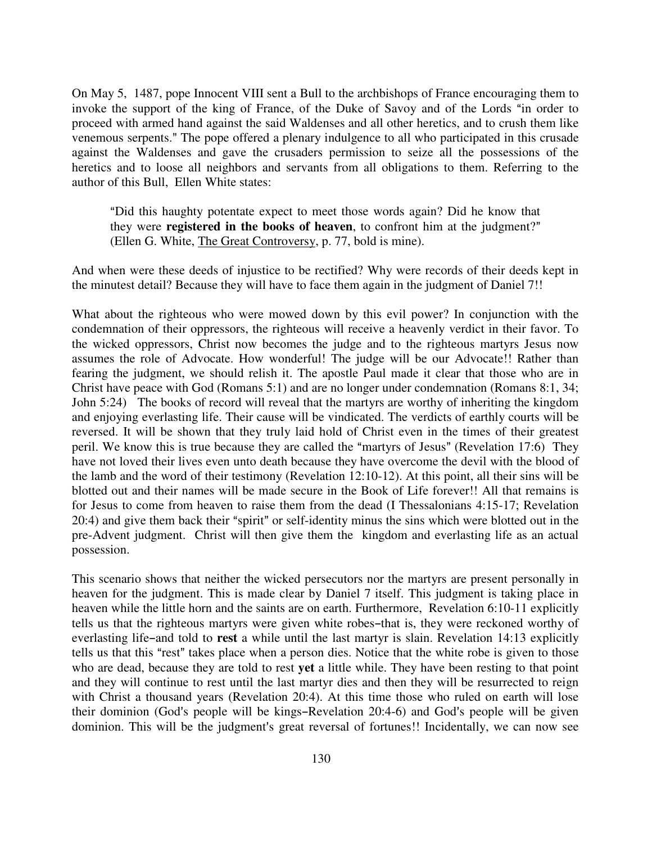On May 5, 1487, pope Innocent VIII sent a Bull to the archbishops of France encouraging them to invoke the support of the king of France, of the Duke of Savoy and of the Lords "in order to proceed with armed hand against the said Waldenses and all other heretics, and to crush them like venemous serpents." The pope offered a plenary indulgence to all who participated in this crusade against the Waldenses and gave the crusaders permission to seize all the possessions of the heretics and to loose all neighbors and servants from all obligations to them. Referring to the author of this Bull, Ellen White states:

"Did this haughty potentate expect to meet those words again? Did he know that they were **registered in the books of heaven**, to confront him at the judgment?" (Ellen G. White, The Great Controversy, p. 77, bold is mine).

And when were these deeds of injustice to be rectified? Why were records of their deeds kept in the minutest detail? Because they will have to face them again in the judgment of Daniel 7!!

What about the righteous who were mowed down by this evil power? In conjunction with the condemnation of their oppressors, the righteous will receive a heavenly verdict in their favor. To the wicked oppressors, Christ now becomes the judge and to the righteous martyrs Jesus now assumes the role of Advocate. How wonderful! The judge will be our Advocate!! Rather than fearing the judgment, we should relish it. The apostle Paul made it clear that those who are in Christ have peace with God (Romans 5:1) and are no longer under condemnation (Romans 8:1, 34; John 5:24) The books of record will reveal that the martyrs are worthy of inheriting the kingdom and enjoying everlasting life. Their cause will be vindicated. The verdicts of earthly courts will be reversed. It will be shown that they truly laid hold of Christ even in the times of their greatest peril. We know this is true because they are called the "martyrs of Jesus" (Revelation 17:6) They have not loved their lives even unto death because they have overcome the devil with the blood of the lamb and the word of their testimony (Revelation 12:10-12). At this point, all their sins will be blotted out and their names will be made secure in the Book of Life forever!! All that remains is for Jesus to come from heaven to raise them from the dead (I Thessalonians 4:15-17; Revelation 20:4) and give them back their "spirit" or self-identity minus the sins which were blotted out in the pre-Advent judgment. Christ will then give them the kingdom and everlasting life as an actual possession.

This scenario shows that neither the wicked persecutors nor the martyrs are present personally in heaven for the judgment. This is made clear by Daniel 7 itself. This judgment is taking place in heaven while the little horn and the saints are on earth. Furthermore, Revelation 6:10-11 explicitly tells us that the righteous martyrs were given white robes-that is, they were reckoned worthy of everlasting life-and told to **rest** a while until the last martyr is slain. Revelation 14:13 explicitly tells us that this "rest" takes place when a person dies. Notice that the white robe is given to those who are dead, because they are told to rest **yet** a little while. They have been resting to that point and they will continue to rest until the last martyr dies and then they will be resurrected to reign with Christ a thousand years (Revelation 20:4). At this time those who ruled on earth will lose their dominion (God's people will be kings-Revelation  $20:4-6$ ) and God's people will be given dominion. This will be the judgment's great reversal of fortunes!! Incidentally, we can now see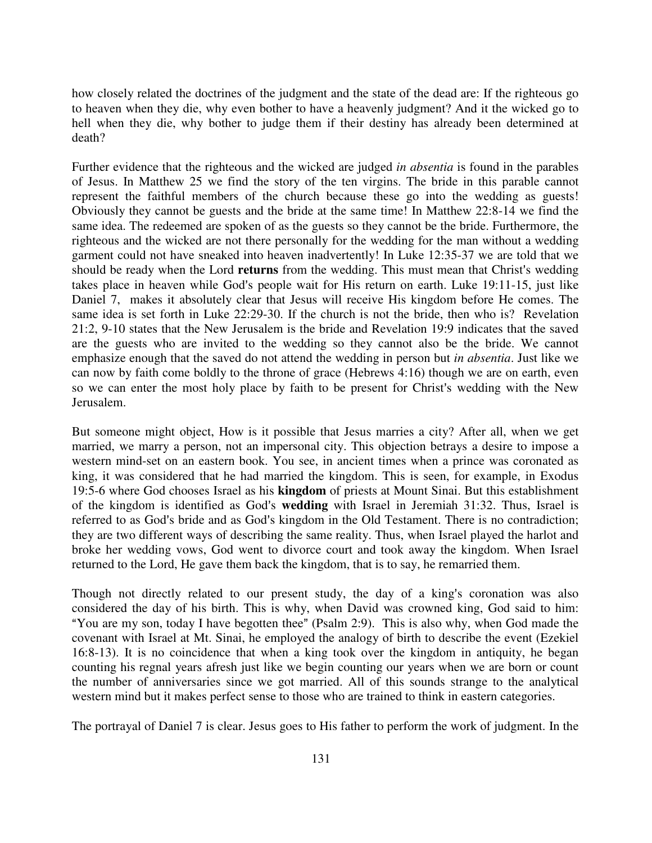how closely related the doctrines of the judgment and the state of the dead are: If the righteous go to heaven when they die, why even bother to have a heavenly judgment? And it the wicked go to hell when they die, why bother to judge them if their destiny has already been determined at death?

Further evidence that the righteous and the wicked are judged *in absentia* is found in the parables of Jesus. In Matthew 25 we find the story of the ten virgins. The bride in this parable cannot represent the faithful members of the church because these go into the wedding as guests! Obviously they cannot be guests and the bride at the same time! In Matthew 22:8-14 we find the same idea. The redeemed are spoken of as the guests so they cannot be the bride. Furthermore, the righteous and the wicked are not there personally for the wedding for the man without a wedding garment could not have sneaked into heaven inadvertently! In Luke 12:35-37 we are told that we should be ready when the Lord **returns** from the wedding. This must mean that Christ's wedding takes place in heaven while God's people wait for His return on earth. Luke 19:11-15, just like Daniel 7, makes it absolutely clear that Jesus will receive His kingdom before He comes. The same idea is set forth in Luke 22:29-30. If the church is not the bride, then who is? Revelation 21:2, 9-10 states that the New Jerusalem is the bride and Revelation 19:9 indicates that the saved are the guests who are invited to the wedding so they cannot also be the bride. We cannot emphasize enough that the saved do not attend the wedding in person but *in absentia*. Just like we can now by faith come boldly to the throne of grace (Hebrews 4:16) though we are on earth, even so we can enter the most holy place by faith to be present for Christ's wedding with the New Jerusalem.

But someone might object, How is it possible that Jesus marries a city? After all, when we get married, we marry a person, not an impersonal city. This objection betrays a desire to impose a western mind-set on an eastern book. You see, in ancient times when a prince was coronated as king, it was considered that he had married the kingdom. This is seen, for example, in Exodus 19:5-6 where God chooses Israel as his **kingdom** of priests at Mount Sinai. But this establishment of the kingdom is identified as God's **wedding** with Israel in Jeremiah 31:32. Thus, Israel is referred to as God's bride and as God's kingdom in the Old Testament. There is no contradiction; they are two different ways of describing the same reality. Thus, when Israel played the harlot and broke her wedding vows, God went to divorce court and took away the kingdom. When Israel returned to the Lord, He gave them back the kingdom, that is to say, he remarried them.

Though not directly related to our present study, the day of a king's coronation was also considered the day of his birth. This is why, when David was crowned king, God said to him: "You are my son, today I have begotten thee" (Psalm 2:9). This is also why, when God made the covenant with Israel at Mt. Sinai, he employed the analogy of birth to describe the event (Ezekiel 16:8-13). It is no coincidence that when a king took over the kingdom in antiquity, he began counting his regnal years afresh just like we begin counting our years when we are born or count the number of anniversaries since we got married. All of this sounds strange to the analytical western mind but it makes perfect sense to those who are trained to think in eastern categories.

The portrayal of Daniel 7 is clear. Jesus goes to His father to perform the work of judgment. In the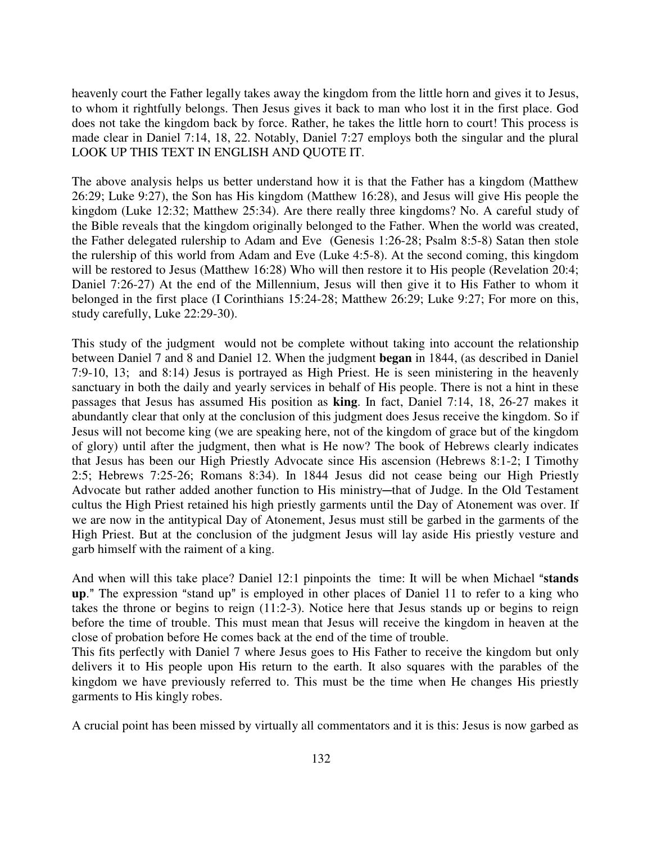heavenly court the Father legally takes away the kingdom from the little horn and gives it to Jesus, to whom it rightfully belongs. Then Jesus gives it back to man who lost it in the first place. God does not take the kingdom back by force. Rather, he takes the little horn to court! This process is made clear in Daniel 7:14, 18, 22. Notably, Daniel 7:27 employs both the singular and the plural LOOK UP THIS TEXT IN ENGLISH AND QUOTE IT.

The above analysis helps us better understand how it is that the Father has a kingdom (Matthew 26:29; Luke 9:27), the Son has His kingdom (Matthew 16:28), and Jesus will give His people the kingdom (Luke 12:32; Matthew 25:34). Are there really three kingdoms? No. A careful study of the Bible reveals that the kingdom originally belonged to the Father. When the world was created, the Father delegated rulership to Adam and Eve (Genesis 1:26-28; Psalm 8:5-8) Satan then stole the rulership of this world from Adam and Eve (Luke 4:5-8). At the second coming, this kingdom will be restored to Jesus (Matthew 16:28) Who will then restore it to His people (Revelation 20:4; Daniel 7:26-27) At the end of the Millennium, Jesus will then give it to His Father to whom it belonged in the first place (I Corinthians 15:24-28; Matthew 26:29; Luke 9:27; For more on this, study carefully, Luke 22:29-30).

This study of the judgment would not be complete without taking into account the relationship between Daniel 7 and 8 and Daniel 12. When the judgment **began** in 1844, (as described in Daniel 7:9-10, 13; and 8:14) Jesus is portrayed as High Priest. He is seen ministering in the heavenly sanctuary in both the daily and yearly services in behalf of His people. There is not a hint in these passages that Jesus has assumed His position as **king**. In fact, Daniel 7:14, 18, 26-27 makes it abundantly clear that only at the conclusion of this judgment does Jesus receive the kingdom. So if Jesus will not become king (we are speaking here, not of the kingdom of grace but of the kingdom of glory) until after the judgment, then what is He now? The book of Hebrews clearly indicates that Jesus has been our High Priestly Advocate since His ascension (Hebrews 8:1-2; I Timothy 2:5; Hebrews 7:25-26; Romans 8:34). In 1844 Jesus did not cease being our High Priestly Advocate but rather added another function to His ministry—that of Judge. In the Old Testament cultus the High Priest retained his high priestly garments until the Day of Atonement was over. If we are now in the antitypical Day of Atonement, Jesus must still be garbed in the garments of the High Priest. But at the conclusion of the judgment Jesus will lay aside His priestly vesture and garb himself with the raiment of a king.

And when will this take place? Daniel 12:1 pinpoints the time: It will be when Michael "stands **up**." The expression "stand up" is employed in other places of Daniel 11 to refer to a king who takes the throne or begins to reign (11:2-3). Notice here that Jesus stands up or begins to reign before the time of trouble. This must mean that Jesus will receive the kingdom in heaven at the close of probation before He comes back at the end of the time of trouble.

This fits perfectly with Daniel 7 where Jesus goes to His Father to receive the kingdom but only delivers it to His people upon His return to the earth. It also squares with the parables of the kingdom we have previously referred to. This must be the time when He changes His priestly garments to His kingly robes.

A crucial point has been missed by virtually all commentators and it is this: Jesus is now garbed as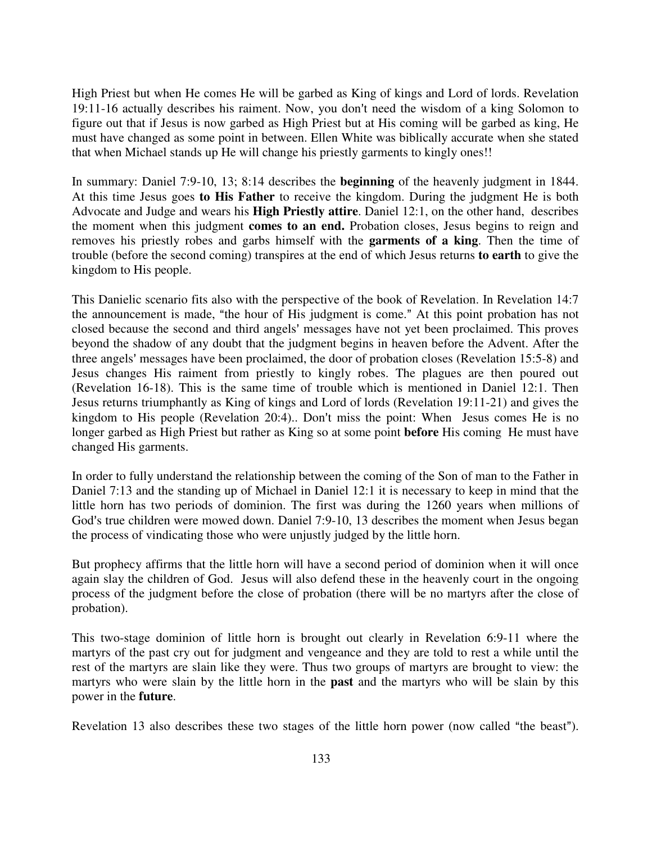High Priest but when He comes He will be garbed as King of kings and Lord of lords. Revelation 19:11-16 actually describes his raiment. Now, you don't need the wisdom of a king Solomon to figure out that if Jesus is now garbed as High Priest but at His coming will be garbed as king, He must have changed as some point in between. Ellen White was biblically accurate when she stated that when Michael stands up He will change his priestly garments to kingly ones!!

In summary: Daniel 7:9-10, 13; 8:14 describes the **beginning** of the heavenly judgment in 1844. At this time Jesus goes **to His Father** to receive the kingdom. During the judgment He is both Advocate and Judge and wears his **High Priestly attire**. Daniel 12:1, on the other hand, describes the moment when this judgment **comes to an end.** Probation closes, Jesus begins to reign and removes his priestly robes and garbs himself with the **garments of a king**. Then the time of trouble (before the second coming) transpires at the end of which Jesus returns **to earth** to give the kingdom to His people.

This Danielic scenario fits also with the perspective of the book of Revelation. In Revelation 14:7 the announcement is made, "the hour of His judgment is come." At this point probation has not closed because the second and third angels' messages have not yet been proclaimed. This proves beyond the shadow of any doubt that the judgment begins in heaven before the Advent. After the three angels' messages have been proclaimed, the door of probation closes (Revelation 15:5-8) and Jesus changes His raiment from priestly to kingly robes. The plagues are then poured out (Revelation 16-18). This is the same time of trouble which is mentioned in Daniel 12:1. Then Jesus returns triumphantly as King of kings and Lord of lords (Revelation 19:11-21) and gives the kingdom to His people (Revelation 20:4).. Don't miss the point: When Jesus comes He is no longer garbed as High Priest but rather as King so at some point **before** His coming He must have changed His garments.

In order to fully understand the relationship between the coming of the Son of man to the Father in Daniel 7:13 and the standing up of Michael in Daniel 12:1 it is necessary to keep in mind that the little horn has two periods of dominion. The first was during the 1260 years when millions of God's true children were mowed down. Daniel 7:9-10, 13 describes the moment when Jesus began the process of vindicating those who were unjustly judged by the little horn.

But prophecy affirms that the little horn will have a second period of dominion when it will once again slay the children of God. Jesus will also defend these in the heavenly court in the ongoing process of the judgment before the close of probation (there will be no martyrs after the close of probation).

This two-stage dominion of little horn is brought out clearly in Revelation 6:9-11 where the martyrs of the past cry out for judgment and vengeance and they are told to rest a while until the rest of the martyrs are slain like they were. Thus two groups of martyrs are brought to view: the martyrs who were slain by the little horn in the **past** and the martyrs who will be slain by this power in the **future**.

Revelation 13 also describes these two stages of the little horn power (now called "the beast").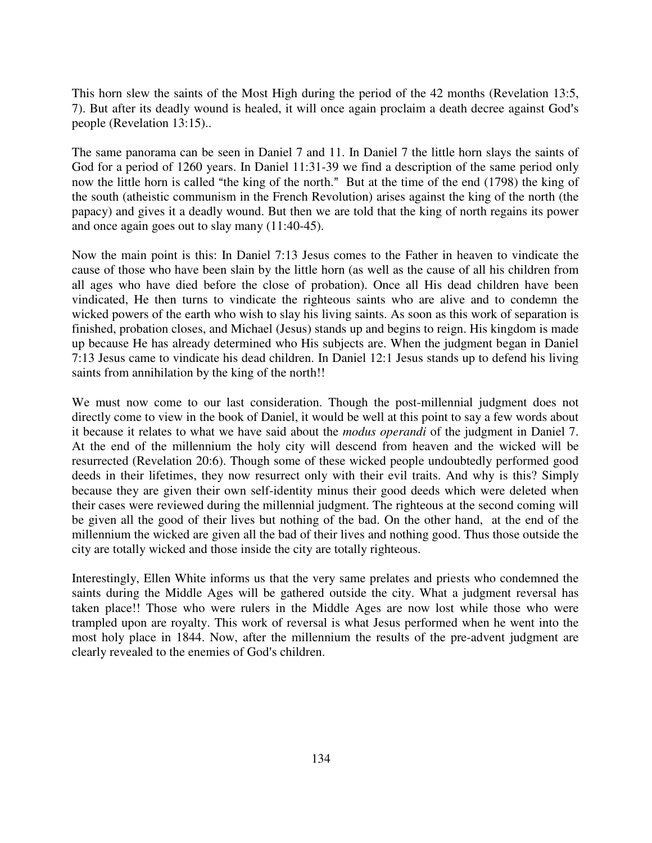This horn slew the saints of the Most High during the period of the 42 months (Revelation 13:5, 7). But after its deadly wound is healed, it will once again proclaim a death decree against God's people (Revelation 13:15)..

The same panorama can be seen in Daniel 7 and 11. In Daniel 7 the little horn slays the saints of God for a period of 1260 years. In Daniel 11:31-39 we find a description of the same period only now the little horn is called "the king of the north." But at the time of the end (1798) the king of the south (atheistic communism in the French Revolution) arises against the king of the north (the papacy) and gives it a deadly wound. But then we are told that the king of north regains its power and once again goes out to slay many (11:40-45).

Now the main point is this: In Daniel 7:13 Jesus comes to the Father in heaven to vindicate the cause of those who have been slain by the little horn (as well as the cause of all his children from all ages who have died before the close of probation). Once all His dead children have been vindicated, He then turns to vindicate the righteous saints who are alive and to condemn the wicked powers of the earth who wish to slay his living saints. As soon as this work of separation is finished, probation closes, and Michael (Jesus) stands up and begins to reign. His kingdom is made up because He has already determined who His subjects are. When the judgment began in Daniel 7:13 Jesus came to vindicate his dead children. In Daniel 12:1 Jesus stands up to defend his living saints from annihilation by the king of the north!!

We must now come to our last consideration. Though the post-millennial judgment does not directly come to view in the book of Daniel, it would be well at this point to say a few words about it because it relates to what we have said about the *modus operandi* of the judgment in Daniel 7. At the end of the millennium the holy city will descend from heaven and the wicked will be resurrected (Revelation 20:6). Though some of these wicked people undoubtedly performed good deeds in their lifetimes, they now resurrect only with their evil traits. And why is this? Simply because they are given their own self-identity minus their good deeds which were deleted when their cases were reviewed during the millennial judgment. The righteous at the second coming will be given all the good of their lives but nothing of the bad. On the other hand, at the end of the millennium the wicked are given all the bad of their lives and nothing good. Thus those outside the city are totally wicked and those inside the city are totally righteous.

Interestingly, Ellen White informs us that the very same prelates and priests who condemned the saints during the Middle Ages will be gathered outside the city. What a judgment reversal has taken place!! Those who were rulers in the Middle Ages are now lost while those who were trampled upon are royalty. This work of reversal is what Jesus performed when he went into the most holy place in 1844. Now, after the millennium the results of the pre-advent judgment are clearly revealed to the enemies of God's children.